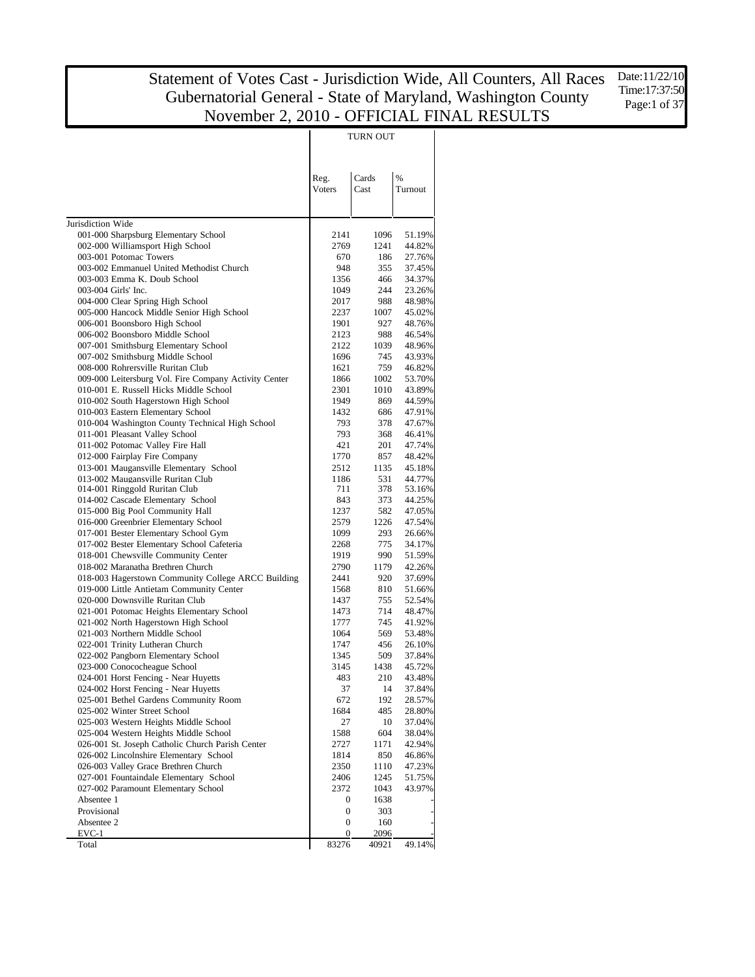|                                                                                   |                       | TURN OUT      |                  |
|-----------------------------------------------------------------------------------|-----------------------|---------------|------------------|
|                                                                                   | Reg.<br>Voters        | Cards<br>Cast | %<br>Turnout     |
|                                                                                   |                       |               |                  |
| Jurisdiction Wide<br>001-000 Sharpsburg Elementary School                         | 2141                  | 1096          | 51.19%           |
| 002-000 Williamsport High School                                                  | 2769                  | 1241          | 44.82%           |
| 003-001 Potomac Towers                                                            | 670                   | 186           | 27.76%           |
| 003-002 Emmanuel United Methodist Church                                          | 948                   | 355           | 37.45%           |
| 003-003 Emma K. Doub School                                                       | 1356                  | 466           | 34.37%           |
| 003-004 Girls' Inc.                                                               | 1049                  | 244           | 23.26%           |
| 004-000 Clear Spring High School                                                  | 2017                  | 988           | 48.98%           |
| 005-000 Hancock Middle Senior High School<br>006-001 Boonsboro High School        | 2237<br>1901          | 1007<br>927   | 45.02%<br>48.76% |
| 006-002 Boonsboro Middle School                                                   | 2123                  | 988           | 46.54%           |
| 007-001 Smithsburg Elementary School                                              | 2122                  | 1039          | 48.96%           |
| 007-002 Smithsburg Middle School                                                  | 1696                  | 745           | 43.93%           |
| 008-000 Rohrersville Ruritan Club                                                 | 1621                  | 759           | 46.82%           |
| 009-000 Leitersburg Vol. Fire Company Activity Center                             | 1866                  | 1002          | 53.70%           |
| 010-001 E. Russell Hicks Middle School                                            | 2301                  | 1010          | 43.89%           |
| 010-002 South Hagerstown High School                                              | 1949                  | 869           | 44.59%           |
| 010-003 Eastern Elementary School                                                 | 1432                  | 686           | 47.91%           |
| 010-004 Washington County Technical High School<br>011-001 Pleasant Valley School | 793<br>793            | 378<br>368    | 47.67%<br>46.41% |
| 011-002 Potomac Valley Fire Hall                                                  | 421                   | 201           | 47.74%           |
| 012-000 Fairplay Fire Company                                                     | 1770                  | 857           | 48.42%           |
| 013-001 Maugansville Elementary School                                            | 2512                  | 1135          | 45.18%           |
| 013-002 Maugansville Ruritan Club                                                 | 1186                  | 531           | 44.77%           |
| 014-001 Ringgold Ruritan Club                                                     | 711                   | 378           | 53.16%           |
| 014-002 Cascade Elementary School                                                 | 843                   | 373           | 44.25%           |
| 015-000 Big Pool Community Hall                                                   | 1237                  | 582           | 47.05%           |
| 016-000 Greenbrier Elementary School                                              | 2579                  | 1226          | 47.54%           |
| 017-001 Bester Elementary School Gym                                              | 1099                  | 293           | 26.66%           |
| 017-002 Bester Elementary School Cafeteria<br>018-001 Chewsville Community Center | 2268<br>1919          | 775<br>990    | 34.17%<br>51.59% |
| 018-002 Maranatha Brethren Church                                                 | 2790                  | 1179          | 42.26%           |
| 018-003 Hagerstown Community College ARCC Building                                | 2441                  | 920           | 37.69%           |
| 019-000 Little Antietam Community Center                                          | 1568                  | 810           | 51.66%           |
| 020-000 Downsville Ruritan Club                                                   | 1437                  | 755           | 52.54%           |
| 021-001 Potomac Heights Elementary School                                         | 1473                  | 714           | 48.47%           |
| 021-002 North Hagerstown High School                                              | 1777                  | 745           | 41.92%           |
| 021-003 Northern Middle School                                                    | 1064                  | 569           | 53.48%           |
| 022-001 Trinity Lutheran Church                                                   | 1747                  | 456           | 26.10%           |
| 022-002 Pangborn Elementary School                                                | 1345                  | 509           | 37.84%           |
| 023-000 Conococheague School                                                      | 3145                  | 1438          | 45.72%           |
| 024-001 Horst Fencing - Near Huyetts<br>024-002 Horst Fencing - Near Huyetts      | 483<br>37             | 210<br>14     | 43.48%<br>37.84% |
| 025-001 Bethel Gardens Community Room                                             | 672                   | 192           | 28.57%           |
| 025-002 Winter Street School                                                      | 1684                  | 485           | 28.80%           |
| 025-003 Western Heights Middle School                                             | 27                    | 10            | 37.04%           |
| 025-004 Western Heights Middle School                                             | 1588                  | 604           | 38.04%           |
| 026-001 St. Joseph Catholic Church Parish Center                                  | 2727                  | 1171          | 42.94%           |
| 026-002 Lincolnshire Elementary School                                            | 1814                  | 850           | 46.86%           |
| 026-003 Valley Grace Brethren Church                                              | 2350                  | 1110          | 47.23%           |
| 027-001 Fountaindale Elementary School                                            | 2406                  | 1245          | 51.75%           |
| 027-002 Paramount Elementary School                                               | 2372                  | 1043          | 43.97%           |
| Absentee 1<br>Provisional                                                         | 0<br>$\boldsymbol{0}$ | 1638<br>303   |                  |
| Absentee 2                                                                        | 0                     | 160           |                  |
| $EVC-1$                                                                           | 0                     | 2096          |                  |
| Total                                                                             | 83276                 | 40921         | 49.14%           |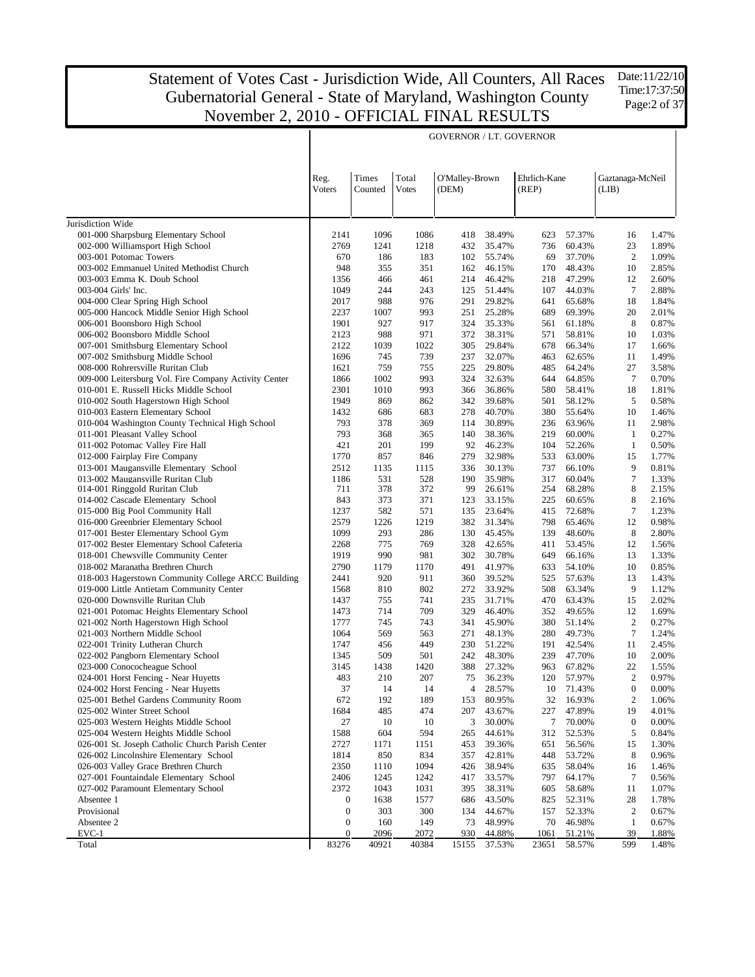GOVERNOR / LT. GOVERNOR

Jurisdiction Wide 001-000 Sharpsburg Elementary School 002-000 Williamsport High School 003-001 Potomac Towers 003-002 Emmanuel United Methodist Church 003-003 Emma K. Doub School 003-004 Girls' Inc. 004-000 Clear Spring High School 005-000 Hancock Middle Senior High School 006-001 Boonsboro High School 006-002 Boonsboro Middle School 007-001 Smithsburg Elementary School 007-002 Smithsburg Middle School 008-000 Rohrersville Ruritan Club 009-000 Leitersburg Vol. Fire Company Activity Center 010-001 E. Russell Hicks Middle School 010-002 South Hagerstown High School 010-003 Eastern Elementary School 010-004 Washington County Technical High School 011-001 Pleasant Valley School 011-002 Potomac Valley Fire Hall 012-000 Fairplay Fire Company 013-001 Maugansville Elementary School 013-002 Maugansville Ruritan Club 014-001 Ringgold Ruritan Club 014-002 Cascade Elementary School 015-000 Big Pool Community Hall 016-000 Greenbrier Elementary School 017-001 Bester Elementary School Gym 017-002 Bester Elementary School Cafeteria 018-001 Chewsville Community Center 018-002 Maranatha Brethren Church 018-003 Hagerstown Community College ARCC Building 019-000 Little Antietam Community Center 020-000 Downsville Ruritan Club 021-001 Potomac Heights Elementary School 021-002 North Hagerstown High School 021-003 Northern Middle School 022-001 Trinity Lutheran Church 022-002 Pangborn Elementary School 023-000 Conococheague School 024-001 Horst Fencing - Near Huyetts 024-002 Horst Fencing - Near Huyetts 025-001 Bethel Gardens Community Room 025-002 Winter Street School 025-003 Western Heights Middle School 025-004 Western Heights Middle School 026-001 St. Joseph Catholic Church Parish Center 026-002 Lincolnshire Elementary School 026-003 Valley Grace Brethren Church 027-001 Fountaindale Elementary School 027-002 Paramount Elementary School Absentee 1 Provisional Absentee 2 EVC-1 Total Reg. Voters Times Counted Total Votes O'Malley-Brown (DEM) Ehrlich-Kane (REP) Gaztanaga-McNeil (LIB) 2141 1096 1086 418 38.49% 623 57.37% 16 1.47% 2769 1241 1218 432 35.47% 736 60.43% 23 1.89% 670 186 183 102 55.74% 69 37.70% 2 1.09% 948 355 351 162 46.15% 170 48.43% 10 2.85% 1356 466 461 214 46.42% 218 47.29% 12 2.60% 1049 244 243 125 51.44% 107 44.03% 7 2.88% 2017 988 976 291 29.82% 641 65.68% 18 1.84% 2237 1007 993 251 25.28% 689 69.39% 20 2.01% 1901 927 917 324 35.33% 561 61.18% 8 0.87% 2123 988 971 372 38.31% 571 58.81% 10 1.03% 2122 1039 1022 305 29.84% 678 66.34% 17 1.66% 1696 745 739 237 32.07% 463 62.65% 11 1.49% 1621 759 755 225 29.80% 485 64.24% 27 3.58% 1866 1002 993 324 32.63% 644 64.85% 7 0.70% 2301 1010 993 366 36.86% 580 58.41% 18 1.81% 1949 869 862 342 39.68% 501 58.12% 5 0.58% 1432 686 683 278 40.70% 380 55.64% 10 1.46% 793 378 369 114 30.89% 236 63.96% 11 2.98% 793 368 365 140 38.36% 219 60.00% 1 0.27% 421 201 199 92 46.23% 104 52.26% 1 0.50% 1770 857 846 279 32.98% 533 63.00% 15 1.77% 2512 1135 1115 336 30.13% 737 66.10% 9 0.81% 1186 531 528 190 35.98% 317 60.04% 7 1.33% 711 378 372 99 26.61% 254 68.28% 8 2.15% 843 373 371 123 33.15% 225 60.65% 8 2.16% 1237 582 571 135 23.64% 415 72.68% 7 1.23% 2579 1226 1219 382 31.34% 798 65.46% 12 0.98% 1099 293 286 130 45.45% 139 48.60% 8 2.80% 2268 775 769 328 42.65% 411 53.45% 12 1.56% 1919 990 981 302 30.78% 649 66.16% 13 1.33% 2790 1179 1170 491 41.97% 633 54.10% 10 0.85% 2441 920 911 360 39.52% 525 57.63% 13 1.43% 1568 810 802 272 33.92% 508 63.34% 9 1.12% 1437 755 741 235 31.71% 470 63.43% 15 2.02% 1473 714 709 329 46.40% 352 49.65% 12 1.69% 1777 745 743 341 45.90% 380 51.14% 2 0.27% 1064 569 563 271 48.13% 280 49.73% 7 1.24% 1747 456 449 230 51.22% 191 42.54% 11 2.45% 1345 509 501 242 48.30% 239 47.70% 10 2.00% 3145 1438 1420 388 27.32% 963 67.82% 22 1.55% 483 210 207 75 36.23% 120 57.97% 2 0.97% 37 14 14 4 28.57% 10 71.43% 0 0.00% 672 192 189 153 80.95% 32 16.93% 2 1.06% 1684 485 474 207 43.67% 227 47.89% 19 4.01% 27 10 10 3 30.00% 7 70.00% 0 0.00% 1588 604 594 265 44.61% 312 52.53% 5 0.84% 2727 1171 1151 453 39.36% 651 56.56% 15 1.30% 1814 850 834 357 42.81% 448 53.72% 8 0.96% 2350 1110 1094 426 38.94% 635 58.04% 16 1.46% 2406 1245 1242 417 33.57% 797 64.17% 7 0.56% 2372 1043 1031 395 38.31% 605 58.68% 11 1.07% 0 1638 1577 686 43.50% 825 52.31% 28 1.78% 0 303 300 134 44.67% 157 52.33% 2 0.67% 0 160 149 73 48.99% 70 46.98% 1 0.67% 0 2096 2072 930 44.88% 1061 51.21% 39 1.88% 83276 40921 40384 15155 37.53% 23651 58.57% 599 1.48%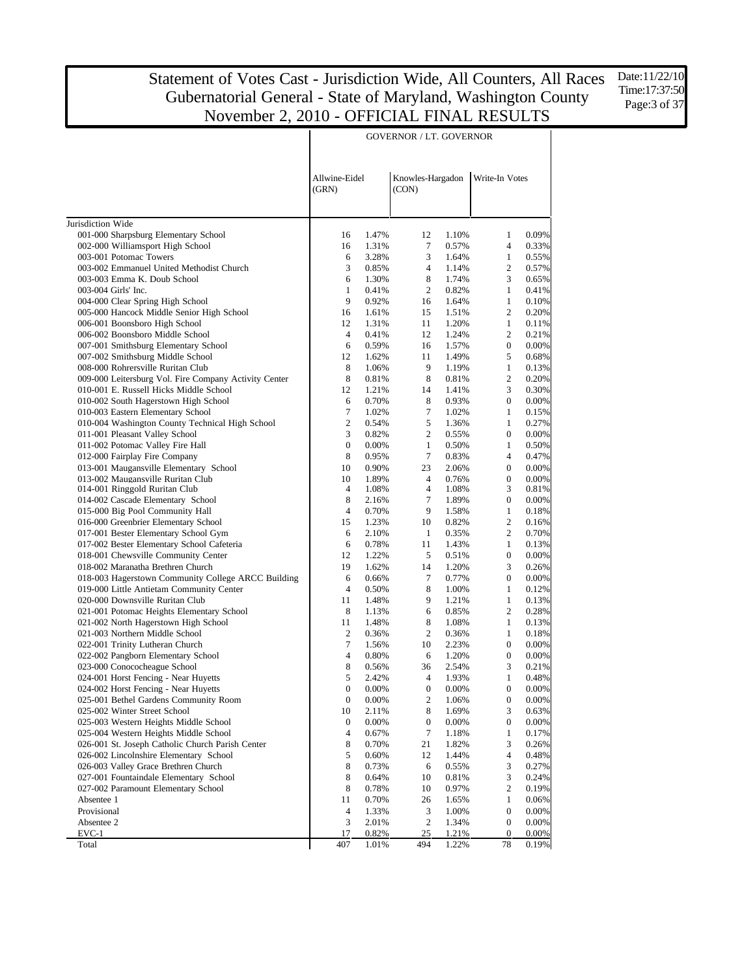Date:11/22/10 Time:17:37:50 Page: 3 of 37

| Allwine-Eidel<br>Knowles-Hargadon<br>Write-In Votes<br>(CON)<br>(GRN)<br>Jurisdiction Wide<br>0.09%<br>001-000 Sharpsburg Elementary School<br>12<br>1.10%<br>1<br>16<br>1.47%<br>002-000 Williamsport High School<br>$\tau$<br>0.57%<br>$\overline{4}$<br>0.33%<br>16<br>1.31%<br>003-001 Potomac Towers<br>3<br>$\mathbf{1}$<br>0.55%<br>6<br>3.28%<br>1.64%<br>003-002 Emmanuel United Methodist Church<br>3<br>$\overline{c}$<br>0.57%<br>0.85%<br>$\overline{4}$<br>1.14%<br>003-003 Emma K. Doub School<br>8<br>3<br>6<br>1.30%<br>1.74%<br>0.65%<br>$\mathbf{1}$<br>$\overline{c}$<br>$\mathbf{1}$<br>0.41%<br>003-004 Girls' Inc.<br>0.41%<br>0.82%<br>9<br>$\mathbf{1}$<br>0.10%<br>004-000 Clear Spring High School<br>0.92%<br>1.64%<br>16<br>005-000 Hancock Middle Senior High School<br>$\overline{c}$<br>0.20%<br>16<br>1.61%<br>15<br>1.51%<br>006-001 Boonsboro High School<br>$\mathbf{1}$<br>12<br>1.31%<br>11<br>1.20%<br>0.11%<br>006-002 Boonsboro Middle School<br>12<br>$\overline{c}$<br>0.21%<br>4<br>0.41%<br>1.24%<br>007-001 Smithsburg Elementary School<br>$\overline{0}$<br>0.00%<br>6<br>0.59%<br>16<br>1.57%<br>007-002 Smithsburg Middle School<br>12<br>5<br>0.68%<br>1.62%<br>11<br>1.49%<br>008-000 Rohrersville Ruritan Club<br>9<br>$\mathbf{1}$<br>8<br>1.06%<br>1.19%<br>0.13%<br>$\overline{c}$<br>009-000 Leitersburg Vol. Fire Company Activity Center<br>8<br>8<br>0.20%<br>0.81%<br>0.81%<br>010-001 E. Russell Hicks Middle School<br>12<br>3<br>0.30%<br>1.21%<br>14<br>1.41%<br>010-002 South Hagerstown High School<br>6<br>8<br>$\overline{0}$<br>0.00%<br>0.70%<br>0.93%<br>010-003 Eastern Elementary School<br>7<br>7<br>$\mathbf{1}$<br>1.02%<br>1.02%<br>0.15%<br>$\mathbf{2}$<br>010-004 Washington County Technical High School<br>5<br>$\mathbf{1}$<br>0.27%<br>0.54%<br>1.36%<br>011-001 Pleasant Valley School<br>3<br>$\overline{c}$<br>$\mathbf{0}$<br>0.00%<br>0.82%<br>0.55%<br>011-002 Potomac Valley Fire Hall<br>$\boldsymbol{0}$<br>$\mathbf{1}$<br>$\mathbf{1}$<br>0.50%<br>0.00%<br>0.50%<br>012-000 Fairplay Fire Company<br>8<br>7<br>$\overline{4}$<br>0.47%<br>0.95%<br>0.83%<br>013-001 Maugansville Elementary School<br>10<br>23<br>$\overline{0}$<br>0.00%<br>0.90%<br>2.06%<br>013-002 Maugansville Ruritan Club<br>$\overline{0}$<br>0.00%<br>10<br>1.89%<br>$\overline{4}$<br>0.76%<br>3<br>014-001 Ringgold Ruritan Club<br>4<br>4<br>1.08%<br>0.81%<br>1.08%<br>8<br>7<br>014-002 Cascade Elementary School<br>1.89%<br>$\boldsymbol{0}$<br>0.00%<br>2.16%<br>015-000 Big Pool Community Hall<br>$\overline{4}$<br>9<br>0.70%<br>1.58%<br>$\mathbf{1}$<br>0.18%<br>016-000 Greenbrier Elementary School<br>$\overline{c}$<br>15<br>1.23%<br>10<br>0.82%<br>0.16%<br>017-001 Bester Elementary School Gym<br>$\overline{c}$<br>6<br>2.10%<br>$\mathbf{1}$<br>0.35%<br>0.70%<br>017-002 Bester Elementary School Cafeteria<br>6<br>0.78%<br>11<br>1.43%<br>$\mathbf{1}$<br>0.13%<br>018-001 Chewsville Community Center<br>$\boldsymbol{0}$<br>0.00%<br>12<br>1.22%<br>5<br>0.51%<br>018-002 Maranatha Brethren Church<br>3<br>19<br>1.62%<br>14<br>1.20%<br>0.26%<br>018-003 Hagerstown Community College ARCC Building<br>$\tau$<br>$\boldsymbol{0}$<br>0.00%<br>6<br>0.66%<br>0.77%<br>019-000 Little Antietam Community Center<br>$\overline{4}$<br>0.50%<br>8<br>1.00%<br>$\mathbf{1}$<br>0.12%<br>9<br>$\mathbf{1}$<br>020-000 Downsville Ruritan Club<br>11<br>1.48%<br>1.21%<br>0.13%<br>$\overline{c}$<br>021-001 Potomac Heights Elementary School<br>8<br>6<br>0.85%<br>0.28%<br>1.13%<br>021-002 North Hagerstown High School<br>11<br>1.48%<br>8<br>1.08%<br>$\mathbf{1}$<br>0.13%<br>021-003 Northern Middle School<br>2<br>$\overline{c}$<br>0.36%<br>0.36%<br>$\mathbf{1}$<br>0.18%<br>7<br>$\boldsymbol{0}$<br>0.00%<br>022-001 Trinity Lutheran Church<br>1.56%<br>10<br>2.23%<br>$\overline{4}$<br>022-002 Pangborn Elementary School<br>0.80%<br>6<br>1.20%<br>$\boldsymbol{0}$<br>0.00%<br>8<br>3<br>023-000 Conococheague School<br>0.56%<br>36<br>2.54%<br>0.21%<br>5<br>$\overline{4}$<br>024-001 Horst Fencing - Near Huyetts<br>2.42%<br>1.93%<br>1<br>0.48%<br>024-002 Horst Fencing - Near Huyetts<br>$\boldsymbol{0}$<br>$\boldsymbol{0}$<br>$\boldsymbol{0}$<br>0.00%<br>0.00%<br>0.00%<br>025-001 Bethel Gardens Community Room<br>$\boldsymbol{0}$<br>2<br>$\boldsymbol{0}$<br>0.00%<br>0.00%<br>1.06%<br>025-002 Winter Street School<br>0.63%<br>10<br>2.11%<br>8<br>1.69%<br>3<br>025-003 Western Heights Middle School<br>$\boldsymbol{0}$<br>0.00%<br>0<br>$\boldsymbol{0}$<br>0.00%<br>0.00%<br>7<br>025-004 Western Heights Middle School<br>4<br>0.67%<br>1<br>0.17%<br>1.18%<br>026-001 St. Joseph Catholic Church Parish Center<br>8<br>0.70%<br>21<br>1.82%<br>3<br>0.26%<br>5<br>4<br>026-002 Lincolnshire Elementary School<br>0.60%<br>12<br>1.44%<br>0.48%<br>8<br>026-003 Valley Grace Brethren Church<br>0.73%<br>6<br>3<br>0.27%<br>0.55%<br>8<br>3<br>027-001 Fountaindale Elementary School<br>0.64%<br>10<br>0.81%<br>0.24%<br>8<br>027-002 Paramount Elementary School<br>0.78%<br>0.97%<br>2<br>0.19%<br>10<br>Absentee 1<br>11<br>0.70%<br>1<br>0.06%<br>26<br>1.65%<br>Provisional<br>4<br>1.33%<br>3<br>1.00%<br>$\boldsymbol{0}$<br>0.00%<br>3<br>$\overline{c}$<br>Absentee 2<br>2.01%<br>1.34%<br>$\boldsymbol{0}$<br>0.00%<br>$EVC-1$<br>0.82%<br>25<br>1.21%<br>0.00%<br>17<br>$\bf{0}$<br>Total<br>407<br>1.01%<br>494<br>1.22%<br>78<br>0.19% |  | <b>GOVERNOR / LT. GOVERNOR</b> |  |  |
|---------------------------------------------------------------------------------------------------------------------------------------------------------------------------------------------------------------------------------------------------------------------------------------------------------------------------------------------------------------------------------------------------------------------------------------------------------------------------------------------------------------------------------------------------------------------------------------------------------------------------------------------------------------------------------------------------------------------------------------------------------------------------------------------------------------------------------------------------------------------------------------------------------------------------------------------------------------------------------------------------------------------------------------------------------------------------------------------------------------------------------------------------------------------------------------------------------------------------------------------------------------------------------------------------------------------------------------------------------------------------------------------------------------------------------------------------------------------------------------------------------------------------------------------------------------------------------------------------------------------------------------------------------------------------------------------------------------------------------------------------------------------------------------------------------------------------------------------------------------------------------------------------------------------------------------------------------------------------------------------------------------------------------------------------------------------------------------------------------------------------------------------------------------------------------------------------------------------------------------------------------------------------------------------------------------------------------------------------------------------------------------------------------------------------------------------------------------------------------------------------------------------------------------------------------------------------------------------------------------------------------------------------------------------------------------------------------------------------------------------------------------------------------------------------------------------------------------------------------------------------------------------------------------------------------------------------------------------------------------------------------------------------------------------------------------------------------------------------------------------------------------------------------------------------------------------------------------------------------------------------------------------------------------------------------------------------------------------------------------------------------------------------------------------------------------------------------------------------------------------------------------------------------------------------------------------------------------------------------------------------------------------------------------------------------------------------------------------------------------------------------------------------------------------------------------------------------------------------------------------------------------------------------------------------------------------------------------------------------------------------------------------------------------------------------------------------------------------------------------------------------------------------------------------------------------------------------------------------------------------------------------------------------------------------------------------------------------------------------------------------------------------------------------------------------------------------------------------------------------------------------------------------------------------------------------------------------------------------------------------------------------------------------------------------------------------------------------------------------------------------------------------------------------------------------------------------------------------------------------------------------------------------------------------------------------------------------------------------------------------------------------------------------------------------------------------------------------------------------------------------------------------------------------------------------------------------------------------------------------------------------------------------------------------------------------------------------------------------------------------------------------------------------------------------------------------------------------------------------------------------|--|--------------------------------|--|--|
|                                                                                                                                                                                                                                                                                                                                                                                                                                                                                                                                                                                                                                                                                                                                                                                                                                                                                                                                                                                                                                                                                                                                                                                                                                                                                                                                                                                                                                                                                                                                                                                                                                                                                                                                                                                                                                                                                                                                                                                                                                                                                                                                                                                                                                                                                                                                                                                                                                                                                                                                                                                                                                                                                                                                                                                                                                                                                                                                                                                                                                                                                                                                                                                                                                                                                                                                                                                                                                                                                                                                                                                                                                                                                                                                                                                                                                                                                                                                                                                                                                                                                                                                                                                                                                                                                                                                                                                                                                                                                                                                                                                                                                                                                                                                                                                                                                                                                                                                                                                                                                                                                                                                                                                                                                                                                                                                                                                                                                                                                                   |  |                                |  |  |
|                                                                                                                                                                                                                                                                                                                                                                                                                                                                                                                                                                                                                                                                                                                                                                                                                                                                                                                                                                                                                                                                                                                                                                                                                                                                                                                                                                                                                                                                                                                                                                                                                                                                                                                                                                                                                                                                                                                                                                                                                                                                                                                                                                                                                                                                                                                                                                                                                                                                                                                                                                                                                                                                                                                                                                                                                                                                                                                                                                                                                                                                                                                                                                                                                                                                                                                                                                                                                                                                                                                                                                                                                                                                                                                                                                                                                                                                                                                                                                                                                                                                                                                                                                                                                                                                                                                                                                                                                                                                                                                                                                                                                                                                                                                                                                                                                                                                                                                                                                                                                                                                                                                                                                                                                                                                                                                                                                                                                                                                                                   |  |                                |  |  |
|                                                                                                                                                                                                                                                                                                                                                                                                                                                                                                                                                                                                                                                                                                                                                                                                                                                                                                                                                                                                                                                                                                                                                                                                                                                                                                                                                                                                                                                                                                                                                                                                                                                                                                                                                                                                                                                                                                                                                                                                                                                                                                                                                                                                                                                                                                                                                                                                                                                                                                                                                                                                                                                                                                                                                                                                                                                                                                                                                                                                                                                                                                                                                                                                                                                                                                                                                                                                                                                                                                                                                                                                                                                                                                                                                                                                                                                                                                                                                                                                                                                                                                                                                                                                                                                                                                                                                                                                                                                                                                                                                                                                                                                                                                                                                                                                                                                                                                                                                                                                                                                                                                                                                                                                                                                                                                                                                                                                                                                                                                   |  |                                |  |  |
|                                                                                                                                                                                                                                                                                                                                                                                                                                                                                                                                                                                                                                                                                                                                                                                                                                                                                                                                                                                                                                                                                                                                                                                                                                                                                                                                                                                                                                                                                                                                                                                                                                                                                                                                                                                                                                                                                                                                                                                                                                                                                                                                                                                                                                                                                                                                                                                                                                                                                                                                                                                                                                                                                                                                                                                                                                                                                                                                                                                                                                                                                                                                                                                                                                                                                                                                                                                                                                                                                                                                                                                                                                                                                                                                                                                                                                                                                                                                                                                                                                                                                                                                                                                                                                                                                                                                                                                                                                                                                                                                                                                                                                                                                                                                                                                                                                                                                                                                                                                                                                                                                                                                                                                                                                                                                                                                                                                                                                                                                                   |  |                                |  |  |
|                                                                                                                                                                                                                                                                                                                                                                                                                                                                                                                                                                                                                                                                                                                                                                                                                                                                                                                                                                                                                                                                                                                                                                                                                                                                                                                                                                                                                                                                                                                                                                                                                                                                                                                                                                                                                                                                                                                                                                                                                                                                                                                                                                                                                                                                                                                                                                                                                                                                                                                                                                                                                                                                                                                                                                                                                                                                                                                                                                                                                                                                                                                                                                                                                                                                                                                                                                                                                                                                                                                                                                                                                                                                                                                                                                                                                                                                                                                                                                                                                                                                                                                                                                                                                                                                                                                                                                                                                                                                                                                                                                                                                                                                                                                                                                                                                                                                                                                                                                                                                                                                                                                                                                                                                                                                                                                                                                                                                                                                                                   |  |                                |  |  |
|                                                                                                                                                                                                                                                                                                                                                                                                                                                                                                                                                                                                                                                                                                                                                                                                                                                                                                                                                                                                                                                                                                                                                                                                                                                                                                                                                                                                                                                                                                                                                                                                                                                                                                                                                                                                                                                                                                                                                                                                                                                                                                                                                                                                                                                                                                                                                                                                                                                                                                                                                                                                                                                                                                                                                                                                                                                                                                                                                                                                                                                                                                                                                                                                                                                                                                                                                                                                                                                                                                                                                                                                                                                                                                                                                                                                                                                                                                                                                                                                                                                                                                                                                                                                                                                                                                                                                                                                                                                                                                                                                                                                                                                                                                                                                                                                                                                                                                                                                                                                                                                                                                                                                                                                                                                                                                                                                                                                                                                                                                   |  |                                |  |  |
|                                                                                                                                                                                                                                                                                                                                                                                                                                                                                                                                                                                                                                                                                                                                                                                                                                                                                                                                                                                                                                                                                                                                                                                                                                                                                                                                                                                                                                                                                                                                                                                                                                                                                                                                                                                                                                                                                                                                                                                                                                                                                                                                                                                                                                                                                                                                                                                                                                                                                                                                                                                                                                                                                                                                                                                                                                                                                                                                                                                                                                                                                                                                                                                                                                                                                                                                                                                                                                                                                                                                                                                                                                                                                                                                                                                                                                                                                                                                                                                                                                                                                                                                                                                                                                                                                                                                                                                                                                                                                                                                                                                                                                                                                                                                                                                                                                                                                                                                                                                                                                                                                                                                                                                                                                                                                                                                                                                                                                                                                                   |  |                                |  |  |
|                                                                                                                                                                                                                                                                                                                                                                                                                                                                                                                                                                                                                                                                                                                                                                                                                                                                                                                                                                                                                                                                                                                                                                                                                                                                                                                                                                                                                                                                                                                                                                                                                                                                                                                                                                                                                                                                                                                                                                                                                                                                                                                                                                                                                                                                                                                                                                                                                                                                                                                                                                                                                                                                                                                                                                                                                                                                                                                                                                                                                                                                                                                                                                                                                                                                                                                                                                                                                                                                                                                                                                                                                                                                                                                                                                                                                                                                                                                                                                                                                                                                                                                                                                                                                                                                                                                                                                                                                                                                                                                                                                                                                                                                                                                                                                                                                                                                                                                                                                                                                                                                                                                                                                                                                                                                                                                                                                                                                                                                                                   |  |                                |  |  |
|                                                                                                                                                                                                                                                                                                                                                                                                                                                                                                                                                                                                                                                                                                                                                                                                                                                                                                                                                                                                                                                                                                                                                                                                                                                                                                                                                                                                                                                                                                                                                                                                                                                                                                                                                                                                                                                                                                                                                                                                                                                                                                                                                                                                                                                                                                                                                                                                                                                                                                                                                                                                                                                                                                                                                                                                                                                                                                                                                                                                                                                                                                                                                                                                                                                                                                                                                                                                                                                                                                                                                                                                                                                                                                                                                                                                                                                                                                                                                                                                                                                                                                                                                                                                                                                                                                                                                                                                                                                                                                                                                                                                                                                                                                                                                                                                                                                                                                                                                                                                                                                                                                                                                                                                                                                                                                                                                                                                                                                                                                   |  |                                |  |  |
|                                                                                                                                                                                                                                                                                                                                                                                                                                                                                                                                                                                                                                                                                                                                                                                                                                                                                                                                                                                                                                                                                                                                                                                                                                                                                                                                                                                                                                                                                                                                                                                                                                                                                                                                                                                                                                                                                                                                                                                                                                                                                                                                                                                                                                                                                                                                                                                                                                                                                                                                                                                                                                                                                                                                                                                                                                                                                                                                                                                                                                                                                                                                                                                                                                                                                                                                                                                                                                                                                                                                                                                                                                                                                                                                                                                                                                                                                                                                                                                                                                                                                                                                                                                                                                                                                                                                                                                                                                                                                                                                                                                                                                                                                                                                                                                                                                                                                                                                                                                                                                                                                                                                                                                                                                                                                                                                                                                                                                                                                                   |  |                                |  |  |
|                                                                                                                                                                                                                                                                                                                                                                                                                                                                                                                                                                                                                                                                                                                                                                                                                                                                                                                                                                                                                                                                                                                                                                                                                                                                                                                                                                                                                                                                                                                                                                                                                                                                                                                                                                                                                                                                                                                                                                                                                                                                                                                                                                                                                                                                                                                                                                                                                                                                                                                                                                                                                                                                                                                                                                                                                                                                                                                                                                                                                                                                                                                                                                                                                                                                                                                                                                                                                                                                                                                                                                                                                                                                                                                                                                                                                                                                                                                                                                                                                                                                                                                                                                                                                                                                                                                                                                                                                                                                                                                                                                                                                                                                                                                                                                                                                                                                                                                                                                                                                                                                                                                                                                                                                                                                                                                                                                                                                                                                                                   |  |                                |  |  |
|                                                                                                                                                                                                                                                                                                                                                                                                                                                                                                                                                                                                                                                                                                                                                                                                                                                                                                                                                                                                                                                                                                                                                                                                                                                                                                                                                                                                                                                                                                                                                                                                                                                                                                                                                                                                                                                                                                                                                                                                                                                                                                                                                                                                                                                                                                                                                                                                                                                                                                                                                                                                                                                                                                                                                                                                                                                                                                                                                                                                                                                                                                                                                                                                                                                                                                                                                                                                                                                                                                                                                                                                                                                                                                                                                                                                                                                                                                                                                                                                                                                                                                                                                                                                                                                                                                                                                                                                                                                                                                                                                                                                                                                                                                                                                                                                                                                                                                                                                                                                                                                                                                                                                                                                                                                                                                                                                                                                                                                                                                   |  |                                |  |  |
|                                                                                                                                                                                                                                                                                                                                                                                                                                                                                                                                                                                                                                                                                                                                                                                                                                                                                                                                                                                                                                                                                                                                                                                                                                                                                                                                                                                                                                                                                                                                                                                                                                                                                                                                                                                                                                                                                                                                                                                                                                                                                                                                                                                                                                                                                                                                                                                                                                                                                                                                                                                                                                                                                                                                                                                                                                                                                                                                                                                                                                                                                                                                                                                                                                                                                                                                                                                                                                                                                                                                                                                                                                                                                                                                                                                                                                                                                                                                                                                                                                                                                                                                                                                                                                                                                                                                                                                                                                                                                                                                                                                                                                                                                                                                                                                                                                                                                                                                                                                                                                                                                                                                                                                                                                                                                                                                                                                                                                                                                                   |  |                                |  |  |
|                                                                                                                                                                                                                                                                                                                                                                                                                                                                                                                                                                                                                                                                                                                                                                                                                                                                                                                                                                                                                                                                                                                                                                                                                                                                                                                                                                                                                                                                                                                                                                                                                                                                                                                                                                                                                                                                                                                                                                                                                                                                                                                                                                                                                                                                                                                                                                                                                                                                                                                                                                                                                                                                                                                                                                                                                                                                                                                                                                                                                                                                                                                                                                                                                                                                                                                                                                                                                                                                                                                                                                                                                                                                                                                                                                                                                                                                                                                                                                                                                                                                                                                                                                                                                                                                                                                                                                                                                                                                                                                                                                                                                                                                                                                                                                                                                                                                                                                                                                                                                                                                                                                                                                                                                                                                                                                                                                                                                                                                                                   |  |                                |  |  |
|                                                                                                                                                                                                                                                                                                                                                                                                                                                                                                                                                                                                                                                                                                                                                                                                                                                                                                                                                                                                                                                                                                                                                                                                                                                                                                                                                                                                                                                                                                                                                                                                                                                                                                                                                                                                                                                                                                                                                                                                                                                                                                                                                                                                                                                                                                                                                                                                                                                                                                                                                                                                                                                                                                                                                                                                                                                                                                                                                                                                                                                                                                                                                                                                                                                                                                                                                                                                                                                                                                                                                                                                                                                                                                                                                                                                                                                                                                                                                                                                                                                                                                                                                                                                                                                                                                                                                                                                                                                                                                                                                                                                                                                                                                                                                                                                                                                                                                                                                                                                                                                                                                                                                                                                                                                                                                                                                                                                                                                                                                   |  |                                |  |  |
|                                                                                                                                                                                                                                                                                                                                                                                                                                                                                                                                                                                                                                                                                                                                                                                                                                                                                                                                                                                                                                                                                                                                                                                                                                                                                                                                                                                                                                                                                                                                                                                                                                                                                                                                                                                                                                                                                                                                                                                                                                                                                                                                                                                                                                                                                                                                                                                                                                                                                                                                                                                                                                                                                                                                                                                                                                                                                                                                                                                                                                                                                                                                                                                                                                                                                                                                                                                                                                                                                                                                                                                                                                                                                                                                                                                                                                                                                                                                                                                                                                                                                                                                                                                                                                                                                                                                                                                                                                                                                                                                                                                                                                                                                                                                                                                                                                                                                                                                                                                                                                                                                                                                                                                                                                                                                                                                                                                                                                                                                                   |  |                                |  |  |
|                                                                                                                                                                                                                                                                                                                                                                                                                                                                                                                                                                                                                                                                                                                                                                                                                                                                                                                                                                                                                                                                                                                                                                                                                                                                                                                                                                                                                                                                                                                                                                                                                                                                                                                                                                                                                                                                                                                                                                                                                                                                                                                                                                                                                                                                                                                                                                                                                                                                                                                                                                                                                                                                                                                                                                                                                                                                                                                                                                                                                                                                                                                                                                                                                                                                                                                                                                                                                                                                                                                                                                                                                                                                                                                                                                                                                                                                                                                                                                                                                                                                                                                                                                                                                                                                                                                                                                                                                                                                                                                                                                                                                                                                                                                                                                                                                                                                                                                                                                                                                                                                                                                                                                                                                                                                                                                                                                                                                                                                                                   |  |                                |  |  |
|                                                                                                                                                                                                                                                                                                                                                                                                                                                                                                                                                                                                                                                                                                                                                                                                                                                                                                                                                                                                                                                                                                                                                                                                                                                                                                                                                                                                                                                                                                                                                                                                                                                                                                                                                                                                                                                                                                                                                                                                                                                                                                                                                                                                                                                                                                                                                                                                                                                                                                                                                                                                                                                                                                                                                                                                                                                                                                                                                                                                                                                                                                                                                                                                                                                                                                                                                                                                                                                                                                                                                                                                                                                                                                                                                                                                                                                                                                                                                                                                                                                                                                                                                                                                                                                                                                                                                                                                                                                                                                                                                                                                                                                                                                                                                                                                                                                                                                                                                                                                                                                                                                                                                                                                                                                                                                                                                                                                                                                                                                   |  |                                |  |  |
|                                                                                                                                                                                                                                                                                                                                                                                                                                                                                                                                                                                                                                                                                                                                                                                                                                                                                                                                                                                                                                                                                                                                                                                                                                                                                                                                                                                                                                                                                                                                                                                                                                                                                                                                                                                                                                                                                                                                                                                                                                                                                                                                                                                                                                                                                                                                                                                                                                                                                                                                                                                                                                                                                                                                                                                                                                                                                                                                                                                                                                                                                                                                                                                                                                                                                                                                                                                                                                                                                                                                                                                                                                                                                                                                                                                                                                                                                                                                                                                                                                                                                                                                                                                                                                                                                                                                                                                                                                                                                                                                                                                                                                                                                                                                                                                                                                                                                                                                                                                                                                                                                                                                                                                                                                                                                                                                                                                                                                                                                                   |  |                                |  |  |
|                                                                                                                                                                                                                                                                                                                                                                                                                                                                                                                                                                                                                                                                                                                                                                                                                                                                                                                                                                                                                                                                                                                                                                                                                                                                                                                                                                                                                                                                                                                                                                                                                                                                                                                                                                                                                                                                                                                                                                                                                                                                                                                                                                                                                                                                                                                                                                                                                                                                                                                                                                                                                                                                                                                                                                                                                                                                                                                                                                                                                                                                                                                                                                                                                                                                                                                                                                                                                                                                                                                                                                                                                                                                                                                                                                                                                                                                                                                                                                                                                                                                                                                                                                                                                                                                                                                                                                                                                                                                                                                                                                                                                                                                                                                                                                                                                                                                                                                                                                                                                                                                                                                                                                                                                                                                                                                                                                                                                                                                                                   |  |                                |  |  |
|                                                                                                                                                                                                                                                                                                                                                                                                                                                                                                                                                                                                                                                                                                                                                                                                                                                                                                                                                                                                                                                                                                                                                                                                                                                                                                                                                                                                                                                                                                                                                                                                                                                                                                                                                                                                                                                                                                                                                                                                                                                                                                                                                                                                                                                                                                                                                                                                                                                                                                                                                                                                                                                                                                                                                                                                                                                                                                                                                                                                                                                                                                                                                                                                                                                                                                                                                                                                                                                                                                                                                                                                                                                                                                                                                                                                                                                                                                                                                                                                                                                                                                                                                                                                                                                                                                                                                                                                                                                                                                                                                                                                                                                                                                                                                                                                                                                                                                                                                                                                                                                                                                                                                                                                                                                                                                                                                                                                                                                                                                   |  |                                |  |  |
|                                                                                                                                                                                                                                                                                                                                                                                                                                                                                                                                                                                                                                                                                                                                                                                                                                                                                                                                                                                                                                                                                                                                                                                                                                                                                                                                                                                                                                                                                                                                                                                                                                                                                                                                                                                                                                                                                                                                                                                                                                                                                                                                                                                                                                                                                                                                                                                                                                                                                                                                                                                                                                                                                                                                                                                                                                                                                                                                                                                                                                                                                                                                                                                                                                                                                                                                                                                                                                                                                                                                                                                                                                                                                                                                                                                                                                                                                                                                                                                                                                                                                                                                                                                                                                                                                                                                                                                                                                                                                                                                                                                                                                                                                                                                                                                                                                                                                                                                                                                                                                                                                                                                                                                                                                                                                                                                                                                                                                                                                                   |  |                                |  |  |
|                                                                                                                                                                                                                                                                                                                                                                                                                                                                                                                                                                                                                                                                                                                                                                                                                                                                                                                                                                                                                                                                                                                                                                                                                                                                                                                                                                                                                                                                                                                                                                                                                                                                                                                                                                                                                                                                                                                                                                                                                                                                                                                                                                                                                                                                                                                                                                                                                                                                                                                                                                                                                                                                                                                                                                                                                                                                                                                                                                                                                                                                                                                                                                                                                                                                                                                                                                                                                                                                                                                                                                                                                                                                                                                                                                                                                                                                                                                                                                                                                                                                                                                                                                                                                                                                                                                                                                                                                                                                                                                                                                                                                                                                                                                                                                                                                                                                                                                                                                                                                                                                                                                                                                                                                                                                                                                                                                                                                                                                                                   |  |                                |  |  |
|                                                                                                                                                                                                                                                                                                                                                                                                                                                                                                                                                                                                                                                                                                                                                                                                                                                                                                                                                                                                                                                                                                                                                                                                                                                                                                                                                                                                                                                                                                                                                                                                                                                                                                                                                                                                                                                                                                                                                                                                                                                                                                                                                                                                                                                                                                                                                                                                                                                                                                                                                                                                                                                                                                                                                                                                                                                                                                                                                                                                                                                                                                                                                                                                                                                                                                                                                                                                                                                                                                                                                                                                                                                                                                                                                                                                                                                                                                                                                                                                                                                                                                                                                                                                                                                                                                                                                                                                                                                                                                                                                                                                                                                                                                                                                                                                                                                                                                                                                                                                                                                                                                                                                                                                                                                                                                                                                                                                                                                                                                   |  |                                |  |  |
|                                                                                                                                                                                                                                                                                                                                                                                                                                                                                                                                                                                                                                                                                                                                                                                                                                                                                                                                                                                                                                                                                                                                                                                                                                                                                                                                                                                                                                                                                                                                                                                                                                                                                                                                                                                                                                                                                                                                                                                                                                                                                                                                                                                                                                                                                                                                                                                                                                                                                                                                                                                                                                                                                                                                                                                                                                                                                                                                                                                                                                                                                                                                                                                                                                                                                                                                                                                                                                                                                                                                                                                                                                                                                                                                                                                                                                                                                                                                                                                                                                                                                                                                                                                                                                                                                                                                                                                                                                                                                                                                                                                                                                                                                                                                                                                                                                                                                                                                                                                                                                                                                                                                                                                                                                                                                                                                                                                                                                                                                                   |  |                                |  |  |
|                                                                                                                                                                                                                                                                                                                                                                                                                                                                                                                                                                                                                                                                                                                                                                                                                                                                                                                                                                                                                                                                                                                                                                                                                                                                                                                                                                                                                                                                                                                                                                                                                                                                                                                                                                                                                                                                                                                                                                                                                                                                                                                                                                                                                                                                                                                                                                                                                                                                                                                                                                                                                                                                                                                                                                                                                                                                                                                                                                                                                                                                                                                                                                                                                                                                                                                                                                                                                                                                                                                                                                                                                                                                                                                                                                                                                                                                                                                                                                                                                                                                                                                                                                                                                                                                                                                                                                                                                                                                                                                                                                                                                                                                                                                                                                                                                                                                                                                                                                                                                                                                                                                                                                                                                                                                                                                                                                                                                                                                                                   |  |                                |  |  |
|                                                                                                                                                                                                                                                                                                                                                                                                                                                                                                                                                                                                                                                                                                                                                                                                                                                                                                                                                                                                                                                                                                                                                                                                                                                                                                                                                                                                                                                                                                                                                                                                                                                                                                                                                                                                                                                                                                                                                                                                                                                                                                                                                                                                                                                                                                                                                                                                                                                                                                                                                                                                                                                                                                                                                                                                                                                                                                                                                                                                                                                                                                                                                                                                                                                                                                                                                                                                                                                                                                                                                                                                                                                                                                                                                                                                                                                                                                                                                                                                                                                                                                                                                                                                                                                                                                                                                                                                                                                                                                                                                                                                                                                                                                                                                                                                                                                                                                                                                                                                                                                                                                                                                                                                                                                                                                                                                                                                                                                                                                   |  |                                |  |  |
|                                                                                                                                                                                                                                                                                                                                                                                                                                                                                                                                                                                                                                                                                                                                                                                                                                                                                                                                                                                                                                                                                                                                                                                                                                                                                                                                                                                                                                                                                                                                                                                                                                                                                                                                                                                                                                                                                                                                                                                                                                                                                                                                                                                                                                                                                                                                                                                                                                                                                                                                                                                                                                                                                                                                                                                                                                                                                                                                                                                                                                                                                                                                                                                                                                                                                                                                                                                                                                                                                                                                                                                                                                                                                                                                                                                                                                                                                                                                                                                                                                                                                                                                                                                                                                                                                                                                                                                                                                                                                                                                                                                                                                                                                                                                                                                                                                                                                                                                                                                                                                                                                                                                                                                                                                                                                                                                                                                                                                                                                                   |  |                                |  |  |
|                                                                                                                                                                                                                                                                                                                                                                                                                                                                                                                                                                                                                                                                                                                                                                                                                                                                                                                                                                                                                                                                                                                                                                                                                                                                                                                                                                                                                                                                                                                                                                                                                                                                                                                                                                                                                                                                                                                                                                                                                                                                                                                                                                                                                                                                                                                                                                                                                                                                                                                                                                                                                                                                                                                                                                                                                                                                                                                                                                                                                                                                                                                                                                                                                                                                                                                                                                                                                                                                                                                                                                                                                                                                                                                                                                                                                                                                                                                                                                                                                                                                                                                                                                                                                                                                                                                                                                                                                                                                                                                                                                                                                                                                                                                                                                                                                                                                                                                                                                                                                                                                                                                                                                                                                                                                                                                                                                                                                                                                                                   |  |                                |  |  |
|                                                                                                                                                                                                                                                                                                                                                                                                                                                                                                                                                                                                                                                                                                                                                                                                                                                                                                                                                                                                                                                                                                                                                                                                                                                                                                                                                                                                                                                                                                                                                                                                                                                                                                                                                                                                                                                                                                                                                                                                                                                                                                                                                                                                                                                                                                                                                                                                                                                                                                                                                                                                                                                                                                                                                                                                                                                                                                                                                                                                                                                                                                                                                                                                                                                                                                                                                                                                                                                                                                                                                                                                                                                                                                                                                                                                                                                                                                                                                                                                                                                                                                                                                                                                                                                                                                                                                                                                                                                                                                                                                                                                                                                                                                                                                                                                                                                                                                                                                                                                                                                                                                                                                                                                                                                                                                                                                                                                                                                                                                   |  |                                |  |  |
|                                                                                                                                                                                                                                                                                                                                                                                                                                                                                                                                                                                                                                                                                                                                                                                                                                                                                                                                                                                                                                                                                                                                                                                                                                                                                                                                                                                                                                                                                                                                                                                                                                                                                                                                                                                                                                                                                                                                                                                                                                                                                                                                                                                                                                                                                                                                                                                                                                                                                                                                                                                                                                                                                                                                                                                                                                                                                                                                                                                                                                                                                                                                                                                                                                                                                                                                                                                                                                                                                                                                                                                                                                                                                                                                                                                                                                                                                                                                                                                                                                                                                                                                                                                                                                                                                                                                                                                                                                                                                                                                                                                                                                                                                                                                                                                                                                                                                                                                                                                                                                                                                                                                                                                                                                                                                                                                                                                                                                                                                                   |  |                                |  |  |
|                                                                                                                                                                                                                                                                                                                                                                                                                                                                                                                                                                                                                                                                                                                                                                                                                                                                                                                                                                                                                                                                                                                                                                                                                                                                                                                                                                                                                                                                                                                                                                                                                                                                                                                                                                                                                                                                                                                                                                                                                                                                                                                                                                                                                                                                                                                                                                                                                                                                                                                                                                                                                                                                                                                                                                                                                                                                                                                                                                                                                                                                                                                                                                                                                                                                                                                                                                                                                                                                                                                                                                                                                                                                                                                                                                                                                                                                                                                                                                                                                                                                                                                                                                                                                                                                                                                                                                                                                                                                                                                                                                                                                                                                                                                                                                                                                                                                                                                                                                                                                                                                                                                                                                                                                                                                                                                                                                                                                                                                                                   |  |                                |  |  |
|                                                                                                                                                                                                                                                                                                                                                                                                                                                                                                                                                                                                                                                                                                                                                                                                                                                                                                                                                                                                                                                                                                                                                                                                                                                                                                                                                                                                                                                                                                                                                                                                                                                                                                                                                                                                                                                                                                                                                                                                                                                                                                                                                                                                                                                                                                                                                                                                                                                                                                                                                                                                                                                                                                                                                                                                                                                                                                                                                                                                                                                                                                                                                                                                                                                                                                                                                                                                                                                                                                                                                                                                                                                                                                                                                                                                                                                                                                                                                                                                                                                                                                                                                                                                                                                                                                                                                                                                                                                                                                                                                                                                                                                                                                                                                                                                                                                                                                                                                                                                                                                                                                                                                                                                                                                                                                                                                                                                                                                                                                   |  |                                |  |  |
|                                                                                                                                                                                                                                                                                                                                                                                                                                                                                                                                                                                                                                                                                                                                                                                                                                                                                                                                                                                                                                                                                                                                                                                                                                                                                                                                                                                                                                                                                                                                                                                                                                                                                                                                                                                                                                                                                                                                                                                                                                                                                                                                                                                                                                                                                                                                                                                                                                                                                                                                                                                                                                                                                                                                                                                                                                                                                                                                                                                                                                                                                                                                                                                                                                                                                                                                                                                                                                                                                                                                                                                                                                                                                                                                                                                                                                                                                                                                                                                                                                                                                                                                                                                                                                                                                                                                                                                                                                                                                                                                                                                                                                                                                                                                                                                                                                                                                                                                                                                                                                                                                                                                                                                                                                                                                                                                                                                                                                                                                                   |  |                                |  |  |
|                                                                                                                                                                                                                                                                                                                                                                                                                                                                                                                                                                                                                                                                                                                                                                                                                                                                                                                                                                                                                                                                                                                                                                                                                                                                                                                                                                                                                                                                                                                                                                                                                                                                                                                                                                                                                                                                                                                                                                                                                                                                                                                                                                                                                                                                                                                                                                                                                                                                                                                                                                                                                                                                                                                                                                                                                                                                                                                                                                                                                                                                                                                                                                                                                                                                                                                                                                                                                                                                                                                                                                                                                                                                                                                                                                                                                                                                                                                                                                                                                                                                                                                                                                                                                                                                                                                                                                                                                                                                                                                                                                                                                                                                                                                                                                                                                                                                                                                                                                                                                                                                                                                                                                                                                                                                                                                                                                                                                                                                                                   |  |                                |  |  |
|                                                                                                                                                                                                                                                                                                                                                                                                                                                                                                                                                                                                                                                                                                                                                                                                                                                                                                                                                                                                                                                                                                                                                                                                                                                                                                                                                                                                                                                                                                                                                                                                                                                                                                                                                                                                                                                                                                                                                                                                                                                                                                                                                                                                                                                                                                                                                                                                                                                                                                                                                                                                                                                                                                                                                                                                                                                                                                                                                                                                                                                                                                                                                                                                                                                                                                                                                                                                                                                                                                                                                                                                                                                                                                                                                                                                                                                                                                                                                                                                                                                                                                                                                                                                                                                                                                                                                                                                                                                                                                                                                                                                                                                                                                                                                                                                                                                                                                                                                                                                                                                                                                                                                                                                                                                                                                                                                                                                                                                                                                   |  |                                |  |  |
|                                                                                                                                                                                                                                                                                                                                                                                                                                                                                                                                                                                                                                                                                                                                                                                                                                                                                                                                                                                                                                                                                                                                                                                                                                                                                                                                                                                                                                                                                                                                                                                                                                                                                                                                                                                                                                                                                                                                                                                                                                                                                                                                                                                                                                                                                                                                                                                                                                                                                                                                                                                                                                                                                                                                                                                                                                                                                                                                                                                                                                                                                                                                                                                                                                                                                                                                                                                                                                                                                                                                                                                                                                                                                                                                                                                                                                                                                                                                                                                                                                                                                                                                                                                                                                                                                                                                                                                                                                                                                                                                                                                                                                                                                                                                                                                                                                                                                                                                                                                                                                                                                                                                                                                                                                                                                                                                                                                                                                                                                                   |  |                                |  |  |
|                                                                                                                                                                                                                                                                                                                                                                                                                                                                                                                                                                                                                                                                                                                                                                                                                                                                                                                                                                                                                                                                                                                                                                                                                                                                                                                                                                                                                                                                                                                                                                                                                                                                                                                                                                                                                                                                                                                                                                                                                                                                                                                                                                                                                                                                                                                                                                                                                                                                                                                                                                                                                                                                                                                                                                                                                                                                                                                                                                                                                                                                                                                                                                                                                                                                                                                                                                                                                                                                                                                                                                                                                                                                                                                                                                                                                                                                                                                                                                                                                                                                                                                                                                                                                                                                                                                                                                                                                                                                                                                                                                                                                                                                                                                                                                                                                                                                                                                                                                                                                                                                                                                                                                                                                                                                                                                                                                                                                                                                                                   |  |                                |  |  |
|                                                                                                                                                                                                                                                                                                                                                                                                                                                                                                                                                                                                                                                                                                                                                                                                                                                                                                                                                                                                                                                                                                                                                                                                                                                                                                                                                                                                                                                                                                                                                                                                                                                                                                                                                                                                                                                                                                                                                                                                                                                                                                                                                                                                                                                                                                                                                                                                                                                                                                                                                                                                                                                                                                                                                                                                                                                                                                                                                                                                                                                                                                                                                                                                                                                                                                                                                                                                                                                                                                                                                                                                                                                                                                                                                                                                                                                                                                                                                                                                                                                                                                                                                                                                                                                                                                                                                                                                                                                                                                                                                                                                                                                                                                                                                                                                                                                                                                                                                                                                                                                                                                                                                                                                                                                                                                                                                                                                                                                                                                   |  |                                |  |  |
|                                                                                                                                                                                                                                                                                                                                                                                                                                                                                                                                                                                                                                                                                                                                                                                                                                                                                                                                                                                                                                                                                                                                                                                                                                                                                                                                                                                                                                                                                                                                                                                                                                                                                                                                                                                                                                                                                                                                                                                                                                                                                                                                                                                                                                                                                                                                                                                                                                                                                                                                                                                                                                                                                                                                                                                                                                                                                                                                                                                                                                                                                                                                                                                                                                                                                                                                                                                                                                                                                                                                                                                                                                                                                                                                                                                                                                                                                                                                                                                                                                                                                                                                                                                                                                                                                                                                                                                                                                                                                                                                                                                                                                                                                                                                                                                                                                                                                                                                                                                                                                                                                                                                                                                                                                                                                                                                                                                                                                                                                                   |  |                                |  |  |
|                                                                                                                                                                                                                                                                                                                                                                                                                                                                                                                                                                                                                                                                                                                                                                                                                                                                                                                                                                                                                                                                                                                                                                                                                                                                                                                                                                                                                                                                                                                                                                                                                                                                                                                                                                                                                                                                                                                                                                                                                                                                                                                                                                                                                                                                                                                                                                                                                                                                                                                                                                                                                                                                                                                                                                                                                                                                                                                                                                                                                                                                                                                                                                                                                                                                                                                                                                                                                                                                                                                                                                                                                                                                                                                                                                                                                                                                                                                                                                                                                                                                                                                                                                                                                                                                                                                                                                                                                                                                                                                                                                                                                                                                                                                                                                                                                                                                                                                                                                                                                                                                                                                                                                                                                                                                                                                                                                                                                                                                                                   |  |                                |  |  |
|                                                                                                                                                                                                                                                                                                                                                                                                                                                                                                                                                                                                                                                                                                                                                                                                                                                                                                                                                                                                                                                                                                                                                                                                                                                                                                                                                                                                                                                                                                                                                                                                                                                                                                                                                                                                                                                                                                                                                                                                                                                                                                                                                                                                                                                                                                                                                                                                                                                                                                                                                                                                                                                                                                                                                                                                                                                                                                                                                                                                                                                                                                                                                                                                                                                                                                                                                                                                                                                                                                                                                                                                                                                                                                                                                                                                                                                                                                                                                                                                                                                                                                                                                                                                                                                                                                                                                                                                                                                                                                                                                                                                                                                                                                                                                                                                                                                                                                                                                                                                                                                                                                                                                                                                                                                                                                                                                                                                                                                                                                   |  |                                |  |  |
|                                                                                                                                                                                                                                                                                                                                                                                                                                                                                                                                                                                                                                                                                                                                                                                                                                                                                                                                                                                                                                                                                                                                                                                                                                                                                                                                                                                                                                                                                                                                                                                                                                                                                                                                                                                                                                                                                                                                                                                                                                                                                                                                                                                                                                                                                                                                                                                                                                                                                                                                                                                                                                                                                                                                                                                                                                                                                                                                                                                                                                                                                                                                                                                                                                                                                                                                                                                                                                                                                                                                                                                                                                                                                                                                                                                                                                                                                                                                                                                                                                                                                                                                                                                                                                                                                                                                                                                                                                                                                                                                                                                                                                                                                                                                                                                                                                                                                                                                                                                                                                                                                                                                                                                                                                                                                                                                                                                                                                                                                                   |  |                                |  |  |
|                                                                                                                                                                                                                                                                                                                                                                                                                                                                                                                                                                                                                                                                                                                                                                                                                                                                                                                                                                                                                                                                                                                                                                                                                                                                                                                                                                                                                                                                                                                                                                                                                                                                                                                                                                                                                                                                                                                                                                                                                                                                                                                                                                                                                                                                                                                                                                                                                                                                                                                                                                                                                                                                                                                                                                                                                                                                                                                                                                                                                                                                                                                                                                                                                                                                                                                                                                                                                                                                                                                                                                                                                                                                                                                                                                                                                                                                                                                                                                                                                                                                                                                                                                                                                                                                                                                                                                                                                                                                                                                                                                                                                                                                                                                                                                                                                                                                                                                                                                                                                                                                                                                                                                                                                                                                                                                                                                                                                                                                                                   |  |                                |  |  |
|                                                                                                                                                                                                                                                                                                                                                                                                                                                                                                                                                                                                                                                                                                                                                                                                                                                                                                                                                                                                                                                                                                                                                                                                                                                                                                                                                                                                                                                                                                                                                                                                                                                                                                                                                                                                                                                                                                                                                                                                                                                                                                                                                                                                                                                                                                                                                                                                                                                                                                                                                                                                                                                                                                                                                                                                                                                                                                                                                                                                                                                                                                                                                                                                                                                                                                                                                                                                                                                                                                                                                                                                                                                                                                                                                                                                                                                                                                                                                                                                                                                                                                                                                                                                                                                                                                                                                                                                                                                                                                                                                                                                                                                                                                                                                                                                                                                                                                                                                                                                                                                                                                                                                                                                                                                                                                                                                                                                                                                                                                   |  |                                |  |  |
|                                                                                                                                                                                                                                                                                                                                                                                                                                                                                                                                                                                                                                                                                                                                                                                                                                                                                                                                                                                                                                                                                                                                                                                                                                                                                                                                                                                                                                                                                                                                                                                                                                                                                                                                                                                                                                                                                                                                                                                                                                                                                                                                                                                                                                                                                                                                                                                                                                                                                                                                                                                                                                                                                                                                                                                                                                                                                                                                                                                                                                                                                                                                                                                                                                                                                                                                                                                                                                                                                                                                                                                                                                                                                                                                                                                                                                                                                                                                                                                                                                                                                                                                                                                                                                                                                                                                                                                                                                                                                                                                                                                                                                                                                                                                                                                                                                                                                                                                                                                                                                                                                                                                                                                                                                                                                                                                                                                                                                                                                                   |  |                                |  |  |
|                                                                                                                                                                                                                                                                                                                                                                                                                                                                                                                                                                                                                                                                                                                                                                                                                                                                                                                                                                                                                                                                                                                                                                                                                                                                                                                                                                                                                                                                                                                                                                                                                                                                                                                                                                                                                                                                                                                                                                                                                                                                                                                                                                                                                                                                                                                                                                                                                                                                                                                                                                                                                                                                                                                                                                                                                                                                                                                                                                                                                                                                                                                                                                                                                                                                                                                                                                                                                                                                                                                                                                                                                                                                                                                                                                                                                                                                                                                                                                                                                                                                                                                                                                                                                                                                                                                                                                                                                                                                                                                                                                                                                                                                                                                                                                                                                                                                                                                                                                                                                                                                                                                                                                                                                                                                                                                                                                                                                                                                                                   |  |                                |  |  |
|                                                                                                                                                                                                                                                                                                                                                                                                                                                                                                                                                                                                                                                                                                                                                                                                                                                                                                                                                                                                                                                                                                                                                                                                                                                                                                                                                                                                                                                                                                                                                                                                                                                                                                                                                                                                                                                                                                                                                                                                                                                                                                                                                                                                                                                                                                                                                                                                                                                                                                                                                                                                                                                                                                                                                                                                                                                                                                                                                                                                                                                                                                                                                                                                                                                                                                                                                                                                                                                                                                                                                                                                                                                                                                                                                                                                                                                                                                                                                                                                                                                                                                                                                                                                                                                                                                                                                                                                                                                                                                                                                                                                                                                                                                                                                                                                                                                                                                                                                                                                                                                                                                                                                                                                                                                                                                                                                                                                                                                                                                   |  |                                |  |  |
|                                                                                                                                                                                                                                                                                                                                                                                                                                                                                                                                                                                                                                                                                                                                                                                                                                                                                                                                                                                                                                                                                                                                                                                                                                                                                                                                                                                                                                                                                                                                                                                                                                                                                                                                                                                                                                                                                                                                                                                                                                                                                                                                                                                                                                                                                                                                                                                                                                                                                                                                                                                                                                                                                                                                                                                                                                                                                                                                                                                                                                                                                                                                                                                                                                                                                                                                                                                                                                                                                                                                                                                                                                                                                                                                                                                                                                                                                                                                                                                                                                                                                                                                                                                                                                                                                                                                                                                                                                                                                                                                                                                                                                                                                                                                                                                                                                                                                                                                                                                                                                                                                                                                                                                                                                                                                                                                                                                                                                                                                                   |  |                                |  |  |
|                                                                                                                                                                                                                                                                                                                                                                                                                                                                                                                                                                                                                                                                                                                                                                                                                                                                                                                                                                                                                                                                                                                                                                                                                                                                                                                                                                                                                                                                                                                                                                                                                                                                                                                                                                                                                                                                                                                                                                                                                                                                                                                                                                                                                                                                                                                                                                                                                                                                                                                                                                                                                                                                                                                                                                                                                                                                                                                                                                                                                                                                                                                                                                                                                                                                                                                                                                                                                                                                                                                                                                                                                                                                                                                                                                                                                                                                                                                                                                                                                                                                                                                                                                                                                                                                                                                                                                                                                                                                                                                                                                                                                                                                                                                                                                                                                                                                                                                                                                                                                                                                                                                                                                                                                                                                                                                                                                                                                                                                                                   |  |                                |  |  |
|                                                                                                                                                                                                                                                                                                                                                                                                                                                                                                                                                                                                                                                                                                                                                                                                                                                                                                                                                                                                                                                                                                                                                                                                                                                                                                                                                                                                                                                                                                                                                                                                                                                                                                                                                                                                                                                                                                                                                                                                                                                                                                                                                                                                                                                                                                                                                                                                                                                                                                                                                                                                                                                                                                                                                                                                                                                                                                                                                                                                                                                                                                                                                                                                                                                                                                                                                                                                                                                                                                                                                                                                                                                                                                                                                                                                                                                                                                                                                                                                                                                                                                                                                                                                                                                                                                                                                                                                                                                                                                                                                                                                                                                                                                                                                                                                                                                                                                                                                                                                                                                                                                                                                                                                                                                                                                                                                                                                                                                                                                   |  |                                |  |  |
|                                                                                                                                                                                                                                                                                                                                                                                                                                                                                                                                                                                                                                                                                                                                                                                                                                                                                                                                                                                                                                                                                                                                                                                                                                                                                                                                                                                                                                                                                                                                                                                                                                                                                                                                                                                                                                                                                                                                                                                                                                                                                                                                                                                                                                                                                                                                                                                                                                                                                                                                                                                                                                                                                                                                                                                                                                                                                                                                                                                                                                                                                                                                                                                                                                                                                                                                                                                                                                                                                                                                                                                                                                                                                                                                                                                                                                                                                                                                                                                                                                                                                                                                                                                                                                                                                                                                                                                                                                                                                                                                                                                                                                                                                                                                                                                                                                                                                                                                                                                                                                                                                                                                                                                                                                                                                                                                                                                                                                                                                                   |  |                                |  |  |
|                                                                                                                                                                                                                                                                                                                                                                                                                                                                                                                                                                                                                                                                                                                                                                                                                                                                                                                                                                                                                                                                                                                                                                                                                                                                                                                                                                                                                                                                                                                                                                                                                                                                                                                                                                                                                                                                                                                                                                                                                                                                                                                                                                                                                                                                                                                                                                                                                                                                                                                                                                                                                                                                                                                                                                                                                                                                                                                                                                                                                                                                                                                                                                                                                                                                                                                                                                                                                                                                                                                                                                                                                                                                                                                                                                                                                                                                                                                                                                                                                                                                                                                                                                                                                                                                                                                                                                                                                                                                                                                                                                                                                                                                                                                                                                                                                                                                                                                                                                                                                                                                                                                                                                                                                                                                                                                                                                                                                                                                                                   |  |                                |  |  |
|                                                                                                                                                                                                                                                                                                                                                                                                                                                                                                                                                                                                                                                                                                                                                                                                                                                                                                                                                                                                                                                                                                                                                                                                                                                                                                                                                                                                                                                                                                                                                                                                                                                                                                                                                                                                                                                                                                                                                                                                                                                                                                                                                                                                                                                                                                                                                                                                                                                                                                                                                                                                                                                                                                                                                                                                                                                                                                                                                                                                                                                                                                                                                                                                                                                                                                                                                                                                                                                                                                                                                                                                                                                                                                                                                                                                                                                                                                                                                                                                                                                                                                                                                                                                                                                                                                                                                                                                                                                                                                                                                                                                                                                                                                                                                                                                                                                                                                                                                                                                                                                                                                                                                                                                                                                                                                                                                                                                                                                                                                   |  |                                |  |  |

#### GOVERNOR / LT. GOVERNOR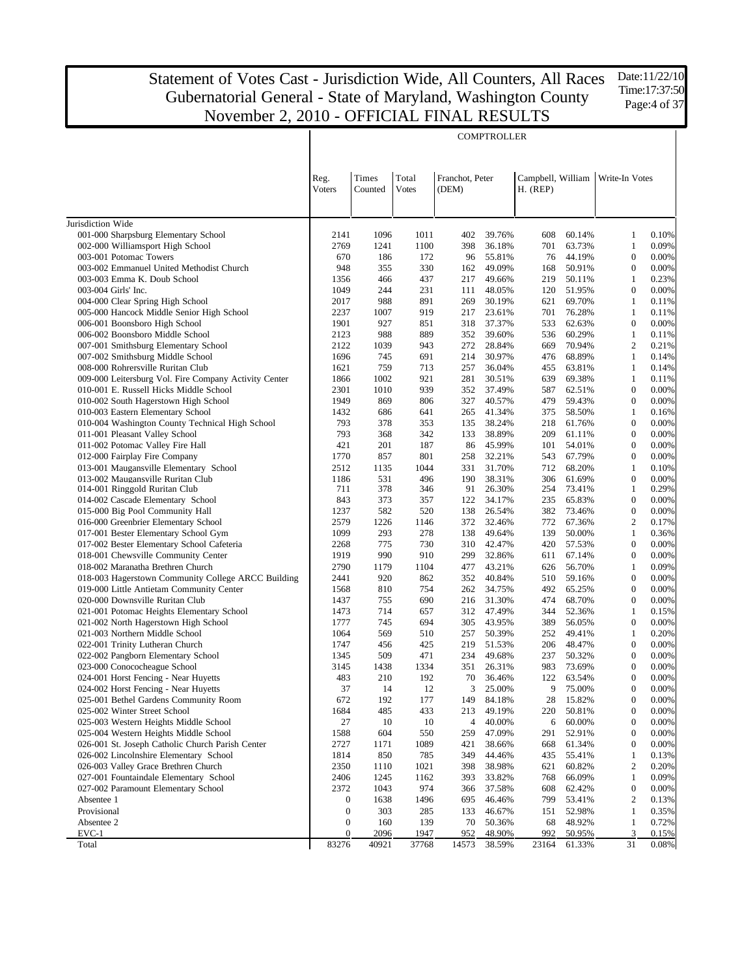$\overline{\mathbf{r}}$ 

Date:11/22/10 Time:17:37:50 Page:4 of 37

| Times<br>Total<br>Franchot, Peter<br>Campbell, William<br>Write-In Votes<br>Reg.<br>Voters<br>Counted<br><b>Votes</b><br>(DEM)<br>$H.$ (REP)<br>Jurisdiction Wide<br>001-000 Sharpsburg Elementary School<br>60.14%<br>2141<br>1096<br>1011<br>402<br>39.76%<br>608<br>1<br>0.10%<br>002-000 Williamsport High School<br>2769<br>$\mathbf{1}$<br>1241<br>1100<br>398<br>36.18%<br>701<br>63.73%<br>0.09%<br>003-001 Potomac Towers<br>$\boldsymbol{0}$<br>670<br>186<br>172<br>96<br>55.81%<br>76<br>44.19%<br>0.00%<br>003-002 Emmanuel United Methodist Church<br>948<br>355<br>$\boldsymbol{0}$<br>330<br>49.09%<br>168<br>50.91%<br>0.00%<br>162<br>$\mathbf{1}$<br>003-003 Emma K. Doub School<br>1356<br>466<br>437<br>217<br>49.66%<br>219<br>50.11%<br>0.23%<br>244<br>$\boldsymbol{0}$<br>003-004 Girls' Inc.<br>1049<br>231<br>48.05%<br>120<br>51.95%<br>0.00%<br>111<br>988<br>004-000 Clear Spring High School<br>2017<br>891<br>269<br>30.19%<br>621<br>69.70%<br>1<br>0.11%<br>005-000 Hancock Middle Senior High School<br>2237<br>1007<br>919<br>217<br>23.61%<br>701<br>76.28%<br>1<br>0.11%<br>$\boldsymbol{0}$<br>0.00%<br>006-001 Boonsboro High School<br>1901<br>927<br>851<br>318<br>37.37%<br>533<br>62.63%<br>988<br>$\mathbf{1}$<br>006-002 Boonsboro Middle School<br>2123<br>889<br>352<br>39.60%<br>536<br>60.29%<br>0.11%<br>$\mathbf{2}$<br>70.94%<br>007-001 Smithsburg Elementary School<br>2122<br>1039<br>943<br>272<br>28.84%<br>669<br>0.21%<br>$\mathbf{1}$<br>007-002 Smithsburg Middle School<br>1696<br>745<br>691<br>214<br>30.97%<br>476<br>68.89%<br>0.14%<br>759<br>$\mathbf{1}$<br>008-000 Rohrersville Ruritan Club<br>1621<br>713<br>257<br>36.04%<br>455<br>63.81%<br>0.14%<br>009-000 Leitersburg Vol. Fire Company Activity Center<br>1866<br>1002<br>921<br>281<br>30.51%<br>639<br>69.38%<br>1<br>0.11%<br>1010<br>939<br>$\boldsymbol{0}$<br>010-001 E. Russell Hicks Middle School<br>2301<br>352<br>37.49%<br>587<br>62.51%<br>0.00%<br>$\boldsymbol{0}$<br>010-002 South Hagerstown High School<br>1949<br>869<br>806<br>327<br>40.57%<br>479<br>59.43%<br>0.00%<br>$\mathbf{1}$<br>010-003 Eastern Elementary School<br>1432<br>686<br>641<br>265<br>41.34%<br>375<br>58.50%<br>0.16%<br>010-004 Washington County Technical High School<br>793<br>378<br>$\boldsymbol{0}$<br>353<br>135<br>38.24%<br>218<br>61.76%<br>0.00%<br>011-001 Pleasant Valley School<br>793<br>368<br>$\boldsymbol{0}$<br>342<br>133<br>38.89%<br>209<br>61.11%<br>0.00%<br>011-002 Potomac Valley Fire Hall<br>421<br>$\boldsymbol{0}$<br>201<br>187<br>86<br>45.99%<br>101<br>54.01%<br>0.00%<br>012-000 Fairplay Fire Company<br>801<br>$\theta$<br>1770<br>857<br>258<br>32.21%<br>543<br>67.79%<br>0.00%<br>013-001 Maugansville Elementary School<br>2512<br>1135<br>1044<br>331<br>31.70%<br>712<br>68.20%<br>1<br>0.10%<br>013-002 Maugansville Ruritan Club<br>531<br>496<br>$\boldsymbol{0}$<br>1186<br>190<br>38.31%<br>306<br>61.69%<br>0.00%<br>378<br>$\mathbf{1}$<br>0.29%<br>014-001 Ringgold Ruritan Club<br>711<br>346<br>91<br>26.30%<br>254<br>73.41%<br>843<br>373<br>357<br>65.83%<br>$\boldsymbol{0}$<br>014-002 Cascade Elementary School<br>122<br>34.17%<br>235<br>0.00%<br>015-000 Big Pool Community Hall<br>1237<br>582<br>520<br>26.54%<br>382<br>73.46%<br>$\boldsymbol{0}$<br>0.00%<br>138<br>016-000 Greenbrier Elementary School<br>2579<br>1226<br>1146<br>772<br>67.36%<br>$\overline{2}$<br>372<br>32.46%<br>0.17%<br>017-001 Bester Elementary School Gym<br>1099<br>293<br>278<br>139<br>50.00%<br>$\mathbf{1}$<br>138<br>49.64%<br>0.36%<br>017-002 Bester Elementary School Cafeteria<br>2268<br>775<br>730<br>42.47%<br>57.53%<br>$\theta$<br>0.00%<br>310<br>420<br>018-001 Chewsville Community Center<br>1919<br>990<br>910<br>$\boldsymbol{0}$<br>0.00%<br>299<br>32.86%<br>611<br>67.14%<br>2790<br>1179<br>1104<br>56.70%<br>$\mathbf{1}$<br>0.09%<br>018-002 Maranatha Brethren Church<br>477<br>43.21%<br>626<br>018-003 Hagerstown Community College ARCC Building<br>2441<br>920<br>862<br>40.84%<br>59.16%<br>$\boldsymbol{0}$<br>0.00%<br>352<br>510<br>1568<br>810<br>754<br>34.75%<br>$\theta$<br>019-000 Little Antietam Community Center<br>262<br>492<br>65.25%<br>0.00%<br>1437<br>755<br>690<br>31.30%<br>68.70%<br>$\boldsymbol{0}$<br>0.00%<br>020-000 Downsville Ruritan Club<br>216<br>474<br>1473<br>714<br>47.49%<br>52.36%<br>$\mathbf{1}$<br>021-001 Potomac Heights Elementary School<br>657<br>312<br>344<br>0.15%<br>021-002 North Hagerstown High School<br>1777<br>745<br>694<br>43.95%<br>56.05%<br>$\boldsymbol{0}$<br>0.00%<br>305<br>389<br>569<br>50.39%<br>$\mathbf{1}$<br>0.20%<br>021-003 Northern Middle School<br>1064<br>510<br>257<br>252<br>49.41%<br>456<br>425<br>$\boldsymbol{0}$<br>0.00%<br>022-001 Trinity Lutheran Church<br>1747<br>219<br>51.53%<br>206<br>48.47%<br>022-002 Pangborn Elementary School<br>509<br>471<br>49.68%<br>50.32%<br>$\theta$<br>1345<br>234<br>237<br>0.00%<br>023-000 Conococheague School<br>1438<br>1334<br>983<br>73.69%<br>$\boldsymbol{0}$<br>0.00%<br>3145<br>351<br>26.31%<br>024-001 Horst Fencing - Near Huyetts<br>483<br>210<br>192<br>122<br>63.54%<br>$\overline{0}$<br>0.00%<br>70<br>36.46%<br>0.00%<br>024-002 Horst Fencing - Near Huyetts<br>37<br>14<br>12<br>3<br>25.00%<br>9<br>75.00%<br>$\theta$<br>672<br>192<br>28<br>$\boldsymbol{0}$<br>0.00%<br>025-001 Bethel Gardens Community Room<br>177<br>149<br>84.18%<br>15.82%<br>485<br>50.81%<br>025-002 Winter Street School<br>1684<br>433<br>213<br>49.19%<br>220<br>$\boldsymbol{0}$<br>0.00%<br>10<br>025-003 Western Heights Middle School<br>27<br>10<br>4<br>40.00%<br>6<br>60.00%<br>$\boldsymbol{0}$<br>0.00%<br>025-004 Western Heights Middle School<br>1588<br>604<br>550<br>259<br>291<br>52.91%<br>$\boldsymbol{0}$<br>0.00%<br>47.09%<br>026-001 St. Joseph Catholic Church Parish Center<br>2727<br>1171<br>1089<br>421<br>668<br>61.34%<br>$\boldsymbol{0}$<br>0.00%<br>38.66%<br>026-002 Lincolnshire Elementary School<br>1814<br>850<br>785<br>349<br>435<br>55.41%<br>$\mathbf{1}$<br>0.13%<br>44.46%<br>$\overline{2}$<br>026-003 Valley Grace Brethren Church<br>2350<br>1110<br>1021<br>398<br>38.98%<br>621<br>60.82%<br>0.20%<br>027-001 Fountaindale Elementary School<br>2406<br>1245<br>1162<br>393<br>33.82%<br>768<br>66.09%<br>$\mathbf{1}$<br>0.09%<br>2372<br>974<br>027-002 Paramount Elementary School<br>1043<br>37.58%<br>608<br>$\boldsymbol{0}$<br>0.00%<br>366<br>62.42%<br>$\overline{2}$<br>Absentee 1<br>1638<br>695<br>46.46%<br>799<br>53.41%<br>0.13%<br>$\boldsymbol{0}$<br>1496<br>$\boldsymbol{0}$<br>Provisional<br>303<br>285<br>133<br>46.67%<br>52.98%<br>$\mathbf{1}$<br>0.35%<br>151<br>Absentee 2<br>$\boldsymbol{0}$<br>160<br>139<br>70<br>68<br>48.92%<br>$\mathbf{1}$<br>0.72%<br>50.36%<br>952<br>$EVC-1$<br>$\boldsymbol{0}$<br>2096<br>1947<br>48.90%<br>992<br>50.95%<br>3<br>0.15%<br>83276<br>40921<br>37768<br>31<br>Total<br>14573<br>38.59%<br>23164<br>61.33%<br>0.08% |  |  | <b>COMPTROLLER</b> |  |  |
|--------------------------------------------------------------------------------------------------------------------------------------------------------------------------------------------------------------------------------------------------------------------------------------------------------------------------------------------------------------------------------------------------------------------------------------------------------------------------------------------------------------------------------------------------------------------------------------------------------------------------------------------------------------------------------------------------------------------------------------------------------------------------------------------------------------------------------------------------------------------------------------------------------------------------------------------------------------------------------------------------------------------------------------------------------------------------------------------------------------------------------------------------------------------------------------------------------------------------------------------------------------------------------------------------------------------------------------------------------------------------------------------------------------------------------------------------------------------------------------------------------------------------------------------------------------------------------------------------------------------------------------------------------------------------------------------------------------------------------------------------------------------------------------------------------------------------------------------------------------------------------------------------------------------------------------------------------------------------------------------------------------------------------------------------------------------------------------------------------------------------------------------------------------------------------------------------------------------------------------------------------------------------------------------------------------------------------------------------------------------------------------------------------------------------------------------------------------------------------------------------------------------------------------------------------------------------------------------------------------------------------------------------------------------------------------------------------------------------------------------------------------------------------------------------------------------------------------------------------------------------------------------------------------------------------------------------------------------------------------------------------------------------------------------------------------------------------------------------------------------------------------------------------------------------------------------------------------------------------------------------------------------------------------------------------------------------------------------------------------------------------------------------------------------------------------------------------------------------------------------------------------------------------------------------------------------------------------------------------------------------------------------------------------------------------------------------------------------------------------------------------------------------------------------------------------------------------------------------------------------------------------------------------------------------------------------------------------------------------------------------------------------------------------------------------------------------------------------------------------------------------------------------------------------------------------------------------------------------------------------------------------------------------------------------------------------------------------------------------------------------------------------------------------------------------------------------------------------------------------------------------------------------------------------------------------------------------------------------------------------------------------------------------------------------------------------------------------------------------------------------------------------------------------------------------------------------------------------------------------------------------------------------------------------------------------------------------------------------------------------------------------------------------------------------------------------------------------------------------------------------------------------------------------------------------------------------------------------------------------------------------------------------------------------------------------------------------------------------------------------------------------------------------------------------------------------------------------------------------------------------------------------------------------------------------------------------------------------------------------------------------------------------------------------------------------------------------------------------------------------------------------------------------------------------------------------------------------------------------------------------------------------------------------------------------------------------------------------------------------------------------------------------------------------------------------------------------------------------------------------------------------------------------------------------------------------------------------------------------------------------------------------------------------------------------------------------------------------------------------------------------------------------------------------------------------------------------------------------------------------------------------------------------------------------------------------------------------------------------------------------------------------------------------------------------------------------------------------------------------------------------------------------------------------------------------------------------------------------------------------------------------------------------------------------------------------------------------------------------------------------------------------------------------------------------------------------------------|--|--|--------------------|--|--|
|                                                                                                                                                                                                                                                                                                                                                                                                                                                                                                                                                                                                                                                                                                                                                                                                                                                                                                                                                                                                                                                                                                                                                                                                                                                                                                                                                                                                                                                                                                                                                                                                                                                                                                                                                                                                                                                                                                                                                                                                                                                                                                                                                                                                                                                                                                                                                                                                                                                                                                                                                                                                                                                                                                                                                                                                                                                                                                                                                                                                                                                                                                                                                                                                                                                                                                                                                                                                                                                                                                                                                                                                                                                                                                                                                                                                                                                                                                                                                                                                                                                                                                                                                                                                                                                                                                                                                                                                                                                                                                                                                                                                                                                                                                                                                                                                                                                                                                                                                                                                                                                                                                                                                                                                                                                                                                                                                                                                                                                                                                                                                                                                                                                                                                                                                                                                                                                                                                                                                                                                                                                                                                                                                                                                                                                                                                                                                                                                                                                                                                                                                                                                                                                                                                                                                                                                                                                                                                                                                                                                                                                                                      |  |  |                    |  |  |
|                                                                                                                                                                                                                                                                                                                                                                                                                                                                                                                                                                                                                                                                                                                                                                                                                                                                                                                                                                                                                                                                                                                                                                                                                                                                                                                                                                                                                                                                                                                                                                                                                                                                                                                                                                                                                                                                                                                                                                                                                                                                                                                                                                                                                                                                                                                                                                                                                                                                                                                                                                                                                                                                                                                                                                                                                                                                                                                                                                                                                                                                                                                                                                                                                                                                                                                                                                                                                                                                                                                                                                                                                                                                                                                                                                                                                                                                                                                                                                                                                                                                                                                                                                                                                                                                                                                                                                                                                                                                                                                                                                                                                                                                                                                                                                                                                                                                                                                                                                                                                                                                                                                                                                                                                                                                                                                                                                                                                                                                                                                                                                                                                                                                                                                                                                                                                                                                                                                                                                                                                                                                                                                                                                                                                                                                                                                                                                                                                                                                                                                                                                                                                                                                                                                                                                                                                                                                                                                                                                                                                                                                                      |  |  |                    |  |  |
|                                                                                                                                                                                                                                                                                                                                                                                                                                                                                                                                                                                                                                                                                                                                                                                                                                                                                                                                                                                                                                                                                                                                                                                                                                                                                                                                                                                                                                                                                                                                                                                                                                                                                                                                                                                                                                                                                                                                                                                                                                                                                                                                                                                                                                                                                                                                                                                                                                                                                                                                                                                                                                                                                                                                                                                                                                                                                                                                                                                                                                                                                                                                                                                                                                                                                                                                                                                                                                                                                                                                                                                                                                                                                                                                                                                                                                                                                                                                                                                                                                                                                                                                                                                                                                                                                                                                                                                                                                                                                                                                                                                                                                                                                                                                                                                                                                                                                                                                                                                                                                                                                                                                                                                                                                                                                                                                                                                                                                                                                                                                                                                                                                                                                                                                                                                                                                                                                                                                                                                                                                                                                                                                                                                                                                                                                                                                                                                                                                                                                                                                                                                                                                                                                                                                                                                                                                                                                                                                                                                                                                                                                      |  |  |                    |  |  |
|                                                                                                                                                                                                                                                                                                                                                                                                                                                                                                                                                                                                                                                                                                                                                                                                                                                                                                                                                                                                                                                                                                                                                                                                                                                                                                                                                                                                                                                                                                                                                                                                                                                                                                                                                                                                                                                                                                                                                                                                                                                                                                                                                                                                                                                                                                                                                                                                                                                                                                                                                                                                                                                                                                                                                                                                                                                                                                                                                                                                                                                                                                                                                                                                                                                                                                                                                                                                                                                                                                                                                                                                                                                                                                                                                                                                                                                                                                                                                                                                                                                                                                                                                                                                                                                                                                                                                                                                                                                                                                                                                                                                                                                                                                                                                                                                                                                                                                                                                                                                                                                                                                                                                                                                                                                                                                                                                                                                                                                                                                                                                                                                                                                                                                                                                                                                                                                                                                                                                                                                                                                                                                                                                                                                                                                                                                                                                                                                                                                                                                                                                                                                                                                                                                                                                                                                                                                                                                                                                                                                                                                                                      |  |  |                    |  |  |
|                                                                                                                                                                                                                                                                                                                                                                                                                                                                                                                                                                                                                                                                                                                                                                                                                                                                                                                                                                                                                                                                                                                                                                                                                                                                                                                                                                                                                                                                                                                                                                                                                                                                                                                                                                                                                                                                                                                                                                                                                                                                                                                                                                                                                                                                                                                                                                                                                                                                                                                                                                                                                                                                                                                                                                                                                                                                                                                                                                                                                                                                                                                                                                                                                                                                                                                                                                                                                                                                                                                                                                                                                                                                                                                                                                                                                                                                                                                                                                                                                                                                                                                                                                                                                                                                                                                                                                                                                                                                                                                                                                                                                                                                                                                                                                                                                                                                                                                                                                                                                                                                                                                                                                                                                                                                                                                                                                                                                                                                                                                                                                                                                                                                                                                                                                                                                                                                                                                                                                                                                                                                                                                                                                                                                                                                                                                                                                                                                                                                                                                                                                                                                                                                                                                                                                                                                                                                                                                                                                                                                                                                                      |  |  |                    |  |  |
|                                                                                                                                                                                                                                                                                                                                                                                                                                                                                                                                                                                                                                                                                                                                                                                                                                                                                                                                                                                                                                                                                                                                                                                                                                                                                                                                                                                                                                                                                                                                                                                                                                                                                                                                                                                                                                                                                                                                                                                                                                                                                                                                                                                                                                                                                                                                                                                                                                                                                                                                                                                                                                                                                                                                                                                                                                                                                                                                                                                                                                                                                                                                                                                                                                                                                                                                                                                                                                                                                                                                                                                                                                                                                                                                                                                                                                                                                                                                                                                                                                                                                                                                                                                                                                                                                                                                                                                                                                                                                                                                                                                                                                                                                                                                                                                                                                                                                                                                                                                                                                                                                                                                                                                                                                                                                                                                                                                                                                                                                                                                                                                                                                                                                                                                                                                                                                                                                                                                                                                                                                                                                                                                                                                                                                                                                                                                                                                                                                                                                                                                                                                                                                                                                                                                                                                                                                                                                                                                                                                                                                                                                      |  |  |                    |  |  |
|                                                                                                                                                                                                                                                                                                                                                                                                                                                                                                                                                                                                                                                                                                                                                                                                                                                                                                                                                                                                                                                                                                                                                                                                                                                                                                                                                                                                                                                                                                                                                                                                                                                                                                                                                                                                                                                                                                                                                                                                                                                                                                                                                                                                                                                                                                                                                                                                                                                                                                                                                                                                                                                                                                                                                                                                                                                                                                                                                                                                                                                                                                                                                                                                                                                                                                                                                                                                                                                                                                                                                                                                                                                                                                                                                                                                                                                                                                                                                                                                                                                                                                                                                                                                                                                                                                                                                                                                                                                                                                                                                                                                                                                                                                                                                                                                                                                                                                                                                                                                                                                                                                                                                                                                                                                                                                                                                                                                                                                                                                                                                                                                                                                                                                                                                                                                                                                                                                                                                                                                                                                                                                                                                                                                                                                                                                                                                                                                                                                                                                                                                                                                                                                                                                                                                                                                                                                                                                                                                                                                                                                                                      |  |  |                    |  |  |
|                                                                                                                                                                                                                                                                                                                                                                                                                                                                                                                                                                                                                                                                                                                                                                                                                                                                                                                                                                                                                                                                                                                                                                                                                                                                                                                                                                                                                                                                                                                                                                                                                                                                                                                                                                                                                                                                                                                                                                                                                                                                                                                                                                                                                                                                                                                                                                                                                                                                                                                                                                                                                                                                                                                                                                                                                                                                                                                                                                                                                                                                                                                                                                                                                                                                                                                                                                                                                                                                                                                                                                                                                                                                                                                                                                                                                                                                                                                                                                                                                                                                                                                                                                                                                                                                                                                                                                                                                                                                                                                                                                                                                                                                                                                                                                                                                                                                                                                                                                                                                                                                                                                                                                                                                                                                                                                                                                                                                                                                                                                                                                                                                                                                                                                                                                                                                                                                                                                                                                                                                                                                                                                                                                                                                                                                                                                                                                                                                                                                                                                                                                                                                                                                                                                                                                                                                                                                                                                                                                                                                                                                                      |  |  |                    |  |  |
|                                                                                                                                                                                                                                                                                                                                                                                                                                                                                                                                                                                                                                                                                                                                                                                                                                                                                                                                                                                                                                                                                                                                                                                                                                                                                                                                                                                                                                                                                                                                                                                                                                                                                                                                                                                                                                                                                                                                                                                                                                                                                                                                                                                                                                                                                                                                                                                                                                                                                                                                                                                                                                                                                                                                                                                                                                                                                                                                                                                                                                                                                                                                                                                                                                                                                                                                                                                                                                                                                                                                                                                                                                                                                                                                                                                                                                                                                                                                                                                                                                                                                                                                                                                                                                                                                                                                                                                                                                                                                                                                                                                                                                                                                                                                                                                                                                                                                                                                                                                                                                                                                                                                                                                                                                                                                                                                                                                                                                                                                                                                                                                                                                                                                                                                                                                                                                                                                                                                                                                                                                                                                                                                                                                                                                                                                                                                                                                                                                                                                                                                                                                                                                                                                                                                                                                                                                                                                                                                                                                                                                                                                      |  |  |                    |  |  |
|                                                                                                                                                                                                                                                                                                                                                                                                                                                                                                                                                                                                                                                                                                                                                                                                                                                                                                                                                                                                                                                                                                                                                                                                                                                                                                                                                                                                                                                                                                                                                                                                                                                                                                                                                                                                                                                                                                                                                                                                                                                                                                                                                                                                                                                                                                                                                                                                                                                                                                                                                                                                                                                                                                                                                                                                                                                                                                                                                                                                                                                                                                                                                                                                                                                                                                                                                                                                                                                                                                                                                                                                                                                                                                                                                                                                                                                                                                                                                                                                                                                                                                                                                                                                                                                                                                                                                                                                                                                                                                                                                                                                                                                                                                                                                                                                                                                                                                                                                                                                                                                                                                                                                                                                                                                                                                                                                                                                                                                                                                                                                                                                                                                                                                                                                                                                                                                                                                                                                                                                                                                                                                                                                                                                                                                                                                                                                                                                                                                                                                                                                                                                                                                                                                                                                                                                                                                                                                                                                                                                                                                                                      |  |  |                    |  |  |
|                                                                                                                                                                                                                                                                                                                                                                                                                                                                                                                                                                                                                                                                                                                                                                                                                                                                                                                                                                                                                                                                                                                                                                                                                                                                                                                                                                                                                                                                                                                                                                                                                                                                                                                                                                                                                                                                                                                                                                                                                                                                                                                                                                                                                                                                                                                                                                                                                                                                                                                                                                                                                                                                                                                                                                                                                                                                                                                                                                                                                                                                                                                                                                                                                                                                                                                                                                                                                                                                                                                                                                                                                                                                                                                                                                                                                                                                                                                                                                                                                                                                                                                                                                                                                                                                                                                                                                                                                                                                                                                                                                                                                                                                                                                                                                                                                                                                                                                                                                                                                                                                                                                                                                                                                                                                                                                                                                                                                                                                                                                                                                                                                                                                                                                                                                                                                                                                                                                                                                                                                                                                                                                                                                                                                                                                                                                                                                                                                                                                                                                                                                                                                                                                                                                                                                                                                                                                                                                                                                                                                                                                                      |  |  |                    |  |  |
|                                                                                                                                                                                                                                                                                                                                                                                                                                                                                                                                                                                                                                                                                                                                                                                                                                                                                                                                                                                                                                                                                                                                                                                                                                                                                                                                                                                                                                                                                                                                                                                                                                                                                                                                                                                                                                                                                                                                                                                                                                                                                                                                                                                                                                                                                                                                                                                                                                                                                                                                                                                                                                                                                                                                                                                                                                                                                                                                                                                                                                                                                                                                                                                                                                                                                                                                                                                                                                                                                                                                                                                                                                                                                                                                                                                                                                                                                                                                                                                                                                                                                                                                                                                                                                                                                                                                                                                                                                                                                                                                                                                                                                                                                                                                                                                                                                                                                                                                                                                                                                                                                                                                                                                                                                                                                                                                                                                                                                                                                                                                                                                                                                                                                                                                                                                                                                                                                                                                                                                                                                                                                                                                                                                                                                                                                                                                                                                                                                                                                                                                                                                                                                                                                                                                                                                                                                                                                                                                                                                                                                                                                      |  |  |                    |  |  |
|                                                                                                                                                                                                                                                                                                                                                                                                                                                                                                                                                                                                                                                                                                                                                                                                                                                                                                                                                                                                                                                                                                                                                                                                                                                                                                                                                                                                                                                                                                                                                                                                                                                                                                                                                                                                                                                                                                                                                                                                                                                                                                                                                                                                                                                                                                                                                                                                                                                                                                                                                                                                                                                                                                                                                                                                                                                                                                                                                                                                                                                                                                                                                                                                                                                                                                                                                                                                                                                                                                                                                                                                                                                                                                                                                                                                                                                                                                                                                                                                                                                                                                                                                                                                                                                                                                                                                                                                                                                                                                                                                                                                                                                                                                                                                                                                                                                                                                                                                                                                                                                                                                                                                                                                                                                                                                                                                                                                                                                                                                                                                                                                                                                                                                                                                                                                                                                                                                                                                                                                                                                                                                                                                                                                                                                                                                                                                                                                                                                                                                                                                                                                                                                                                                                                                                                                                                                                                                                                                                                                                                                                                      |  |  |                    |  |  |
|                                                                                                                                                                                                                                                                                                                                                                                                                                                                                                                                                                                                                                                                                                                                                                                                                                                                                                                                                                                                                                                                                                                                                                                                                                                                                                                                                                                                                                                                                                                                                                                                                                                                                                                                                                                                                                                                                                                                                                                                                                                                                                                                                                                                                                                                                                                                                                                                                                                                                                                                                                                                                                                                                                                                                                                                                                                                                                                                                                                                                                                                                                                                                                                                                                                                                                                                                                                                                                                                                                                                                                                                                                                                                                                                                                                                                                                                                                                                                                                                                                                                                                                                                                                                                                                                                                                                                                                                                                                                                                                                                                                                                                                                                                                                                                                                                                                                                                                                                                                                                                                                                                                                                                                                                                                                                                                                                                                                                                                                                                                                                                                                                                                                                                                                                                                                                                                                                                                                                                                                                                                                                                                                                                                                                                                                                                                                                                                                                                                                                                                                                                                                                                                                                                                                                                                                                                                                                                                                                                                                                                                                                      |  |  |                    |  |  |
|                                                                                                                                                                                                                                                                                                                                                                                                                                                                                                                                                                                                                                                                                                                                                                                                                                                                                                                                                                                                                                                                                                                                                                                                                                                                                                                                                                                                                                                                                                                                                                                                                                                                                                                                                                                                                                                                                                                                                                                                                                                                                                                                                                                                                                                                                                                                                                                                                                                                                                                                                                                                                                                                                                                                                                                                                                                                                                                                                                                                                                                                                                                                                                                                                                                                                                                                                                                                                                                                                                                                                                                                                                                                                                                                                                                                                                                                                                                                                                                                                                                                                                                                                                                                                                                                                                                                                                                                                                                                                                                                                                                                                                                                                                                                                                                                                                                                                                                                                                                                                                                                                                                                                                                                                                                                                                                                                                                                                                                                                                                                                                                                                                                                                                                                                                                                                                                                                                                                                                                                                                                                                                                                                                                                                                                                                                                                                                                                                                                                                                                                                                                                                                                                                                                                                                                                                                                                                                                                                                                                                                                                                      |  |  |                    |  |  |
|                                                                                                                                                                                                                                                                                                                                                                                                                                                                                                                                                                                                                                                                                                                                                                                                                                                                                                                                                                                                                                                                                                                                                                                                                                                                                                                                                                                                                                                                                                                                                                                                                                                                                                                                                                                                                                                                                                                                                                                                                                                                                                                                                                                                                                                                                                                                                                                                                                                                                                                                                                                                                                                                                                                                                                                                                                                                                                                                                                                                                                                                                                                                                                                                                                                                                                                                                                                                                                                                                                                                                                                                                                                                                                                                                                                                                                                                                                                                                                                                                                                                                                                                                                                                                                                                                                                                                                                                                                                                                                                                                                                                                                                                                                                                                                                                                                                                                                                                                                                                                                                                                                                                                                                                                                                                                                                                                                                                                                                                                                                                                                                                                                                                                                                                                                                                                                                                                                                                                                                                                                                                                                                                                                                                                                                                                                                                                                                                                                                                                                                                                                                                                                                                                                                                                                                                                                                                                                                                                                                                                                                                                      |  |  |                    |  |  |
|                                                                                                                                                                                                                                                                                                                                                                                                                                                                                                                                                                                                                                                                                                                                                                                                                                                                                                                                                                                                                                                                                                                                                                                                                                                                                                                                                                                                                                                                                                                                                                                                                                                                                                                                                                                                                                                                                                                                                                                                                                                                                                                                                                                                                                                                                                                                                                                                                                                                                                                                                                                                                                                                                                                                                                                                                                                                                                                                                                                                                                                                                                                                                                                                                                                                                                                                                                                                                                                                                                                                                                                                                                                                                                                                                                                                                                                                                                                                                                                                                                                                                                                                                                                                                                                                                                                                                                                                                                                                                                                                                                                                                                                                                                                                                                                                                                                                                                                                                                                                                                                                                                                                                                                                                                                                                                                                                                                                                                                                                                                                                                                                                                                                                                                                                                                                                                                                                                                                                                                                                                                                                                                                                                                                                                                                                                                                                                                                                                                                                                                                                                                                                                                                                                                                                                                                                                                                                                                                                                                                                                                                                      |  |  |                    |  |  |
|                                                                                                                                                                                                                                                                                                                                                                                                                                                                                                                                                                                                                                                                                                                                                                                                                                                                                                                                                                                                                                                                                                                                                                                                                                                                                                                                                                                                                                                                                                                                                                                                                                                                                                                                                                                                                                                                                                                                                                                                                                                                                                                                                                                                                                                                                                                                                                                                                                                                                                                                                                                                                                                                                                                                                                                                                                                                                                                                                                                                                                                                                                                                                                                                                                                                                                                                                                                                                                                                                                                                                                                                                                                                                                                                                                                                                                                                                                                                                                                                                                                                                                                                                                                                                                                                                                                                                                                                                                                                                                                                                                                                                                                                                                                                                                                                                                                                                                                                                                                                                                                                                                                                                                                                                                                                                                                                                                                                                                                                                                                                                                                                                                                                                                                                                                                                                                                                                                                                                                                                                                                                                                                                                                                                                                                                                                                                                                                                                                                                                                                                                                                                                                                                                                                                                                                                                                                                                                                                                                                                                                                                                      |  |  |                    |  |  |
|                                                                                                                                                                                                                                                                                                                                                                                                                                                                                                                                                                                                                                                                                                                                                                                                                                                                                                                                                                                                                                                                                                                                                                                                                                                                                                                                                                                                                                                                                                                                                                                                                                                                                                                                                                                                                                                                                                                                                                                                                                                                                                                                                                                                                                                                                                                                                                                                                                                                                                                                                                                                                                                                                                                                                                                                                                                                                                                                                                                                                                                                                                                                                                                                                                                                                                                                                                                                                                                                                                                                                                                                                                                                                                                                                                                                                                                                                                                                                                                                                                                                                                                                                                                                                                                                                                                                                                                                                                                                                                                                                                                                                                                                                                                                                                                                                                                                                                                                                                                                                                                                                                                                                                                                                                                                                                                                                                                                                                                                                                                                                                                                                                                                                                                                                                                                                                                                                                                                                                                                                                                                                                                                                                                                                                                                                                                                                                                                                                                                                                                                                                                                                                                                                                                                                                                                                                                                                                                                                                                                                                                                                      |  |  |                    |  |  |
|                                                                                                                                                                                                                                                                                                                                                                                                                                                                                                                                                                                                                                                                                                                                                                                                                                                                                                                                                                                                                                                                                                                                                                                                                                                                                                                                                                                                                                                                                                                                                                                                                                                                                                                                                                                                                                                                                                                                                                                                                                                                                                                                                                                                                                                                                                                                                                                                                                                                                                                                                                                                                                                                                                                                                                                                                                                                                                                                                                                                                                                                                                                                                                                                                                                                                                                                                                                                                                                                                                                                                                                                                                                                                                                                                                                                                                                                                                                                                                                                                                                                                                                                                                                                                                                                                                                                                                                                                                                                                                                                                                                                                                                                                                                                                                                                                                                                                                                                                                                                                                                                                                                                                                                                                                                                                                                                                                                                                                                                                                                                                                                                                                                                                                                                                                                                                                                                                                                                                                                                                                                                                                                                                                                                                                                                                                                                                                                                                                                                                                                                                                                                                                                                                                                                                                                                                                                                                                                                                                                                                                                                                      |  |  |                    |  |  |
|                                                                                                                                                                                                                                                                                                                                                                                                                                                                                                                                                                                                                                                                                                                                                                                                                                                                                                                                                                                                                                                                                                                                                                                                                                                                                                                                                                                                                                                                                                                                                                                                                                                                                                                                                                                                                                                                                                                                                                                                                                                                                                                                                                                                                                                                                                                                                                                                                                                                                                                                                                                                                                                                                                                                                                                                                                                                                                                                                                                                                                                                                                                                                                                                                                                                                                                                                                                                                                                                                                                                                                                                                                                                                                                                                                                                                                                                                                                                                                                                                                                                                                                                                                                                                                                                                                                                                                                                                                                                                                                                                                                                                                                                                                                                                                                                                                                                                                                                                                                                                                                                                                                                                                                                                                                                                                                                                                                                                                                                                                                                                                                                                                                                                                                                                                                                                                                                                                                                                                                                                                                                                                                                                                                                                                                                                                                                                                                                                                                                                                                                                                                                                                                                                                                                                                                                                                                                                                                                                                                                                                                                                      |  |  |                    |  |  |
|                                                                                                                                                                                                                                                                                                                                                                                                                                                                                                                                                                                                                                                                                                                                                                                                                                                                                                                                                                                                                                                                                                                                                                                                                                                                                                                                                                                                                                                                                                                                                                                                                                                                                                                                                                                                                                                                                                                                                                                                                                                                                                                                                                                                                                                                                                                                                                                                                                                                                                                                                                                                                                                                                                                                                                                                                                                                                                                                                                                                                                                                                                                                                                                                                                                                                                                                                                                                                                                                                                                                                                                                                                                                                                                                                                                                                                                                                                                                                                                                                                                                                                                                                                                                                                                                                                                                                                                                                                                                                                                                                                                                                                                                                                                                                                                                                                                                                                                                                                                                                                                                                                                                                                                                                                                                                                                                                                                                                                                                                                                                                                                                                                                                                                                                                                                                                                                                                                                                                                                                                                                                                                                                                                                                                                                                                                                                                                                                                                                                                                                                                                                                                                                                                                                                                                                                                                                                                                                                                                                                                                                                                      |  |  |                    |  |  |
|                                                                                                                                                                                                                                                                                                                                                                                                                                                                                                                                                                                                                                                                                                                                                                                                                                                                                                                                                                                                                                                                                                                                                                                                                                                                                                                                                                                                                                                                                                                                                                                                                                                                                                                                                                                                                                                                                                                                                                                                                                                                                                                                                                                                                                                                                                                                                                                                                                                                                                                                                                                                                                                                                                                                                                                                                                                                                                                                                                                                                                                                                                                                                                                                                                                                                                                                                                                                                                                                                                                                                                                                                                                                                                                                                                                                                                                                                                                                                                                                                                                                                                                                                                                                                                                                                                                                                                                                                                                                                                                                                                                                                                                                                                                                                                                                                                                                                                                                                                                                                                                                                                                                                                                                                                                                                                                                                                                                                                                                                                                                                                                                                                                                                                                                                                                                                                                                                                                                                                                                                                                                                                                                                                                                                                                                                                                                                                                                                                                                                                                                                                                                                                                                                                                                                                                                                                                                                                                                                                                                                                                                                      |  |  |                    |  |  |
|                                                                                                                                                                                                                                                                                                                                                                                                                                                                                                                                                                                                                                                                                                                                                                                                                                                                                                                                                                                                                                                                                                                                                                                                                                                                                                                                                                                                                                                                                                                                                                                                                                                                                                                                                                                                                                                                                                                                                                                                                                                                                                                                                                                                                                                                                                                                                                                                                                                                                                                                                                                                                                                                                                                                                                                                                                                                                                                                                                                                                                                                                                                                                                                                                                                                                                                                                                                                                                                                                                                                                                                                                                                                                                                                                                                                                                                                                                                                                                                                                                                                                                                                                                                                                                                                                                                                                                                                                                                                                                                                                                                                                                                                                                                                                                                                                                                                                                                                                                                                                                                                                                                                                                                                                                                                                                                                                                                                                                                                                                                                                                                                                                                                                                                                                                                                                                                                                                                                                                                                                                                                                                                                                                                                                                                                                                                                                                                                                                                                                                                                                                                                                                                                                                                                                                                                                                                                                                                                                                                                                                                                                      |  |  |                    |  |  |
|                                                                                                                                                                                                                                                                                                                                                                                                                                                                                                                                                                                                                                                                                                                                                                                                                                                                                                                                                                                                                                                                                                                                                                                                                                                                                                                                                                                                                                                                                                                                                                                                                                                                                                                                                                                                                                                                                                                                                                                                                                                                                                                                                                                                                                                                                                                                                                                                                                                                                                                                                                                                                                                                                                                                                                                                                                                                                                                                                                                                                                                                                                                                                                                                                                                                                                                                                                                                                                                                                                                                                                                                                                                                                                                                                                                                                                                                                                                                                                                                                                                                                                                                                                                                                                                                                                                                                                                                                                                                                                                                                                                                                                                                                                                                                                                                                                                                                                                                                                                                                                                                                                                                                                                                                                                                                                                                                                                                                                                                                                                                                                                                                                                                                                                                                                                                                                                                                                                                                                                                                                                                                                                                                                                                                                                                                                                                                                                                                                                                                                                                                                                                                                                                                                                                                                                                                                                                                                                                                                                                                                                                                      |  |  |                    |  |  |
|                                                                                                                                                                                                                                                                                                                                                                                                                                                                                                                                                                                                                                                                                                                                                                                                                                                                                                                                                                                                                                                                                                                                                                                                                                                                                                                                                                                                                                                                                                                                                                                                                                                                                                                                                                                                                                                                                                                                                                                                                                                                                                                                                                                                                                                                                                                                                                                                                                                                                                                                                                                                                                                                                                                                                                                                                                                                                                                                                                                                                                                                                                                                                                                                                                                                                                                                                                                                                                                                                                                                                                                                                                                                                                                                                                                                                                                                                                                                                                                                                                                                                                                                                                                                                                                                                                                                                                                                                                                                                                                                                                                                                                                                                                                                                                                                                                                                                                                                                                                                                                                                                                                                                                                                                                                                                                                                                                                                                                                                                                                                                                                                                                                                                                                                                                                                                                                                                                                                                                                                                                                                                                                                                                                                                                                                                                                                                                                                                                                                                                                                                                                                                                                                                                                                                                                                                                                                                                                                                                                                                                                                                      |  |  |                    |  |  |
|                                                                                                                                                                                                                                                                                                                                                                                                                                                                                                                                                                                                                                                                                                                                                                                                                                                                                                                                                                                                                                                                                                                                                                                                                                                                                                                                                                                                                                                                                                                                                                                                                                                                                                                                                                                                                                                                                                                                                                                                                                                                                                                                                                                                                                                                                                                                                                                                                                                                                                                                                                                                                                                                                                                                                                                                                                                                                                                                                                                                                                                                                                                                                                                                                                                                                                                                                                                                                                                                                                                                                                                                                                                                                                                                                                                                                                                                                                                                                                                                                                                                                                                                                                                                                                                                                                                                                                                                                                                                                                                                                                                                                                                                                                                                                                                                                                                                                                                                                                                                                                                                                                                                                                                                                                                                                                                                                                                                                                                                                                                                                                                                                                                                                                                                                                                                                                                                                                                                                                                                                                                                                                                                                                                                                                                                                                                                                                                                                                                                                                                                                                                                                                                                                                                                                                                                                                                                                                                                                                                                                                                                                      |  |  |                    |  |  |
|                                                                                                                                                                                                                                                                                                                                                                                                                                                                                                                                                                                                                                                                                                                                                                                                                                                                                                                                                                                                                                                                                                                                                                                                                                                                                                                                                                                                                                                                                                                                                                                                                                                                                                                                                                                                                                                                                                                                                                                                                                                                                                                                                                                                                                                                                                                                                                                                                                                                                                                                                                                                                                                                                                                                                                                                                                                                                                                                                                                                                                                                                                                                                                                                                                                                                                                                                                                                                                                                                                                                                                                                                                                                                                                                                                                                                                                                                                                                                                                                                                                                                                                                                                                                                                                                                                                                                                                                                                                                                                                                                                                                                                                                                                                                                                                                                                                                                                                                                                                                                                                                                                                                                                                                                                                                                                                                                                                                                                                                                                                                                                                                                                                                                                                                                                                                                                                                                                                                                                                                                                                                                                                                                                                                                                                                                                                                                                                                                                                                                                                                                                                                                                                                                                                                                                                                                                                                                                                                                                                                                                                                                      |  |  |                    |  |  |
|                                                                                                                                                                                                                                                                                                                                                                                                                                                                                                                                                                                                                                                                                                                                                                                                                                                                                                                                                                                                                                                                                                                                                                                                                                                                                                                                                                                                                                                                                                                                                                                                                                                                                                                                                                                                                                                                                                                                                                                                                                                                                                                                                                                                                                                                                                                                                                                                                                                                                                                                                                                                                                                                                                                                                                                                                                                                                                                                                                                                                                                                                                                                                                                                                                                                                                                                                                                                                                                                                                                                                                                                                                                                                                                                                                                                                                                                                                                                                                                                                                                                                                                                                                                                                                                                                                                                                                                                                                                                                                                                                                                                                                                                                                                                                                                                                                                                                                                                                                                                                                                                                                                                                                                                                                                                                                                                                                                                                                                                                                                                                                                                                                                                                                                                                                                                                                                                                                                                                                                                                                                                                                                                                                                                                                                                                                                                                                                                                                                                                                                                                                                                                                                                                                                                                                                                                                                                                                                                                                                                                                                                                      |  |  |                    |  |  |
|                                                                                                                                                                                                                                                                                                                                                                                                                                                                                                                                                                                                                                                                                                                                                                                                                                                                                                                                                                                                                                                                                                                                                                                                                                                                                                                                                                                                                                                                                                                                                                                                                                                                                                                                                                                                                                                                                                                                                                                                                                                                                                                                                                                                                                                                                                                                                                                                                                                                                                                                                                                                                                                                                                                                                                                                                                                                                                                                                                                                                                                                                                                                                                                                                                                                                                                                                                                                                                                                                                                                                                                                                                                                                                                                                                                                                                                                                                                                                                                                                                                                                                                                                                                                                                                                                                                                                                                                                                                                                                                                                                                                                                                                                                                                                                                                                                                                                                                                                                                                                                                                                                                                                                                                                                                                                                                                                                                                                                                                                                                                                                                                                                                                                                                                                                                                                                                                                                                                                                                                                                                                                                                                                                                                                                                                                                                                                                                                                                                                                                                                                                                                                                                                                                                                                                                                                                                                                                                                                                                                                                                                                      |  |  |                    |  |  |
|                                                                                                                                                                                                                                                                                                                                                                                                                                                                                                                                                                                                                                                                                                                                                                                                                                                                                                                                                                                                                                                                                                                                                                                                                                                                                                                                                                                                                                                                                                                                                                                                                                                                                                                                                                                                                                                                                                                                                                                                                                                                                                                                                                                                                                                                                                                                                                                                                                                                                                                                                                                                                                                                                                                                                                                                                                                                                                                                                                                                                                                                                                                                                                                                                                                                                                                                                                                                                                                                                                                                                                                                                                                                                                                                                                                                                                                                                                                                                                                                                                                                                                                                                                                                                                                                                                                                                                                                                                                                                                                                                                                                                                                                                                                                                                                                                                                                                                                                                                                                                                                                                                                                                                                                                                                                                                                                                                                                                                                                                                                                                                                                                                                                                                                                                                                                                                                                                                                                                                                                                                                                                                                                                                                                                                                                                                                                                                                                                                                                                                                                                                                                                                                                                                                                                                                                                                                                                                                                                                                                                                                                                      |  |  |                    |  |  |
|                                                                                                                                                                                                                                                                                                                                                                                                                                                                                                                                                                                                                                                                                                                                                                                                                                                                                                                                                                                                                                                                                                                                                                                                                                                                                                                                                                                                                                                                                                                                                                                                                                                                                                                                                                                                                                                                                                                                                                                                                                                                                                                                                                                                                                                                                                                                                                                                                                                                                                                                                                                                                                                                                                                                                                                                                                                                                                                                                                                                                                                                                                                                                                                                                                                                                                                                                                                                                                                                                                                                                                                                                                                                                                                                                                                                                                                                                                                                                                                                                                                                                                                                                                                                                                                                                                                                                                                                                                                                                                                                                                                                                                                                                                                                                                                                                                                                                                                                                                                                                                                                                                                                                                                                                                                                                                                                                                                                                                                                                                                                                                                                                                                                                                                                                                                                                                                                                                                                                                                                                                                                                                                                                                                                                                                                                                                                                                                                                                                                                                                                                                                                                                                                                                                                                                                                                                                                                                                                                                                                                                                                                      |  |  |                    |  |  |
|                                                                                                                                                                                                                                                                                                                                                                                                                                                                                                                                                                                                                                                                                                                                                                                                                                                                                                                                                                                                                                                                                                                                                                                                                                                                                                                                                                                                                                                                                                                                                                                                                                                                                                                                                                                                                                                                                                                                                                                                                                                                                                                                                                                                                                                                                                                                                                                                                                                                                                                                                                                                                                                                                                                                                                                                                                                                                                                                                                                                                                                                                                                                                                                                                                                                                                                                                                                                                                                                                                                                                                                                                                                                                                                                                                                                                                                                                                                                                                                                                                                                                                                                                                                                                                                                                                                                                                                                                                                                                                                                                                                                                                                                                                                                                                                                                                                                                                                                                                                                                                                                                                                                                                                                                                                                                                                                                                                                                                                                                                                                                                                                                                                                                                                                                                                                                                                                                                                                                                                                                                                                                                                                                                                                                                                                                                                                                                                                                                                                                                                                                                                                                                                                                                                                                                                                                                                                                                                                                                                                                                                                                      |  |  |                    |  |  |
|                                                                                                                                                                                                                                                                                                                                                                                                                                                                                                                                                                                                                                                                                                                                                                                                                                                                                                                                                                                                                                                                                                                                                                                                                                                                                                                                                                                                                                                                                                                                                                                                                                                                                                                                                                                                                                                                                                                                                                                                                                                                                                                                                                                                                                                                                                                                                                                                                                                                                                                                                                                                                                                                                                                                                                                                                                                                                                                                                                                                                                                                                                                                                                                                                                                                                                                                                                                                                                                                                                                                                                                                                                                                                                                                                                                                                                                                                                                                                                                                                                                                                                                                                                                                                                                                                                                                                                                                                                                                                                                                                                                                                                                                                                                                                                                                                                                                                                                                                                                                                                                                                                                                                                                                                                                                                                                                                                                                                                                                                                                                                                                                                                                                                                                                                                                                                                                                                                                                                                                                                                                                                                                                                                                                                                                                                                                                                                                                                                                                                                                                                                                                                                                                                                                                                                                                                                                                                                                                                                                                                                                                                      |  |  |                    |  |  |
|                                                                                                                                                                                                                                                                                                                                                                                                                                                                                                                                                                                                                                                                                                                                                                                                                                                                                                                                                                                                                                                                                                                                                                                                                                                                                                                                                                                                                                                                                                                                                                                                                                                                                                                                                                                                                                                                                                                                                                                                                                                                                                                                                                                                                                                                                                                                                                                                                                                                                                                                                                                                                                                                                                                                                                                                                                                                                                                                                                                                                                                                                                                                                                                                                                                                                                                                                                                                                                                                                                                                                                                                                                                                                                                                                                                                                                                                                                                                                                                                                                                                                                                                                                                                                                                                                                                                                                                                                                                                                                                                                                                                                                                                                                                                                                                                                                                                                                                                                                                                                                                                                                                                                                                                                                                                                                                                                                                                                                                                                                                                                                                                                                                                                                                                                                                                                                                                                                                                                                                                                                                                                                                                                                                                                                                                                                                                                                                                                                                                                                                                                                                                                                                                                                                                                                                                                                                                                                                                                                                                                                                                                      |  |  |                    |  |  |
|                                                                                                                                                                                                                                                                                                                                                                                                                                                                                                                                                                                                                                                                                                                                                                                                                                                                                                                                                                                                                                                                                                                                                                                                                                                                                                                                                                                                                                                                                                                                                                                                                                                                                                                                                                                                                                                                                                                                                                                                                                                                                                                                                                                                                                                                                                                                                                                                                                                                                                                                                                                                                                                                                                                                                                                                                                                                                                                                                                                                                                                                                                                                                                                                                                                                                                                                                                                                                                                                                                                                                                                                                                                                                                                                                                                                                                                                                                                                                                                                                                                                                                                                                                                                                                                                                                                                                                                                                                                                                                                                                                                                                                                                                                                                                                                                                                                                                                                                                                                                                                                                                                                                                                                                                                                                                                                                                                                                                                                                                                                                                                                                                                                                                                                                                                                                                                                                                                                                                                                                                                                                                                                                                                                                                                                                                                                                                                                                                                                                                                                                                                                                                                                                                                                                                                                                                                                                                                                                                                                                                                                                                      |  |  |                    |  |  |
|                                                                                                                                                                                                                                                                                                                                                                                                                                                                                                                                                                                                                                                                                                                                                                                                                                                                                                                                                                                                                                                                                                                                                                                                                                                                                                                                                                                                                                                                                                                                                                                                                                                                                                                                                                                                                                                                                                                                                                                                                                                                                                                                                                                                                                                                                                                                                                                                                                                                                                                                                                                                                                                                                                                                                                                                                                                                                                                                                                                                                                                                                                                                                                                                                                                                                                                                                                                                                                                                                                                                                                                                                                                                                                                                                                                                                                                                                                                                                                                                                                                                                                                                                                                                                                                                                                                                                                                                                                                                                                                                                                                                                                                                                                                                                                                                                                                                                                                                                                                                                                                                                                                                                                                                                                                                                                                                                                                                                                                                                                                                                                                                                                                                                                                                                                                                                                                                                                                                                                                                                                                                                                                                                                                                                                                                                                                                                                                                                                                                                                                                                                                                                                                                                                                                                                                                                                                                                                                                                                                                                                                                                      |  |  |                    |  |  |
|                                                                                                                                                                                                                                                                                                                                                                                                                                                                                                                                                                                                                                                                                                                                                                                                                                                                                                                                                                                                                                                                                                                                                                                                                                                                                                                                                                                                                                                                                                                                                                                                                                                                                                                                                                                                                                                                                                                                                                                                                                                                                                                                                                                                                                                                                                                                                                                                                                                                                                                                                                                                                                                                                                                                                                                                                                                                                                                                                                                                                                                                                                                                                                                                                                                                                                                                                                                                                                                                                                                                                                                                                                                                                                                                                                                                                                                                                                                                                                                                                                                                                                                                                                                                                                                                                                                                                                                                                                                                                                                                                                                                                                                                                                                                                                                                                                                                                                                                                                                                                                                                                                                                                                                                                                                                                                                                                                                                                                                                                                                                                                                                                                                                                                                                                                                                                                                                                                                                                                                                                                                                                                                                                                                                                                                                                                                                                                                                                                                                                                                                                                                                                                                                                                                                                                                                                                                                                                                                                                                                                                                                                      |  |  |                    |  |  |
|                                                                                                                                                                                                                                                                                                                                                                                                                                                                                                                                                                                                                                                                                                                                                                                                                                                                                                                                                                                                                                                                                                                                                                                                                                                                                                                                                                                                                                                                                                                                                                                                                                                                                                                                                                                                                                                                                                                                                                                                                                                                                                                                                                                                                                                                                                                                                                                                                                                                                                                                                                                                                                                                                                                                                                                                                                                                                                                                                                                                                                                                                                                                                                                                                                                                                                                                                                                                                                                                                                                                                                                                                                                                                                                                                                                                                                                                                                                                                                                                                                                                                                                                                                                                                                                                                                                                                                                                                                                                                                                                                                                                                                                                                                                                                                                                                                                                                                                                                                                                                                                                                                                                                                                                                                                                                                                                                                                                                                                                                                                                                                                                                                                                                                                                                                                                                                                                                                                                                                                                                                                                                                                                                                                                                                                                                                                                                                                                                                                                                                                                                                                                                                                                                                                                                                                                                                                                                                                                                                                                                                                                                      |  |  |                    |  |  |
|                                                                                                                                                                                                                                                                                                                                                                                                                                                                                                                                                                                                                                                                                                                                                                                                                                                                                                                                                                                                                                                                                                                                                                                                                                                                                                                                                                                                                                                                                                                                                                                                                                                                                                                                                                                                                                                                                                                                                                                                                                                                                                                                                                                                                                                                                                                                                                                                                                                                                                                                                                                                                                                                                                                                                                                                                                                                                                                                                                                                                                                                                                                                                                                                                                                                                                                                                                                                                                                                                                                                                                                                                                                                                                                                                                                                                                                                                                                                                                                                                                                                                                                                                                                                                                                                                                                                                                                                                                                                                                                                                                                                                                                                                                                                                                                                                                                                                                                                                                                                                                                                                                                                                                                                                                                                                                                                                                                                                                                                                                                                                                                                                                                                                                                                                                                                                                                                                                                                                                                                                                                                                                                                                                                                                                                                                                                                                                                                                                                                                                                                                                                                                                                                                                                                                                                                                                                                                                                                                                                                                                                                                      |  |  |                    |  |  |
|                                                                                                                                                                                                                                                                                                                                                                                                                                                                                                                                                                                                                                                                                                                                                                                                                                                                                                                                                                                                                                                                                                                                                                                                                                                                                                                                                                                                                                                                                                                                                                                                                                                                                                                                                                                                                                                                                                                                                                                                                                                                                                                                                                                                                                                                                                                                                                                                                                                                                                                                                                                                                                                                                                                                                                                                                                                                                                                                                                                                                                                                                                                                                                                                                                                                                                                                                                                                                                                                                                                                                                                                                                                                                                                                                                                                                                                                                                                                                                                                                                                                                                                                                                                                                                                                                                                                                                                                                                                                                                                                                                                                                                                                                                                                                                                                                                                                                                                                                                                                                                                                                                                                                                                                                                                                                                                                                                                                                                                                                                                                                                                                                                                                                                                                                                                                                                                                                                                                                                                                                                                                                                                                                                                                                                                                                                                                                                                                                                                                                                                                                                                                                                                                                                                                                                                                                                                                                                                                                                                                                                                                                      |  |  |                    |  |  |
|                                                                                                                                                                                                                                                                                                                                                                                                                                                                                                                                                                                                                                                                                                                                                                                                                                                                                                                                                                                                                                                                                                                                                                                                                                                                                                                                                                                                                                                                                                                                                                                                                                                                                                                                                                                                                                                                                                                                                                                                                                                                                                                                                                                                                                                                                                                                                                                                                                                                                                                                                                                                                                                                                                                                                                                                                                                                                                                                                                                                                                                                                                                                                                                                                                                                                                                                                                                                                                                                                                                                                                                                                                                                                                                                                                                                                                                                                                                                                                                                                                                                                                                                                                                                                                                                                                                                                                                                                                                                                                                                                                                                                                                                                                                                                                                                                                                                                                                                                                                                                                                                                                                                                                                                                                                                                                                                                                                                                                                                                                                                                                                                                                                                                                                                                                                                                                                                                                                                                                                                                                                                                                                                                                                                                                                                                                                                                                                                                                                                                                                                                                                                                                                                                                                                                                                                                                                                                                                                                                                                                                                                                      |  |  |                    |  |  |
|                                                                                                                                                                                                                                                                                                                                                                                                                                                                                                                                                                                                                                                                                                                                                                                                                                                                                                                                                                                                                                                                                                                                                                                                                                                                                                                                                                                                                                                                                                                                                                                                                                                                                                                                                                                                                                                                                                                                                                                                                                                                                                                                                                                                                                                                                                                                                                                                                                                                                                                                                                                                                                                                                                                                                                                                                                                                                                                                                                                                                                                                                                                                                                                                                                                                                                                                                                                                                                                                                                                                                                                                                                                                                                                                                                                                                                                                                                                                                                                                                                                                                                                                                                                                                                                                                                                                                                                                                                                                                                                                                                                                                                                                                                                                                                                                                                                                                                                                                                                                                                                                                                                                                                                                                                                                                                                                                                                                                                                                                                                                                                                                                                                                                                                                                                                                                                                                                                                                                                                                                                                                                                                                                                                                                                                                                                                                                                                                                                                                                                                                                                                                                                                                                                                                                                                                                                                                                                                                                                                                                                                                                      |  |  |                    |  |  |
|                                                                                                                                                                                                                                                                                                                                                                                                                                                                                                                                                                                                                                                                                                                                                                                                                                                                                                                                                                                                                                                                                                                                                                                                                                                                                                                                                                                                                                                                                                                                                                                                                                                                                                                                                                                                                                                                                                                                                                                                                                                                                                                                                                                                                                                                                                                                                                                                                                                                                                                                                                                                                                                                                                                                                                                                                                                                                                                                                                                                                                                                                                                                                                                                                                                                                                                                                                                                                                                                                                                                                                                                                                                                                                                                                                                                                                                                                                                                                                                                                                                                                                                                                                                                                                                                                                                                                                                                                                                                                                                                                                                                                                                                                                                                                                                                                                                                                                                                                                                                                                                                                                                                                                                                                                                                                                                                                                                                                                                                                                                                                                                                                                                                                                                                                                                                                                                                                                                                                                                                                                                                                                                                                                                                                                                                                                                                                                                                                                                                                                                                                                                                                                                                                                                                                                                                                                                                                                                                                                                                                                                                                      |  |  |                    |  |  |
|                                                                                                                                                                                                                                                                                                                                                                                                                                                                                                                                                                                                                                                                                                                                                                                                                                                                                                                                                                                                                                                                                                                                                                                                                                                                                                                                                                                                                                                                                                                                                                                                                                                                                                                                                                                                                                                                                                                                                                                                                                                                                                                                                                                                                                                                                                                                                                                                                                                                                                                                                                                                                                                                                                                                                                                                                                                                                                                                                                                                                                                                                                                                                                                                                                                                                                                                                                                                                                                                                                                                                                                                                                                                                                                                                                                                                                                                                                                                                                                                                                                                                                                                                                                                                                                                                                                                                                                                                                                                                                                                                                                                                                                                                                                                                                                                                                                                                                                                                                                                                                                                                                                                                                                                                                                                                                                                                                                                                                                                                                                                                                                                                                                                                                                                                                                                                                                                                                                                                                                                                                                                                                                                                                                                                                                                                                                                                                                                                                                                                                                                                                                                                                                                                                                                                                                                                                                                                                                                                                                                                                                                                      |  |  |                    |  |  |
|                                                                                                                                                                                                                                                                                                                                                                                                                                                                                                                                                                                                                                                                                                                                                                                                                                                                                                                                                                                                                                                                                                                                                                                                                                                                                                                                                                                                                                                                                                                                                                                                                                                                                                                                                                                                                                                                                                                                                                                                                                                                                                                                                                                                                                                                                                                                                                                                                                                                                                                                                                                                                                                                                                                                                                                                                                                                                                                                                                                                                                                                                                                                                                                                                                                                                                                                                                                                                                                                                                                                                                                                                                                                                                                                                                                                                                                                                                                                                                                                                                                                                                                                                                                                                                                                                                                                                                                                                                                                                                                                                                                                                                                                                                                                                                                                                                                                                                                                                                                                                                                                                                                                                                                                                                                                                                                                                                                                                                                                                                                                                                                                                                                                                                                                                                                                                                                                                                                                                                                                                                                                                                                                                                                                                                                                                                                                                                                                                                                                                                                                                                                                                                                                                                                                                                                                                                                                                                                                                                                                                                                                                      |  |  |                    |  |  |
|                                                                                                                                                                                                                                                                                                                                                                                                                                                                                                                                                                                                                                                                                                                                                                                                                                                                                                                                                                                                                                                                                                                                                                                                                                                                                                                                                                                                                                                                                                                                                                                                                                                                                                                                                                                                                                                                                                                                                                                                                                                                                                                                                                                                                                                                                                                                                                                                                                                                                                                                                                                                                                                                                                                                                                                                                                                                                                                                                                                                                                                                                                                                                                                                                                                                                                                                                                                                                                                                                                                                                                                                                                                                                                                                                                                                                                                                                                                                                                                                                                                                                                                                                                                                                                                                                                                                                                                                                                                                                                                                                                                                                                                                                                                                                                                                                                                                                                                                                                                                                                                                                                                                                                                                                                                                                                                                                                                                                                                                                                                                                                                                                                                                                                                                                                                                                                                                                                                                                                                                                                                                                                                                                                                                                                                                                                                                                                                                                                                                                                                                                                                                                                                                                                                                                                                                                                                                                                                                                                                                                                                                                      |  |  |                    |  |  |
|                                                                                                                                                                                                                                                                                                                                                                                                                                                                                                                                                                                                                                                                                                                                                                                                                                                                                                                                                                                                                                                                                                                                                                                                                                                                                                                                                                                                                                                                                                                                                                                                                                                                                                                                                                                                                                                                                                                                                                                                                                                                                                                                                                                                                                                                                                                                                                                                                                                                                                                                                                                                                                                                                                                                                                                                                                                                                                                                                                                                                                                                                                                                                                                                                                                                                                                                                                                                                                                                                                                                                                                                                                                                                                                                                                                                                                                                                                                                                                                                                                                                                                                                                                                                                                                                                                                                                                                                                                                                                                                                                                                                                                                                                                                                                                                                                                                                                                                                                                                                                                                                                                                                                                                                                                                                                                                                                                                                                                                                                                                                                                                                                                                                                                                                                                                                                                                                                                                                                                                                                                                                                                                                                                                                                                                                                                                                                                                                                                                                                                                                                                                                                                                                                                                                                                                                                                                                                                                                                                                                                                                                                      |  |  |                    |  |  |
|                                                                                                                                                                                                                                                                                                                                                                                                                                                                                                                                                                                                                                                                                                                                                                                                                                                                                                                                                                                                                                                                                                                                                                                                                                                                                                                                                                                                                                                                                                                                                                                                                                                                                                                                                                                                                                                                                                                                                                                                                                                                                                                                                                                                                                                                                                                                                                                                                                                                                                                                                                                                                                                                                                                                                                                                                                                                                                                                                                                                                                                                                                                                                                                                                                                                                                                                                                                                                                                                                                                                                                                                                                                                                                                                                                                                                                                                                                                                                                                                                                                                                                                                                                                                                                                                                                                                                                                                                                                                                                                                                                                                                                                                                                                                                                                                                                                                                                                                                                                                                                                                                                                                                                                                                                                                                                                                                                                                                                                                                                                                                                                                                                                                                                                                                                                                                                                                                                                                                                                                                                                                                                                                                                                                                                                                                                                                                                                                                                                                                                                                                                                                                                                                                                                                                                                                                                                                                                                                                                                                                                                                                      |  |  |                    |  |  |
|                                                                                                                                                                                                                                                                                                                                                                                                                                                                                                                                                                                                                                                                                                                                                                                                                                                                                                                                                                                                                                                                                                                                                                                                                                                                                                                                                                                                                                                                                                                                                                                                                                                                                                                                                                                                                                                                                                                                                                                                                                                                                                                                                                                                                                                                                                                                                                                                                                                                                                                                                                                                                                                                                                                                                                                                                                                                                                                                                                                                                                                                                                                                                                                                                                                                                                                                                                                                                                                                                                                                                                                                                                                                                                                                                                                                                                                                                                                                                                                                                                                                                                                                                                                                                                                                                                                                                                                                                                                                                                                                                                                                                                                                                                                                                                                                                                                                                                                                                                                                                                                                                                                                                                                                                                                                                                                                                                                                                                                                                                                                                                                                                                                                                                                                                                                                                                                                                                                                                                                                                                                                                                                                                                                                                                                                                                                                                                                                                                                                                                                                                                                                                                                                                                                                                                                                                                                                                                                                                                                                                                                                                      |  |  |                    |  |  |
|                                                                                                                                                                                                                                                                                                                                                                                                                                                                                                                                                                                                                                                                                                                                                                                                                                                                                                                                                                                                                                                                                                                                                                                                                                                                                                                                                                                                                                                                                                                                                                                                                                                                                                                                                                                                                                                                                                                                                                                                                                                                                                                                                                                                                                                                                                                                                                                                                                                                                                                                                                                                                                                                                                                                                                                                                                                                                                                                                                                                                                                                                                                                                                                                                                                                                                                                                                                                                                                                                                                                                                                                                                                                                                                                                                                                                                                                                                                                                                                                                                                                                                                                                                                                                                                                                                                                                                                                                                                                                                                                                                                                                                                                                                                                                                                                                                                                                                                                                                                                                                                                                                                                                                                                                                                                                                                                                                                                                                                                                                                                                                                                                                                                                                                                                                                                                                                                                                                                                                                                                                                                                                                                                                                                                                                                                                                                                                                                                                                                                                                                                                                                                                                                                                                                                                                                                                                                                                                                                                                                                                                                                      |  |  |                    |  |  |
|                                                                                                                                                                                                                                                                                                                                                                                                                                                                                                                                                                                                                                                                                                                                                                                                                                                                                                                                                                                                                                                                                                                                                                                                                                                                                                                                                                                                                                                                                                                                                                                                                                                                                                                                                                                                                                                                                                                                                                                                                                                                                                                                                                                                                                                                                                                                                                                                                                                                                                                                                                                                                                                                                                                                                                                                                                                                                                                                                                                                                                                                                                                                                                                                                                                                                                                                                                                                                                                                                                                                                                                                                                                                                                                                                                                                                                                                                                                                                                                                                                                                                                                                                                                                                                                                                                                                                                                                                                                                                                                                                                                                                                                                                                                                                                                                                                                                                                                                                                                                                                                                                                                                                                                                                                                                                                                                                                                                                                                                                                                                                                                                                                                                                                                                                                                                                                                                                                                                                                                                                                                                                                                                                                                                                                                                                                                                                                                                                                                                                                                                                                                                                                                                                                                                                                                                                                                                                                                                                                                                                                                                                      |  |  |                    |  |  |
|                                                                                                                                                                                                                                                                                                                                                                                                                                                                                                                                                                                                                                                                                                                                                                                                                                                                                                                                                                                                                                                                                                                                                                                                                                                                                                                                                                                                                                                                                                                                                                                                                                                                                                                                                                                                                                                                                                                                                                                                                                                                                                                                                                                                                                                                                                                                                                                                                                                                                                                                                                                                                                                                                                                                                                                                                                                                                                                                                                                                                                                                                                                                                                                                                                                                                                                                                                                                                                                                                                                                                                                                                                                                                                                                                                                                                                                                                                                                                                                                                                                                                                                                                                                                                                                                                                                                                                                                                                                                                                                                                                                                                                                                                                                                                                                                                                                                                                                                                                                                                                                                                                                                                                                                                                                                                                                                                                                                                                                                                                                                                                                                                                                                                                                                                                                                                                                                                                                                                                                                                                                                                                                                                                                                                                                                                                                                                                                                                                                                                                                                                                                                                                                                                                                                                                                                                                                                                                                                                                                                                                                                                      |  |  |                    |  |  |
|                                                                                                                                                                                                                                                                                                                                                                                                                                                                                                                                                                                                                                                                                                                                                                                                                                                                                                                                                                                                                                                                                                                                                                                                                                                                                                                                                                                                                                                                                                                                                                                                                                                                                                                                                                                                                                                                                                                                                                                                                                                                                                                                                                                                                                                                                                                                                                                                                                                                                                                                                                                                                                                                                                                                                                                                                                                                                                                                                                                                                                                                                                                                                                                                                                                                                                                                                                                                                                                                                                                                                                                                                                                                                                                                                                                                                                                                                                                                                                                                                                                                                                                                                                                                                                                                                                                                                                                                                                                                                                                                                                                                                                                                                                                                                                                                                                                                                                                                                                                                                                                                                                                                                                                                                                                                                                                                                                                                                                                                                                                                                                                                                                                                                                                                                                                                                                                                                                                                                                                                                                                                                                                                                                                                                                                                                                                                                                                                                                                                                                                                                                                                                                                                                                                                                                                                                                                                                                                                                                                                                                                                                      |  |  |                    |  |  |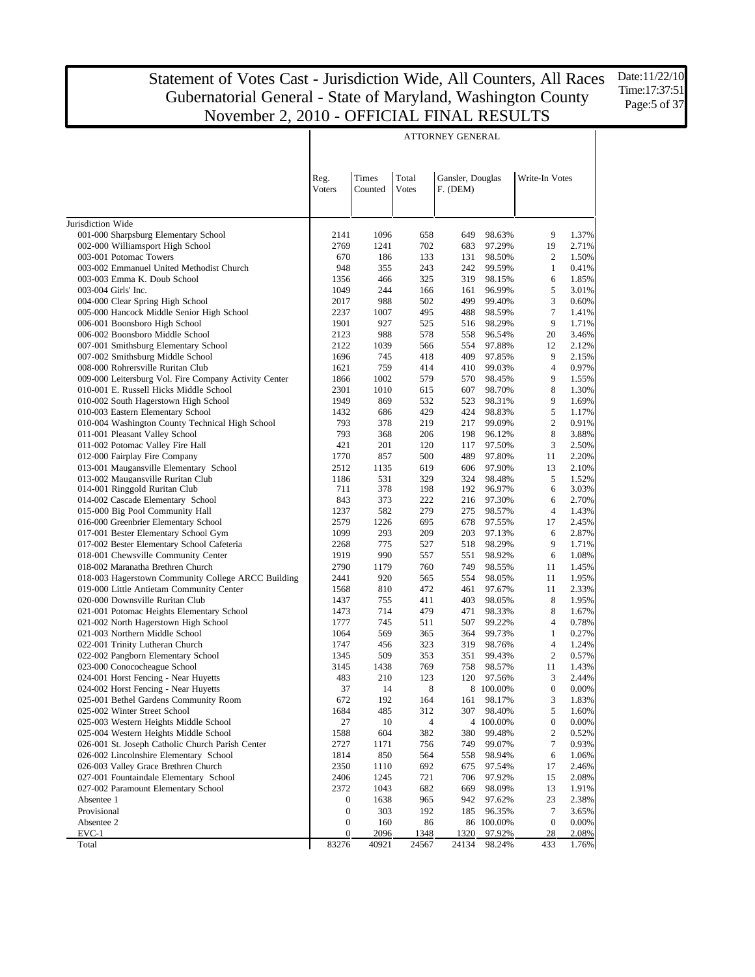Date:11/22/10 Time:17:37:51 Page:5 of 37

| Times<br>Total<br>Gansler, Douglas<br>Reg.<br>Write-In Votes<br><b>Voters</b><br>Counted<br><b>Votes</b><br>F. (DEM)<br>Jurisdiction Wide<br>001-000 Sharpsburg Elementary School<br>9<br>1.37%<br>2141<br>1096<br>658<br>649<br>98.63%<br>002-000 Williamsport High School<br>2769<br>1241<br>702<br>683<br>97.29%<br>19<br>2.71%<br>003-001 Potomac Towers<br>98.50%<br>1.50%<br>670<br>186<br>133<br>131<br>2<br>003-002 Emmanuel United Methodist Church<br>948<br>355<br>243<br>242<br>99.59%<br>$\mathbf{1}$<br>0.41%<br>003-003 Emma K. Doub School<br>1356<br>325<br>319<br>6<br>1.85%<br>466<br>98.15%<br>1049<br>244<br>5<br>3.01%<br>003-004 Girls' Inc.<br>166<br>161<br>96.99%<br>3<br>988<br>502<br>499<br>99.40%<br>0.60%<br>004-000 Clear Spring High School<br>2017<br>$\overline{7}$<br>005-000 Hancock Middle Senior High School<br>2237<br>1007<br>495<br>488<br>98.59%<br>1.41%<br>9<br>006-001 Boonsboro High School<br>927<br>525<br>98.29%<br>1.71%<br>1901<br>516<br>2123<br>988<br>578<br>20<br>3.46%<br>006-002 Boonsboro Middle School<br>558<br>96.54%<br>007-001 Smithsburg Elementary School<br>2122<br>1039<br>97.88%<br>2.12%<br>566<br>554<br>12<br>1696<br>745<br>418<br>409<br>9<br>2.15%<br>007-002 Smithsburg Middle School<br>97.85%<br>$\overline{4}$<br>008-000 Rohrersville Ruritan Club<br>1621<br>759<br>414<br>99.03%<br>0.97%<br>410<br>009-000 Leitersburg Vol. Fire Company Activity Center<br>1002<br>579<br>9<br>1.55%<br>1866<br>570<br>98.45%<br>1010<br>98.70%<br>8<br>1.30%<br>010-001 E. Russell Hicks Middle School<br>2301<br>615<br>607<br>9<br>1949<br>869<br>532<br>1.69%<br>010-002 South Hagerstown High School<br>523<br>98.31%<br>5<br>010-003 Eastern Elementary School<br>429<br>424<br>98.83%<br>1.17%<br>1432<br>686<br>$\overline{2}$<br>010-004 Washington County Technical High School<br>793<br>378<br>219<br>217<br>99.09%<br>0.91%<br>011-001 Pleasant Valley School<br>793<br>368<br>8<br>3.88%<br>206<br>198<br>96.12%<br>011-002 Potomac Valley Fire Hall<br>421<br>201<br>120<br>3<br>2.50%<br>117<br>97.50%<br>012-000 Fairplay Fire Company<br>1770<br>857<br>500<br>489<br>97.80%<br>11<br>2.20%<br>013-001 Maugansville Elementary School<br>2512<br>1135<br>619<br>97.90%<br>13<br>2.10%<br>606<br>013-002 Maugansville Ruritan Club<br>531<br>329<br>324<br>98.48%<br>5<br>1.52%<br>1186<br>014-001 Ringgold Ruritan Club<br>711<br>378<br>198<br>192<br>96.97%<br>6<br>3.03%<br>014-002 Cascade Elementary School<br>843<br>373<br>222<br>216<br>97.30%<br>6<br>2.70%<br>4<br>1.43%<br>015-000 Big Pool Community Hall<br>1237<br>582<br>279<br>275<br>98.57%<br>016-000 Greenbrier Elementary School<br>2.45%<br>2579<br>1226<br>695<br>678<br>97.55%<br>17<br>293<br>6<br>2.87%<br>017-001 Bester Elementary School Gym<br>1099<br>209<br>203<br>97.13%<br>775<br>9<br>017-002 Bester Elementary School Cafeteria<br>2268<br>527<br>518<br>98.29%<br>1.71%<br>018-001 Chewsville Community Center<br>990<br>6<br>1.08%<br>1919<br>557<br>551<br>98.92%<br>018-002 Maranatha Brethren Church<br>2790<br>1179<br>760<br>749<br>98.55%<br>11<br>1.45%<br>018-003 Hagerstown Community College ARCC Building<br>1.95%<br>2441<br>920<br>565<br>554<br>98.05%<br>11<br>019-000 Little Antietam Community Center<br>1568<br>810<br>472<br>461<br>97.67%<br>11<br>2.33%<br>8<br>1.95%<br>020-000 Downsville Ruritan Club<br>1437<br>755<br>411<br>403<br>98.05%<br>714<br>479<br>8<br>021-001 Potomac Heights Elementary School<br>1473<br>471<br>98.33%<br>1.67%<br>$\overline{4}$<br>021-002 North Hagerstown High School<br>1777<br>745<br>511<br>507<br>99.22%<br>0.78%<br>021-003 Northern Middle School<br>1064<br>569<br>365<br>364<br>99.73%<br>1<br>0.27%<br>4<br>1.24%<br>022-001 Trinity Lutheran Church<br>1747<br>456<br>323<br>319<br>98.76%<br>$\overline{c}$<br>0.57%<br>022-002 Pangborn Elementary School<br>1345<br>509<br>353<br>351<br>99.43%<br>1.43%<br>023-000 Conococheague School<br>3145<br>1438<br>769<br>758<br>98.57%<br>11<br>3<br>2.44%<br>024-001 Horst Fencing - Near Huyetts<br>483<br>210<br>123<br>120<br>97.56%<br>$\,$ 8 $\,$<br>$\boldsymbol{0}$<br>14<br>$0.00\%$<br>024-002 Horst Fencing - Near Huyetts<br>37<br>8 100.00%<br>3<br>025-001 Bethel Gardens Community Room<br>672<br>192<br>164<br>98.17%<br>1.83%<br>161<br>5<br>025-002 Winter Street School<br>1684<br>485<br>312<br>307<br>98.40%<br>1.60%<br>$\boldsymbol{0}$<br>025-003 Western Heights Middle School<br>27<br>10<br>4<br>4 100.00%<br>0.00%<br>$\boldsymbol{2}$<br>025-004 Western Heights Middle School<br>1588<br>604<br>382<br>380<br>99.48%<br>0.52%<br>7<br>026-001 St. Joseph Catholic Church Parish Center<br>2727<br>1171<br>756<br>749<br>99.07%<br>0.93%<br>026-002 Lincolnshire Elementary School<br>850<br>564<br>98.94%<br>6<br>1.06%<br>1814<br>558<br>026-003 Valley Grace Brethren Church<br>2350<br>1110<br>692<br>675<br>97.54%<br>17<br>2.46%<br>027-001 Fountaindale Elementary School<br>2406<br>1245<br>721<br>706<br>97.92%<br>15<br>2.08%<br>027-002 Paramount Elementary School<br>2372<br>1043<br>682<br>669<br>98.09%<br>13<br>1.91%<br>$\bf{0}$<br>1638<br>965<br>942<br>23<br>2.38%<br>Absentee 1<br>97.62%<br>Provisional<br>$\boldsymbol{0}$<br>303<br>192<br>185<br>7<br>3.65%<br>96.35%<br>$\boldsymbol{0}$<br>Absentee 2<br>0<br>160<br>86<br>86 100.00%<br>0.00%<br>$\overline{0}$<br>2096<br>1320<br>97.92%<br>28<br>2.08%<br>EVC-1<br>1348<br>83276<br>24134<br>Total<br>40921<br>24567<br>98.24%<br>433<br>1.76% |  |  | ATTORNEY GENERAL |  |  |
|--------------------------------------------------------------------------------------------------------------------------------------------------------------------------------------------------------------------------------------------------------------------------------------------------------------------------------------------------------------------------------------------------------------------------------------------------------------------------------------------------------------------------------------------------------------------------------------------------------------------------------------------------------------------------------------------------------------------------------------------------------------------------------------------------------------------------------------------------------------------------------------------------------------------------------------------------------------------------------------------------------------------------------------------------------------------------------------------------------------------------------------------------------------------------------------------------------------------------------------------------------------------------------------------------------------------------------------------------------------------------------------------------------------------------------------------------------------------------------------------------------------------------------------------------------------------------------------------------------------------------------------------------------------------------------------------------------------------------------------------------------------------------------------------------------------------------------------------------------------------------------------------------------------------------------------------------------------------------------------------------------------------------------------------------------------------------------------------------------------------------------------------------------------------------------------------------------------------------------------------------------------------------------------------------------------------------------------------------------------------------------------------------------------------------------------------------------------------------------------------------------------------------------------------------------------------------------------------------------------------------------------------------------------------------------------------------------------------------------------------------------------------------------------------------------------------------------------------------------------------------------------------------------------------------------------------------------------------------------------------------------------------------------------------------------------------------------------------------------------------------------------------------------------------------------------------------------------------------------------------------------------------------------------------------------------------------------------------------------------------------------------------------------------------------------------------------------------------------------------------------------------------------------------------------------------------------------------------------------------------------------------------------------------------------------------------------------------------------------------------------------------------------------------------------------------------------------------------------------------------------------------------------------------------------------------------------------------------------------------------------------------------------------------------------------------------------------------------------------------------------------------------------------------------------------------------------------------------------------------------------------------------------------------------------------------------------------------------------------------------------------------------------------------------------------------------------------------------------------------------------------------------------------------------------------------------------------------------------------------------------------------------------------------------------------------------------------------------------------------------------------------------------------------------------------------------------------------------------------------------------------------------------------------------------------------------------------------------------------------------------------------------------------------------------------------------------------------------------------------------------------------------------------------------------------------------------------------------------------------------------------------------------------------------------------------------------------------------------------------------------------------------------------------------------------------------------------------------------------------------------------------------------------------------------------|--|--|------------------|--|--|
|                                                                                                                                                                                                                                                                                                                                                                                                                                                                                                                                                                                                                                                                                                                                                                                                                                                                                                                                                                                                                                                                                                                                                                                                                                                                                                                                                                                                                                                                                                                                                                                                                                                                                                                                                                                                                                                                                                                                                                                                                                                                                                                                                                                                                                                                                                                                                                                                                                                                                                                                                                                                                                                                                                                                                                                                                                                                                                                                                                                                                                                                                                                                                                                                                                                                                                                                                                                                                                                                                                                                                                                                                                                                                                                                                                                                                                                                                                                                                                                                                                                                                                                                                                                                                                                                                                                                                                                                                                                                                                                                                                                                                                                                                                                                                                                                                                                                                                                                                                                                                                                                                                                                                                                                                                                                                                                                                                                                                                                                                                                                                        |  |  |                  |  |  |
|                                                                                                                                                                                                                                                                                                                                                                                                                                                                                                                                                                                                                                                                                                                                                                                                                                                                                                                                                                                                                                                                                                                                                                                                                                                                                                                                                                                                                                                                                                                                                                                                                                                                                                                                                                                                                                                                                                                                                                                                                                                                                                                                                                                                                                                                                                                                                                                                                                                                                                                                                                                                                                                                                                                                                                                                                                                                                                                                                                                                                                                                                                                                                                                                                                                                                                                                                                                                                                                                                                                                                                                                                                                                                                                                                                                                                                                                                                                                                                                                                                                                                                                                                                                                                                                                                                                                                                                                                                                                                                                                                                                                                                                                                                                                                                                                                                                                                                                                                                                                                                                                                                                                                                                                                                                                                                                                                                                                                                                                                                                                                        |  |  |                  |  |  |
|                                                                                                                                                                                                                                                                                                                                                                                                                                                                                                                                                                                                                                                                                                                                                                                                                                                                                                                                                                                                                                                                                                                                                                                                                                                                                                                                                                                                                                                                                                                                                                                                                                                                                                                                                                                                                                                                                                                                                                                                                                                                                                                                                                                                                                                                                                                                                                                                                                                                                                                                                                                                                                                                                                                                                                                                                                                                                                                                                                                                                                                                                                                                                                                                                                                                                                                                                                                                                                                                                                                                                                                                                                                                                                                                                                                                                                                                                                                                                                                                                                                                                                                                                                                                                                                                                                                                                                                                                                                                                                                                                                                                                                                                                                                                                                                                                                                                                                                                                                                                                                                                                                                                                                                                                                                                                                                                                                                                                                                                                                                                                        |  |  |                  |  |  |
|                                                                                                                                                                                                                                                                                                                                                                                                                                                                                                                                                                                                                                                                                                                                                                                                                                                                                                                                                                                                                                                                                                                                                                                                                                                                                                                                                                                                                                                                                                                                                                                                                                                                                                                                                                                                                                                                                                                                                                                                                                                                                                                                                                                                                                                                                                                                                                                                                                                                                                                                                                                                                                                                                                                                                                                                                                                                                                                                                                                                                                                                                                                                                                                                                                                                                                                                                                                                                                                                                                                                                                                                                                                                                                                                                                                                                                                                                                                                                                                                                                                                                                                                                                                                                                                                                                                                                                                                                                                                                                                                                                                                                                                                                                                                                                                                                                                                                                                                                                                                                                                                                                                                                                                                                                                                                                                                                                                                                                                                                                                                                        |  |  |                  |  |  |
|                                                                                                                                                                                                                                                                                                                                                                                                                                                                                                                                                                                                                                                                                                                                                                                                                                                                                                                                                                                                                                                                                                                                                                                                                                                                                                                                                                                                                                                                                                                                                                                                                                                                                                                                                                                                                                                                                                                                                                                                                                                                                                                                                                                                                                                                                                                                                                                                                                                                                                                                                                                                                                                                                                                                                                                                                                                                                                                                                                                                                                                                                                                                                                                                                                                                                                                                                                                                                                                                                                                                                                                                                                                                                                                                                                                                                                                                                                                                                                                                                                                                                                                                                                                                                                                                                                                                                                                                                                                                                                                                                                                                                                                                                                                                                                                                                                                                                                                                                                                                                                                                                                                                                                                                                                                                                                                                                                                                                                                                                                                                                        |  |  |                  |  |  |
|                                                                                                                                                                                                                                                                                                                                                                                                                                                                                                                                                                                                                                                                                                                                                                                                                                                                                                                                                                                                                                                                                                                                                                                                                                                                                                                                                                                                                                                                                                                                                                                                                                                                                                                                                                                                                                                                                                                                                                                                                                                                                                                                                                                                                                                                                                                                                                                                                                                                                                                                                                                                                                                                                                                                                                                                                                                                                                                                                                                                                                                                                                                                                                                                                                                                                                                                                                                                                                                                                                                                                                                                                                                                                                                                                                                                                                                                                                                                                                                                                                                                                                                                                                                                                                                                                                                                                                                                                                                                                                                                                                                                                                                                                                                                                                                                                                                                                                                                                                                                                                                                                                                                                                                                                                                                                                                                                                                                                                                                                                                                                        |  |  |                  |  |  |
|                                                                                                                                                                                                                                                                                                                                                                                                                                                                                                                                                                                                                                                                                                                                                                                                                                                                                                                                                                                                                                                                                                                                                                                                                                                                                                                                                                                                                                                                                                                                                                                                                                                                                                                                                                                                                                                                                                                                                                                                                                                                                                                                                                                                                                                                                                                                                                                                                                                                                                                                                                                                                                                                                                                                                                                                                                                                                                                                                                                                                                                                                                                                                                                                                                                                                                                                                                                                                                                                                                                                                                                                                                                                                                                                                                                                                                                                                                                                                                                                                                                                                                                                                                                                                                                                                                                                                                                                                                                                                                                                                                                                                                                                                                                                                                                                                                                                                                                                                                                                                                                                                                                                                                                                                                                                                                                                                                                                                                                                                                                                                        |  |  |                  |  |  |
|                                                                                                                                                                                                                                                                                                                                                                                                                                                                                                                                                                                                                                                                                                                                                                                                                                                                                                                                                                                                                                                                                                                                                                                                                                                                                                                                                                                                                                                                                                                                                                                                                                                                                                                                                                                                                                                                                                                                                                                                                                                                                                                                                                                                                                                                                                                                                                                                                                                                                                                                                                                                                                                                                                                                                                                                                                                                                                                                                                                                                                                                                                                                                                                                                                                                                                                                                                                                                                                                                                                                                                                                                                                                                                                                                                                                                                                                                                                                                                                                                                                                                                                                                                                                                                                                                                                                                                                                                                                                                                                                                                                                                                                                                                                                                                                                                                                                                                                                                                                                                                                                                                                                                                                                                                                                                                                                                                                                                                                                                                                                                        |  |  |                  |  |  |
|                                                                                                                                                                                                                                                                                                                                                                                                                                                                                                                                                                                                                                                                                                                                                                                                                                                                                                                                                                                                                                                                                                                                                                                                                                                                                                                                                                                                                                                                                                                                                                                                                                                                                                                                                                                                                                                                                                                                                                                                                                                                                                                                                                                                                                                                                                                                                                                                                                                                                                                                                                                                                                                                                                                                                                                                                                                                                                                                                                                                                                                                                                                                                                                                                                                                                                                                                                                                                                                                                                                                                                                                                                                                                                                                                                                                                                                                                                                                                                                                                                                                                                                                                                                                                                                                                                                                                                                                                                                                                                                                                                                                                                                                                                                                                                                                                                                                                                                                                                                                                                                                                                                                                                                                                                                                                                                                                                                                                                                                                                                                                        |  |  |                  |  |  |
|                                                                                                                                                                                                                                                                                                                                                                                                                                                                                                                                                                                                                                                                                                                                                                                                                                                                                                                                                                                                                                                                                                                                                                                                                                                                                                                                                                                                                                                                                                                                                                                                                                                                                                                                                                                                                                                                                                                                                                                                                                                                                                                                                                                                                                                                                                                                                                                                                                                                                                                                                                                                                                                                                                                                                                                                                                                                                                                                                                                                                                                                                                                                                                                                                                                                                                                                                                                                                                                                                                                                                                                                                                                                                                                                                                                                                                                                                                                                                                                                                                                                                                                                                                                                                                                                                                                                                                                                                                                                                                                                                                                                                                                                                                                                                                                                                                                                                                                                                                                                                                                                                                                                                                                                                                                                                                                                                                                                                                                                                                                                                        |  |  |                  |  |  |
|                                                                                                                                                                                                                                                                                                                                                                                                                                                                                                                                                                                                                                                                                                                                                                                                                                                                                                                                                                                                                                                                                                                                                                                                                                                                                                                                                                                                                                                                                                                                                                                                                                                                                                                                                                                                                                                                                                                                                                                                                                                                                                                                                                                                                                                                                                                                                                                                                                                                                                                                                                                                                                                                                                                                                                                                                                                                                                                                                                                                                                                                                                                                                                                                                                                                                                                                                                                                                                                                                                                                                                                                                                                                                                                                                                                                                                                                                                                                                                                                                                                                                                                                                                                                                                                                                                                                                                                                                                                                                                                                                                                                                                                                                                                                                                                                                                                                                                                                                                                                                                                                                                                                                                                                                                                                                                                                                                                                                                                                                                                                                        |  |  |                  |  |  |
|                                                                                                                                                                                                                                                                                                                                                                                                                                                                                                                                                                                                                                                                                                                                                                                                                                                                                                                                                                                                                                                                                                                                                                                                                                                                                                                                                                                                                                                                                                                                                                                                                                                                                                                                                                                                                                                                                                                                                                                                                                                                                                                                                                                                                                                                                                                                                                                                                                                                                                                                                                                                                                                                                                                                                                                                                                                                                                                                                                                                                                                                                                                                                                                                                                                                                                                                                                                                                                                                                                                                                                                                                                                                                                                                                                                                                                                                                                                                                                                                                                                                                                                                                                                                                                                                                                                                                                                                                                                                                                                                                                                                                                                                                                                                                                                                                                                                                                                                                                                                                                                                                                                                                                                                                                                                                                                                                                                                                                                                                                                                                        |  |  |                  |  |  |
|                                                                                                                                                                                                                                                                                                                                                                                                                                                                                                                                                                                                                                                                                                                                                                                                                                                                                                                                                                                                                                                                                                                                                                                                                                                                                                                                                                                                                                                                                                                                                                                                                                                                                                                                                                                                                                                                                                                                                                                                                                                                                                                                                                                                                                                                                                                                                                                                                                                                                                                                                                                                                                                                                                                                                                                                                                                                                                                                                                                                                                                                                                                                                                                                                                                                                                                                                                                                                                                                                                                                                                                                                                                                                                                                                                                                                                                                                                                                                                                                                                                                                                                                                                                                                                                                                                                                                                                                                                                                                                                                                                                                                                                                                                                                                                                                                                                                                                                                                                                                                                                                                                                                                                                                                                                                                                                                                                                                                                                                                                                                                        |  |  |                  |  |  |
|                                                                                                                                                                                                                                                                                                                                                                                                                                                                                                                                                                                                                                                                                                                                                                                                                                                                                                                                                                                                                                                                                                                                                                                                                                                                                                                                                                                                                                                                                                                                                                                                                                                                                                                                                                                                                                                                                                                                                                                                                                                                                                                                                                                                                                                                                                                                                                                                                                                                                                                                                                                                                                                                                                                                                                                                                                                                                                                                                                                                                                                                                                                                                                                                                                                                                                                                                                                                                                                                                                                                                                                                                                                                                                                                                                                                                                                                                                                                                                                                                                                                                                                                                                                                                                                                                                                                                                                                                                                                                                                                                                                                                                                                                                                                                                                                                                                                                                                                                                                                                                                                                                                                                                                                                                                                                                                                                                                                                                                                                                                                                        |  |  |                  |  |  |
|                                                                                                                                                                                                                                                                                                                                                                                                                                                                                                                                                                                                                                                                                                                                                                                                                                                                                                                                                                                                                                                                                                                                                                                                                                                                                                                                                                                                                                                                                                                                                                                                                                                                                                                                                                                                                                                                                                                                                                                                                                                                                                                                                                                                                                                                                                                                                                                                                                                                                                                                                                                                                                                                                                                                                                                                                                                                                                                                                                                                                                                                                                                                                                                                                                                                                                                                                                                                                                                                                                                                                                                                                                                                                                                                                                                                                                                                                                                                                                                                                                                                                                                                                                                                                                                                                                                                                                                                                                                                                                                                                                                                                                                                                                                                                                                                                                                                                                                                                                                                                                                                                                                                                                                                                                                                                                                                                                                                                                                                                                                                                        |  |  |                  |  |  |
|                                                                                                                                                                                                                                                                                                                                                                                                                                                                                                                                                                                                                                                                                                                                                                                                                                                                                                                                                                                                                                                                                                                                                                                                                                                                                                                                                                                                                                                                                                                                                                                                                                                                                                                                                                                                                                                                                                                                                                                                                                                                                                                                                                                                                                                                                                                                                                                                                                                                                                                                                                                                                                                                                                                                                                                                                                                                                                                                                                                                                                                                                                                                                                                                                                                                                                                                                                                                                                                                                                                                                                                                                                                                                                                                                                                                                                                                                                                                                                                                                                                                                                                                                                                                                                                                                                                                                                                                                                                                                                                                                                                                                                                                                                                                                                                                                                                                                                                                                                                                                                                                                                                                                                                                                                                                                                                                                                                                                                                                                                                                                        |  |  |                  |  |  |
|                                                                                                                                                                                                                                                                                                                                                                                                                                                                                                                                                                                                                                                                                                                                                                                                                                                                                                                                                                                                                                                                                                                                                                                                                                                                                                                                                                                                                                                                                                                                                                                                                                                                                                                                                                                                                                                                                                                                                                                                                                                                                                                                                                                                                                                                                                                                                                                                                                                                                                                                                                                                                                                                                                                                                                                                                                                                                                                                                                                                                                                                                                                                                                                                                                                                                                                                                                                                                                                                                                                                                                                                                                                                                                                                                                                                                                                                                                                                                                                                                                                                                                                                                                                                                                                                                                                                                                                                                                                                                                                                                                                                                                                                                                                                                                                                                                                                                                                                                                                                                                                                                                                                                                                                                                                                                                                                                                                                                                                                                                                                                        |  |  |                  |  |  |
|                                                                                                                                                                                                                                                                                                                                                                                                                                                                                                                                                                                                                                                                                                                                                                                                                                                                                                                                                                                                                                                                                                                                                                                                                                                                                                                                                                                                                                                                                                                                                                                                                                                                                                                                                                                                                                                                                                                                                                                                                                                                                                                                                                                                                                                                                                                                                                                                                                                                                                                                                                                                                                                                                                                                                                                                                                                                                                                                                                                                                                                                                                                                                                                                                                                                                                                                                                                                                                                                                                                                                                                                                                                                                                                                                                                                                                                                                                                                                                                                                                                                                                                                                                                                                                                                                                                                                                                                                                                                                                                                                                                                                                                                                                                                                                                                                                                                                                                                                                                                                                                                                                                                                                                                                                                                                                                                                                                                                                                                                                                                                        |  |  |                  |  |  |
|                                                                                                                                                                                                                                                                                                                                                                                                                                                                                                                                                                                                                                                                                                                                                                                                                                                                                                                                                                                                                                                                                                                                                                                                                                                                                                                                                                                                                                                                                                                                                                                                                                                                                                                                                                                                                                                                                                                                                                                                                                                                                                                                                                                                                                                                                                                                                                                                                                                                                                                                                                                                                                                                                                                                                                                                                                                                                                                                                                                                                                                                                                                                                                                                                                                                                                                                                                                                                                                                                                                                                                                                                                                                                                                                                                                                                                                                                                                                                                                                                                                                                                                                                                                                                                                                                                                                                                                                                                                                                                                                                                                                                                                                                                                                                                                                                                                                                                                                                                                                                                                                                                                                                                                                                                                                                                                                                                                                                                                                                                                                                        |  |  |                  |  |  |
|                                                                                                                                                                                                                                                                                                                                                                                                                                                                                                                                                                                                                                                                                                                                                                                                                                                                                                                                                                                                                                                                                                                                                                                                                                                                                                                                                                                                                                                                                                                                                                                                                                                                                                                                                                                                                                                                                                                                                                                                                                                                                                                                                                                                                                                                                                                                                                                                                                                                                                                                                                                                                                                                                                                                                                                                                                                                                                                                                                                                                                                                                                                                                                                                                                                                                                                                                                                                                                                                                                                                                                                                                                                                                                                                                                                                                                                                                                                                                                                                                                                                                                                                                                                                                                                                                                                                                                                                                                                                                                                                                                                                                                                                                                                                                                                                                                                                                                                                                                                                                                                                                                                                                                                                                                                                                                                                                                                                                                                                                                                                                        |  |  |                  |  |  |
|                                                                                                                                                                                                                                                                                                                                                                                                                                                                                                                                                                                                                                                                                                                                                                                                                                                                                                                                                                                                                                                                                                                                                                                                                                                                                                                                                                                                                                                                                                                                                                                                                                                                                                                                                                                                                                                                                                                                                                                                                                                                                                                                                                                                                                                                                                                                                                                                                                                                                                                                                                                                                                                                                                                                                                                                                                                                                                                                                                                                                                                                                                                                                                                                                                                                                                                                                                                                                                                                                                                                                                                                                                                                                                                                                                                                                                                                                                                                                                                                                                                                                                                                                                                                                                                                                                                                                                                                                                                                                                                                                                                                                                                                                                                                                                                                                                                                                                                                                                                                                                                                                                                                                                                                                                                                                                                                                                                                                                                                                                                                                        |  |  |                  |  |  |
|                                                                                                                                                                                                                                                                                                                                                                                                                                                                                                                                                                                                                                                                                                                                                                                                                                                                                                                                                                                                                                                                                                                                                                                                                                                                                                                                                                                                                                                                                                                                                                                                                                                                                                                                                                                                                                                                                                                                                                                                                                                                                                                                                                                                                                                                                                                                                                                                                                                                                                                                                                                                                                                                                                                                                                                                                                                                                                                                                                                                                                                                                                                                                                                                                                                                                                                                                                                                                                                                                                                                                                                                                                                                                                                                                                                                                                                                                                                                                                                                                                                                                                                                                                                                                                                                                                                                                                                                                                                                                                                                                                                                                                                                                                                                                                                                                                                                                                                                                                                                                                                                                                                                                                                                                                                                                                                                                                                                                                                                                                                                                        |  |  |                  |  |  |
|                                                                                                                                                                                                                                                                                                                                                                                                                                                                                                                                                                                                                                                                                                                                                                                                                                                                                                                                                                                                                                                                                                                                                                                                                                                                                                                                                                                                                                                                                                                                                                                                                                                                                                                                                                                                                                                                                                                                                                                                                                                                                                                                                                                                                                                                                                                                                                                                                                                                                                                                                                                                                                                                                                                                                                                                                                                                                                                                                                                                                                                                                                                                                                                                                                                                                                                                                                                                                                                                                                                                                                                                                                                                                                                                                                                                                                                                                                                                                                                                                                                                                                                                                                                                                                                                                                                                                                                                                                                                                                                                                                                                                                                                                                                                                                                                                                                                                                                                                                                                                                                                                                                                                                                                                                                                                                                                                                                                                                                                                                                                                        |  |  |                  |  |  |
|                                                                                                                                                                                                                                                                                                                                                                                                                                                                                                                                                                                                                                                                                                                                                                                                                                                                                                                                                                                                                                                                                                                                                                                                                                                                                                                                                                                                                                                                                                                                                                                                                                                                                                                                                                                                                                                                                                                                                                                                                                                                                                                                                                                                                                                                                                                                                                                                                                                                                                                                                                                                                                                                                                                                                                                                                                                                                                                                                                                                                                                                                                                                                                                                                                                                                                                                                                                                                                                                                                                                                                                                                                                                                                                                                                                                                                                                                                                                                                                                                                                                                                                                                                                                                                                                                                                                                                                                                                                                                                                                                                                                                                                                                                                                                                                                                                                                                                                                                                                                                                                                                                                                                                                                                                                                                                                                                                                                                                                                                                                                                        |  |  |                  |  |  |
|                                                                                                                                                                                                                                                                                                                                                                                                                                                                                                                                                                                                                                                                                                                                                                                                                                                                                                                                                                                                                                                                                                                                                                                                                                                                                                                                                                                                                                                                                                                                                                                                                                                                                                                                                                                                                                                                                                                                                                                                                                                                                                                                                                                                                                                                                                                                                                                                                                                                                                                                                                                                                                                                                                                                                                                                                                                                                                                                                                                                                                                                                                                                                                                                                                                                                                                                                                                                                                                                                                                                                                                                                                                                                                                                                                                                                                                                                                                                                                                                                                                                                                                                                                                                                                                                                                                                                                                                                                                                                                                                                                                                                                                                                                                                                                                                                                                                                                                                                                                                                                                                                                                                                                                                                                                                                                                                                                                                                                                                                                                                                        |  |  |                  |  |  |
|                                                                                                                                                                                                                                                                                                                                                                                                                                                                                                                                                                                                                                                                                                                                                                                                                                                                                                                                                                                                                                                                                                                                                                                                                                                                                                                                                                                                                                                                                                                                                                                                                                                                                                                                                                                                                                                                                                                                                                                                                                                                                                                                                                                                                                                                                                                                                                                                                                                                                                                                                                                                                                                                                                                                                                                                                                                                                                                                                                                                                                                                                                                                                                                                                                                                                                                                                                                                                                                                                                                                                                                                                                                                                                                                                                                                                                                                                                                                                                                                                                                                                                                                                                                                                                                                                                                                                                                                                                                                                                                                                                                                                                                                                                                                                                                                                                                                                                                                                                                                                                                                                                                                                                                                                                                                                                                                                                                                                                                                                                                                                        |  |  |                  |  |  |
|                                                                                                                                                                                                                                                                                                                                                                                                                                                                                                                                                                                                                                                                                                                                                                                                                                                                                                                                                                                                                                                                                                                                                                                                                                                                                                                                                                                                                                                                                                                                                                                                                                                                                                                                                                                                                                                                                                                                                                                                                                                                                                                                                                                                                                                                                                                                                                                                                                                                                                                                                                                                                                                                                                                                                                                                                                                                                                                                                                                                                                                                                                                                                                                                                                                                                                                                                                                                                                                                                                                                                                                                                                                                                                                                                                                                                                                                                                                                                                                                                                                                                                                                                                                                                                                                                                                                                                                                                                                                                                                                                                                                                                                                                                                                                                                                                                                                                                                                                                                                                                                                                                                                                                                                                                                                                                                                                                                                                                                                                                                                                        |  |  |                  |  |  |
|                                                                                                                                                                                                                                                                                                                                                                                                                                                                                                                                                                                                                                                                                                                                                                                                                                                                                                                                                                                                                                                                                                                                                                                                                                                                                                                                                                                                                                                                                                                                                                                                                                                                                                                                                                                                                                                                                                                                                                                                                                                                                                                                                                                                                                                                                                                                                                                                                                                                                                                                                                                                                                                                                                                                                                                                                                                                                                                                                                                                                                                                                                                                                                                                                                                                                                                                                                                                                                                                                                                                                                                                                                                                                                                                                                                                                                                                                                                                                                                                                                                                                                                                                                                                                                                                                                                                                                                                                                                                                                                                                                                                                                                                                                                                                                                                                                                                                                                                                                                                                                                                                                                                                                                                                                                                                                                                                                                                                                                                                                                                                        |  |  |                  |  |  |
|                                                                                                                                                                                                                                                                                                                                                                                                                                                                                                                                                                                                                                                                                                                                                                                                                                                                                                                                                                                                                                                                                                                                                                                                                                                                                                                                                                                                                                                                                                                                                                                                                                                                                                                                                                                                                                                                                                                                                                                                                                                                                                                                                                                                                                                                                                                                                                                                                                                                                                                                                                                                                                                                                                                                                                                                                                                                                                                                                                                                                                                                                                                                                                                                                                                                                                                                                                                                                                                                                                                                                                                                                                                                                                                                                                                                                                                                                                                                                                                                                                                                                                                                                                                                                                                                                                                                                                                                                                                                                                                                                                                                                                                                                                                                                                                                                                                                                                                                                                                                                                                                                                                                                                                                                                                                                                                                                                                                                                                                                                                                                        |  |  |                  |  |  |
|                                                                                                                                                                                                                                                                                                                                                                                                                                                                                                                                                                                                                                                                                                                                                                                                                                                                                                                                                                                                                                                                                                                                                                                                                                                                                                                                                                                                                                                                                                                                                                                                                                                                                                                                                                                                                                                                                                                                                                                                                                                                                                                                                                                                                                                                                                                                                                                                                                                                                                                                                                                                                                                                                                                                                                                                                                                                                                                                                                                                                                                                                                                                                                                                                                                                                                                                                                                                                                                                                                                                                                                                                                                                                                                                                                                                                                                                                                                                                                                                                                                                                                                                                                                                                                                                                                                                                                                                                                                                                                                                                                                                                                                                                                                                                                                                                                                                                                                                                                                                                                                                                                                                                                                                                                                                                                                                                                                                                                                                                                                                                        |  |  |                  |  |  |
|                                                                                                                                                                                                                                                                                                                                                                                                                                                                                                                                                                                                                                                                                                                                                                                                                                                                                                                                                                                                                                                                                                                                                                                                                                                                                                                                                                                                                                                                                                                                                                                                                                                                                                                                                                                                                                                                                                                                                                                                                                                                                                                                                                                                                                                                                                                                                                                                                                                                                                                                                                                                                                                                                                                                                                                                                                                                                                                                                                                                                                                                                                                                                                                                                                                                                                                                                                                                                                                                                                                                                                                                                                                                                                                                                                                                                                                                                                                                                                                                                                                                                                                                                                                                                                                                                                                                                                                                                                                                                                                                                                                                                                                                                                                                                                                                                                                                                                                                                                                                                                                                                                                                                                                                                                                                                                                                                                                                                                                                                                                                                        |  |  |                  |  |  |
|                                                                                                                                                                                                                                                                                                                                                                                                                                                                                                                                                                                                                                                                                                                                                                                                                                                                                                                                                                                                                                                                                                                                                                                                                                                                                                                                                                                                                                                                                                                                                                                                                                                                                                                                                                                                                                                                                                                                                                                                                                                                                                                                                                                                                                                                                                                                                                                                                                                                                                                                                                                                                                                                                                                                                                                                                                                                                                                                                                                                                                                                                                                                                                                                                                                                                                                                                                                                                                                                                                                                                                                                                                                                                                                                                                                                                                                                                                                                                                                                                                                                                                                                                                                                                                                                                                                                                                                                                                                                                                                                                                                                                                                                                                                                                                                                                                                                                                                                                                                                                                                                                                                                                                                                                                                                                                                                                                                                                                                                                                                                                        |  |  |                  |  |  |
|                                                                                                                                                                                                                                                                                                                                                                                                                                                                                                                                                                                                                                                                                                                                                                                                                                                                                                                                                                                                                                                                                                                                                                                                                                                                                                                                                                                                                                                                                                                                                                                                                                                                                                                                                                                                                                                                                                                                                                                                                                                                                                                                                                                                                                                                                                                                                                                                                                                                                                                                                                                                                                                                                                                                                                                                                                                                                                                                                                                                                                                                                                                                                                                                                                                                                                                                                                                                                                                                                                                                                                                                                                                                                                                                                                                                                                                                                                                                                                                                                                                                                                                                                                                                                                                                                                                                                                                                                                                                                                                                                                                                                                                                                                                                                                                                                                                                                                                                                                                                                                                                                                                                                                                                                                                                                                                                                                                                                                                                                                                                                        |  |  |                  |  |  |
|                                                                                                                                                                                                                                                                                                                                                                                                                                                                                                                                                                                                                                                                                                                                                                                                                                                                                                                                                                                                                                                                                                                                                                                                                                                                                                                                                                                                                                                                                                                                                                                                                                                                                                                                                                                                                                                                                                                                                                                                                                                                                                                                                                                                                                                                                                                                                                                                                                                                                                                                                                                                                                                                                                                                                                                                                                                                                                                                                                                                                                                                                                                                                                                                                                                                                                                                                                                                                                                                                                                                                                                                                                                                                                                                                                                                                                                                                                                                                                                                                                                                                                                                                                                                                                                                                                                                                                                                                                                                                                                                                                                                                                                                                                                                                                                                                                                                                                                                                                                                                                                                                                                                                                                                                                                                                                                                                                                                                                                                                                                                                        |  |  |                  |  |  |
|                                                                                                                                                                                                                                                                                                                                                                                                                                                                                                                                                                                                                                                                                                                                                                                                                                                                                                                                                                                                                                                                                                                                                                                                                                                                                                                                                                                                                                                                                                                                                                                                                                                                                                                                                                                                                                                                                                                                                                                                                                                                                                                                                                                                                                                                                                                                                                                                                                                                                                                                                                                                                                                                                                                                                                                                                                                                                                                                                                                                                                                                                                                                                                                                                                                                                                                                                                                                                                                                                                                                                                                                                                                                                                                                                                                                                                                                                                                                                                                                                                                                                                                                                                                                                                                                                                                                                                                                                                                                                                                                                                                                                                                                                                                                                                                                                                                                                                                                                                                                                                                                                                                                                                                                                                                                                                                                                                                                                                                                                                                                                        |  |  |                  |  |  |
|                                                                                                                                                                                                                                                                                                                                                                                                                                                                                                                                                                                                                                                                                                                                                                                                                                                                                                                                                                                                                                                                                                                                                                                                                                                                                                                                                                                                                                                                                                                                                                                                                                                                                                                                                                                                                                                                                                                                                                                                                                                                                                                                                                                                                                                                                                                                                                                                                                                                                                                                                                                                                                                                                                                                                                                                                                                                                                                                                                                                                                                                                                                                                                                                                                                                                                                                                                                                                                                                                                                                                                                                                                                                                                                                                                                                                                                                                                                                                                                                                                                                                                                                                                                                                                                                                                                                                                                                                                                                                                                                                                                                                                                                                                                                                                                                                                                                                                                                                                                                                                                                                                                                                                                                                                                                                                                                                                                                                                                                                                                                                        |  |  |                  |  |  |
|                                                                                                                                                                                                                                                                                                                                                                                                                                                                                                                                                                                                                                                                                                                                                                                                                                                                                                                                                                                                                                                                                                                                                                                                                                                                                                                                                                                                                                                                                                                                                                                                                                                                                                                                                                                                                                                                                                                                                                                                                                                                                                                                                                                                                                                                                                                                                                                                                                                                                                                                                                                                                                                                                                                                                                                                                                                                                                                                                                                                                                                                                                                                                                                                                                                                                                                                                                                                                                                                                                                                                                                                                                                                                                                                                                                                                                                                                                                                                                                                                                                                                                                                                                                                                                                                                                                                                                                                                                                                                                                                                                                                                                                                                                                                                                                                                                                                                                                                                                                                                                                                                                                                                                                                                                                                                                                                                                                                                                                                                                                                                        |  |  |                  |  |  |
|                                                                                                                                                                                                                                                                                                                                                                                                                                                                                                                                                                                                                                                                                                                                                                                                                                                                                                                                                                                                                                                                                                                                                                                                                                                                                                                                                                                                                                                                                                                                                                                                                                                                                                                                                                                                                                                                                                                                                                                                                                                                                                                                                                                                                                                                                                                                                                                                                                                                                                                                                                                                                                                                                                                                                                                                                                                                                                                                                                                                                                                                                                                                                                                                                                                                                                                                                                                                                                                                                                                                                                                                                                                                                                                                                                                                                                                                                                                                                                                                                                                                                                                                                                                                                                                                                                                                                                                                                                                                                                                                                                                                                                                                                                                                                                                                                                                                                                                                                                                                                                                                                                                                                                                                                                                                                                                                                                                                                                                                                                                                                        |  |  |                  |  |  |
|                                                                                                                                                                                                                                                                                                                                                                                                                                                                                                                                                                                                                                                                                                                                                                                                                                                                                                                                                                                                                                                                                                                                                                                                                                                                                                                                                                                                                                                                                                                                                                                                                                                                                                                                                                                                                                                                                                                                                                                                                                                                                                                                                                                                                                                                                                                                                                                                                                                                                                                                                                                                                                                                                                                                                                                                                                                                                                                                                                                                                                                                                                                                                                                                                                                                                                                                                                                                                                                                                                                                                                                                                                                                                                                                                                                                                                                                                                                                                                                                                                                                                                                                                                                                                                                                                                                                                                                                                                                                                                                                                                                                                                                                                                                                                                                                                                                                                                                                                                                                                                                                                                                                                                                                                                                                                                                                                                                                                                                                                                                                                        |  |  |                  |  |  |
|                                                                                                                                                                                                                                                                                                                                                                                                                                                                                                                                                                                                                                                                                                                                                                                                                                                                                                                                                                                                                                                                                                                                                                                                                                                                                                                                                                                                                                                                                                                                                                                                                                                                                                                                                                                                                                                                                                                                                                                                                                                                                                                                                                                                                                                                                                                                                                                                                                                                                                                                                                                                                                                                                                                                                                                                                                                                                                                                                                                                                                                                                                                                                                                                                                                                                                                                                                                                                                                                                                                                                                                                                                                                                                                                                                                                                                                                                                                                                                                                                                                                                                                                                                                                                                                                                                                                                                                                                                                                                                                                                                                                                                                                                                                                                                                                                                                                                                                                                                                                                                                                                                                                                                                                                                                                                                                                                                                                                                                                                                                                                        |  |  |                  |  |  |
|                                                                                                                                                                                                                                                                                                                                                                                                                                                                                                                                                                                                                                                                                                                                                                                                                                                                                                                                                                                                                                                                                                                                                                                                                                                                                                                                                                                                                                                                                                                                                                                                                                                                                                                                                                                                                                                                                                                                                                                                                                                                                                                                                                                                                                                                                                                                                                                                                                                                                                                                                                                                                                                                                                                                                                                                                                                                                                                                                                                                                                                                                                                                                                                                                                                                                                                                                                                                                                                                                                                                                                                                                                                                                                                                                                                                                                                                                                                                                                                                                                                                                                                                                                                                                                                                                                                                                                                                                                                                                                                                                                                                                                                                                                                                                                                                                                                                                                                                                                                                                                                                                                                                                                                                                                                                                                                                                                                                                                                                                                                                                        |  |  |                  |  |  |
|                                                                                                                                                                                                                                                                                                                                                                                                                                                                                                                                                                                                                                                                                                                                                                                                                                                                                                                                                                                                                                                                                                                                                                                                                                                                                                                                                                                                                                                                                                                                                                                                                                                                                                                                                                                                                                                                                                                                                                                                                                                                                                                                                                                                                                                                                                                                                                                                                                                                                                                                                                                                                                                                                                                                                                                                                                                                                                                                                                                                                                                                                                                                                                                                                                                                                                                                                                                                                                                                                                                                                                                                                                                                                                                                                                                                                                                                                                                                                                                                                                                                                                                                                                                                                                                                                                                                                                                                                                                                                                                                                                                                                                                                                                                                                                                                                                                                                                                                                                                                                                                                                                                                                                                                                                                                                                                                                                                                                                                                                                                                                        |  |  |                  |  |  |
|                                                                                                                                                                                                                                                                                                                                                                                                                                                                                                                                                                                                                                                                                                                                                                                                                                                                                                                                                                                                                                                                                                                                                                                                                                                                                                                                                                                                                                                                                                                                                                                                                                                                                                                                                                                                                                                                                                                                                                                                                                                                                                                                                                                                                                                                                                                                                                                                                                                                                                                                                                                                                                                                                                                                                                                                                                                                                                                                                                                                                                                                                                                                                                                                                                                                                                                                                                                                                                                                                                                                                                                                                                                                                                                                                                                                                                                                                                                                                                                                                                                                                                                                                                                                                                                                                                                                                                                                                                                                                                                                                                                                                                                                                                                                                                                                                                                                                                                                                                                                                                                                                                                                                                                                                                                                                                                                                                                                                                                                                                                                                        |  |  |                  |  |  |
|                                                                                                                                                                                                                                                                                                                                                                                                                                                                                                                                                                                                                                                                                                                                                                                                                                                                                                                                                                                                                                                                                                                                                                                                                                                                                                                                                                                                                                                                                                                                                                                                                                                                                                                                                                                                                                                                                                                                                                                                                                                                                                                                                                                                                                                                                                                                                                                                                                                                                                                                                                                                                                                                                                                                                                                                                                                                                                                                                                                                                                                                                                                                                                                                                                                                                                                                                                                                                                                                                                                                                                                                                                                                                                                                                                                                                                                                                                                                                                                                                                                                                                                                                                                                                                                                                                                                                                                                                                                                                                                                                                                                                                                                                                                                                                                                                                                                                                                                                                                                                                                                                                                                                                                                                                                                                                                                                                                                                                                                                                                                                        |  |  |                  |  |  |
|                                                                                                                                                                                                                                                                                                                                                                                                                                                                                                                                                                                                                                                                                                                                                                                                                                                                                                                                                                                                                                                                                                                                                                                                                                                                                                                                                                                                                                                                                                                                                                                                                                                                                                                                                                                                                                                                                                                                                                                                                                                                                                                                                                                                                                                                                                                                                                                                                                                                                                                                                                                                                                                                                                                                                                                                                                                                                                                                                                                                                                                                                                                                                                                                                                                                                                                                                                                                                                                                                                                                                                                                                                                                                                                                                                                                                                                                                                                                                                                                                                                                                                                                                                                                                                                                                                                                                                                                                                                                                                                                                                                                                                                                                                                                                                                                                                                                                                                                                                                                                                                                                                                                                                                                                                                                                                                                                                                                                                                                                                                                                        |  |  |                  |  |  |
|                                                                                                                                                                                                                                                                                                                                                                                                                                                                                                                                                                                                                                                                                                                                                                                                                                                                                                                                                                                                                                                                                                                                                                                                                                                                                                                                                                                                                                                                                                                                                                                                                                                                                                                                                                                                                                                                                                                                                                                                                                                                                                                                                                                                                                                                                                                                                                                                                                                                                                                                                                                                                                                                                                                                                                                                                                                                                                                                                                                                                                                                                                                                                                                                                                                                                                                                                                                                                                                                                                                                                                                                                                                                                                                                                                                                                                                                                                                                                                                                                                                                                                                                                                                                                                                                                                                                                                                                                                                                                                                                                                                                                                                                                                                                                                                                                                                                                                                                                                                                                                                                                                                                                                                                                                                                                                                                                                                                                                                                                                                                                        |  |  |                  |  |  |
|                                                                                                                                                                                                                                                                                                                                                                                                                                                                                                                                                                                                                                                                                                                                                                                                                                                                                                                                                                                                                                                                                                                                                                                                                                                                                                                                                                                                                                                                                                                                                                                                                                                                                                                                                                                                                                                                                                                                                                                                                                                                                                                                                                                                                                                                                                                                                                                                                                                                                                                                                                                                                                                                                                                                                                                                                                                                                                                                                                                                                                                                                                                                                                                                                                                                                                                                                                                                                                                                                                                                                                                                                                                                                                                                                                                                                                                                                                                                                                                                                                                                                                                                                                                                                                                                                                                                                                                                                                                                                                                                                                                                                                                                                                                                                                                                                                                                                                                                                                                                                                                                                                                                                                                                                                                                                                                                                                                                                                                                                                                                                        |  |  |                  |  |  |
|                                                                                                                                                                                                                                                                                                                                                                                                                                                                                                                                                                                                                                                                                                                                                                                                                                                                                                                                                                                                                                                                                                                                                                                                                                                                                                                                                                                                                                                                                                                                                                                                                                                                                                                                                                                                                                                                                                                                                                                                                                                                                                                                                                                                                                                                                                                                                                                                                                                                                                                                                                                                                                                                                                                                                                                                                                                                                                                                                                                                                                                                                                                                                                                                                                                                                                                                                                                                                                                                                                                                                                                                                                                                                                                                                                                                                                                                                                                                                                                                                                                                                                                                                                                                                                                                                                                                                                                                                                                                                                                                                                                                                                                                                                                                                                                                                                                                                                                                                                                                                                                                                                                                                                                                                                                                                                                                                                                                                                                                                                                                                        |  |  |                  |  |  |
|                                                                                                                                                                                                                                                                                                                                                                                                                                                                                                                                                                                                                                                                                                                                                                                                                                                                                                                                                                                                                                                                                                                                                                                                                                                                                                                                                                                                                                                                                                                                                                                                                                                                                                                                                                                                                                                                                                                                                                                                                                                                                                                                                                                                                                                                                                                                                                                                                                                                                                                                                                                                                                                                                                                                                                                                                                                                                                                                                                                                                                                                                                                                                                                                                                                                                                                                                                                                                                                                                                                                                                                                                                                                                                                                                                                                                                                                                                                                                                                                                                                                                                                                                                                                                                                                                                                                                                                                                                                                                                                                                                                                                                                                                                                                                                                                                                                                                                                                                                                                                                                                                                                                                                                                                                                                                                                                                                                                                                                                                                                                                        |  |  |                  |  |  |
|                                                                                                                                                                                                                                                                                                                                                                                                                                                                                                                                                                                                                                                                                                                                                                                                                                                                                                                                                                                                                                                                                                                                                                                                                                                                                                                                                                                                                                                                                                                                                                                                                                                                                                                                                                                                                                                                                                                                                                                                                                                                                                                                                                                                                                                                                                                                                                                                                                                                                                                                                                                                                                                                                                                                                                                                                                                                                                                                                                                                                                                                                                                                                                                                                                                                                                                                                                                                                                                                                                                                                                                                                                                                                                                                                                                                                                                                                                                                                                                                                                                                                                                                                                                                                                                                                                                                                                                                                                                                                                                                                                                                                                                                                                                                                                                                                                                                                                                                                                                                                                                                                                                                                                                                                                                                                                                                                                                                                                                                                                                                                        |  |  |                  |  |  |
|                                                                                                                                                                                                                                                                                                                                                                                                                                                                                                                                                                                                                                                                                                                                                                                                                                                                                                                                                                                                                                                                                                                                                                                                                                                                                                                                                                                                                                                                                                                                                                                                                                                                                                                                                                                                                                                                                                                                                                                                                                                                                                                                                                                                                                                                                                                                                                                                                                                                                                                                                                                                                                                                                                                                                                                                                                                                                                                                                                                                                                                                                                                                                                                                                                                                                                                                                                                                                                                                                                                                                                                                                                                                                                                                                                                                                                                                                                                                                                                                                                                                                                                                                                                                                                                                                                                                                                                                                                                                                                                                                                                                                                                                                                                                                                                                                                                                                                                                                                                                                                                                                                                                                                                                                                                                                                                                                                                                                                                                                                                                                        |  |  |                  |  |  |
|                                                                                                                                                                                                                                                                                                                                                                                                                                                                                                                                                                                                                                                                                                                                                                                                                                                                                                                                                                                                                                                                                                                                                                                                                                                                                                                                                                                                                                                                                                                                                                                                                                                                                                                                                                                                                                                                                                                                                                                                                                                                                                                                                                                                                                                                                                                                                                                                                                                                                                                                                                                                                                                                                                                                                                                                                                                                                                                                                                                                                                                                                                                                                                                                                                                                                                                                                                                                                                                                                                                                                                                                                                                                                                                                                                                                                                                                                                                                                                                                                                                                                                                                                                                                                                                                                                                                                                                                                                                                                                                                                                                                                                                                                                                                                                                                                                                                                                                                                                                                                                                                                                                                                                                                                                                                                                                                                                                                                                                                                                                                                        |  |  |                  |  |  |
|                                                                                                                                                                                                                                                                                                                                                                                                                                                                                                                                                                                                                                                                                                                                                                                                                                                                                                                                                                                                                                                                                                                                                                                                                                                                                                                                                                                                                                                                                                                                                                                                                                                                                                                                                                                                                                                                                                                                                                                                                                                                                                                                                                                                                                                                                                                                                                                                                                                                                                                                                                                                                                                                                                                                                                                                                                                                                                                                                                                                                                                                                                                                                                                                                                                                                                                                                                                                                                                                                                                                                                                                                                                                                                                                                                                                                                                                                                                                                                                                                                                                                                                                                                                                                                                                                                                                                                                                                                                                                                                                                                                                                                                                                                                                                                                                                                                                                                                                                                                                                                                                                                                                                                                                                                                                                                                                                                                                                                                                                                                                                        |  |  |                  |  |  |
|                                                                                                                                                                                                                                                                                                                                                                                                                                                                                                                                                                                                                                                                                                                                                                                                                                                                                                                                                                                                                                                                                                                                                                                                                                                                                                                                                                                                                                                                                                                                                                                                                                                                                                                                                                                                                                                                                                                                                                                                                                                                                                                                                                                                                                                                                                                                                                                                                                                                                                                                                                                                                                                                                                                                                                                                                                                                                                                                                                                                                                                                                                                                                                                                                                                                                                                                                                                                                                                                                                                                                                                                                                                                                                                                                                                                                                                                                                                                                                                                                                                                                                                                                                                                                                                                                                                                                                                                                                                                                                                                                                                                                                                                                                                                                                                                                                                                                                                                                                                                                                                                                                                                                                                                                                                                                                                                                                                                                                                                                                                                                        |  |  |                  |  |  |
|                                                                                                                                                                                                                                                                                                                                                                                                                                                                                                                                                                                                                                                                                                                                                                                                                                                                                                                                                                                                                                                                                                                                                                                                                                                                                                                                                                                                                                                                                                                                                                                                                                                                                                                                                                                                                                                                                                                                                                                                                                                                                                                                                                                                                                                                                                                                                                                                                                                                                                                                                                                                                                                                                                                                                                                                                                                                                                                                                                                                                                                                                                                                                                                                                                                                                                                                                                                                                                                                                                                                                                                                                                                                                                                                                                                                                                                                                                                                                                                                                                                                                                                                                                                                                                                                                                                                                                                                                                                                                                                                                                                                                                                                                                                                                                                                                                                                                                                                                                                                                                                                                                                                                                                                                                                                                                                                                                                                                                                                                                                                                        |  |  |                  |  |  |

ATTORNEY GENERAL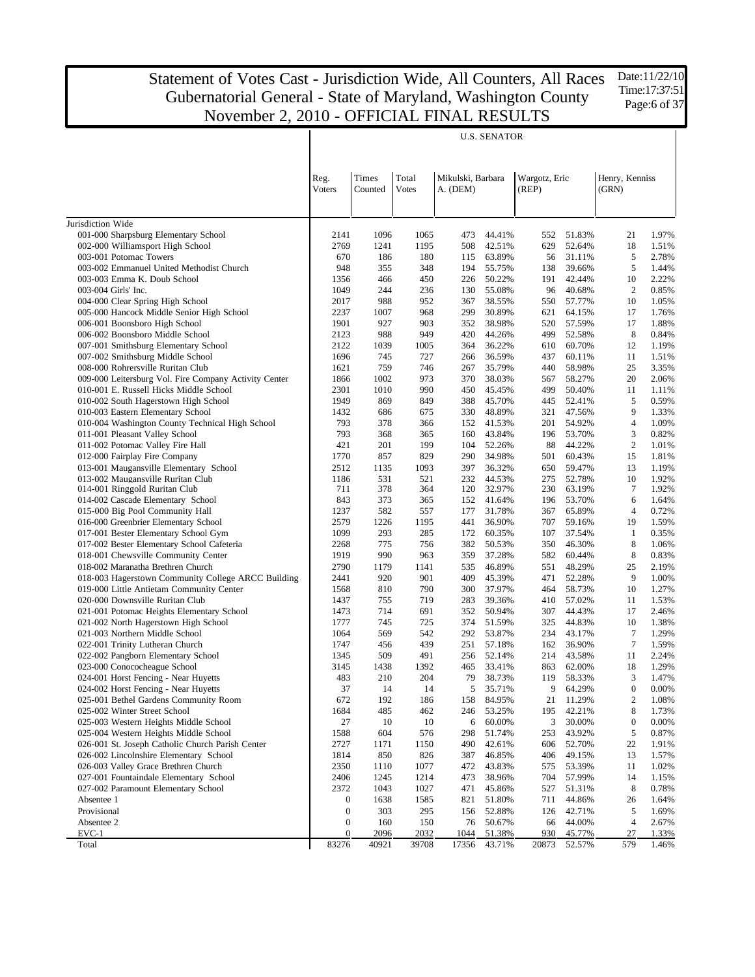T

U.S. SENATOR

|                                                                              |                       |                  |                       |                               | U.S. SENATOR     |                        |                  |                         |                |
|------------------------------------------------------------------------------|-----------------------|------------------|-----------------------|-------------------------------|------------------|------------------------|------------------|-------------------------|----------------|
|                                                                              | Reg.<br>Voters        | Times<br>Counted | Total<br><b>Votes</b> | Mikulski, Barbara<br>A. (DEM) |                  | Wargotz, Eric<br>(REP) |                  | Henry, Kenniss<br>(GRN) |                |
| Jurisdiction Wide                                                            |                       |                  |                       |                               |                  |                        |                  |                         |                |
| 001-000 Sharpsburg Elementary School                                         | 2141                  | 1096             | 1065                  | 473                           | 44.41%           | 552                    | 51.83%           | 21                      | 1.97%          |
| 002-000 Williamsport High School                                             | 2769                  | 1241             | 1195                  | 508                           | 42.51%           | 629                    | 52.64%           | 18                      | 1.51%          |
| 003-001 Potomac Towers                                                       | 670                   | 186              | 180                   | 115                           | 63.89%           | 56                     | 31.11%           | 5                       | 2.78%          |
| 003-002 Emmanuel United Methodist Church                                     | 948                   | 355              | 348                   | 194                           | 55.75%           | 138                    | 39.66%           | 5                       | 1.44%          |
| 003-003 Emma K. Doub School                                                  | 1356                  | 466              | 450                   | 226                           | 50.22%           | 191                    | 42.44%           | 10                      | 2.22%          |
| 003-004 Girls' Inc.                                                          | 1049                  | 244              | 236                   | 130                           | 55.08%           | 96                     | 40.68%           | 2                       | 0.85%          |
| 004-000 Clear Spring High School                                             | 2017                  | 988              | 952                   | 367                           | 38.55%           | 550                    | 57.77%           | 10                      | 1.05%          |
| 005-000 Hancock Middle Senior High School                                    | 2237                  | 1007             | 968                   | 299                           | 30.89%           | 621                    | 64.15%           | 17                      | 1.76%          |
| 006-001 Boonsboro High School                                                | 1901                  | 927              | 903                   | 352                           | 38.98%           | 520                    | 57.59%           | 17                      | 1.88%          |
| 006-002 Boonsboro Middle School                                              | 2123                  | 988              | 949                   | 420                           | 44.26%           | 499                    | 52.58%           | 8                       | 0.84%          |
| 007-001 Smithsburg Elementary School                                         | 2122                  | 1039             | 1005                  | 364                           | 36.22%           | 610                    | 60.70%           | 12                      | 1.19%          |
| 007-002 Smithsburg Middle School                                             | 1696                  | 745              | 727                   | 266                           | 36.59%           | 437                    | 60.11%           | 11                      | 1.51%          |
| 008-000 Rohrersville Ruritan Club                                            | 1621                  | 759              | 746                   | 267                           | 35.79%           | 440                    | 58.98%           | 25                      | 3.35%          |
| 009-000 Leitersburg Vol. Fire Company Activity Center                        | 1866                  | 1002             | 973                   | 370                           | 38.03%           | 567                    | 58.27%           | 20                      | 2.06%          |
| 010-001 E. Russell Hicks Middle School                                       | 2301                  | 1010             | 990                   | 450                           | 45.45%           | 499                    | 50.40%           | 11                      | 1.11%          |
| 010-002 South Hagerstown High School<br>010-003 Eastern Elementary School    | 1949<br>1432          | 869              | 849<br>675            | 388<br>330                    | 45.70%<br>48.89% | 445                    | 52.41%<br>47.56% | 5<br>9                  | 0.59%          |
| 010-004 Washington County Technical High School                              | 793                   | 686<br>378       | 366                   | 152                           | 41.53%           | 321<br>201             | 54.92%           | $\overline{4}$          | 1.33%<br>1.09% |
| 011-001 Pleasant Valley School                                               | 793                   | 368              | 365                   | 160                           | 43.84%           | 196                    | 53.70%           | 3                       | 0.82%          |
| 011-002 Potomac Valley Fire Hall                                             | 421                   | 201              | 199                   | 104                           | 52.26%           | 88                     | 44.22%           | $\mathbf{2}$            | 1.01%          |
| 012-000 Fairplay Fire Company                                                | 1770                  | 857              | 829                   | 290                           | 34.98%           | 501                    | 60.43%           | 15                      | 1.81%          |
| 013-001 Maugansville Elementary School                                       | 2512                  | 1135             | 1093                  | 397                           | 36.32%           | 650                    | 59.47%           | 13                      | 1.19%          |
| 013-002 Maugansville Ruritan Club                                            | 1186                  | 531              | 521                   | 232                           | 44.53%           | 275                    | 52.78%           | 10                      | 1.92%          |
| 014-001 Ringgold Ruritan Club                                                | 711                   | 378              | 364                   | 120                           | 32.97%           | 230                    | 63.19%           | 7                       | 1.92%          |
| 014-002 Cascade Elementary School                                            | 843                   | 373              | 365                   | 152                           | 41.64%           | 196                    | 53.70%           | 6                       | 1.64%          |
| 015-000 Big Pool Community Hall                                              | 1237                  | 582              | 557                   | 177                           | 31.78%           | 367                    | 65.89%           | $\overline{4}$          | 0.72%          |
| 016-000 Greenbrier Elementary School                                         | 2579                  | 1226             | 1195                  | 441                           | 36.90%           | 707                    | 59.16%           | 19                      | 1.59%          |
| 017-001 Bester Elementary School Gym                                         | 1099                  | 293              | 285                   | 172                           | 60.35%           | 107                    | 37.54%           | 1                       | 0.35%          |
| 017-002 Bester Elementary School Cafeteria                                   | 2268                  | 775              | 756                   | 382                           | 50.53%           | 350                    | 46.30%           | 8                       | 1.06%          |
| 018-001 Chewsville Community Center                                          | 1919                  | 990              | 963                   | 359                           | 37.28%           | 582                    | 60.44%           | 8                       | 0.83%          |
| 018-002 Maranatha Brethren Church                                            | 2790                  | 1179             | 1141                  | 535                           | 46.89%           | 551                    | 48.29%           | 25                      | 2.19%          |
| 018-003 Hagerstown Community College ARCC Building                           | 2441                  | 920              | 901                   | 409                           | 45.39%           | 471                    | 52.28%           | 9                       | 1.00%          |
| 019-000 Little Antietam Community Center                                     | 1568                  | 810              | 790                   | 300                           | 37.97%           | 464                    | 58.73%           | 10                      | 1.27%          |
| 020-000 Downsville Ruritan Club<br>021-001 Potomac Heights Elementary School | 1437<br>1473          | 755<br>714       | 719<br>691            | 283<br>352                    | 39.36%<br>50.94% | 410<br>307             | 57.02%<br>44.43% | 11<br>17                | 1.53%<br>2.46% |
| 021-002 North Hagerstown High School                                         | 1777                  | 745              | 725                   | 374                           | 51.59%           | 325                    | 44.83%           | 10                      | 1.38%          |
| 021-003 Northern Middle School                                               | 1064                  | 569              | 542                   | 292                           | 53.87%           | 234                    | 43.17%           | $\tau$                  | 1.29%          |
| 022-001 Trinity Lutheran Church                                              | 1747                  | 456              | 439                   | 251                           | 57.18%           | 162                    | 36.90%           | $\tau$                  | 1.59%          |
| 022-002 Pangborn Elementary School                                           | 1345                  | 509              | 491                   | 256                           | 52.14%           | 214                    | 43.58%           | 11                      | 2.24%          |
| 023-000 Conococheague School                                                 | 3145                  | 1438             | 1392                  | 465                           | 33.41%           | 863                    | 62.00%           | 18                      | 1.29%          |
| 024-001 Horst Fencing - Near Huyetts                                         | 483                   | 210              | 204                   | 79                            | 38.73%           | 119                    | 58.33%           | 3                       | 1.47%          |
| 024-002 Horst Fencing - Near Huyetts                                         | 37                    | 14               | 14                    | 5                             | 35.71%           |                        | 9 64.29%         | $\boldsymbol{0}$        | 0.00%          |
| 025-001 Bethel Gardens Community Room                                        | 672                   | 192              | 186                   | 158                           | 84.95%           | 21                     | 11.29%           | $\boldsymbol{2}$        | 1.08%          |
| 025-002 Winter Street School                                                 | 1684                  | 485              | 462                   | 246                           | 53.25%           | 195                    | 42.21%           | 8                       | 1.73%          |
| 025-003 Western Heights Middle School                                        | 27                    | 10               | 10                    | 6                             | 60.00%           | 3                      | 30.00%           | $\boldsymbol{0}$        | 0.00%          |
| 025-004 Western Heights Middle School                                        | 1588                  | 604              | 576                   | 298                           | 51.74%           | 253                    | 43.92%           | 5                       | 0.87%          |
| 026-001 St. Joseph Catholic Church Parish Center                             | 2727                  | 1171             | 1150                  | 490                           | 42.61%           | 606                    | 52.70%           | 22                      | 1.91%          |
| 026-002 Lincolnshire Elementary School                                       | 1814                  | 850              | 826                   | 387                           | 46.85%           | 406                    | 49.15%           | 13                      | 1.57%          |
| 026-003 Valley Grace Brethren Church                                         | 2350                  | 1110             | 1077                  | 472                           | 43.83%           | 575                    | 53.39%           | 11                      | 1.02%          |
| 027-001 Fountaindale Elementary School                                       | 2406                  | 1245             | 1214                  | 473                           | 38.96%           | 704                    | 57.99%           | 14                      | 1.15%          |
| 027-002 Paramount Elementary School                                          | 2372                  | 1043<br>1638     | 1027                  | 471                           | 45.86%<br>51.80% | 527                    | 51.31%           | 8                       | 0.78%          |
| Absentee 1<br>Provisional                                                    | 0<br>$\boldsymbol{0}$ | 303              | 1585<br>295           | 821<br>156                    | 52.88%           | 711<br>126             | 44.86%<br>42.71% | 26<br>5                 | 1.64%<br>1.69% |
| Absentee 2                                                                   | $\boldsymbol{0}$      | 160              | 150                   | 76                            | 50.67%           | 66                     | 44.00%           | 4                       | 2.67%          |
| EVC-1                                                                        | 0                     | 2096             | 2032                  | 1044                          | 51.38%           | 930                    | 45.77%           | 27                      | 1.33%          |
| Total                                                                        | 83276                 | 40921            | 39708                 | 17356                         | 43.71%           | 20873                  | 52.57%           | 579                     | 1.46%          |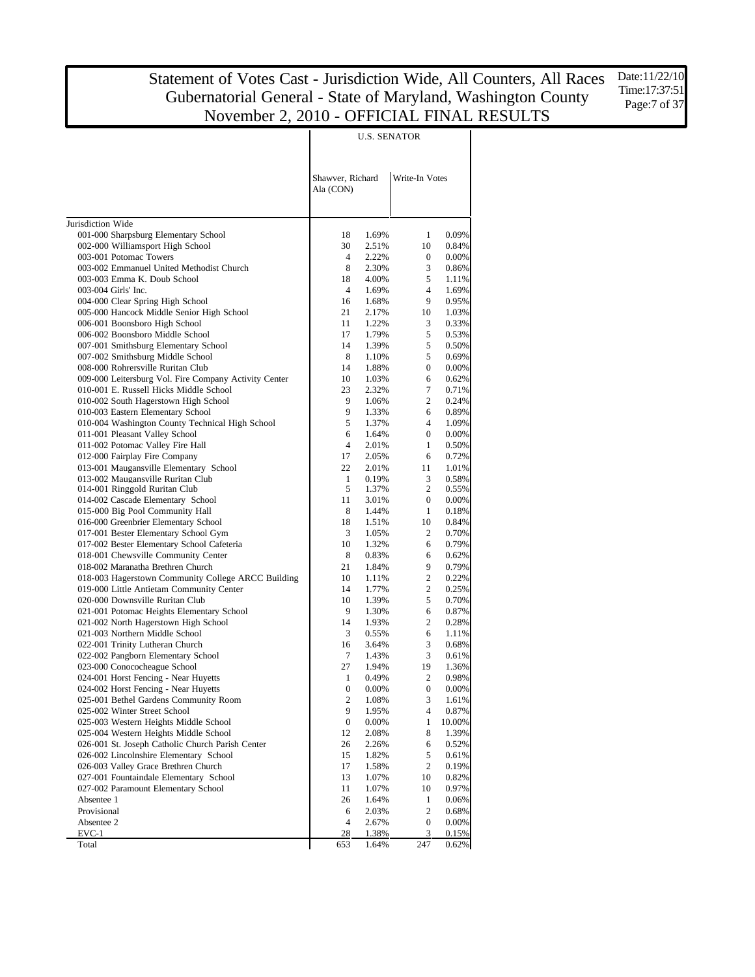U.S. SENATOR

 $\overline{\phantom{a}}$ 

|                                                                          | Shawver, Richard<br>Ala (CON) |                | Write-In Votes    |                |
|--------------------------------------------------------------------------|-------------------------------|----------------|-------------------|----------------|
|                                                                          |                               |                |                   |                |
| Jurisdiction Wide                                                        | 18                            | 1.69%          | 1                 | 0.09%          |
| 001-000 Sharpsburg Elementary School<br>002-000 Williamsport High School | 30                            | 2.51%          | 10                | 0.84%          |
| 003-001 Potomac Towers                                                   | 4                             | 2.22%          | $\mathbf{0}$      | 0.00%          |
| 003-002 Emmanuel United Methodist Church                                 | 8                             | 2.30%          | 3                 | 0.86%          |
| 003-003 Emma K. Doub School                                              | 18                            | 4.00%          | 5                 | 1.11%          |
| 003-004 Girls' Inc.                                                      | $\overline{4}$                | 1.69%          | $\overline{4}$    | 1.69%          |
| 004-000 Clear Spring High School                                         | 16                            | 1.68%          | 9                 | 0.95%          |
| 005-000 Hancock Middle Senior High School                                | 21                            | 2.17%          | 10                | 1.03%          |
| 006-001 Boonsboro High School                                            | 11                            | 1.22%          | 3                 | 0.33%          |
| 006-002 Boonsboro Middle School                                          | 17                            | 1.79%          | 5                 | 0.53%          |
| 007-001 Smithsburg Elementary School                                     | 14                            | 1.39%          | 5                 | 0.50%          |
| 007-002 Smithsburg Middle School                                         | 8                             | 1.10%          | 5                 | 0.69%          |
| 008-000 Rohrersville Ruritan Club                                        | 14                            | 1.88%          | $\mathbf{0}$      | 0.00%          |
| 009-000 Leitersburg Vol. Fire Company Activity Center                    | 10                            | 1.03%          | 6                 | 0.62%          |
| 010-001 E. Russell Hicks Middle School                                   | 23                            | 2.32%          | 7                 | 0.71%          |
| 010-002 South Hagerstown High School                                     | 9                             | 1.06%          | $\overline{c}$    | 0.24%          |
| 010-003 Eastern Elementary School                                        | 9                             | 1.33%          | 6                 | 0.89%          |
| 010-004 Washington County Technical High School                          | 5                             | 1.37%          | $\overline{4}$    | 1.09%          |
| 011-001 Pleasant Valley School                                           | 6                             | 1.64%          | $\mathbf{0}$      | 0.00%          |
| 011-002 Potomac Valley Fire Hall                                         | $\overline{4}$                | 2.01%          | $\mathbf{1}$      | 0.50%          |
| 012-000 Fairplay Fire Company                                            | 17                            | 2.05%          | 6                 | 0.72%          |
| 013-001 Maugansville Elementary School                                   | 22                            | 2.01%          | 11                | 1.01%          |
| 013-002 Maugansville Ruritan Club                                        | 1                             | 0.19%          | 3                 | 0.58%          |
| 014-001 Ringgold Ruritan Club                                            | 5<br>11                       | 1.37%          | 2<br>0            | 0.55%<br>0.00% |
| 014-002 Cascade Elementary School<br>015-000 Big Pool Community Hall     | 8                             | 3.01%<br>1.44% | 1                 | 0.18%          |
| 016-000 Greenbrier Elementary School                                     | 18                            | 1.51%          | 10                | 0.84%          |
| 017-001 Bester Elementary School Gym                                     | 3                             | 1.05%          | 2                 | 0.70%          |
| 017-002 Bester Elementary School Cafeteria                               | 10                            | 1.32%          | 6                 | 0.79%          |
| 018-001 Chewsville Community Center                                      | 8                             | 0.83%          | 6                 | 0.62%          |
| 018-002 Maranatha Brethren Church                                        | 21                            | 1.84%          | 9                 | 0.79%          |
| 018-003 Hagerstown Community College ARCC Building                       | 10                            | 1.11%          | 2                 | 0.22%          |
| 019-000 Little Antietam Community Center                                 | 14                            | 1.77%          | 2                 | 0.25%          |
| 020-000 Downsville Ruritan Club                                          | 10                            | 1.39%          | 5                 | 0.70%          |
| 021-001 Potomac Heights Elementary School                                | 9                             | 1.30%          | 6                 | 0.87%          |
| 021-002 North Hagerstown High School                                     | 14                            | 1.93%          | 2                 | 0.28%          |
| 021-003 Northern Middle School                                           | 3                             | 0.55%          | 6                 | 1.11%          |
| 022-001 Trinity Lutheran Church                                          | 16                            | 3.64%          | 3                 | 0.68%          |
| 022-002 Pangborn Elementary School                                       | 7                             | 1.43%          | 3                 | 0.61%          |
| 023-000 Conococheague School                                             | 27                            | 1.94%          | 19                | 1.36%          |
| 024-001 Horst Fencing - Near Huyetts                                     | 1                             | 0.49%          | 2                 | 0.98%          |
| 024-002 Horst Fencing - Near Huyetts                                     | $\overline{0}$                | 0.00%          | $\boldsymbol{0}$  | 0.00%          |
| 025-001 Bethel Gardens Community Room                                    | $\boldsymbol{2}$              | 1.08%          | 3                 | 1.61%          |
| 025-002 Winter Street School                                             | 9                             | 1.95%          | 4                 | 0.87%          |
| 025-003 Western Heights Middle School                                    | $\boldsymbol{0}$              | 0.00%          | 1                 | 10.00%         |
| 025-004 Western Heights Middle School                                    | 12                            | 2.08%          | 8                 | 1.39%          |
| 026-001 St. Joseph Catholic Church Parish Center                         | 26                            | 2.26%          | 6                 | 0.52%          |
| 026-002 Lincolnshire Elementary School                                   | 15                            | 1.82%          | 5                 | 0.61%          |
| 026-003 Valley Grace Brethren Church                                     | 17                            | 1.58%          | $\overline{c}$    | 0.19%          |
| 027-001 Fountaindale Elementary School                                   | 13                            | 1.07%          | 10                | 0.82%          |
| 027-002 Paramount Elementary School                                      | 11                            | 1.07%          | 10                | 0.97%          |
| Absentee 1<br>Provisional                                                | 26                            | 1.64%<br>2.03% | $\mathbf{1}$<br>2 | 0.06%          |
| Absentee 2                                                               | 6<br>4                        | 2.67%          | $\boldsymbol{0}$  | 0.68%<br>0.00% |
| EVC-1                                                                    | 28                            | 1.38%          | 3                 | 0.15%          |
| Total                                                                    | 653                           | 1.64%          | 247               | 0.62%          |
|                                                                          |                               |                |                   |                |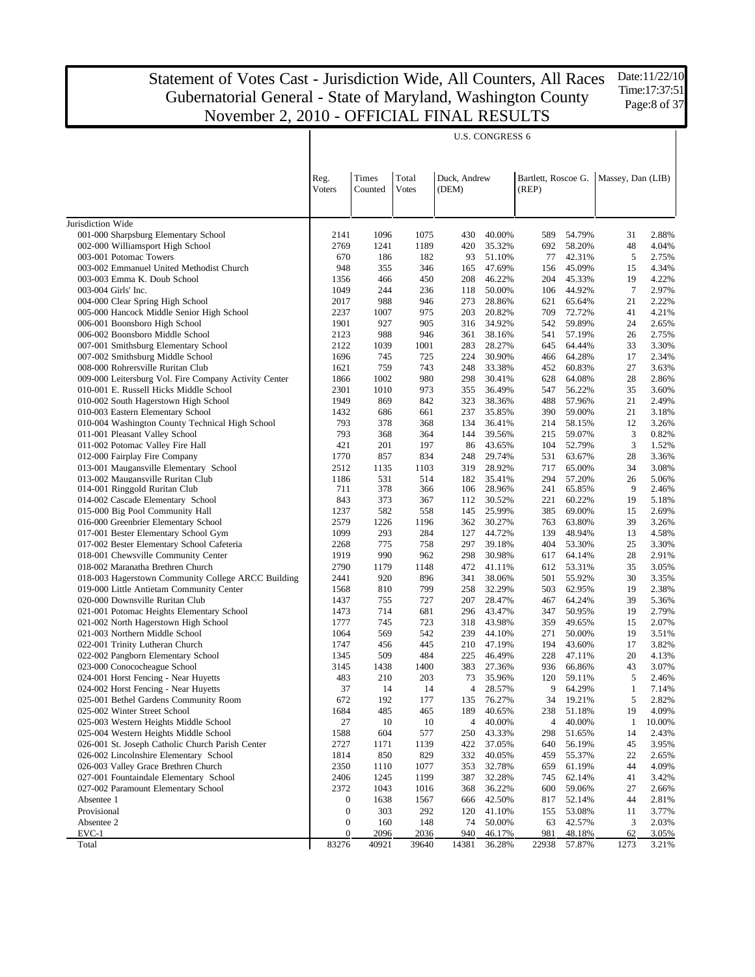Jurisdiction Wide 001-000 Sharpsburg Elementary School 002-000 Williamsport High School 003-001 Potomac Towers 003-002 Emmanuel United Methodist Church 003-003 Emma K. Doub School 003-004 Girls' Inc. 004-000 Clear Spring High School 005-000 Hancock Middle Senior High School 006-001 Boonsboro High School 006-002 Boonsboro Middle School 007-001 Smithsburg Elementary School 007-002 Smithsburg Middle School 008-000 Rohrersville Ruritan Club 009-000 Leitersburg Vol. Fire Company Activity Center 010-001 E. Russell Hicks Middle School 010-002 South Hagerstown High School 010-003 Eastern Elementary School 010-004 Washington County Technical High School 011-001 Pleasant Valley School 011-002 Potomac Valley Fire Hall 012-000 Fairplay Fire Company 013-001 Maugansville Elementary School 013-002 Maugansville Ruritan Club 014-001 Ringgold Ruritan Club 014-002 Cascade Elementary School 015-000 Big Pool Community Hall 016-000 Greenbrier Elementary School 017-001 Bester Elementary School Gym 017-002 Bester Elementary School Cafeteria 018-001 Chewsville Community Center 018-002 Maranatha Brethren Church 018-003 Hagerstown Community College ARCC Building 019-000 Little Antietam Community Center 020-000 Downsville Ruritan Club 021-001 Potomac Heights Elementary School 021-002 North Hagerstown High School 021-003 Northern Middle School 022-001 Trinity Lutheran Church 022-002 Pangborn Elementary School 023-000 Conococheague School 024-001 Horst Fencing - Near Huyetts 024-002 Horst Fencing - Near Huyetts 025-001 Bethel Gardens Community Room 025-002 Winter Street School 025-003 Western Heights Middle School 025-004 Western Heights Middle School 026-001 St. Joseph Catholic Church Parish Center 026-002 Lincolnshire Elementary School 026-003 Valley Grace Brethren Church 027-001 Fountaindale Elementary School 027-002 Paramount Elementary School Absentee 1 Provisional Absentee 2 EVC-1 Total Reg. Voters Times Counted Total Votes Duck, Andrew (DEM) Bartlett, Roscoe G. Massey, Dan (LIB) (REP) U.S. CONGRESS 6 2141 1096 1075 430 40.00% 589 54.79% 31 2.88% 2769 1241 1189 420 35.32% 692 58.20% 48 4.04% 670 186 182 93 51.10% 77 42.31% 5 2.75% 948 355 346 165 47.69% 156 45.09% 15 4.34% 1356 466 450 208 46.22% 204 45.33% 19 4.22% 1049 244 236 118 50.00% 106 44.92% 7 2.97% 2017 988 946 273 28.86% 621 65.64% 21 2.22% 2237 1007 975 203 20.82% 709 72.72% 41 4.21% 1901 927 905 316 34.92% 542 59.89% 24 2.65% 2123 988 946 361 38.16% 541 57.19% 26 2.75% 2122 1039 1001 283 28.27% 645 64.44% 33 3.30% 1696 745 725 224 30.90% 466 64.28% 17 2.34% 1621 759 743 248 33.38% 452 60.83% 27 3.63% 1866 1002 980 298 30.41% 628 64.08% 28 2.86% 2301 1010 973 355 36.49% 547 56.22% 35 3.60% 1949 869 842 323 38.36% 488 57.96% 21 2.49% 1432 686 661 237 35.85% 390 59.00% 21 3.18% 793 378 368 134 36.41% 214 58.15% 12 3.26% 793 368 364 144 39.56% 215 59.07% 3 0.82% 421 201 197 86 43.65% 104 52.79% 3 1.52% 1770 857 834 248 29.74% 531 63.67% 28 3.36% 2512 1135 1103 319 28.92% 717 65.00% 34 3.08% 1186 531 514 182 35.41% 294 57.20% 26 5.06% 711 378 366 106 28.96% 241 65.85% 9 2.46% 843 373 367 112 30.52% 221 60.22% 19 5.18% 1237 582 558 145 25.99% 385 69.00% 15 2.69% 2579 1226 1196 362 30.27% 763 63.80% 39 3.26% 1099 293 284 127 44.72% 139 48.94% 13 4.58% 2268 775 758 297 39.18% 404 53.30% 25 3.30% 1919 990 962 298 30.98% 617 64.14% 28 2.91% 2790 1179 1148 472 41.11% 612 53.31% 35 3.05% 2441 920 896 341 38.06% 501 55.92% 30 3.35% 1568 810 799 258 32.29% 503 62.95% 19 2.38% 1437 755 727 207 28.47% 467 64.24% 39 5.36% 1473 714 681 296 43.47% 347 50.95% 19 2.79% 1777 745 723 318 43.98% 359 49.65% 15 2.07% 1064 569 542 239 44.10% 271 50.00% 19 3.51% 1747 456 445 210 47.19% 194 43.60% 17 3.82% 1345 509 484 225 46.49% 228 47.11% 20 4.13% 3145 1438 1400 383 27.36% 936 66.86% 43 3.07% 483 210 203 73 35.96% 120 59.11% 5 2.46% 37 14 14 4 28.57% 9 64.29% 1 7.14% 672 192 177 135 76.27% 34 19.21% 5 2.82% 1684 485 465 189 40.65% 238 51.18% 19 4.09% 27 10 10 4 40.00% 4 40.00% 1 10.00% 1588 604 577 250 43.33% 298 51.65% 14 2.43% 2727 1171 1139 422 37.05% 640 56.19% 45 3.95% 1814 850 829 332 40.05% 459 55.37% 22 2.65% 2350 1110 1077 353 32.78% 659 61.19% 44 4.09% 2406 1245 1199 387 32.28% 745 62.14% 41 3.42% 2372 1043 1016 368 36.22% 600 59.06% 27 2.66% 0 1638 1567 666 42.50% 817 52.14% 44 2.81% 0 303 292 120 41.10% 155 53.08% 11 3.77% 0 160 148 74 50.00% 63 42.57% 3 2.03% 0 2096 2036 940 46.17% 981 48.18% 62 3.05% 83276 40921 39640 14381 36.28% 22938 57.87% 1273 3.21%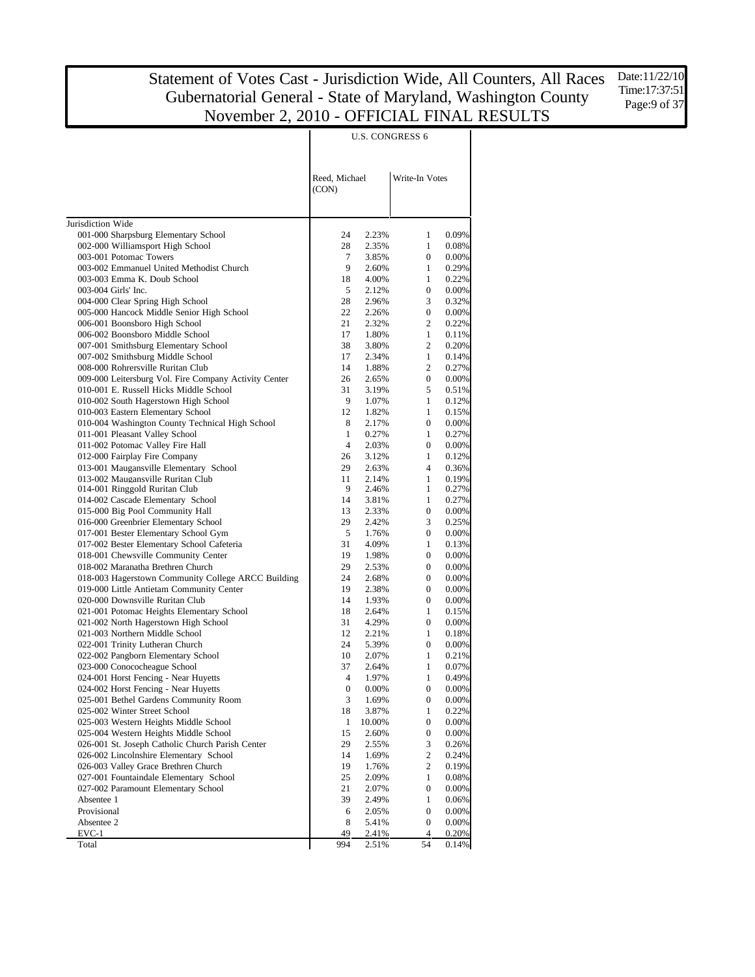|                                                                                           | Reed, Michael     |                 | Write-In Votes                 |                   |
|-------------------------------------------------------------------------------------------|-------------------|-----------------|--------------------------------|-------------------|
|                                                                                           | (CON)             |                 |                                |                   |
| Jurisdiction Wide                                                                         |                   |                 |                                |                   |
| 001-000 Sharpsburg Elementary School                                                      | 24                | 2.23%           | 1                              | 0.09%             |
| 002-000 Williamsport High School                                                          | 28                | 2.35%           | $\mathbf{1}$                   | 0.08%             |
| 003-001 Potomac Towers                                                                    | 7                 | 3.85%           | $\overline{0}$                 | 0.00%             |
| 003-002 Emmanuel United Methodist Church                                                  | 9                 | 2.60%           | $\mathbf{1}$                   | 0.29%             |
| 003-003 Emma K. Doub School                                                               | 18                | 4.00%           | 1                              | 0.22%             |
| 003-004 Girls' Inc.                                                                       | 5                 | 2.12%           | $\boldsymbol{0}$               | 0.00%             |
| 004-000 Clear Spring High School                                                          | 28                | 2.96%           | 3                              | 0.32%             |
| 005-000 Hancock Middle Senior High School                                                 | 22                | 2.26%           | $\overline{0}$                 | 0.00%             |
| 006-001 Boonsboro High School                                                             | 21                | 2.32%           | $\overline{c}$                 | 0.22%             |
| 006-002 Boonsboro Middle School                                                           | 17                | 1.80%           | $\mathbf{1}$                   | 0.11%             |
| 007-001 Smithsburg Elementary School                                                      | 38                | 3.80%           | $\overline{c}$                 | 0.20%             |
| 007-002 Smithsburg Middle School                                                          | 17                | 2.34%           | $\mathbf{1}$                   | 0.14%             |
| 008-000 Rohrersville Ruritan Club                                                         | 14                | 1.88%           | $\overline{c}$                 | 0.27%             |
| 009-000 Leitersburg Vol. Fire Company Activity Center                                     | 26                | 2.65%           | $\overline{0}$                 | 0.00%             |
| 010-001 E. Russell Hicks Middle School                                                    | 31                | 3.19%           | 5                              | 0.51%             |
| 010-002 South Hagerstown High School                                                      | 9                 | 1.07%           | $\mathbf{1}$                   | 0.12%             |
| 010-003 Eastern Elementary School                                                         | 12                | 1.82%           | $\mathbf{1}$<br>$\overline{0}$ | 0.15%<br>0.00%    |
| 010-004 Washington County Technical High School<br>011-001 Pleasant Valley School         | 8<br>$\mathbf{1}$ | 2.17%<br>0.27%  | $\mathbf{1}$                   | 0.27%             |
| 011-002 Potomac Valley Fire Hall                                                          | $\overline{4}$    | 2.03%           | $\mathbf{0}$                   | 0.00%             |
| 012-000 Fairplay Fire Company                                                             | 26                | 3.12%           | $\mathbf{1}$                   | 0.12%             |
| 013-001 Maugansville Elementary School                                                    | 29                | 2.63%           | $\overline{4}$                 | 0.36%             |
| 013-002 Maugansville Ruritan Club                                                         | 11                | 2.14%           | $\mathbf{1}$                   | 0.19%             |
| 014-001 Ringgold Ruritan Club                                                             | 9                 | 2.46%           | 1                              | 0.27%             |
| 014-002 Cascade Elementary School                                                         | 14                | 3.81%           | $\mathbf{1}$                   | 0.27%             |
| 015-000 Big Pool Community Hall                                                           | 13                | 2.33%           | $\boldsymbol{0}$               | 0.00%             |
| 016-000 Greenbrier Elementary School                                                      | 29                | 2.42%           | 3                              | 0.25%             |
| 017-001 Bester Elementary School Gym                                                      | 5                 | 1.76%           | $\boldsymbol{0}$               | 0.00%             |
| 017-002 Bester Elementary School Cafeteria                                                | 31                | 4.09%           | $\mathbf{1}$                   | 0.13%             |
| 018-001 Chewsville Community Center                                                       | 19                | 1.98%           | $\boldsymbol{0}$               | 0.00%             |
| 018-002 Maranatha Brethren Church                                                         | 29                | 2.53%           | 0                              | 0.00%             |
| 018-003 Hagerstown Community College ARCC Building                                        | 24                | 2.68%           | 0                              | 0.00%             |
| 019-000 Little Antietam Community Center                                                  | 19                | 2.38%           | 0                              | 0.00%             |
| 020-000 Downsville Ruritan Club                                                           | 14                | 1.93%           | 0                              | 0.00%             |
| 021-001 Potomac Heights Elementary School                                                 | 18                | 2.64%           | $\mathbf{1}$                   | 0.15%             |
| 021-002 North Hagerstown High School                                                      | 31                | 4.29%           | $\overline{0}$                 | 0.00%             |
| 021-003 Northern Middle School                                                            | 12                | 2.21%           | $\mathbf{1}$                   | 0.18%             |
| 022-001 Trinity Lutheran Church                                                           | 24                | 5.39%           | $\boldsymbol{0}$               | 0.00%             |
| 022-002 Pangborn Elementary School                                                        | 10                | 2.07%           | $\mathbf{1}$                   | 0.21%             |
| 023-000 Conococheague School                                                              | 37                | 2.64%           | 1                              | 0.07%             |
| 024-001 Horst Fencing - Near Huyetts                                                      | 4                 | 1.97%           | 1                              | 0.49%             |
| 024-002 Horst Fencing - Near Huyetts                                                      | $\mathbf{0}$      | 0.00%           | $\overline{0}$                 | 0.00%             |
| 025-001 Bethel Gardens Community Room                                                     | 3                 | 1.69%           | 0                              | 0.00%             |
| 025-002 Winter Street School                                                              | 18                | 3.87%           | 1<br>0                         | 0.22%<br>$0.00\%$ |
| 025-003 Western Heights Middle School                                                     | 1<br>15           | 10.00%<br>2.60% | 0                              | 0.00%             |
| 025-004 Western Heights Middle School<br>026-001 St. Joseph Catholic Church Parish Center | 29                | 2.55%           | 3                              | 0.26%             |
| 026-002 Lincolnshire Elementary School                                                    | 14                | 1.69%           | 2                              | 0.24%             |
| 026-003 Valley Grace Brethren Church                                                      | 19                | 1.76%           | 2                              | 0.19%             |
| 027-001 Fountaindale Elementary School                                                    | 25                | 2.09%           | $\mathbf{1}$                   | 0.08%             |
| 027-002 Paramount Elementary School                                                       | 21                | 2.07%           | 0                              | 0.00%             |
| Absentee 1                                                                                | 39                | 2.49%           | 1                              | 0.06%             |
| Provisional                                                                               | 6                 | 2.05%           | 0                              | 0.00%             |
| Absentee 2                                                                                | 8                 | 5.41%           | $\boldsymbol{0}$               | 0.00%             |
| EVC-1                                                                                     | 49                | 2.41%           | 4                              | 0.20%             |
| Total                                                                                     | 994               | 2.51%           | 54                             | 0.14%             |
|                                                                                           |                   |                 |                                |                   |

U.S. CONGRESS 6

 $\overline{\phantom{a}}$ 

 $\overline{\phantom{a}}$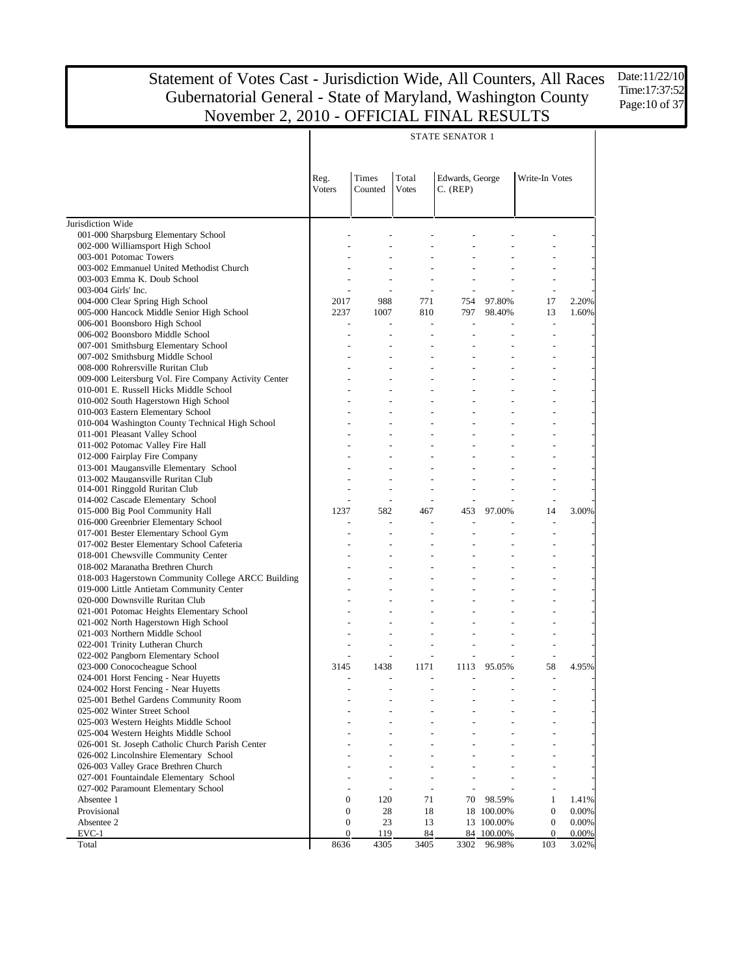Date:11/22/10 Time:17:37:52 Page: 10 of 37

|                                                                               |                                      |                              |                              | <b>STATE SENATOR 1</b>       |                          |                                      |                |
|-------------------------------------------------------------------------------|--------------------------------------|------------------------------|------------------------------|------------------------------|--------------------------|--------------------------------------|----------------|
|                                                                               | Reg.<br><b>Voters</b>                | Times<br>Counted             | Total<br><b>Votes</b>        | Edwards, George<br>C. (REP)  |                          | Write-In Votes                       |                |
| Jurisdiction Wide                                                             |                                      |                              |                              |                              |                          |                                      |                |
| 001-000 Sharpsburg Elementary School                                          |                                      |                              |                              |                              |                          |                                      |                |
| 002-000 Williamsport High School                                              |                                      |                              |                              |                              |                          |                                      |                |
| 003-001 Potomac Towers                                                        |                                      | $\overline{a}$               | $\overline{a}$               | $\overline{a}$               |                          |                                      |                |
| 003-002 Emmanuel United Methodist Church                                      |                                      |                              |                              | $\overline{a}$               |                          |                                      |                |
| 003-003 Emma K. Doub School                                                   |                                      | $\overline{\phantom{a}}$     | $\frac{1}{2}$                | $\frac{1}{2}$                | $\overline{\phantom{a}}$ | $\overline{\phantom{a}}$             |                |
| 003-004 Girls' Inc.                                                           |                                      | $\sim$                       | $\overline{\phantom{a}}$     | $\overline{\phantom{a}}$     |                          | $\overline{\phantom{a}}$             |                |
| 004-000 Clear Spring High School<br>005-000 Hancock Middle Senior High School | 2017<br>2237                         | 988<br>1007                  | 771<br>810                   | 754<br>797                   | 97.80%<br>98.40%         | 17<br>13                             | 2.20%<br>1.60% |
| 006-001 Boonsboro High School                                                 | $\overline{\phantom{a}}$             | $\overline{\phantom{a}}$     | $\mathbf{r}$                 | $\blacksquare$               | $\overline{a}$           | $\sim$                               |                |
| 006-002 Boonsboro Middle School                                               |                                      | ÷,                           |                              |                              |                          |                                      |                |
| 007-001 Smithsburg Elementary School                                          | $\overline{a}$                       | $\overline{a}$               | $\overline{a}$               | $\frac{1}{2}$                | ÷,                       |                                      |                |
| 007-002 Smithsburg Middle School                                              |                                      |                              | ÷,                           | $\overline{a}$               |                          |                                      |                |
| 008-000 Rohrersville Ruritan Club                                             | $\overline{a}$                       | ÷,                           | $\overline{a}$               | $\frac{1}{2}$                |                          |                                      |                |
| 009-000 Leitersburg Vol. Fire Company Activity Center                         |                                      |                              |                              | $\overline{a}$               |                          |                                      |                |
| 010-001 E. Russell Hicks Middle School                                        |                                      | $\overline{a}$               | $\overline{a}$               | $\frac{1}{2}$                | ÷,                       |                                      |                |
| 010-002 South Hagerstown High School                                          |                                      |                              |                              | $\overline{a}$               |                          |                                      |                |
| 010-003 Eastern Elementary School                                             |                                      | ÷,                           | $\overline{a}$               | $\frac{1}{2}$                |                          |                                      |                |
| 010-004 Washington County Technical High School                               |                                      |                              |                              | $\overline{a}$               |                          |                                      |                |
| 011-001 Pleasant Valley School                                                |                                      | $\overline{a}$               | $\overline{a}$               | $\frac{1}{2}$                |                          |                                      |                |
| 011-002 Potomac Valley Fire Hall                                              |                                      |                              |                              | $\overline{a}$               |                          |                                      |                |
| 012-000 Fairplay Fire Company                                                 |                                      | ÷,                           | $\overline{a}$               | $\frac{1}{2}$                |                          |                                      |                |
| 013-001 Maugansville Elementary School                                        |                                      | $\overline{a}$               |                              | $\overline{a}$               |                          |                                      |                |
| 013-002 Maugansville Ruritan Club<br>014-001 Ringgold Ruritan Club            |                                      | ÷,                           | $\overline{a}$               | $\frac{1}{2}$                | $\overline{a}$           |                                      |                |
| 014-002 Cascade Elementary School                                             |                                      | $\blacksquare$               | $\overline{\phantom{a}}$     | $\blacksquare$               |                          | $\overline{\phantom{m}}$             |                |
| 015-000 Big Pool Community Hall                                               | 1237                                 | 582                          | 467                          | 453                          | 97.00%                   | 14                                   | 3.00%          |
| 016-000 Greenbrier Elementary School                                          |                                      | $\frac{1}{2}$                |                              |                              |                          | $\overline{\phantom{a}}$             |                |
| 017-001 Bester Elementary School Gym                                          |                                      |                              |                              |                              |                          |                                      |                |
| 017-002 Bester Elementary School Cafeteria                                    |                                      | $\overline{a}$               |                              | $\frac{1}{2}$                |                          |                                      |                |
| 018-001 Chewsville Community Center                                           |                                      |                              |                              |                              |                          |                                      |                |
| 018-002 Maranatha Brethren Church                                             |                                      | $\overline{\phantom{0}}$     |                              |                              |                          |                                      |                |
| 018-003 Hagerstown Community College ARCC Building                            |                                      |                              |                              |                              |                          |                                      |                |
| 019-000 Little Antietam Community Center                                      |                                      | $\overline{\phantom{0}}$     |                              | $\blacksquare$               |                          |                                      |                |
| 020-000 Downsville Ruritan Club                                               |                                      |                              |                              |                              |                          |                                      |                |
| 021-001 Potomac Heights Elementary School                                     |                                      |                              |                              |                              |                          |                                      |                |
| 021-002 North Hagerstown High School                                          |                                      |                              |                              |                              |                          |                                      |                |
| 021-003 Northern Middle School                                                |                                      | $\overline{\phantom{0}}$     |                              | $\blacksquare$               |                          |                                      |                |
| 022-001 Trinity Lutheran Church<br>022-002 Pangborn Elementary School         |                                      | $\overline{\phantom{0}}$     |                              | $\blacksquare$               |                          |                                      |                |
| 023-000 Conococheague School                                                  | 3145                                 | 1438                         | 1171                         |                              | 1113 95.05%              | 58                                   | 4.95%          |
| 024-001 Horst Fencing - Near Huyetts                                          |                                      |                              |                              |                              |                          |                                      |                |
| 024-002 Horst Fencing - Near Huyetts                                          |                                      |                              |                              |                              |                          |                                      |                |
| 025-001 Bethel Gardens Community Room                                         |                                      |                              |                              |                              |                          |                                      |                |
| 025-002 Winter Street School                                                  |                                      |                              |                              |                              |                          |                                      |                |
| 025-003 Western Heights Middle School                                         |                                      |                              |                              |                              |                          |                                      |                |
| 025-004 Western Heights Middle School                                         |                                      |                              |                              |                              |                          |                                      |                |
| 026-001 St. Joseph Catholic Church Parish Center                              |                                      |                              |                              |                              |                          |                                      |                |
| 026-002 Lincolnshire Elementary School                                        |                                      |                              |                              |                              |                          |                                      |                |
| 026-003 Valley Grace Brethren Church                                          |                                      |                              |                              |                              |                          |                                      |                |
| 027-001 Fountaindale Elementary School                                        |                                      |                              |                              |                              |                          |                                      |                |
| 027-002 Paramount Elementary School                                           |                                      | $\qquad \qquad \blacksquare$ | $\qquad \qquad \blacksquare$ | $\qquad \qquad \blacksquare$ |                          | $\overline{a}$                       |                |
| Absentee 1<br>Provisional                                                     | $\overline{0}$                       | 120                          | 71                           | 70                           | 98.59%                   | $\mathbf{1}$                         | 1.41%          |
| Absentee 2                                                                    | $\boldsymbol{0}$<br>$\boldsymbol{0}$ | 28<br>23                     | 18<br>13                     |                              | 18 100.00%<br>13 100.00% | $\boldsymbol{0}$<br>$\boldsymbol{0}$ | 0.00%<br>0.00% |
| $EVC-1$                                                                       | $\mathbf{0}$                         | 119                          | 84                           |                              | 84 100.00%               | $\mathbf{0}$                         | 0.00%          |
| Total                                                                         | 8636                                 | 4305                         | 3405                         | 3302                         | 96.98%                   | 103                                  | 3.02%          |

#### STATE SENATOR 1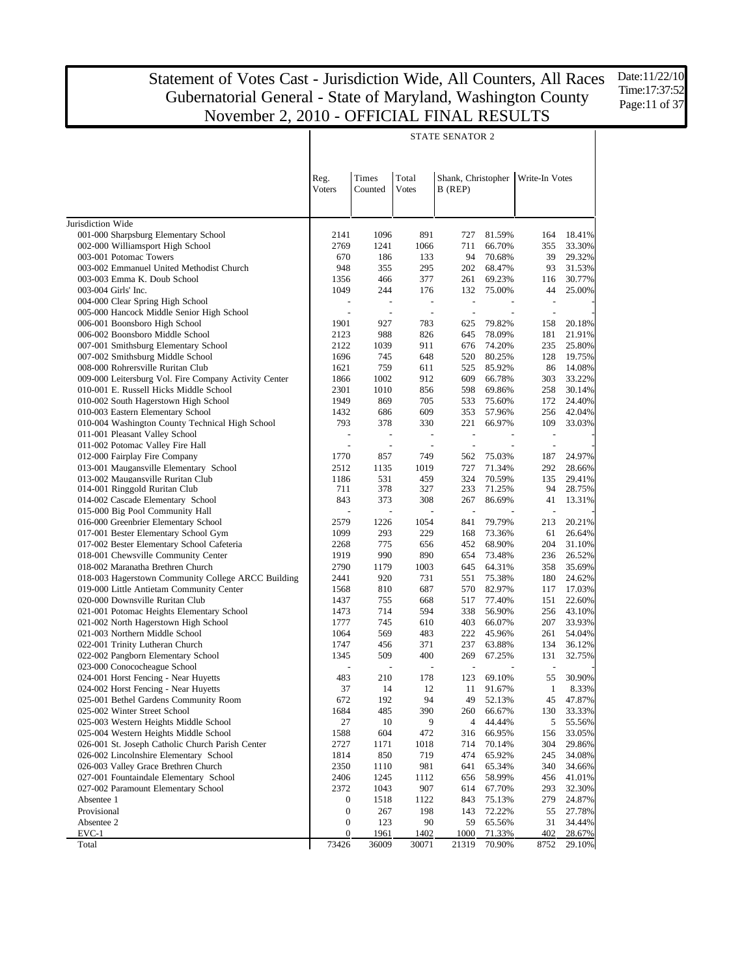Date:11/22/10 Time:17:37:52 Page:11 of 37

|                                                                                            |                          |                          |                          | <b>STATE SENATOR 2</b>   |                          |                          |                  |  |  |
|--------------------------------------------------------------------------------------------|--------------------------|--------------------------|--------------------------|--------------------------|--------------------------|--------------------------|------------------|--|--|
|                                                                                            |                          |                          |                          |                          |                          |                          |                  |  |  |
|                                                                                            |                          |                          |                          |                          |                          |                          |                  |  |  |
|                                                                                            | Reg.                     | Times                    | Total                    | Shank, Christopher       |                          | Write-In Votes           |                  |  |  |
|                                                                                            | <b>Voters</b>            | Counted                  | <b>Votes</b>             | B (REP)                  |                          |                          |                  |  |  |
|                                                                                            |                          |                          |                          |                          |                          |                          |                  |  |  |
|                                                                                            |                          |                          |                          |                          |                          |                          |                  |  |  |
| Jurisdiction Wide                                                                          |                          |                          |                          |                          |                          |                          |                  |  |  |
| 001-000 Sharpsburg Elementary School                                                       | 2141                     | 1096                     | 891                      | 727                      | 81.59%                   | 164                      | 18.41%           |  |  |
| 002-000 Williamsport High School                                                           | 2769                     | 1241                     | 1066                     | 711                      | 66.70%                   | 355                      | 33.30%           |  |  |
| 003-001 Potomac Towers<br>003-002 Emmanuel United Methodist Church                         | 670<br>948               | 186<br>355               | 133<br>295               | 94<br>202                | 70.68%<br>68.47%         | 39<br>93                 | 29.32%<br>31.53% |  |  |
| 003-003 Emma K. Doub School                                                                | 1356                     | 466                      | 377                      | 261                      | 69.23%                   | 116                      | 30.77%           |  |  |
| 003-004 Girls' Inc.                                                                        | 1049                     | 244                      | 176                      | 132                      | 75.00%                   | 44                       | 25.00%           |  |  |
| 004-000 Clear Spring High School                                                           | $\overline{\phantom{a}}$ | $\overline{\phantom{a}}$ | $\overline{\phantom{a}}$ | $\overline{\phantom{a}}$ |                          | $\overline{\phantom{a}}$ |                  |  |  |
| 005-000 Hancock Middle Senior High School                                                  | $\overline{\phantom{a}}$ | $\sim$                   | $\sim$                   | $\sim$                   | $\overline{\phantom{a}}$ | $\overline{\phantom{a}}$ |                  |  |  |
| 006-001 Boonsboro High School                                                              | 1901                     | 927                      | 783                      | 625                      | 79.82%                   | 158                      | 20.18%           |  |  |
| 006-002 Boonsboro Middle School                                                            | 2123                     | 988                      | 826                      | 645                      | 78.09%                   | 181                      | 21.91%           |  |  |
| 007-001 Smithsburg Elementary School                                                       | 2122                     | 1039                     | 911                      | 676                      | 74.20%                   | 235                      | 25.80%           |  |  |
| 007-002 Smithsburg Middle School                                                           | 1696                     | 745                      | 648                      | 520                      | 80.25%                   | 128                      | 19.75%           |  |  |
| 008-000 Rohrersville Ruritan Club                                                          | 1621                     | 759                      | 611                      | 525                      | 85.92%                   | 86                       | 14.08%           |  |  |
| 009-000 Leitersburg Vol. Fire Company Activity Center                                      | 1866                     | 1002                     | 912                      | 609                      | 66.78%                   | 303                      | 33.22%           |  |  |
| 010-001 E. Russell Hicks Middle School                                                     | 2301                     | 1010                     | 856                      | 598                      | 69.86%                   | 258                      | 30.14%           |  |  |
| 010-002 South Hagerstown High School                                                       | 1949                     | 869                      | 705                      | 533                      | 75.60%                   | 172                      | 24.40%           |  |  |
| 010-003 Eastern Elementary School<br>010-004 Washington County Technical High School       | 1432<br>793              | 686<br>378               | 609<br>330               | 353<br>221               | 57.96%<br>66.97%         | 256<br>109               | 42.04%<br>33.03% |  |  |
| 011-001 Pleasant Valley School                                                             | $\overline{\phantom{a}}$ | $\overline{\phantom{a}}$ | $\overline{\phantom{a}}$ | $\blacksquare$           |                          | $\overline{\phantom{a}}$ |                  |  |  |
| 011-002 Potomac Valley Fire Hall                                                           | $\overline{\phantom{a}}$ | $\sim$                   | $\sim$                   | $\sim$                   | $\overline{\phantom{a}}$ | $\overline{\phantom{a}}$ |                  |  |  |
| 012-000 Fairplay Fire Company                                                              | 1770                     | 857                      | 749                      | 562                      | 75.03%                   | 187                      | 24.97%           |  |  |
| 013-001 Maugansville Elementary School                                                     | 2512                     | 1135                     | 1019                     | 727                      | 71.34%                   | 292                      | 28.66%           |  |  |
| 013-002 Maugansville Ruritan Club                                                          | 1186                     | 531                      | 459                      | 324                      | 70.59%                   | 135                      | 29.41%           |  |  |
| 014-001 Ringgold Ruritan Club                                                              | 711                      | 378                      | 327                      | 233                      | 71.25%                   | 94                       | 28.75%           |  |  |
| 014-002 Cascade Elementary School                                                          | 843                      | 373                      | 308                      | 267                      | 86.69%                   | 41                       | 13.31%           |  |  |
| 015-000 Big Pool Community Hall                                                            |                          | $\overline{\phantom{a}}$ |                          | $\blacksquare$           |                          | $\blacksquare$           |                  |  |  |
| 016-000 Greenbrier Elementary School                                                       | 2579                     | 1226                     | 1054                     | 841                      | 79.79%                   | 213                      | 20.21%           |  |  |
| 017-001 Bester Elementary School Gym                                                       | 1099                     | 293                      | 229                      | 168                      | 73.36%                   | 61                       | 26.64%           |  |  |
| 017-002 Bester Elementary School Cafeteria                                                 | 2268                     | 775                      | 656                      | 452                      | 68.90%                   | 204                      | 31.10%           |  |  |
| 018-001 Chewsville Community Center                                                        | 1919                     | 990                      | 890                      | 654                      | 73.48%                   | 236                      | 26.52%           |  |  |
| 018-002 Maranatha Brethren Church<br>018-003 Hagerstown Community College ARCC Building    | 2790<br>2441             | 1179<br>920              | 1003<br>731              | 645<br>551               | 64.31%<br>75.38%         | 358<br>180               | 35.69%<br>24.62% |  |  |
| 019-000 Little Antietam Community Center                                                   | 1568                     | 810                      | 687                      | 570                      | 82.97%                   | 117                      | 17.03%           |  |  |
| 020-000 Downsville Ruritan Club                                                            | 1437                     | 755                      | 668                      | 517                      | 77.40%                   | 151                      | 22.60%           |  |  |
| 021-001 Potomac Heights Elementary School                                                  | 1473                     | 714                      | 594                      | 338                      | 56.90%                   | 256                      | 43.10%           |  |  |
| 021-002 North Hagerstown High School                                                       | 1777                     | 745                      | 610                      | 403                      | 66.07%                   | 207                      | 33.93%           |  |  |
| 021-003 Northern Middle School                                                             | 1064                     | 569                      | 483                      | 222                      | 45.96%                   | 261                      | 54.04%           |  |  |
| 022-001 Trinity Lutheran Church                                                            | 1747                     | 456                      | 371                      | 237                      | 63.88%                   | 134                      | 36.12%           |  |  |
| 022-002 Pangborn Elementary School                                                         | 1345                     | 509                      | 400                      | 269                      | 67.25%                   | 131                      | 32.75%           |  |  |
| 023-000 Conococheague School                                                               |                          | $\blacksquare$           | $\overline{\phantom{a}}$ | $\blacksquare$           |                          | $\overline{\phantom{a}}$ |                  |  |  |
| 024-001 Horst Fencing - Near Huyetts                                                       | 483                      | 210                      | 178                      | 123                      | 69.10%                   | 55                       | 30.90%           |  |  |
| 024-002 Horst Fencing - Near Huyetts                                                       | 37                       | 14                       | 12                       | 11                       | 91.67%                   | $\mathbf{1}$             | 8.33%            |  |  |
| 025-001 Bethel Gardens Community Room                                                      | 672                      | 192                      | 94                       | 49                       | 52.13%                   | 45                       | 47.87%           |  |  |
| 025-002 Winter Street School                                                               | 1684                     | 485                      | 390                      | 260                      | 66.67%                   | 130                      | 33.33%           |  |  |
| 025-003 Western Heights Middle School                                                      | 27                       | 10                       | 9                        | 4                        | 44.44%                   | 5                        | 55.56%           |  |  |
| 025-004 Western Heights Middle School                                                      | 1588                     | 604                      | 472                      | 316                      | 66.95%                   | 156                      | 33.05%           |  |  |
| 026-001 St. Joseph Catholic Church Parish Center<br>026-002 Lincolnshire Elementary School | 2727<br>1814             | 1171<br>850              | 1018<br>719              | 714<br>474               | 70.14%<br>65.92%         | 304<br>245               | 29.86%<br>34.08% |  |  |
| 026-003 Valley Grace Brethren Church                                                       | 2350                     | 1110                     | 981                      | 641                      | 65.34%                   | 340                      | 34.66%           |  |  |
| 027-001 Fountaindale Elementary School                                                     | 2406                     | 1245                     | 1112                     | 656                      | 58.99%                   | 456                      | 41.01%           |  |  |
| 027-002 Paramount Elementary School                                                        | 2372                     | 1043                     | 907                      | 614                      | 67.70%                   | 293                      | 32.30%           |  |  |
| Absentee 1                                                                                 | $\boldsymbol{0}$         | 1518                     | 1122                     | 843                      | 75.13%                   | 279                      | 24.87%           |  |  |
| Provisional                                                                                | $\boldsymbol{0}$         | 267                      | 198                      | 143                      | 72.22%                   | 55                       | 27.78%           |  |  |
| Absentee 2                                                                                 | $\boldsymbol{0}$         | 123                      | 90                       | 59                       | 65.56%                   | 31                       | 34.44%           |  |  |
| EVC-1                                                                                      | $\boldsymbol{0}$         | 1961                     | 1402                     | 1000                     | 71.33%                   | 402                      | 28.67%           |  |  |
| Total                                                                                      | 73426                    | 36009                    | 30071                    | 21319                    | 70.90%                   | 8752                     | 29.10%           |  |  |

#### STATE SENATOR 2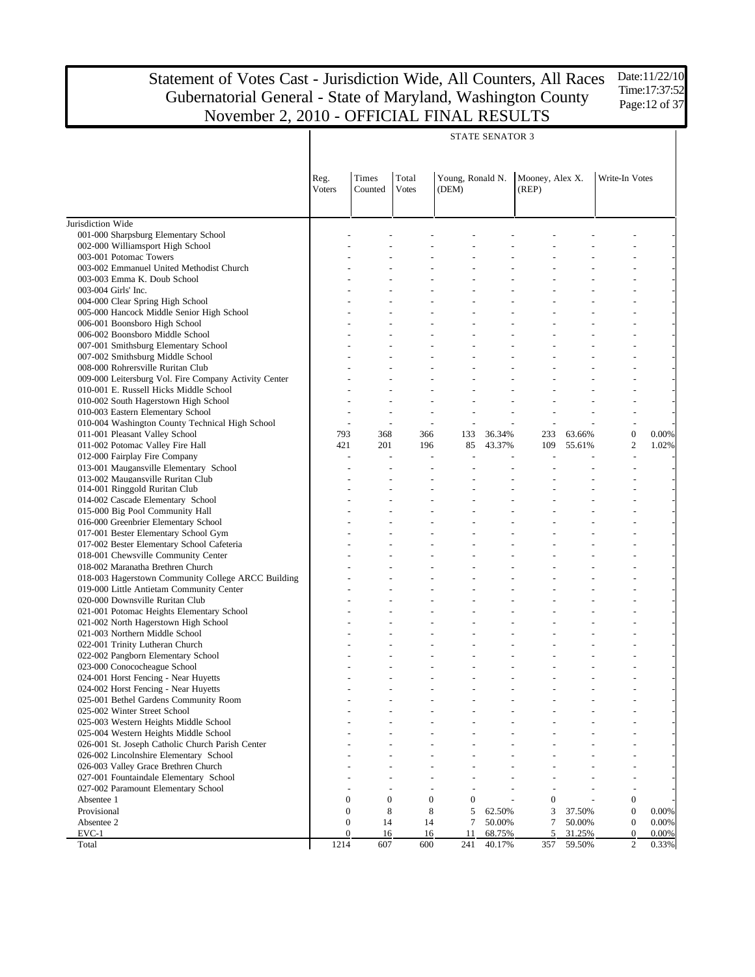|                                                       |                  |                  |                       |                                  | <b>STATE SENATOR 3</b> |                          |        |                          |       |
|-------------------------------------------------------|------------------|------------------|-----------------------|----------------------------------|------------------------|--------------------------|--------|--------------------------|-------|
|                                                       | Reg.<br>Voters   | Times<br>Counted | Total<br><b>Votes</b> | Young, Ronald N.<br>(DEM)        |                        | Mooney, Alex X.<br>(REP) |        | Write-In Votes           |       |
| Jurisdiction Wide                                     |                  |                  |                       |                                  |                        |                          |        |                          |       |
| 001-000 Sharpsburg Elementary School                  |                  |                  |                       |                                  |                        |                          |        |                          |       |
| 002-000 Williamsport High School                      |                  |                  |                       |                                  |                        |                          |        |                          |       |
| 003-001 Potomac Towers                                |                  |                  |                       |                                  |                        |                          |        |                          |       |
| 003-002 Emmanuel United Methodist Church              |                  |                  |                       |                                  |                        |                          |        | ٠                        |       |
| 003-003 Emma K. Doub School                           |                  |                  |                       |                                  |                        |                          |        |                          |       |
| 003-004 Girls' Inc.                                   |                  |                  |                       |                                  |                        |                          |        | ٠                        |       |
| 004-000 Clear Spring High School                      |                  |                  |                       |                                  |                        |                          |        |                          |       |
| 005-000 Hancock Middle Senior High School             |                  |                  |                       |                                  |                        |                          |        | ٠                        |       |
| 006-001 Boonsboro High School                         |                  |                  |                       |                                  |                        |                          |        |                          |       |
| 006-002 Boonsboro Middle School                       |                  |                  |                       |                                  |                        |                          |        | ٠                        |       |
| 007-001 Smithsburg Elementary School                  |                  |                  |                       |                                  |                        |                          |        |                          |       |
| 007-002 Smithsburg Middle School                      |                  |                  |                       |                                  |                        |                          |        | ÷,                       |       |
| 008-000 Rohrersville Ruritan Club                     |                  |                  |                       |                                  |                        |                          |        | ÷,                       |       |
| 009-000 Leitersburg Vol. Fire Company Activity Center |                  |                  |                       |                                  |                        |                          |        | ٠                        |       |
| 010-001 E. Russell Hicks Middle School                |                  |                  |                       |                                  |                        |                          |        |                          |       |
| 010-002 South Hagerstown High School                  |                  |                  |                       |                                  |                        |                          |        | ÷,                       |       |
| 010-003 Eastern Elementary School                     |                  |                  |                       | ÷                                |                        |                          |        | ÷,                       |       |
| 010-004 Washington County Technical High School       |                  | $\overline{a}$   |                       | $\overline{a}$                   |                        |                          |        | $\overline{\phantom{a}}$ |       |
| 011-001 Pleasant Valley School                        | 793              | 368              | 366                   | 133                              | 36.34%                 | 233                      | 63.66% | $\boldsymbol{0}$         | 0.00% |
| 011-002 Potomac Valley Fire Hall                      | 421              | 201              | 196                   | 85                               | 43.37%                 | 109                      | 55.61% | $\overline{2}$           | 1.02% |
| 012-000 Fairplay Fire Company                         |                  |                  |                       |                                  |                        |                          |        | $\overline{a}$           |       |
| 013-001 Maugansville Elementary School                |                  |                  |                       |                                  |                        |                          |        | $\overline{\phantom{a}}$ |       |
| 013-002 Maugansville Ruritan Club                     |                  |                  |                       |                                  |                        |                          |        | ÷,                       |       |
| 014-001 Ringgold Ruritan Club                         |                  |                  |                       |                                  |                        |                          |        |                          |       |
| 014-002 Cascade Elementary School                     |                  |                  |                       |                                  |                        |                          |        |                          |       |
| 015-000 Big Pool Community Hall                       |                  |                  |                       |                                  |                        |                          |        |                          |       |
| 016-000 Greenbrier Elementary School                  |                  |                  |                       |                                  |                        |                          |        |                          |       |
| 017-001 Bester Elementary School Gym                  |                  |                  |                       |                                  |                        |                          |        |                          |       |
| 017-002 Bester Elementary School Cafeteria            |                  |                  |                       |                                  |                        |                          |        |                          |       |
| 018-001 Chewsville Community Center                   |                  |                  |                       |                                  |                        |                          |        |                          |       |
| 018-002 Maranatha Brethren Church                     |                  |                  |                       |                                  |                        |                          |        |                          |       |
| 018-003 Hagerstown Community College ARCC Building    |                  |                  |                       |                                  |                        |                          |        |                          |       |
| 019-000 Little Antietam Community Center              |                  |                  |                       |                                  |                        |                          |        |                          |       |
| 020-000 Downsville Ruritan Club                       |                  |                  |                       |                                  |                        |                          |        |                          |       |
| 021-001 Potomac Heights Elementary School             |                  |                  |                       |                                  |                        |                          |        |                          |       |
| 021-002 North Hagerstown High School                  |                  |                  |                       |                                  |                        |                          |        |                          |       |
| 021-003 Northern Middle School                        |                  |                  |                       |                                  |                        |                          |        |                          |       |
| 022-001 Trinity Lutheran Church                       |                  |                  |                       |                                  |                        |                          |        |                          |       |
| 022-002 Pangborn Elementary School                    |                  |                  |                       |                                  |                        |                          |        |                          |       |
| 023-000 Conococheague School                          |                  |                  |                       |                                  |                        |                          |        |                          |       |
| 024-001 Horst Fencing - Near Huyetts                  |                  |                  |                       |                                  |                        |                          |        | ÷,                       |       |
| 024-002 Horst Fencing - Near Huyetts                  |                  |                  |                       |                                  |                        |                          |        |                          |       |
| 025-001 Bethel Gardens Community Room                 |                  |                  |                       |                                  |                        |                          |        |                          |       |
| 025-002 Winter Street School                          |                  |                  |                       |                                  |                        |                          |        |                          |       |
| 025-003 Western Heights Middle School                 |                  |                  |                       |                                  |                        |                          |        |                          |       |
| 025-004 Western Heights Middle School                 |                  |                  |                       |                                  |                        |                          |        |                          |       |
| 026-001 St. Joseph Catholic Church Parish Center      |                  |                  |                       |                                  |                        |                          |        |                          |       |
| 026-002 Lincolnshire Elementary School                |                  |                  |                       |                                  |                        |                          |        |                          |       |
| 026-003 Valley Grace Brethren Church                  |                  |                  |                       |                                  |                        |                          |        |                          |       |
| 027-001 Fountaindale Elementary School                |                  |                  |                       |                                  |                        |                          |        |                          |       |
| 027-002 Paramount Elementary School                   |                  |                  |                       |                                  |                        |                          |        | $\overline{a}$           |       |
| Absentee 1                                            | $\mathbf{0}$     | $\overline{0}$   |                       | $\mathbf{0}$<br>$\boldsymbol{0}$ |                        | $\overline{0}$           |        | $\boldsymbol{0}$         |       |
| Provisional                                           | $\boldsymbol{0}$ | 8                | 8                     | 5                                | 62.50%                 | 3                        | 37.50% | $\mathbf{0}$             | 0.00% |
| Absentee 2                                            | $\boldsymbol{0}$ | 14               | 14                    | 7                                | 50.00%                 | 7                        | 50.00% | $\boldsymbol{0}$         | 0.00% |
| $EVC-1$                                               | $\mathbf{0}$     | 16               | 16                    | 11                               | 68.75%                 | 5                        | 31.25% | $\mathbf{0}$             | 0.00% |
| Total                                                 | 1214             | 607              | 600                   | 241                              | 40.17%                 | 357                      | 59.50% | $\overline{c}$           | 0.33% |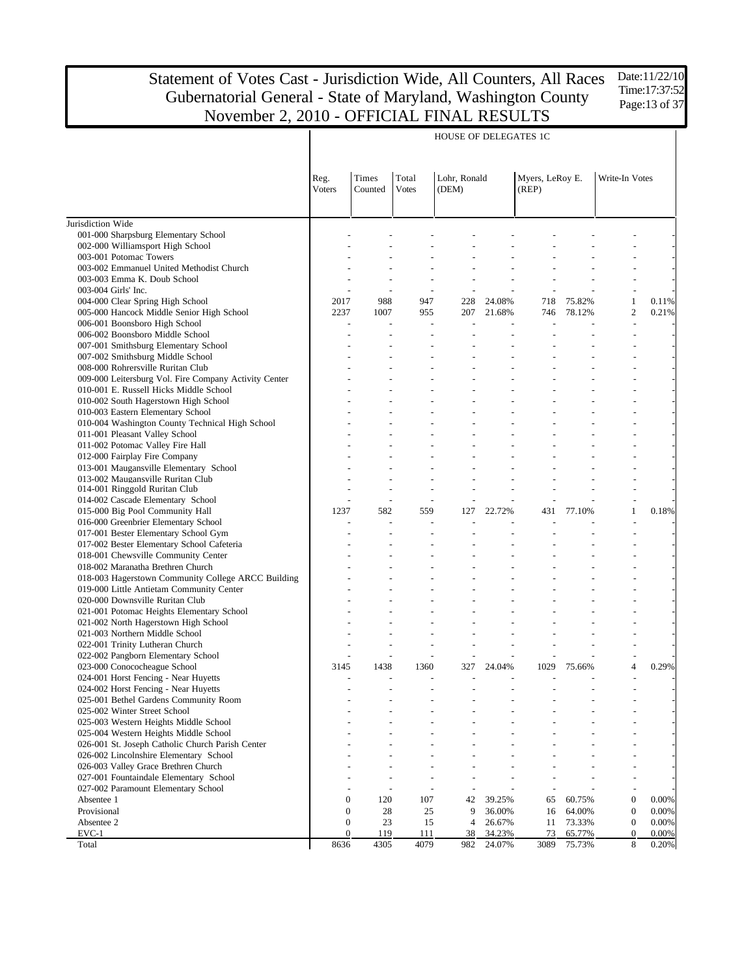HOUSE OF DELEGATES 1C

Jurisdiction Wide 001-000 Sharpsburg Elementary School 002-000 Williamsport High School 003-001 Potomac Towers 003-002 Emmanuel United Methodist Church 003-003 Emma K. Doub School 003-004 Girls' Inc. 004-000 Clear Spring High School 005-000 Hancock Middle Senior High School 006-001 Boonsboro High School 006-002 Boonsboro Middle School 007-001 Smithsburg Elementary School 007-002 Smithsburg Middle School 008-000 Rohrersville Ruritan Club 009-000 Leitersburg Vol. Fire Company Activity Center 010-001 E. Russell Hicks Middle School 010-002 South Hagerstown High School 010-003 Eastern Elementary School 010-004 Washington County Technical High School 011-001 Pleasant Valley School 011-002 Potomac Valley Fire Hall 012-000 Fairplay Fire Company 013-001 Maugansville Elementary School 013-002 Maugansville Ruritan Club 014-001 Ringgold Ruritan Club 014-002 Cascade Elementary School 015-000 Big Pool Community Hall 016-000 Greenbrier Elementary School 017-001 Bester Elementary School Gym 017-002 Bester Elementary School Cafeteria 018-001 Chewsville Community Center 018-002 Maranatha Brethren Church 018-003 Hagerstown Community College ARCC Building 019-000 Little Antietam Community Center 020-000 Downsville Ruritan Club 021-001 Potomac Heights Elementary School 021-002 North Hagerstown High School 021-003 Northern Middle School 022-001 Trinity Lutheran Church 022-002 Pangborn Elementary School 023-000 Conococheague School 024-001 Horst Fencing - Near Huyetts 024-002 Horst Fencing - Near Huyetts 025-001 Bethel Gardens Community Room 025-002 Winter Street School 025-003 Western Heights Middle School 025-004 Western Heights Middle School 026-001 St. Joseph Catholic Church Parish Center 026-002 Lincolnshire Elementary School 026-003 Valley Grace Brethren Church 027-001 Fountaindale Elementary School 027-002 Paramount Elementary School Absentee 1 Provisional Absentee 2 EVC-1 Total Reg. Voters Times Counted Total Votes Lohr, Ronald (DEM) Myers, LeRoy E. (REP) Write-In Votes - - - - - - - - - - - - - - - - - - - - - - - - - - - - - - - - - - - - - - - - - - - - - - - - - - - - - - 2017 988 947 228 24.08% 718 75.82% 1 0.11% 2237 1007 955 207 21.68% 746 78.12% 2 0.21% - - - - - - - - - - - - - - - - - - - - - - - - - - - - - - - - - - - - - - - - - - - - - - - - - - - - - - - - - - - - - - - - - - - - - - - - - - - - - - - - - - - - - - - - - - - - - - - - - - - - - - - - - - - - - - - - - - - - - - - - - - - - - - - - - - - - - - - - - - - - - - - - - - - - - - - - - 1237 582 559 127 22.72% 431 77.10% 1 0.18% - - - - - - - - - - - - - - - - - - - - - - - - - - - - - - - - - - - - - - - - - - - - - - - - - - - - - - - - - - - - - - - - - - - - - - - - - - - - - - - - - - - - - - - - - - - - - - - - - - - - - - - - - - - - - - - - - - - - - 3145 1438 1360 327 24.04% 1029 75.66% 4 0.29% - - - - - - - - - - - - - - - - - - - - - - - - - - - - - - - - - - - - - - - - - - - - - - - - - - - - - - - - - - - - - - - - - - - - - - - - - - - - - - - - - - - - - - - - - - - - - - - - - - - 0 120 107 42 39.25% 65 60.75% 0 0.00% 0 28 25 9 36.00% 16 64.00% 0 0.00% 0 23 15 4 26.67% 11 73.33% 0 0.00% 0 119 111 38 34.23% 73 65.77% 0 0.00% 8636 4305 4079 982 24.07% 3089 75.73% 8 0.20%

Date:11/22/10 Time:17:37:52 Page:13 of 37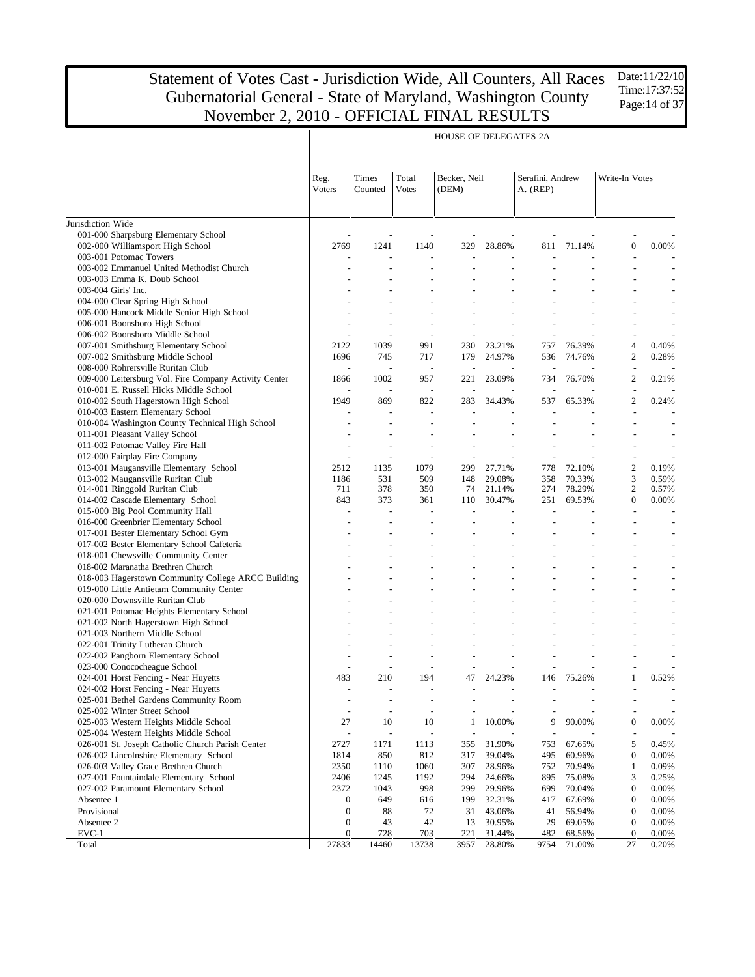Date:11/22/10 Time:17:37:52 Page: 14 of 37

|                                                                                            |                  |                          |                          | <b>HOUSE OF DELEGATES 2A</b> |                  |                              |                  |                  |                |
|--------------------------------------------------------------------------------------------|------------------|--------------------------|--------------------------|------------------------------|------------------|------------------------------|------------------|------------------|----------------|
|                                                                                            | Reg.<br>Voters   | Times<br>Counted         | Total<br><b>Votes</b>    | Becker, Neil<br>(DEM)        |                  | Serafini, Andrew<br>A. (REP) |                  | Write-In Votes   |                |
| Jurisdiction Wide                                                                          |                  |                          |                          |                              |                  |                              |                  |                  |                |
| 001-000 Sharpsburg Elementary School                                                       |                  |                          |                          |                              |                  |                              |                  |                  |                |
| 002-000 Williamsport High School                                                           | 2769             | 1241                     | 1140                     | 329                          | 28.86%           | 811                          | 71.14%           | $\boldsymbol{0}$ | 0.00%          |
| 003-001 Potomac Towers                                                                     |                  | $\overline{a}$           | Ĭ.                       |                              |                  |                              |                  |                  |                |
| 003-002 Emmanuel United Methodist Church                                                   |                  |                          |                          |                              |                  |                              |                  |                  |                |
| 003-003 Emma K. Doub School                                                                |                  |                          |                          |                              |                  |                              |                  |                  |                |
| 003-004 Girls' Inc.                                                                        |                  |                          |                          |                              |                  |                              |                  |                  |                |
| 004-000 Clear Spring High School                                                           |                  |                          |                          |                              |                  |                              |                  |                  |                |
| 005-000 Hancock Middle Senior High School                                                  |                  |                          |                          |                              |                  |                              |                  |                  |                |
| 006-001 Boonsboro High School                                                              |                  |                          |                          |                              |                  |                              |                  |                  |                |
| 006-002 Boonsboro Middle School                                                            | 2122             | $\overline{a}$<br>1039   | J.<br>991                | 230                          | 23.21%           | L,<br>757                    | 76.39%           | $\overline{4}$   | 0.40%          |
| 007-001 Smithsburg Elementary School<br>007-002 Smithsburg Middle School                   | 1696             | 745                      | 717                      | 179                          | 24.97%           | 536                          | 74.76%           | $\overline{c}$   | 0.28%          |
| 008-000 Rohrersville Ruritan Club                                                          |                  | $\overline{\phantom{a}}$ | $\overline{a}$           |                              |                  | ÷,                           |                  | $\overline{a}$   |                |
| 009-000 Leitersburg Vol. Fire Company Activity Center                                      | 1866             | 1002                     | 957                      | 221                          | 23.09%           | 734                          | 76.70%           | $\overline{2}$   | 0.21%          |
| 010-001 E. Russell Hicks Middle School                                                     |                  | Ĭ.                       | $\overline{\phantom{a}}$ | L,                           |                  | ÷,                           |                  | ÷,               |                |
| 010-002 South Hagerstown High School                                                       | 1949             | 869                      | 822                      | 283                          | 34.43%           | 537                          | 65.33%           | $\overline{2}$   | 0.24%          |
| 010-003 Eastern Elementary School                                                          |                  | $\overline{a}$           | $\overline{a}$           |                              |                  |                              |                  |                  |                |
| 010-004 Washington County Technical High School                                            |                  |                          |                          |                              |                  |                              |                  |                  |                |
| 011-001 Pleasant Valley School                                                             |                  |                          |                          |                              |                  |                              |                  |                  |                |
| 011-002 Potomac Valley Fire Hall                                                           |                  |                          |                          |                              |                  |                              |                  |                  |                |
| 012-000 Fairplay Fire Company                                                              |                  | $\overline{a}$           | Ĭ.                       |                              |                  |                              |                  |                  |                |
| 013-001 Maugansville Elementary School                                                     | 2512             | 1135                     | 1079                     | 299                          | 27.71%           | 778                          | 72.10%           | $\sqrt{2}$       | 0.19%          |
| 013-002 Maugansville Ruritan Club                                                          | 1186             | 531                      | 509                      | 148                          | 29.08%           | 358                          | 70.33%           | 3                | 0.59%          |
| 014-001 Ringgold Ruritan Club                                                              | 711              | 378                      | 350                      | 74                           | 21.14%           | 274                          | 78.29%           | $\overline{c}$   | 0.57%          |
| 014-002 Cascade Elementary School                                                          | 843              | 373                      | 361                      | 110                          | 30.47%           | 251                          | 69.53%           | $\overline{0}$   | 0.00%          |
| 015-000 Big Pool Community Hall                                                            |                  |                          |                          |                              |                  |                              |                  |                  |                |
| 016-000 Greenbrier Elementary School                                                       |                  |                          |                          |                              |                  |                              |                  |                  |                |
| 017-001 Bester Elementary School Gym                                                       |                  |                          |                          |                              |                  |                              |                  |                  |                |
| 017-002 Bester Elementary School Cafeteria                                                 |                  |                          |                          |                              |                  |                              |                  |                  |                |
| 018-001 Chewsville Community Center                                                        |                  |                          |                          |                              |                  |                              |                  |                  |                |
| 018-002 Maranatha Brethren Church                                                          |                  |                          |                          |                              |                  |                              |                  |                  |                |
| 018-003 Hagerstown Community College ARCC Building                                         |                  |                          |                          |                              |                  |                              |                  |                  |                |
| 019-000 Little Antietam Community Center                                                   |                  |                          |                          |                              |                  |                              |                  |                  |                |
| 020-000 Downsville Ruritan Club                                                            |                  |                          |                          |                              |                  |                              |                  |                  |                |
| 021-001 Potomac Heights Elementary School                                                  |                  |                          |                          |                              |                  |                              |                  |                  |                |
| 021-002 North Hagerstown High School                                                       |                  |                          |                          |                              |                  |                              |                  |                  |                |
| 021-003 Northern Middle School                                                             |                  |                          |                          |                              |                  |                              |                  |                  |                |
| 022-001 Trinity Lutheran Church                                                            |                  |                          |                          |                              |                  |                              |                  |                  |                |
| 022-002 Pangborn Elementary School                                                         |                  |                          |                          |                              |                  |                              |                  |                  |                |
| 023-000 Conococheague School                                                               |                  |                          |                          |                              |                  |                              |                  |                  |                |
| 024-001 Horst Fencing - Near Huyetts                                                       | 483              | 210                      | 194                      | 47                           | 24.23%           | 146                          | 75.26%           | $\mathbf{1}$     | 0.52%          |
| 024-002 Horst Fencing - Near Huyetts                                                       |                  |                          |                          |                              |                  |                              |                  |                  |                |
| 025-001 Bethel Gardens Community Room                                                      |                  | $\overline{\phantom{a}}$ | $\overline{\phantom{a}}$ |                              |                  |                              |                  |                  |                |
| 025-002 Winter Street School                                                               |                  | $\overline{\phantom{a}}$ | $\overline{a}$           |                              |                  |                              |                  |                  |                |
| 025-003 Western Heights Middle School                                                      | 27               | 10                       | 10                       | 1                            | 10.00%           | 9                            | 90.00%           | $\boldsymbol{0}$ | 0.00%          |
| 025-004 Western Heights Middle School                                                      |                  | $\overline{a}$           |                          |                              |                  |                              |                  | 5                |                |
| 026-001 St. Joseph Catholic Church Parish Center<br>026-002 Lincolnshire Elementary School | 2727<br>1814     | 1171<br>850              | 1113                     | 355<br>317                   | 31.90%           | 753<br>495                   | 67.65%           | $\boldsymbol{0}$ | 0.45%<br>0.00% |
| 026-003 Valley Grace Brethren Church                                                       | 2350             | 1110                     | 812<br>1060              | 307                          | 39.04%<br>28.96% | 752                          | 60.96%<br>70.94% | $\mathbf{1}$     | 0.09%          |
| 027-001 Fountaindale Elementary School                                                     | 2406             | 1245                     | 1192                     | 294                          | 24.66%           | 895                          | 75.08%           | 3                | 0.25%          |
| 027-002 Paramount Elementary School                                                        | 2372             | 1043                     | 998                      | 299                          | 29.96%           | 699                          | 70.04%           | $\boldsymbol{0}$ | 0.00%          |
| Absentee 1                                                                                 | 0                | 649                      | 616                      | 199                          | 32.31%           | 417                          | 67.69%           | $\boldsymbol{0}$ | 0.00%          |
| Provisional                                                                                | $\boldsymbol{0}$ | 88                       | 72                       | 31                           | 43.06%           | 41                           | 56.94%           | $\boldsymbol{0}$ | 0.00%          |
| Absentee 2                                                                                 | $\boldsymbol{0}$ | 43                       | 42                       | 13                           | 30.95%           | 29                           | 69.05%           | $\boldsymbol{0}$ | 0.00%          |
| $EVC-1$                                                                                    | $\mathbf{0}$     | 728                      | 703                      | 221                          | 31.44%           | 482                          | 68.56%           | $\boldsymbol{0}$ | 0.00%          |
| Total                                                                                      | 27833            | 14460                    | 13738                    | 3957                         | 28.80%           | 9754                         | 71.00%           | 27               | 0.20%          |
|                                                                                            |                  |                          |                          |                              |                  |                              |                  |                  |                |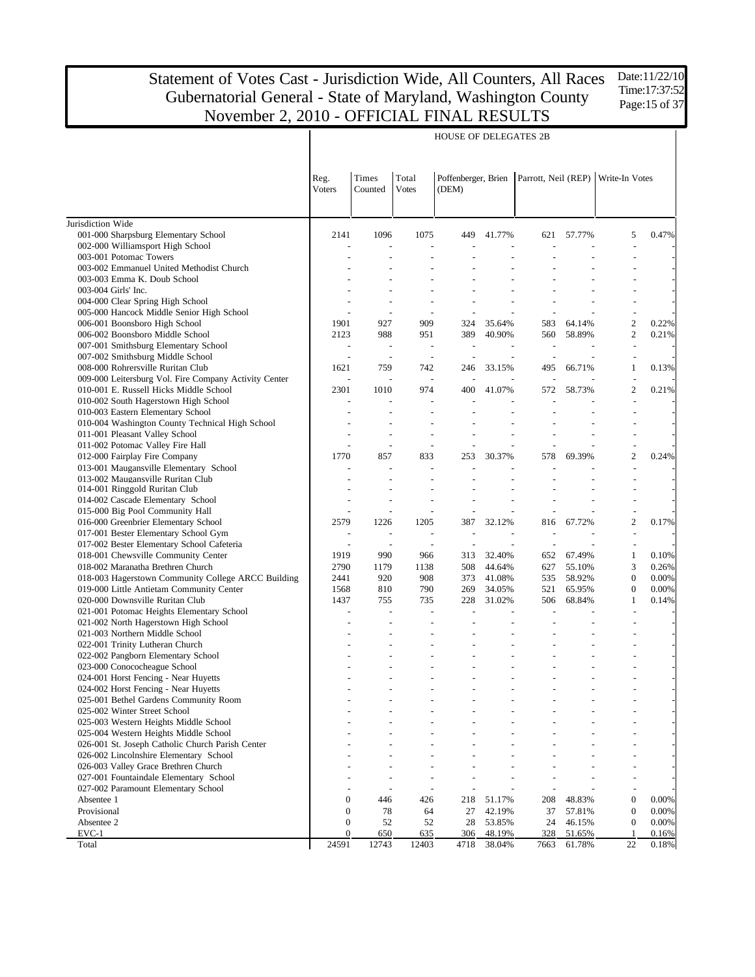HOUSE OF DELEGATES 2B

Jurisdiction Wide 001-000 Sharpsburg Elementary School 002-000 Williamsport High School 003-001 Potomac Towers 003-002 Emmanuel United Methodist Church 003-003 Emma K. Doub School 003-004 Girls' Inc. 004-000 Clear Spring High School 005-000 Hancock Middle Senior High School 006-001 Boonsboro High School 006-002 Boonsboro Middle School 007-001 Smithsburg Elementary School 007-002 Smithsburg Middle School 008-000 Rohrersville Ruritan Club 009-000 Leitersburg Vol. Fire Company Activity Center 010-001 E. Russell Hicks Middle School 010-002 South Hagerstown High School 010-003 Eastern Elementary School 010-004 Washington County Technical High School 011-001 Pleasant Valley School 011-002 Potomac Valley Fire Hall 012-000 Fairplay Fire Company 013-001 Maugansville Elementary School 013-002 Maugansville Ruritan Club 014-001 Ringgold Ruritan Club 014-002 Cascade Elementary School 015-000 Big Pool Community Hall 016-000 Greenbrier Elementary School 017-001 Bester Elementary School Gym 017-002 Bester Elementary School Cafeteria 018-001 Chewsville Community Center 018-002 Maranatha Brethren Church 018-003 Hagerstown Community College ARCC Building 019-000 Little Antietam Community Center 020-000 Downsville Ruritan Club 021-001 Potomac Heights Elementary School 021-002 North Hagerstown High School 021-003 Northern Middle School 022-001 Trinity Lutheran Church 022-002 Pangborn Elementary School 023-000 Conococheague School 024-001 Horst Fencing - Near Huyetts 024-002 Horst Fencing - Near Huyetts 025-001 Bethel Gardens Community Room 025-002 Winter Street School 025-003 Western Heights Middle School 025-004 Western Heights Middle School 026-001 St. Joseph Catholic Church Parish Center 026-002 Lincolnshire Elementary School 026-003 Valley Grace Brethren Church 027-001 Fountaindale Elementary School 027-002 Paramount Elementary School Absentee 1 Provisional Absentee 2 EVC-1 Total Reg. Voters Times Counted Total Votes Poffenberger, Brien Parrott, Neil (REP) Write-In Votes (DEM) 2141 1096 1075 449 41.77% 621 57.77% 5 0.47% - - - - - - - - - - - - - - - - - - - - - - - - - - - - - - - - - - - - - - - - - - - - - - - - - - - - - - - - - - - - - - - 1901 927 909 324 35.64% 583 64.14% 2 0.22% 2123 988 951 389 40.90% 560 58.89% 2 0.21% - - - - - - - - - - - - - - - - - - 1621 759 742 246 33.15% 495 66.71% 1 0.13% - - - - - - - - - 2301 1010 974 400 41.07% 572 58.73% 2 0.21% - - - - - - - - - - - - - - - - - - - - - - - - - - - - - - - - - - - - - - - - - - - - - 1770 857 833 253 30.37% 578 69.39% 2 0.24% - - - - - - - - - - - - - - - - - - - - - - - - - - - - - - - - - - - - - - - - - - - - - 2579 1226 1205 387 32.12% 816 67.72% 2 0.17% - - - - - - - - - - - - - - - - - - 1919 990 966 313 32.40% 652 67.49% 1 0.10% 2790 1179 1138 508 44.64% 627 55.10% 3 0.26% 2441 920 908 373 41.08% 535 58.92% 0 0.00% 1568 810 790 269 34.05% 521 65.95% 0 0.00% 1437 755 735 228 31.02% 506 68.84% 1 0.14% - - - - - - - - - - - - - - - - - - - - - - - - - - - - - - - - - - - - - - - - - - - - - - - - - - - - - - - - - - - - - - - - - - - - - - - - - - - - - - - - - - - - - - - - - - - - - - - - - - - - - - - - - - - - - - - - - - - - - - - - - - - - - - - - - - - - - - - - - - - - - - - - - - - - - - - - - 0 446 426 218 51.17% 208 48.83% 0 0.00% 0 78 64 27 42.19% 37 57.81% 0 0.00% 0 52 52 28 53.85% 24 46.15% 0 0.00% 0 650 635 306 48.19% 328 51.65% 1 0.16% 24591 12743 12403 4718 38.04% 7663 61.78% 22 0.18%

Time:17:37:52 Page:15 of 37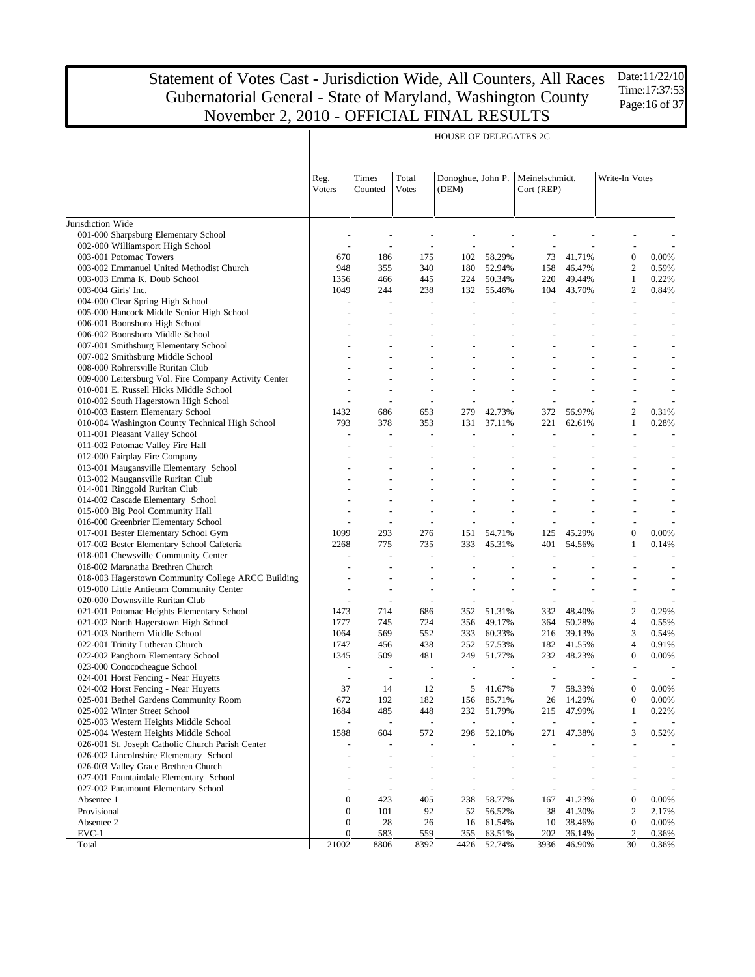HOUSE OF DELEGATES 2C

Jurisdiction Wide 001-000 Sharpsburg Elementary School 002-000 Williamsport High School 003-001 Potomac Towers 003-002 Emmanuel United Methodist Church 003-003 Emma K. Doub School 003-004 Girls' Inc. 004-000 Clear Spring High School 005-000 Hancock Middle Senior High School 006-001 Boonsboro High School 006-002 Boonsboro Middle School 007-001 Smithsburg Elementary School 007-002 Smithsburg Middle School 008-000 Rohrersville Ruritan Club 009-000 Leitersburg Vol. Fire Company Activity Center 010-001 E. Russell Hicks Middle School 010-002 South Hagerstown High School 010-003 Eastern Elementary School 010-004 Washington County Technical High School 011-001 Pleasant Valley School 011-002 Potomac Valley Fire Hall 012-000 Fairplay Fire Company 013-001 Maugansville Elementary School 013-002 Maugansville Ruritan Club 014-001 Ringgold Ruritan Club 014-002 Cascade Elementary School 015-000 Big Pool Community Hall 016-000 Greenbrier Elementary School 017-001 Bester Elementary School Gym 017-002 Bester Elementary School Cafeteria 018-001 Chewsville Community Center 018-002 Maranatha Brethren Church 018-003 Hagerstown Community College ARCC Building 019-000 Little Antietam Community Center 020-000 Downsville Ruritan Club 021-001 Potomac Heights Elementary School 021-002 North Hagerstown High School 021-003 Northern Middle School 022-001 Trinity Lutheran Church 022-002 Pangborn Elementary School 023-000 Conococheague School 024-001 Horst Fencing - Near Huyetts 024-002 Horst Fencing - Near Huyetts 025-001 Bethel Gardens Community Room 025-002 Winter Street School 025-003 Western Heights Middle School 025-004 Western Heights Middle School 026-001 St. Joseph Catholic Church Parish Center 026-002 Lincolnshire Elementary School 026-003 Valley Grace Brethren Church 027-001 Fountaindale Elementary School 027-002 Paramount Elementary School Absentee 1 Provisional Absentee 2 EVC-1 Total Reg. Voters Times Counted Total Votes Donoghue, John P. Meinelschmidt, (DEM) Cort (REP) Write-In Votes - - - - - - - - - - - - - - - - - - 670 186 175 102 58.29% 73 41.71% 0 0.00% 948 355 340 180 52.94% 158 46.47% 2 0.59% 1356 466 445 224 50.34% 220 49.44% 1 0.22% 1049 244 238 132 55.46% 104 43.70% 2 0.84% - - - - - - - - - - - - - - - - - - - - - - - - - - - - - - - - - - - - - - - - - - - - - - - - - - - - - - - - - - - - - - - - - - - - - - - - - - - - - - - - - - - - - - - - - - 1432 686 653 279 42.73% 372 56.97% 2 0.31% 793 378 353 131 37.11% 221 62.61% 1 0.28% - - - - - - - - - - - - - - - - - - - - - - - - - - - - - - - - - - - - - - - - - - - - - - - - - - - - - - - - - - - - - - - - - - - - - - - - - - - - - - - - - 1099 293 276 151 54.71% 125 45.29% 0 0.00% 2268 775 735 333 45.31% 401 54.56% 1 0.14% - - - - - - - - - - - - - - - - - - - - - - - - - - - - - - - - - - - - - - - - - - - - - 1473 714 686 352 51.31% 332 48.40% 2 0.29% 1777 745 724 356 49.17% 364 50.28% 4 0.55% 1064 569 552 333 60.33% 216 39.13% 3 0.54% 1747 456 438 252 57.53% 182 41.55% 4 0.91% 1345 509 481 249 51.77% 232 48.23% 0 0.00% - - - - - - - - - - - - - - - - - - 37 14 12 5 41.67% 7 58.33% 0 0.00% 672 192 182 156 85.71% 26 14.29% 0 0.00% 1684 485 448 232 51.79% 215 47.99% 1 0.22% - - - - - - - - - 1588 604 572 298 52.10% 271 47.38% 3 0.52% - - - - - - - - - - - - - - - - - - - - - - - - - - - - - - - - - - - - - - - - - - - - - 0 423 405 238 58.77% 167 41.23% 0 0.00% 0 101 92 52 56.52% 38 41.30% 2 2.17% 0 28 26 16 61.54% 10 38.46% 0 0.00% 0 583 559 355 63.51% 202 36.14% 2 0.36% 21002 8806 8392 4426 52.74% 3936 46.90% 30 0.36%

Date:11/22/10 Time:17:37:53 Page:16 of 37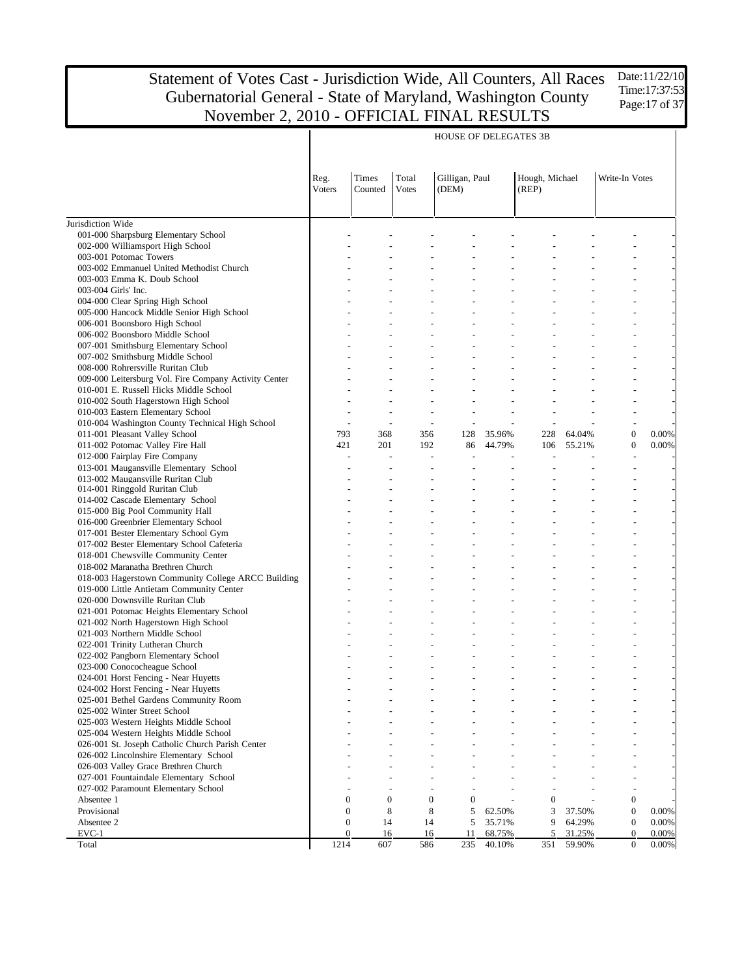HOUSE OF DELEGATES 3B

Jurisdiction Wide 001-000 Sharpsburg Elementary School 002-000 Williamsport High School 003-001 Potomac Towers 003-002 Emmanuel United Methodist Church 003-003 Emma K. Doub School 003-004 Girls' Inc. 004-000 Clear Spring High School 005-000 Hancock Middle Senior High School 006-001 Boonsboro High School 006-002 Boonsboro Middle School 007-001 Smithsburg Elementary School 007-002 Smithsburg Middle School 008-000 Rohrersville Ruritan Club 009-000 Leitersburg Vol. Fire Company Activity Center 010-001 E. Russell Hicks Middle School 010-002 South Hagerstown High School 010-003 Eastern Elementary School 010-004 Washington County Technical High School 011-001 Pleasant Valley School 011-002 Potomac Valley Fire Hall 012-000 Fairplay Fire Company 013-001 Maugansville Elementary School 013-002 Maugansville Ruritan Club 014-001 Ringgold Ruritan Club 014-002 Cascade Elementary School 015-000 Big Pool Community Hall 016-000 Greenbrier Elementary School 017-001 Bester Elementary School Gym 017-002 Bester Elementary School Cafeteria 018-001 Chewsville Community Center 018-002 Maranatha Brethren Church 018-003 Hagerstown Community College ARCC Building 019-000 Little Antietam Community Center 020-000 Downsville Ruritan Club 021-001 Potomac Heights Elementary School 021-002 North Hagerstown High School 021-003 Northern Middle School 022-001 Trinity Lutheran Church 022-002 Pangborn Elementary School 023-000 Conococheague School 024-001 Horst Fencing - Near Huyetts 024-002 Horst Fencing - Near Huyetts 025-001 Bethel Gardens Community Room 025-002 Winter Street School 025-003 Western Heights Middle School 025-004 Western Heights Middle School 026-001 St. Joseph Catholic Church Parish Center 026-002 Lincolnshire Elementary School 026-003 Valley Grace Brethren Church 027-001 Fountaindale Elementary School 027-002 Paramount Elementary School Absentee 1 Provisional Absentee 2 EVC-1 Total Reg. Voters Times Counted Total Votes Gilligan, Paul (DEM) Hough, Michael (REP) Write-In Votes - - - - - - - - - - - - - - - - - - - - - - - - - - - - - - - - - - - - - - - - - - - - - - - - - - - - - - - - - - - - - - - - - - - - - - - - - - - - - - - - - - - - - - - - - - - - - - - - - - - - - - - - - - - - - - - - - - - - - - - - - - - - - - - - - - - - - - - - - - - - - - - - - - - - - - - - - - - - - - - - - - 793 368 356 128 35.96% 228 64.04% 0 0.00% 421 201 192 86 44.79% 106 55.21% 0 0.00% - - - - - - - - - - - - - - - - - - - - - - - - - - - - - - - - - - - - - - - - - - - - - - - - - - - - - - - - - - - - - - - - - - - - - - - - - - - - - - - - - - - - - - - - - - - - - - - - - - - - - - - - - - - - - - - - - - - - - - - - - - - - - - - - - - - - - - - - - - - - - - - - - - - - - - - - - - - - - - - - - - - - - - - - - - - - - - - - - - - - - - - - - - - - - - - - - - - - - - - - - - - - - - - - - - - - - - - - - - - - - - - - - - - - - - - - - - - - - - - - - - - - - - - - - - - - - - - - - - - - - - - - - - - - - - - - - - - - - - -  $0 \t 0 \t 0 \t 0 \t - \t 0 \t - \t 0$  $\begin{array}{ccccccccccc} 0 & & 8 & & 8 & & 5 & 62.50\% & & 3 & 37.50\% & & & 0 & 0.00\% \\ 0 & & 14 & & 14 & & 5 & 35.71\% & & 9 & 64.29\% & & 0 & 0.00\% \end{array}$ 0 14 14 5 35.71% 9 64.29% 0 0.00% 0 16 16 11 68.75% 5 31.25% 0 0.00% 1214 607 586 235 40.10% 351 59.90% 0 0.00%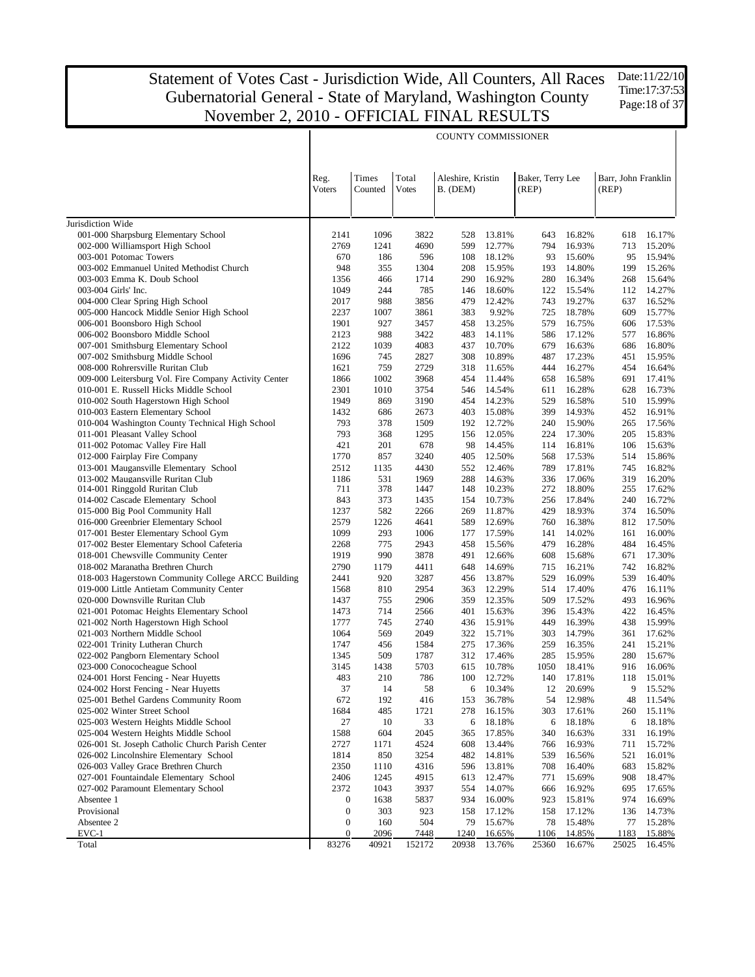COUNTY COMMISSIONER

Jurisdiction Wide 001-000 Sharpsburg Elementary School 002-000 Williamsport High School 003-001 Potomac Towers 003-002 Emmanuel United Methodist Church 003-003 Emma K. Doub School 003-004 Girls' Inc. 004-000 Clear Spring High School 005-000 Hancock Middle Senior High School 006-001 Boonsboro High School 006-002 Boonsboro Middle School 007-001 Smithsburg Elementary School 007-002 Smithsburg Middle School 008-000 Rohrersville Ruritan Club 009-000 Leitersburg Vol. Fire Company Activity Center 010-001 E. Russell Hicks Middle School 010-002 South Hagerstown High School 010-003 Eastern Elementary School 010-004 Washington County Technical High School 011-001 Pleasant Valley School 011-002 Potomac Valley Fire Hall 012-000 Fairplay Fire Company 013-001 Maugansville Elementary School 013-002 Maugansville Ruritan Club 014-001 Ringgold Ruritan Club 014-002 Cascade Elementary School 015-000 Big Pool Community Hall 016-000 Greenbrier Elementary School 017-001 Bester Elementary School Gym 017-002 Bester Elementary School Cafeteria 018-001 Chewsville Community Center 018-002 Maranatha Brethren Church 018-003 Hagerstown Community College ARCC Building 019-000 Little Antietam Community Center 020-000 Downsville Ruritan Club 021-001 Potomac Heights Elementary School 021-002 North Hagerstown High School 021-003 Northern Middle School 022-001 Trinity Lutheran Church 022-002 Pangborn Elementary School 023-000 Conococheague School 024-001 Horst Fencing - Near Huyetts 024-002 Horst Fencing - Near Huyetts 025-001 Bethel Gardens Community Room 025-002 Winter Street School 025-003 Western Heights Middle School 025-004 Western Heights Middle School 026-001 St. Joseph Catholic Church Parish Center 026-002 Lincolnshire Elementary School 026-003 Valley Grace Brethren Church 027-001 Fountaindale Elementary School 027-002 Paramount Elementary School Absentee 1 Provisional Absentee 2 EVC-1 Total Reg. Voters Times Counted Total Votes Aleshire, Kristin B. (DEM) Baker, Terry Lee (REP) Barr, John Franklin (REP) 2141 1096 3822 528 13.81% 643 16.82% 618 16.17% 2769 1241 4690 599 12.77% 794 16.93% 713 15.20% 670 186 596 108 18.12% 93 15.60% 95 15.94% 948 355 1304 208 15.95% 193 14.80% 199 15.26% 1356 466 1714 290 16.92% 280 16.34% 268 15.64% 1049 244 785 146 18.60% 122 15.54% 112 14.27% 2017 988 3856 479 12.42% 743 19.27% 637 16.52% 2237 1007 3861 383 9.92% 725 18.78% 609 15.77% 1901 927 3457 458 13.25% 579 16.75% 606 17.53% 2123 988 3422 483 14.11% 586 17.12% 577 16.86% 2122 1039 4083 437 10.70% 679 16.63% 686 16.80% 1696 745 2827 308 10.89% 487 17.23% 451 15.95% 1621 759 2729 318 11.65% 444 16.27% 454 16.64% 1866 1002 3968 454 11.44% 658 16.58% 691 17.41% 2301 1010 3754 546 14.54% 611 16.28% 628 16.73% 1949 869 3190 454 14.23% 529 16.58% 510 15.99% 1432 686 2673 403 15.08% 399 14.93% 452 16.91% 793 378 1509 192 12.72% 240 15.90% 265 17.56% 793 368 1295 156 12.05% 224 17.30% 205 15.83% 421 201 678 98 14.45% 114 16.81% 106 15.63% 1770 857 3240 405 12.50% 568 17.53% 514 15.86% 2512 1135 4430 552 12.46% 789 17.81% 745 16.82% 1186 531 1969 288 14.63% 336 17.06% 319 16.20% 711 378 1447 148 10.23% 272 18.80% 255 17.62% 843 373 1435 154 10.73% 256 17.84% 240 16.72% 1237 582 2266 269 11.87% 429 18.93% 374 16.50% 2579 1226 4641 589 12.69% 760 16.38% 812 17.50% 1099 293 1006 177 17.59% 141 14.02% 161 16.00% 2268 775 2943 458 15.56% 479 16.28% 484 16.45% 1919 990 3878 491 12.66% 608 15.68% 671 17.30% 2790 1179 4411 648 14.69% 715 16.21% 742 16.82% 2441 920 3287 456 13.87% 529 16.09% 539 16.40% 1568 810 2954 363 12.29% 514 17.40% 476 16.11% 1437 755 2906 359 12.35% 509 17.52% 493 16.96% 1473 714 2566 401 15.63% 396 15.43% 422 16.45% 1777 745 2740 436 15.91% 449 16.39% 438 15.99% 1064 569 2049 322 15.71% 303 14.79% 361 17.62% 1747 456 1584 275 17.36% 259 16.35% 241 15.21% 1345 509 1787 312 17.46% 285 15.95% 280 15.67% 3145 1438 5703 615 10.78% 1050 18.41% 916 16.06% 483 210 786 100 12.72% 140 17.81% 118 15.01% 37 14 58 6 10.34% 12 20.69% 9 15.52% 672 192 416 153 36.78% 54 12.98% 48 11.54% 1684 485 1721 278 16.15% 303 17.61% 260 15.11% 27 10 33 6 18.18% 6 18.18% 6 18.18% 1588 604 2045 365 17.85% 340 16.63% 331 16.19% 2727 1171 4524 608 13.44% 766 16.93% 711 15.72% 1814 850 3254 482 14.81% 539 16.56% 521 16.01% 2350 1110 4316 596 13.81% 708 16.40% 683 15.82% 2406 1245 4915 613 12.47% 771 15.69% 908 18.47% 2372 1043 3937 554 14.07% 666 16.92% 695 17.65% 0 1638 5837 934 16.00% 923 15.81% 974 16.69% 0 303 923 158 17.12% 158 17.12% 136 14.73% 0 160 504 79 15.67% 78 15.48% 77 15.28% 0 2096 7448 1240 16.65% 1106 14.85% 1183 15.88% 83276 40921 152172 20938 13.76% 25360 16.67% 25025 16.45%

Time:17:37:53 Page:18 of 37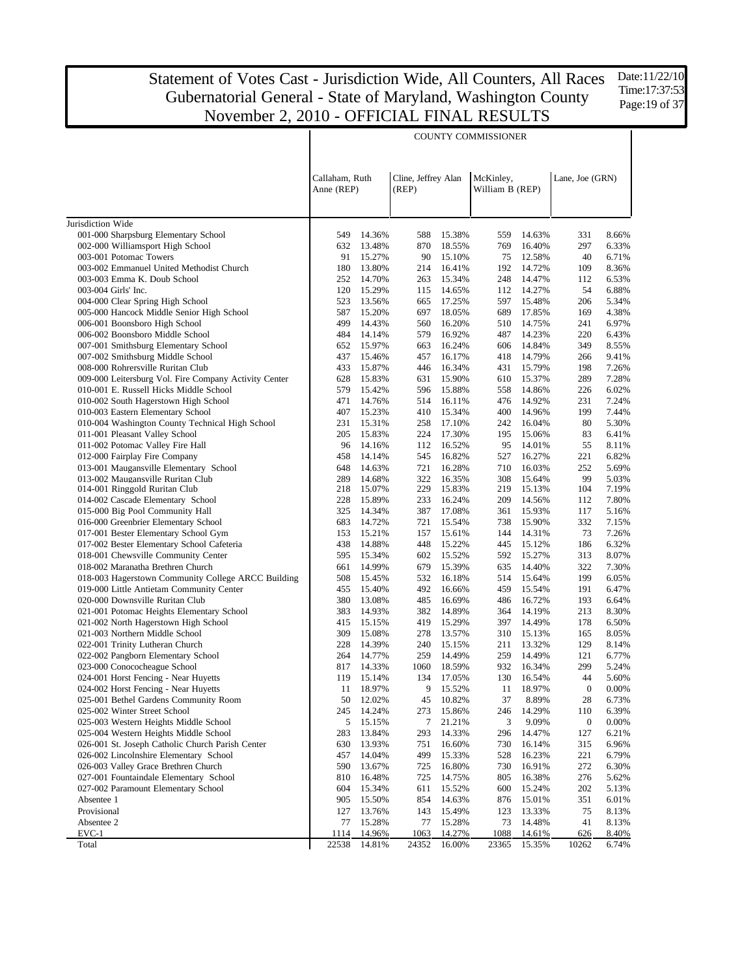Date:11/22/10 Time:17:37:53 Page: 19 of 37

|                                                                         |                              |                  |                              |                  | <b>COUNTY COMMISSIONER</b>   |                  |                  |                |
|-------------------------------------------------------------------------|------------------------------|------------------|------------------------------|------------------|------------------------------|------------------|------------------|----------------|
|                                                                         | Callaham, Ruth<br>Anne (REP) |                  | Cline, Jeffrey Alan<br>(REP) |                  | McKinley,<br>William B (REP) |                  | Lane, Joe (GRN)  |                |
| Jurisdiction Wide                                                       |                              |                  |                              |                  |                              |                  |                  |                |
| 001-000 Sharpsburg Elementary School                                    | 549                          | 14.36%           | 588                          | 15.38%           | 559                          | 14.63%           | 331              | 8.66%          |
| 002-000 Williamsport High School                                        | 632                          | 13.48%           | 870                          | 18.55%           | 769                          | 16.40%           | 297              | 6.33%          |
| 003-001 Potomac Towers                                                  | 91                           | 15.27%           | 90                           | 15.10%           | 75                           | 12.58%           | 40               | 6.71%          |
| 003-002 Emmanuel United Methodist Church                                | 180                          | 13.80%           | 214                          | 16.41%           | 192                          | 14.72%           | 109              | 8.36%          |
| 003-003 Emma K. Doub School                                             | 252                          | 14.70%           | 263                          | 15.34%           | 248                          | 14.47%           | 112              | 6.53%          |
| 003-004 Girls' Inc.                                                     | 120                          | 15.29%           | 115                          | 14.65%           | 112                          | 14.27%           | 54               | 6.88%          |
| 004-000 Clear Spring High School                                        | 523                          | 13.56%           | 665                          | 17.25%           | 597                          | 15.48%           | 206              | 5.34%          |
| 005-000 Hancock Middle Senior High School                               | 587                          | 15.20%           | 697                          | 18.05%           | 689                          | 17.85%           | 169              | 4.38%          |
| 006-001 Boonsboro High School                                           | 499                          | 14.43%           | 560                          | 16.20%           | 510                          | 14.75%           | 241              | 6.97%          |
| 006-002 Boonsboro Middle School                                         | 484                          | 14.14%           | 579                          | 16.92%           | 487                          | 14.23%           | 220              | 6.43%          |
| 007-001 Smithsburg Elementary School                                    | 652                          | 15.97%           | 663                          | 16.24%           | 606                          | 14.84%           | 349              | 8.55%          |
| 007-002 Smithsburg Middle School                                        | 437                          | 15.46%           | 457                          | 16.17%           | 418                          | 14.79%           | 266              | 9.41%          |
| 008-000 Rohrersville Ruritan Club                                       | 433                          | 15.87%           | 446                          | 16.34%           | 431                          | 15.79%           | 198              | 7.26%          |
| 009-000 Leitersburg Vol. Fire Company Activity Center                   | 628                          | 15.83%           | 631                          | 15.90%           | 610                          | 15.37%           | 289              | 7.28%          |
| 010-001 E. Russell Hicks Middle School                                  | 579                          | 15.42%           | 596                          | 15.88%           | 558                          | 14.86%           | 226              | 6.02%          |
| 010-002 South Hagerstown High School                                    | 471                          | 14.76%           | 514                          | 16.11%           | 476                          | 14.92%           | 231              | 7.24%          |
| 010-003 Eastern Elementary School                                       | 407                          | 15.23%           | 410                          | 15.34%           | 400                          | 14.96%           | 199              | 7.44%          |
| 010-004 Washington County Technical High School                         | 231                          | 15.31%           | 258                          | 17.10%           | 242                          | 16.04%           | 80               | 5.30%<br>6.41% |
| 011-001 Pleasant Valley School<br>011-002 Potomac Valley Fire Hall      | 205<br>96                    | 15.83%<br>14.16% | 224                          | 17.30%           | 195<br>95                    | 15.06%           | 83<br>55         | 8.11%          |
|                                                                         | 458                          | 14.14%           | 112<br>545                   | 16.52%<br>16.82% | 527                          | 14.01%<br>16.27% | 221              | 6.82%          |
| 012-000 Fairplay Fire Company<br>013-001 Maugansville Elementary School | 648                          | 14.63%           | 721                          | 16.28%           | 710                          | 16.03%           | 252              | 5.69%          |
| 013-002 Maugansville Ruritan Club                                       | 289                          | 14.68%           | 322                          | 16.35%           | 308                          | 15.64%           | 99               | 5.03%          |
| 014-001 Ringgold Ruritan Club                                           | 218                          | 15.07%           | 229                          | 15.83%           | 219                          | 15.13%           | 104              | 7.19%          |
| 014-002 Cascade Elementary School                                       | 228                          | 15.89%           | 233                          | 16.24%           | 209                          | 14.56%           | 112              | 7.80%          |
| 015-000 Big Pool Community Hall                                         | 325                          | 14.34%           | 387                          | 17.08%           | 361                          | 15.93%           | 117              | 5.16%          |
| 016-000 Greenbrier Elementary School                                    | 683                          | 14.72%           | 721                          | 15.54%           | 738                          | 15.90%           | 332              | 7.15%          |
| 017-001 Bester Elementary School Gym                                    | 153                          | 15.21%           | 157                          | 15.61%           | 144                          | 14.31%           | 73               | 7.26%          |
| 017-002 Bester Elementary School Cafeteria                              | 438                          | 14.88%           | 448                          | 15.22%           | 445                          | 15.12%           | 186              | 6.32%          |
| 018-001 Chewsville Community Center                                     | 595                          | 15.34%           | 602                          | 15.52%           | 592                          | 15.27%           | 313              | 8.07%          |
| 018-002 Maranatha Brethren Church                                       | 661                          | 14.99%           | 679                          | 15.39%           | 635                          | 14.40%           | 322              | 7.30%          |
| 018-003 Hagerstown Community College ARCC Building                      | 508                          | 15.45%           | 532                          | 16.18%           | 514                          | 15.64%           | 199              | 6.05%          |
| 019-000 Little Antietam Community Center                                | 455                          | 15.40%           | 492                          | 16.66%           | 459                          | 15.54%           | 191              | 6.47%          |
| 020-000 Downsville Ruritan Club                                         | 380                          | 13.08%           | 485                          | 16.69%           | 486                          | 16.72%           | 193              | 6.64%          |
| 021-001 Potomac Heights Elementary School                               | 383                          | 14.93%           | 382                          | 14.89%           | 364                          | 14.19%           | 213              | 8.30%          |
| 021-002 North Hagerstown High School                                    | 415                          | 15.15%           | 419                          | 15.29%           | 397                          | 14.49%           | 178              | 6.50%          |
| 021-003 Northern Middle School                                          | 309                          | 15.08%<br>14.39% | 278                          | 13.57%           | 310                          | 15.13%           | 165              | 8.05%          |
| 022-001 Trinity Lutheran Church<br>022-002 Pangborn Elementary School   | 228<br>264                   | 14.77%           | 240<br>259                   | 15.15%<br>14.49% | 211<br>259                   | 13.32%<br>14.49% | 129<br>121       | 8.14%<br>6.77% |
| 023-000 Conococheague School                                            | 817                          | 14.33%           | 1060                         | 18.59%           | 932                          | 16.34%           | 299              | 5.24%          |
| 024-001 Horst Fencing - Near Huyetts                                    | 119                          | 15.14%           |                              | 134 17.05%       |                              | 130 16.54%       | 44               | 5.60%          |
| 024-002 Horst Fencing - Near Huyetts                                    | 11                           | 18.97%           | 9                            | 15.52%           | 11                           | 18.97%           | $\boldsymbol{0}$ | 0.00%          |
| 025-001 Bethel Gardens Community Room                                   | 50                           | 12.02%           | 45                           | 10.82%           | 37                           | 8.89%            | 28               | 6.73%          |
| 025-002 Winter Street School                                            | 245                          | 14.24%           | 273                          | 15.86%           | 246                          | 14.29%           | 110              | 6.39%          |
| 025-003 Western Heights Middle School                                   | 5                            | 15.15%           | 7                            | 21.21%           | 3                            | 9.09%            | $\boldsymbol{0}$ | 0.00%          |
| 025-004 Western Heights Middle School                                   | 283                          | 13.84%           | 293                          | 14.33%           | 296                          | 14.47%           | 127              | 6.21%          |
| 026-001 St. Joseph Catholic Church Parish Center                        | 630                          | 13.93%           | 751                          | 16.60%           | 730                          | 16.14%           | 315              | 6.96%          |
| 026-002 Lincolnshire Elementary School                                  | 457                          | 14.04%           | 499                          | 15.33%           | 528                          | 16.23%           | 221              | 6.79%          |
| 026-003 Valley Grace Brethren Church                                    | 590                          | 13.67%           | 725                          | 16.80%           | 730                          | 16.91%           | 272              | 6.30%          |
| 027-001 Fountaindale Elementary School                                  | 810                          | 16.48%           | 725                          | 14.75%           | 805                          | 16.38%           | 276              | 5.62%          |
| 027-002 Paramount Elementary School                                     | 604                          | 15.34%           | 611                          | 15.52%           | 600                          | 15.24%           | 202              | 5.13%          |
| Absentee 1                                                              | 905                          | 15.50%           | 854                          | 14.63%           | 876                          | 15.01%           | 351              | 6.01%          |
| Provisional                                                             | 127                          | 13.76%           | 143                          | 15.49%           | 123                          | 13.33%           | 75               | 8.13%          |
| Absentee 2                                                              | 77                           | 15.28%           | 77                           | 15.28%           | 73                           | 14.48%           | 41               | 8.13%          |
| $EVC-1$                                                                 | 1114                         | 14.96%           | 1063                         | 14.27%           | 1088                         | 14.61%           | 626              | 8.40%          |
| Total                                                                   | 22538                        | 14.81%           | 24352                        | 16.00%           | 23365                        | 15.35%           | 10262            | 6.74%          |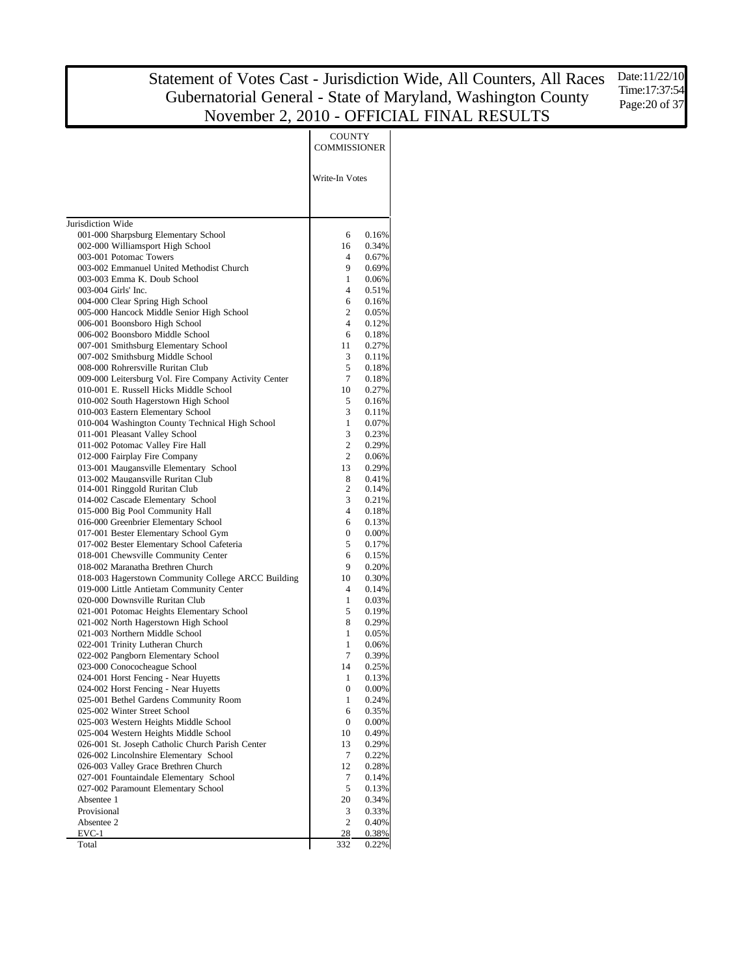|                                                                                            | <b>COUNTY</b><br>COMMISSIONER |                |
|--------------------------------------------------------------------------------------------|-------------------------------|----------------|
|                                                                                            | Write-In Votes                |                |
| Jurisdiction Wide                                                                          |                               |                |
| 001-000 Sharpsburg Elementary School                                                       | 6                             | 0.16%          |
| 002-000 Williamsport High School                                                           | 16                            | 0.34%          |
| 003-001 Potomac Towers                                                                     | 4                             | 0.67%          |
| 003-002 Emmanuel United Methodist Church                                                   | 9                             | 0.69%          |
| 003-003 Emma K. Doub School                                                                | 1                             | 0.06%          |
| 003-004 Girls' Inc.<br>004-000 Clear Spring High School                                    | 4<br>6                        | 0.51%<br>0.16% |
| 005-000 Hancock Middle Senior High School                                                  | 2                             | 0.05%          |
| 006-001 Boonsboro High School                                                              | 4                             | 0.12%          |
| 006-002 Boonsboro Middle School                                                            | 6                             | 0.18%          |
| 007-001 Smithsburg Elementary School                                                       | 11                            | 0.27%          |
| 007-002 Smithsburg Middle School                                                           | 3                             | 0.11%          |
| 008-000 Rohrersville Ruritan Club                                                          | 5                             | 0.18%          |
| 009-000 Leitersburg Vol. Fire Company Activity Center                                      | 7                             | 0.18%          |
| 010-001 E. Russell Hicks Middle School                                                     | 10                            | 0.27%          |
| 010-002 South Hagerstown High School                                                       | 5                             | 0.16%          |
| 010-003 Eastern Elementary School<br>010-004 Washington County Technical High School       | 3<br>1                        | 0.11%<br>0.07% |
| 011-001 Pleasant Valley School                                                             | 3                             | 0.23%          |
| 011-002 Potomac Valley Fire Hall                                                           | 2                             | 0.29%          |
| 012-000 Fairplay Fire Company                                                              | 2                             | 0.06%          |
| 013-001 Maugansville Elementary School                                                     | 13                            | 0.29%          |
| 013-002 Maugansville Ruritan Club                                                          | 8                             | 0.41%          |
| 014-001 Ringgold Ruritan Club                                                              | $\overline{c}$                | 0.14%          |
| 014-002 Cascade Elementary School                                                          | 3                             | 0.21%          |
| 015-000 Big Pool Community Hall<br>016-000 Greenbrier Elementary School                    | $\overline{4}$<br>6           | 0.18%<br>0.13% |
| 017-001 Bester Elementary School Gym                                                       | $\mathbf{0}$                  | 0.00%          |
| 017-002 Bester Elementary School Cafeteria                                                 | 5                             | 0.17%          |
| 018-001 Chewsville Community Center                                                        | 6                             | 0.15%          |
| 018-002 Maranatha Brethren Church                                                          | 9                             | 0.20%          |
| 018-003 Hagerstown Community College ARCC Building                                         | 10                            | 0.30%          |
| 019-000 Little Antietam Community Center                                                   | 4                             | 0.14%          |
| 020-000 Downsville Ruritan Club                                                            | 1                             | 0.03%          |
| 021-001 Potomac Heights Elementary School                                                  | 5                             | 0.19%          |
| 021-002 North Hagerstown High School<br>021-003 Northern Middle School                     | 8<br>1                        | 0.29%          |
| 022-001 Trinity Lutheran Church                                                            | 1                             | 0.05%<br>0.06% |
| 022-002 Pangborn Elementary School                                                         | 7                             | 0.39%          |
| 023-000 Conococheague School                                                               | 14                            | 0.25%          |
| 024-001 Horst Fencing - Near Huyetts                                                       | 1                             | 0.13%          |
| 024-002 Horst Fencing - Near Huyetts                                                       | $\boldsymbol{0}$              | 0.00%          |
| 025-001 Bethel Gardens Community Room                                                      | 1                             | 0.24%          |
| 025-002 Winter Street School                                                               | 6                             | 0.35%          |
| 025-003 Western Heights Middle School                                                      | 0                             | 0.00%          |
| 025-004 Western Heights Middle School                                                      | 10                            | 0.49%          |
| 026-001 St. Joseph Catholic Church Parish Center<br>026-002 Lincolnshire Elementary School | 13<br>7                       | 0.29%<br>0.22% |
| 026-003 Valley Grace Brethren Church                                                       | 12                            | 0.28%          |
| 027-001 Fountaindale Elementary School                                                     | 7                             | 0.14%          |
| 027-002 Paramount Elementary School                                                        | 5                             | 0.13%          |
| Absentee 1                                                                                 | 20                            | 0.34%          |
| Provisional                                                                                | 3                             | 0.33%          |
| Absentee 2                                                                                 | $\overline{2}$                | 0.40%          |
| $EVC-1$                                                                                    | 28                            | 0.38%          |
| Total                                                                                      | 332                           | 0.22%          |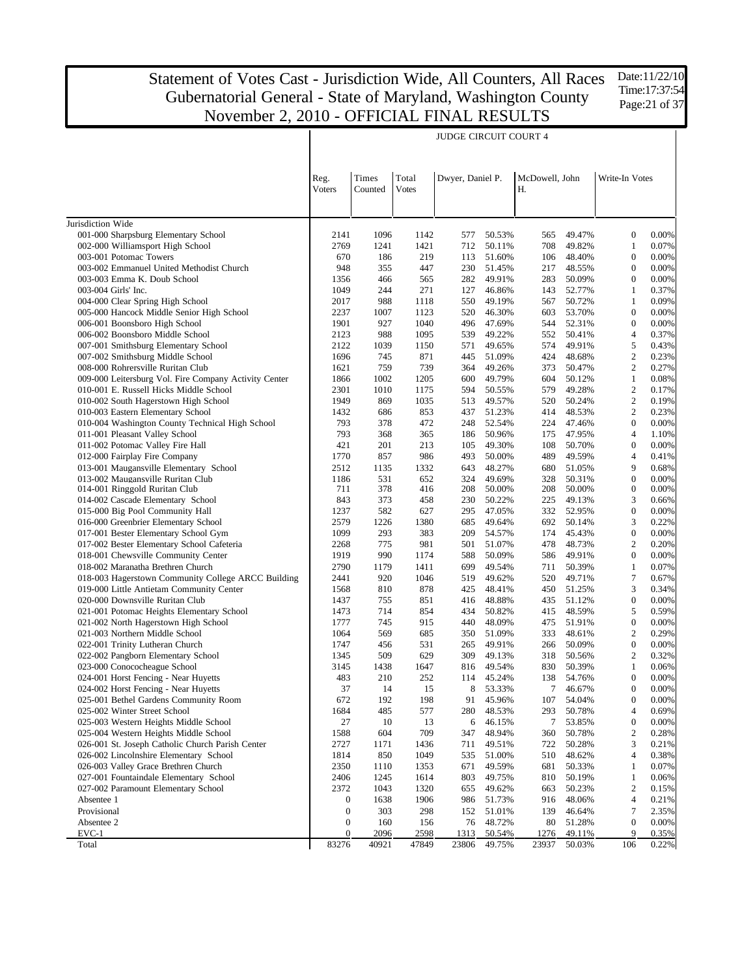Date:11/22/10 Time:17:37:54 Page:21 of 37

|                                                                            |                  |                  |                       | <b>JUDGE CIRCUIT COURT 4</b> |                  |                      |                  |                                      |                |
|----------------------------------------------------------------------------|------------------|------------------|-----------------------|------------------------------|------------------|----------------------|------------------|--------------------------------------|----------------|
|                                                                            | Reg.<br>Voters   | Times<br>Counted | Total<br><b>Votes</b> | Dwyer, Daniel P.             |                  | McDowell, John<br>Н. |                  | Write-In Votes                       |                |
| Jurisdiction Wide                                                          |                  |                  |                       |                              |                  |                      |                  |                                      |                |
| 001-000 Sharpsburg Elementary School                                       | 2141             | 1096             | 1142                  | 577                          | 50.53%           | 565                  | 49.47%           | $\boldsymbol{0}$                     | 0.00%          |
| 002-000 Williamsport High School                                           | 2769             | 1241             | 1421                  | 712                          | 50.11%           | 708                  | 49.82%           | $\mathbf{1}$                         | 0.07%          |
| 003-001 Potomac Towers                                                     | 670              | 186              | 219                   | 113                          | 51.60%           | 106                  | 48.40%           | $\boldsymbol{0}$                     | 0.00%          |
| 003-002 Emmanuel United Methodist Church                                   | 948              | 355              | 447                   | 230                          | 51.45%           | 217                  | 48.55%           | $\boldsymbol{0}$                     | 0.00%          |
| 003-003 Emma K. Doub School                                                | 1356             | 466              | 565                   | 282                          | 49.91%           | 283                  | 50.09%           | $\boldsymbol{0}$                     | 0.00%          |
| 003-004 Girls' Inc.                                                        | 1049             | 244              | 271                   | 127                          | 46.86%           | 143                  | 52.77%           | $\mathbf{1}$                         | 0.37%          |
| 004-000 Clear Spring High School                                           | 2017             | 988              | 1118                  | 550                          | 49.19%           | 567                  | 50.72%           | $\mathbf{1}$                         | 0.09%          |
| 005-000 Hancock Middle Senior High School<br>006-001 Boonsboro High School | 2237<br>1901     | 1007<br>927      | 1123<br>1040          | 520<br>496                   | 46.30%<br>47.69% | 603<br>544           | 53.70%<br>52.31% | $\boldsymbol{0}$<br>$\boldsymbol{0}$ | 0.00%<br>0.00% |
| 006-002 Boonsboro Middle School                                            | 2123             | 988              | 1095                  | 539                          | 49.22%           | 552                  | 50.41%           | $\overline{4}$                       | 0.37%          |
| 007-001 Smithsburg Elementary School                                       | 2122             | 1039             | 1150                  | 571                          | 49.65%           | 574                  | 49.91%           | 5                                    | 0.43%          |
| 007-002 Smithsburg Middle School                                           | 1696             | 745              | 871                   | 445                          | 51.09%           | 424                  | 48.68%           | $\overline{c}$                       | 0.23%          |
| 008-000 Rohrersville Ruritan Club                                          | 1621             | 759              | 739                   | 364                          | 49.26%           | 373                  | 50.47%           | $\overline{c}$                       | 0.27%          |
| 009-000 Leitersburg Vol. Fire Company Activity Center                      | 1866             | 1002             | 1205                  | 600                          | 49.79%           | 604                  | 50.12%           | $\mathbf{1}$                         | 0.08%          |
| 010-001 E. Russell Hicks Middle School                                     | 2301             | 1010             | 1175                  | 594                          | 50.55%           | 579                  | 49.28%           | $\sqrt{2}$                           | 0.17%          |
| 010-002 South Hagerstown High School                                       | 1949             | 869              | 1035                  | 513                          | 49.57%           | 520                  | 50.24%           | $\sqrt{2}$                           | 0.19%          |
| 010-003 Eastern Elementary School                                          | 1432             | 686              | 853                   | 437                          | 51.23%           | 414                  | 48.53%           | $\overline{c}$                       | 0.23%          |
| 010-004 Washington County Technical High School                            | 793              | 378              | 472                   | 248                          | 52.54%           | 224                  | 47.46%           | $\boldsymbol{0}$                     | 0.00%          |
| 011-001 Pleasant Valley School                                             | 793              | 368              | 365                   | 186                          | 50.96%           | 175                  | 47.95%           | $\overline{4}$                       | 1.10%          |
| 011-002 Potomac Valley Fire Hall                                           | 421              | 201              | 213                   | 105                          | 49.30%           | 108                  | 50.70%           | $\boldsymbol{0}$                     | 0.00%          |
| 012-000 Fairplay Fire Company                                              | 1770             | 857              | 986                   | 493                          | 50.00%           | 489                  | 49.59%           | $\overline{4}$                       | 0.41%          |
| 013-001 Maugansville Elementary School                                     | 2512             | 1135             | 1332                  | 643                          | 48.27%           | 680                  | 51.05%           | 9                                    | 0.68%          |
| 013-002 Maugansville Ruritan Club<br>014-001 Ringgold Ruritan Club         | 1186<br>711      | 531<br>378       | 652<br>416            | 324<br>208                   | 49.69%<br>50.00% | 328<br>208           | 50.31%<br>50.00% | $\boldsymbol{0}$<br>$\boldsymbol{0}$ | 0.00%<br>0.00% |
| 014-002 Cascade Elementary School                                          | 843              | 373              | 458                   | 230                          | 50.22%           | 225                  | 49.13%           | 3                                    | 0.66%          |
| 015-000 Big Pool Community Hall                                            | 1237             | 582              | 627                   | 295                          | 47.05%           | 332                  | 52.95%           | $\boldsymbol{0}$                     | 0.00%          |
| 016-000 Greenbrier Elementary School                                       | 2579             | 1226             | 1380                  | 685                          | 49.64%           | 692                  | 50.14%           | 3                                    | 0.22%          |
| 017-001 Bester Elementary School Gym                                       | 1099             | 293              | 383                   | 209                          | 54.57%           | 174                  | 45.43%           | $\boldsymbol{0}$                     | 0.00%          |
| 017-002 Bester Elementary School Cafeteria                                 | 2268             | 775              | 981                   | 501                          | 51.07%           | 478                  | 48.73%           | $\overline{c}$                       | 0.20%          |
| 018-001 Chewsville Community Center                                        | 1919             | 990              | 1174                  | 588                          | 50.09%           | 586                  | 49.91%           | $\boldsymbol{0}$                     | 0.00%          |
| 018-002 Maranatha Brethren Church                                          | 2790             | 1179             | 1411                  | 699                          | 49.54%           | 711                  | 50.39%           | $\mathbf{1}$                         | 0.07%          |
| 018-003 Hagerstown Community College ARCC Building                         | 2441             | 920              | 1046                  | 519                          | 49.62%           | 520                  | 49.71%           | $\boldsymbol{7}$                     | 0.67%          |
| 019-000 Little Antietam Community Center                                   | 1568             | 810              | 878                   | 425                          | 48.41%           | 450                  | 51.25%           | 3                                    | 0.34%          |
| 020-000 Downsville Ruritan Club                                            | 1437             | 755              | 851                   | 416                          | 48.88%           | 435                  | 51.12%           | $\boldsymbol{0}$                     | 0.00%          |
| 021-001 Potomac Heights Elementary School                                  | 1473             | 714              | 854                   | 434                          | 50.82%           | 415                  | 48.59%           | 5                                    | 0.59%          |
| 021-002 North Hagerstown High School                                       | 1777             | 745              | 915                   | 440                          | 48.09%           | 475                  | 51.91%<br>48.61% | $\boldsymbol{0}$<br>$\overline{c}$   | 0.00%          |
| 021-003 Northern Middle School<br>022-001 Trinity Lutheran Church          | 1064<br>1747     | 569<br>456       | 685<br>531            | 350                          | 51.09%<br>49.91% | 333<br>266           | 50.09%           | $\boldsymbol{0}$                     | 0.29%<br>0.00% |
| 022-002 Pangborn Elementary School                                         | 1345             | 509              | 629                   | 265<br>309                   | 49.13%           | 318                  | 50.56%           | $\overline{c}$                       | 0.32%          |
| 023-000 Conococheague School                                               | 3145             | 1438             | 1647                  | 816                          | 49.54%           | 830                  | 50.39%           | $\mathbf{1}$                         | 0.06%          |
| 024-001 Horst Fencing - Near Huyetts                                       | 483              | 210              | 252                   | 114                          | 45.24%           | 138                  | 54.76%           | $\boldsymbol{0}$                     | 0.00%          |
| 024-002 Horst Fencing - Near Huyetts                                       | 37               | 14               | 15                    | 8                            | 53.33%           | 7                    | 46.67%           | $\boldsymbol{0}$                     | $0.00\%$       |
| 025-001 Bethel Gardens Community Room                                      | 672              | 192              | 198                   | 91                           | 45.96%           | 107                  | 54.04%           | $\boldsymbol{0}$                     | 0.00%          |
| 025-002 Winter Street School                                               | 1684             | 485              | 577                   | 280                          | 48.53%           | 293                  | 50.78%           | $\overline{4}$                       | 0.69%          |
| 025-003 Western Heights Middle School                                      | 27               | 10               | 13                    | 6                            | 46.15%           | 7                    | 53.85%           | $\boldsymbol{0}$                     | 0.00%          |
| 025-004 Western Heights Middle School                                      | 1588             | 604              | 709                   | 347                          | 48.94%           | 360                  | 50.78%           | $\boldsymbol{2}$                     | 0.28%          |
| 026-001 St. Joseph Catholic Church Parish Center                           | 2727             | 1171             | 1436                  | 711                          | 49.51%           | 722                  | 50.28%           | 3                                    | 0.21%          |
| 026-002 Lincolnshire Elementary School                                     | 1814             | 850              | 1049                  | 535                          | 51.00%           | 510                  | 48.62%           | $\overline{4}$                       | 0.38%          |
| 026-003 Valley Grace Brethren Church                                       | 2350             | 1110             | 1353                  | 671                          | 49.59%           | 681                  | 50.33%           | $\mathbf{1}$                         | 0.07%          |
| 027-001 Fountaindale Elementary School                                     | 2406             | 1245             | 1614                  | 803                          | 49.75%           | 810                  | 50.19%           | $\mathbf{1}$                         | 0.06%          |
| 027-002 Paramount Elementary School                                        | 2372             | 1043             | 1320                  | 655                          | 49.62%           | 663                  | 50.23%           | $\boldsymbol{2}$                     | 0.15%          |
| Absentee 1<br>Provisional                                                  | 0<br>0           | 1638<br>303      | 1906<br>298           | 986                          | 51.73%           | 916<br>139           | 48.06%<br>46.64% | $\overline{\mathcal{A}}$<br>7        | 0.21%          |
| Absentee 2                                                                 | $\boldsymbol{0}$ | 160              | 156                   | 152<br>76                    | 51.01%<br>48.72% | 80                   | 51.28%           | $\boldsymbol{0}$                     | 2.35%<br>0.00% |
| $EVC-1$                                                                    | $\boldsymbol{0}$ | 2096             | 2598                  | 1313                         | 50.54%           | 1276                 | 49.11%           | 9                                    | 0.35%          |
| Total                                                                      | 83276            | 40921            | 47849                 | 23806                        | 49.75%           | 23937                | 50.03%           | 106                                  | 0.22%          |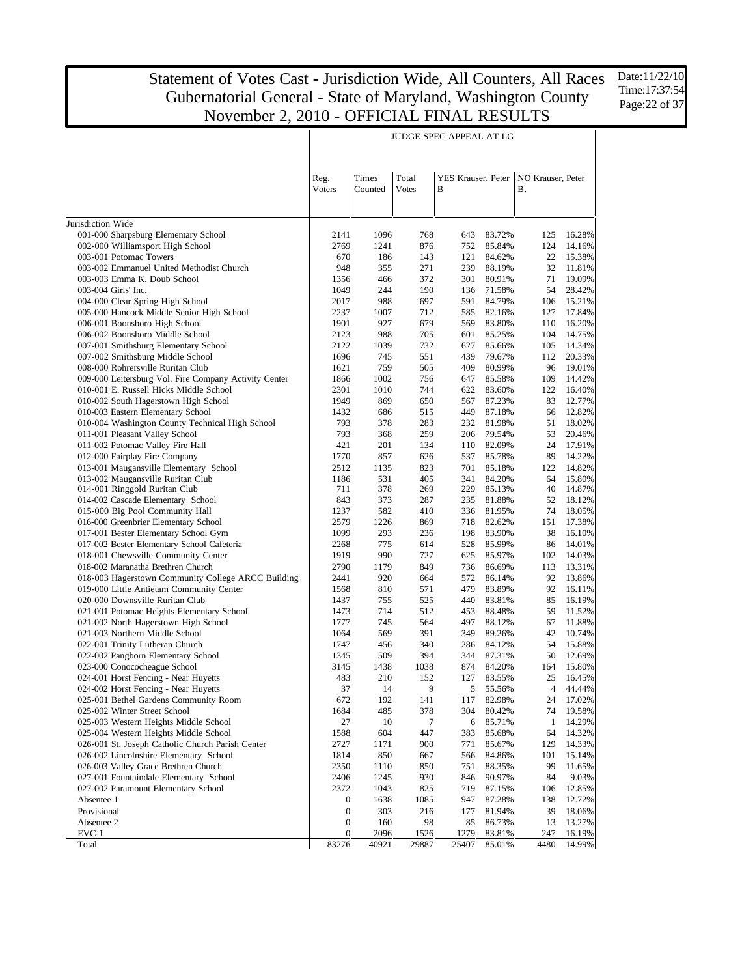$\mathsf{l}$ 

Time:17:37:54 Page:22 of 37

 $\mathsf{I}$ 

|                                                                          | Reg.<br>Voters   | Times<br>Counted | Total<br><b>Votes</b> | YES Krauser, Peter<br>B |                  | NO Krauser, Peter<br><b>B.</b> |                  |
|--------------------------------------------------------------------------|------------------|------------------|-----------------------|-------------------------|------------------|--------------------------------|------------------|
|                                                                          |                  |                  |                       |                         |                  |                                |                  |
| Jurisdiction Wide                                                        |                  |                  |                       |                         |                  |                                |                  |
| 001-000 Sharpsburg Elementary School<br>002-000 Williamsport High School | 2141<br>2769     | 1096<br>1241     | 768                   | 643                     | 83.72%           | 125<br>124                     | 16.28%<br>14.16% |
| 003-001 Potomac Towers                                                   | 670              |                  | 876                   | 752                     | 85.84%           | 22                             |                  |
| 003-002 Emmanuel United Methodist Church                                 | 948              | 186<br>355       | 143<br>271            | 121<br>239              | 84.62%<br>88.19% | 32                             | 15.38%<br>11.81% |
| 003-003 Emma K. Doub School                                              | 1356             | 466              | 372                   | 301                     | 80.91%           | 71                             | 19.09%           |
| 003-004 Girls' Inc.                                                      | 1049             | 244              | 190                   | 136                     | 71.58%           | 54                             | 28.42%           |
| 004-000 Clear Spring High School                                         | 2017             | 988              | 697                   | 591                     | 84.79%           | 106                            | 15.21%           |
| 005-000 Hancock Middle Senior High School                                | 2237             | 1007             | 712                   | 585                     | 82.16%           | 127                            | 17.84%           |
| 006-001 Boonsboro High School                                            | 1901             | 927              | 679                   | 569                     | 83.80%           | 110                            | 16.20%           |
| 006-002 Boonsboro Middle School                                          | 2123             | 988              | 705                   | 601                     | 85.25%           | 104                            | 14.75%           |
| 007-001 Smithsburg Elementary School                                     | 2122             | 1039             | 732                   | 627                     | 85.66%           | 105                            | 14.34%           |
| 007-002 Smithsburg Middle School                                         | 1696             | 745              | 551                   | 439                     | 79.67%           | 112                            | 20.33%           |
| 008-000 Rohrersville Ruritan Club                                        | 1621             | 759              | 505                   | 409                     | 80.99%           | 96                             | 19.01%           |
| 009-000 Leitersburg Vol. Fire Company Activity Center                    | 1866             | 1002             | 756                   | 647                     | 85.58%           | 109                            | 14.42%           |
| 010-001 E. Russell Hicks Middle School                                   | 2301             | 1010             | 744                   | 622                     | 83.60%           | 122                            | 16.40%           |
| 010-002 South Hagerstown High School                                     | 1949             | 869              | 650                   | 567                     | 87.23%           | 83                             | 12.77%           |
| 010-003 Eastern Elementary School                                        | 1432             | 686              | 515                   | 449                     | 87.18%           | 66                             | 12.82%           |
| 010-004 Washington County Technical High School                          | 793              | 378              | 283                   | 232                     | 81.98%           | 51                             | 18.02%           |
| 011-001 Pleasant Valley School                                           | 793              | 368              | 259                   | 206                     | 79.54%           | 53                             | 20.46%           |
| 011-002 Potomac Valley Fire Hall                                         | 421              | 201              | 134                   | 110                     | 82.09%           | 24                             | 17.91%           |
| 012-000 Fairplay Fire Company                                            | 1770             | 857              | 626                   | 537                     | 85.78%           | 89                             | 14.22%           |
| 013-001 Maugansville Elementary School                                   | 2512             | 1135             | 823                   | 701                     | 85.18%           | 122                            | 14.82%           |
| 013-002 Maugansville Ruritan Club                                        | 1186             | 531              | 405                   | 341                     | 84.20%           | 64                             | 15.80%           |
| 014-001 Ringgold Ruritan Club                                            | 711              | 378              | 269                   | 229                     | 85.13%           | 40                             | 14.87%           |
| 014-002 Cascade Elementary School                                        | 843              | 373              | 287                   | 235                     | 81.88%           | 52                             | 18.12%           |
| 015-000 Big Pool Community Hall                                          | 1237             | 582              | 410                   | 336                     | 81.95%           | 74                             | 18.05%           |
| 016-000 Greenbrier Elementary School                                     | 2579             | 1226             | 869                   | 718                     | 82.62%           | 151                            | 17.38%           |
| 017-001 Bester Elementary School Gym                                     | 1099             | 293              | 236                   | 198                     | 83.90%           | 38                             | 16.10%           |
| 017-002 Bester Elementary School Cafeteria                               | 2268             | 775              | 614                   | 528                     | 85.99%           | 86                             | 14.01%           |
| 018-001 Chewsville Community Center                                      | 1919             | 990              | 727                   | 625                     | 85.97%           | 102                            | 14.03%           |
| 018-002 Maranatha Brethren Church                                        | 2790             | 1179             | 849                   | 736                     | 86.69%           | 113                            | 13.31%           |
| 018-003 Hagerstown Community College ARCC Building                       | 2441             | 920              | 664                   | 572                     | 86.14%           | 92                             | 13.86%           |
| 019-000 Little Antietam Community Center                                 | 1568             | 810              | 571                   | 479                     | 83.89%           | 92                             | 16.11%           |
| 020-000 Downsville Ruritan Club                                          | 1437             | 755              | 525                   | 440                     | 83.81%           | 85                             | 16.19%           |
| 021-001 Potomac Heights Elementary School                                | 1473             | 714              | 512                   | 453                     | 88.48%           | 59                             | 11.52%           |
| 021-002 North Hagerstown High School                                     | 1777             | 745              | 564                   | 497                     | 88.12%           | 67                             | 11.88%           |
| 021-003 Northern Middle School                                           | 1064             | 569              | 391                   | 349                     | 89.26%           | 42                             | 10.74%           |
| 022-001 Trinity Lutheran Church                                          | 1747             | 456              | 340<br>394            | 286                     | 84.12%           | 54                             | 15.88%<br>12.69% |
| 022-002 Pangborn Elementary School<br>023-000 Conococheague School       | 1345             | 509              |                       | 344                     | 87.31%<br>84.20% | 50                             |                  |
| 024-001 Horst Fencing - Near Huyetts                                     | 3145<br>483      | 1438<br>210      | 1038<br>152           | 874<br>127              | 83.55%           | 164<br>25                      | 15.80%<br>16.45% |
| 024-002 Horst Fencing - Near Huyetts                                     | 37               | 14               | 9                     | 5                       | 55.56%           | 4                              | 44.44%           |
| 025-001 Bethel Gardens Community Room                                    | 672              | 192              | 141                   |                         | 117 82.98%       |                                | 24 17.02%        |
| 025-002 Winter Street School                                             | 1684             | 485              | 378                   | 304                     | 80.42%           | 74                             | 19.58%           |
| 025-003 Western Heights Middle School                                    | 27               | 10               | 7                     | 6                       | 85.71%           | $\mathbf{1}$                   | 14.29%           |
| 025-004 Western Heights Middle School                                    | 1588             | 604              | 447                   | 383                     | 85.68%           | 64                             | 14.32%           |
| 026-001 St. Joseph Catholic Church Parish Center                         | 2727             | 1171             | 900                   | 771                     | 85.67%           | 129                            | 14.33%           |
| 026-002 Lincolnshire Elementary School                                   | 1814             | 850              | 667                   | 566                     | 84.86%           | 101                            | 15.14%           |
| 026-003 Valley Grace Brethren Church                                     | 2350             | 1110             | 850                   | 751                     | 88.35%           | 99                             | 11.65%           |
| 027-001 Fountaindale Elementary School                                   | 2406             | 1245             | 930                   | 846                     | 90.97%           | 84                             | 9.03%            |
| 027-002 Paramount Elementary School                                      | 2372             | 1043             | 825                   | 719                     | 87.15%           | 106                            | 12.85%           |
| Absentee 1                                                               | 0                | 1638             | 1085                  | 947                     | 87.28%           | 138                            | 12.72%           |
| Provisional                                                              | $\boldsymbol{0}$ | 303              | 216                   | 177                     | 81.94%           | 39                             | 18.06%           |
| Absentee 2                                                               | 0                | 160              | 98                    | 85                      | 86.73%           | 13                             | 13.27%           |
| EVC-1                                                                    | $\boldsymbol{0}$ | 2096             | 1526                  | 1279                    | 83.81%           | 247                            | 16.19%           |
| Total                                                                    | 83276            | 40921            | 29887                 | 25407                   | 85.01%           | 4480                           | 14.99%           |

#### JUDGE SPEC APPEAL AT LG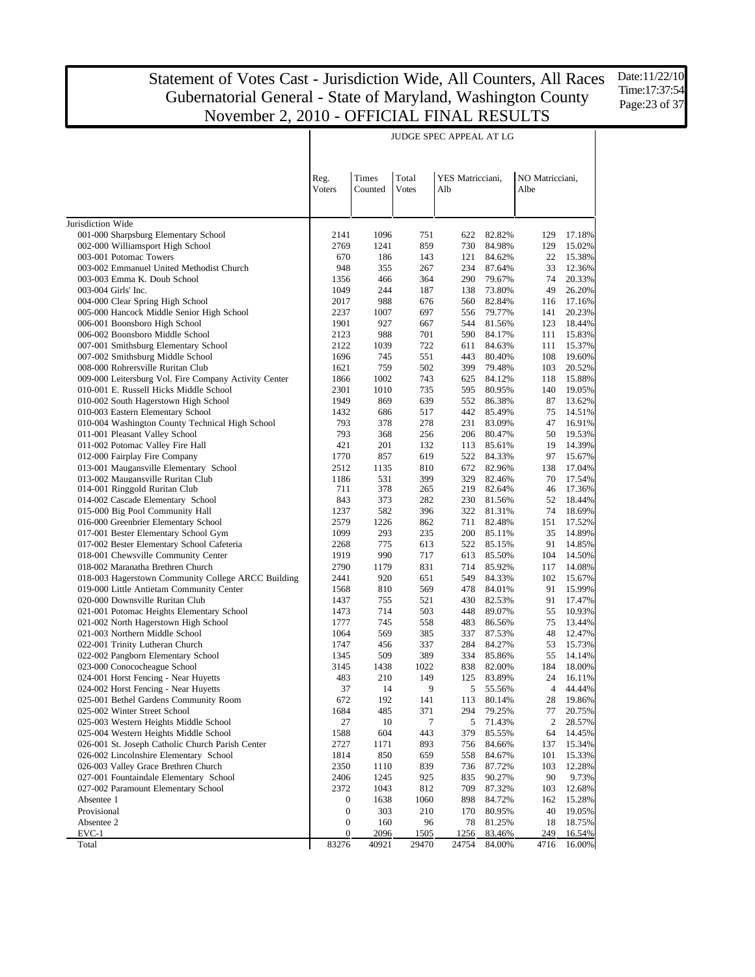$\overline{\phantom{a}}$ 

Date:11/22/10 Time:17:37:54 Page:23 of 37

 $\overline{\phantom{a}}$ 

|                                                                                         | Reg.             | Times       | Total        | YES Matricciani, |                  | NO Matricciani,  |                  |
|-----------------------------------------------------------------------------------------|------------------|-------------|--------------|------------------|------------------|------------------|------------------|
|                                                                                         | Voters           | Counted     | <b>Votes</b> | Alb              |                  | Albe             |                  |
|                                                                                         |                  |             |              |                  |                  |                  |                  |
| Jurisdiction Wide                                                                       |                  |             |              |                  |                  |                  |                  |
| 001-000 Sharpsburg Elementary School                                                    | 2141             | 1096        | 751          | 622              | 82.82%           | 129              | 17.18%           |
| 002-000 Williamsport High School                                                        | 2769             | 1241        | 859          | 730              | 84.98%           | 129              | 15.02%           |
| 003-001 Potomac Towers                                                                  | 670              | 186         | 143          | 121              | 84.62%           | 22               | 15.38%           |
| 003-002 Emmanuel United Methodist Church                                                | 948              | 355         | 267          | 234              | 87.64%           | 33               | 12.36%           |
| 003-003 Emma K. Doub School                                                             | 1356             | 466         | 364          | 290              | 79.67%           | 74               | 20.33%           |
| 003-004 Girls' Inc.                                                                     | 1049             | 244         | 187          | 138              | 73.80%           | 49               | 26.20%           |
| 004-000 Clear Spring High School<br>005-000 Hancock Middle Senior High School           | 2017<br>2237     | 988<br>1007 | 676<br>697   | 560<br>556       | 82.84%<br>79.77% | 116<br>141       | 17.16%<br>20.23% |
| 006-001 Boonsboro High School                                                           | 1901             | 927         | 667          | 544              | 81.56%           | 123              | 18.44%           |
| 006-002 Boonsboro Middle School                                                         | 2123             | 988         | 701          | 590              | 84.17%           | 111              | 15.83%           |
| 007-001 Smithsburg Elementary School                                                    | 2122             | 1039        | 722          | 611              | 84.63%           | 111              | 15.37%           |
| 007-002 Smithsburg Middle School                                                        | 1696             | 745         | 551          | 443              | 80.40%           | 108              | 19.60%           |
| 008-000 Rohrersville Ruritan Club                                                       | 1621             | 759         | 502          | 399              | 79.48%           | 103              | 20.52%           |
| 009-000 Leitersburg Vol. Fire Company Activity Center                                   | 1866             | 1002        | 743          | 625              | 84.12%           | 118              | 15.88%           |
| 010-001 E. Russell Hicks Middle School                                                  | 2301             | 1010        | 735          | 595              | 80.95%           | 140              | 19.05%           |
| 010-002 South Hagerstown High School                                                    | 1949             | 869         | 639          | 552              | 86.38%           | 87               | 13.62%           |
| 010-003 Eastern Elementary School                                                       | 1432             | 686         | 517          | 442              | 85.49%           | 75               | 14.51%           |
| 010-004 Washington County Technical High School                                         | 793              | 378         | 278          | 231              | 83.09%           | 47               | 16.91%           |
| 011-001 Pleasant Valley School                                                          | 793              | 368         | 256          | 206              | 80.47%           | 50               | 19.53%           |
| 011-002 Potomac Valley Fire Hall                                                        | 421              | 201         | 132          | 113              | 85.61%           | 19               | 14.39%           |
| 012-000 Fairplay Fire Company                                                           | 1770             | 857         | 619          | 522              | 84.33%           | 97               | 15.67%           |
| 013-001 Maugansville Elementary School                                                  | 2512             | 1135        | 810          | 672              | 82.96%           | 138              | 17.04%           |
| 013-002 Maugansville Ruritan Club                                                       | 1186             | 531         | 399          | 329              | 82.46%           | 70               | 17.54%           |
| 014-001 Ringgold Ruritan Club                                                           | 711              | 378         | 265          | 219              | 82.64%           | 46               | 17.36%           |
| 014-002 Cascade Elementary School                                                       | 843              | 373         | 282          | 230              | 81.56%           | 52               | 18.44%           |
| 015-000 Big Pool Community Hall                                                         | 1237             | 582         | 396          | 322              | 81.31%           | 74               | 18.69%           |
| 016-000 Greenbrier Elementary School                                                    | 2579             | 1226        | 862          | 711              | 82.48%           | 151              | 17.52%           |
| 017-001 Bester Elementary School Gym                                                    | 1099             | 293         | 235          | 200              | 85.11%           | 35               | 14.89%           |
| 017-002 Bester Elementary School Cafeteria                                              | 2268             | 775         | 613          | 522              | 85.15%           | 91               | 14.85%           |
| 018-001 Chewsville Community Center                                                     | 1919             | 990         | 717          | 613              | 85.50%           | 104              | 14.50%           |
| 018-002 Maranatha Brethren Church<br>018-003 Hagerstown Community College ARCC Building | 2790<br>2441     | 1179<br>920 | 831<br>651   | 714<br>549       | 85.92%           | 117<br>102       | 14.08%<br>15.67% |
| 019-000 Little Antietam Community Center                                                | 1568             | 810         | 569          | 478              | 84.33%<br>84.01% | 91               | 15.99%           |
| 020-000 Downsville Ruritan Club                                                         | 1437             | 755         | 521          | 430              | 82.53%           | 91               | 17.47%           |
| 021-001 Potomac Heights Elementary School                                               | 1473             | 714         | 503          | 448              | 89.07%           | 55               | 10.93%           |
| 021-002 North Hagerstown High School                                                    | 1777             | 745         | 558          | 483              | 86.56%           | 75               | 13.44%           |
| 021-003 Northern Middle School                                                          | 1064             | 569         | 385          | 337              | 87.53%           | 48               | 12.47%           |
| 022-001 Trinity Lutheran Church                                                         | 1747             | 456         | 337          | 284              | 84.27%           | 53               | 15.73%           |
| 022-002 Pangborn Elementary School                                                      | 1345             | 509         | 389          | 334              | 85.86%           | 55               | 14.14%           |
| 023-000 Conococheague School                                                            | 3145             | 1438        | 1022         | 838              | 82.00%           | 184              | 18.00%           |
| 024-001 Horst Fencing - Near Huyetts                                                    | 483              | 210         | 149          | 125              | 83.89%           | 24               | 16.11%           |
| 024-002 Horst Fencing - Near Huyetts                                                    | 37               | 14          | 9            | 5                | 55.56%           | $\overline{4}$   | 44.44%           |
| 025-001 Bethel Gardens Community Room                                                   | 672              | 192         | 141          | 113              | 80.14%           | 28               | 19.86%           |
| 025-002 Winter Street School                                                            | 1684             | 485         | 371          | 294              | 79.25%           | 77               | 20.75%           |
| 025-003 Western Heights Middle School                                                   | 27               | 10          | 7            | 5                | 71.43%           | $\boldsymbol{2}$ | 28.57%           |
| 025-004 Western Heights Middle School                                                   | 1588             | 604         | 443          | 379              | 85.55%           | 64               | 14.45%           |
| 026-001 St. Joseph Catholic Church Parish Center                                        | 2727             | 1171        | 893          | 756              | 84.66%           | 137              | 15.34%           |
| 026-002 Lincolnshire Elementary School                                                  | 1814             | 850         | 659          | 558              | 84.67%           | 101              | 15.33%           |
| 026-003 Valley Grace Brethren Church                                                    | 2350             | 1110        | 839          | 736              | 87.72%           | 103              | 12.28%           |
| 027-001 Fountaindale Elementary School                                                  | 2406             | 1245        | 925          | 835              | 90.27%           | 90               | 9.73%            |
| 027-002 Paramount Elementary School                                                     | 2372             | 1043        | 812          | 709              | 87.32%           | 103              | 12.68%           |
| Absentee 1                                                                              | $\mathbf{0}$     | 1638        | 1060         | 898              | 84.72%           | 162              | 15.28%           |
| Provisional                                                                             | $\boldsymbol{0}$ | 303         | 210          | 170              | 80.95%           | 40               | 19.05%           |
| Absentee 2                                                                              | $\boldsymbol{0}$ | 160         | 96           | 78               | 81.25%           | 18               | 18.75%           |
| EVC-1                                                                                   | $\bf{0}$         | 2096        | 1505         | 1256             | 83.46%           | 249              | 16.54%           |
| Total                                                                                   | 83276            | 40921       | 29470        | 24754            | 84.00%           | 4716             | 16.00%           |

#### JUDGE SPEC APPEAL AT LG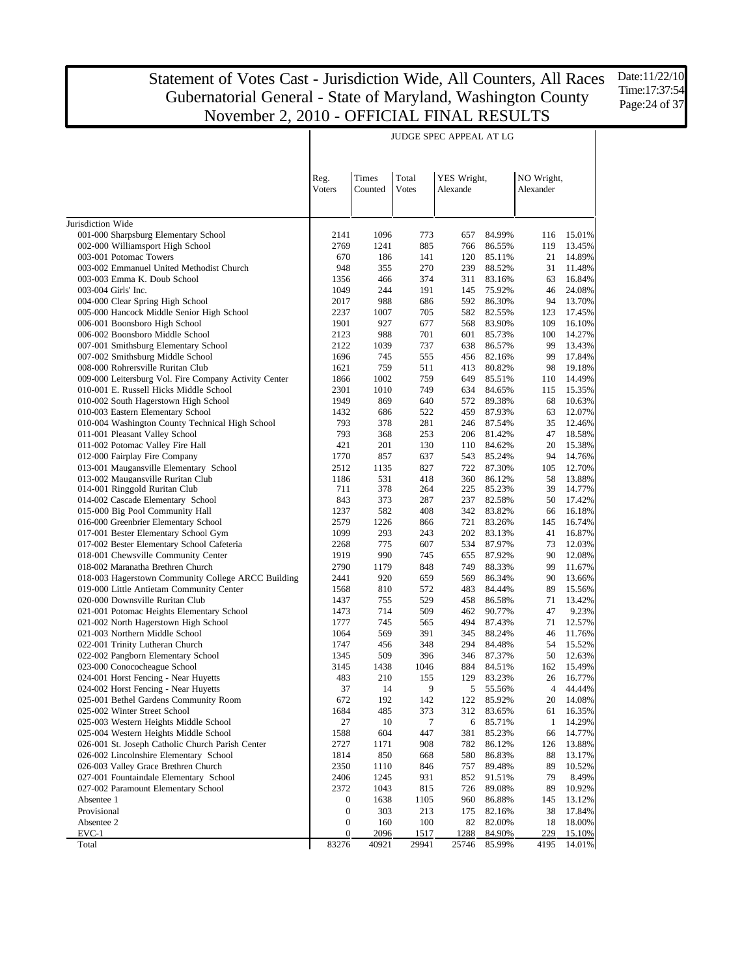Date:11/22/10 Time:17:37:54 Page:24 of 37

|                                                                                                 |                                      |                  |                | JUDGE SPEC APPEAL AT LG |                  |                         |                  |
|-------------------------------------------------------------------------------------------------|--------------------------------------|------------------|----------------|-------------------------|------------------|-------------------------|------------------|
|                                                                                                 |                                      |                  |                |                         |                  |                         |                  |
|                                                                                                 |                                      |                  |                |                         |                  |                         |                  |
|                                                                                                 | Reg.<br>Voters                       | Times<br>Counted | Total<br>Votes | YES Wright,<br>Alexande |                  | NO Wright,<br>Alexander |                  |
|                                                                                                 |                                      |                  |                |                         |                  |                         |                  |
|                                                                                                 |                                      |                  |                |                         |                  |                         |                  |
| Jurisdiction Wide                                                                               |                                      |                  |                |                         |                  |                         |                  |
| 001-000 Sharpsburg Elementary School                                                            | 2141                                 | 1096             | 773            | 657                     | 84.99%           | 116                     | 15.01%           |
| 002-000 Williamsport High School                                                                | 2769                                 | 1241             | 885            | 766                     | 86.55%           | 119                     | 13.45%           |
| 003-001 Potomac Towers                                                                          | 670<br>948                           | 186              | 141            | 120                     | 85.11%           | 21                      | 14.89%           |
| 003-002 Emmanuel United Methodist Church<br>003-003 Emma K. Doub School                         | 1356                                 | 355<br>466       | 270<br>374     | 239<br>311              | 88.52%<br>83.16% | 31<br>63                | 11.48%<br>16.84% |
| 003-004 Girls' Inc.                                                                             | 1049                                 | 244              | 191            | 145                     | 75.92%           | 46                      | 24.08%           |
| 004-000 Clear Spring High School                                                                | 2017                                 | 988              | 686            | 592                     | 86.30%           | 94                      | 13.70%           |
| 005-000 Hancock Middle Senior High School                                                       | 2237                                 | 1007             | 705            | 582                     | 82.55%           | 123                     | 17.45%           |
| 006-001 Boonsboro High School                                                                   | 1901                                 | 927              | 677            | 568                     | 83.90%           | 109                     | 16.10%           |
| 006-002 Boonsboro Middle School                                                                 | 2123                                 | 988              | 701            | 601                     | 85.73%           | 100                     | 14.27%           |
| 007-001 Smithsburg Elementary School                                                            | 2122                                 | 1039             | 737            | 638                     | 86.57%           | 99                      | 13.43%           |
| 007-002 Smithsburg Middle School                                                                | 1696                                 | 745              | 555            | 456                     | 82.16%           | 99                      | 17.84%           |
| 008-000 Rohrersville Ruritan Club                                                               | 1621                                 | 759              | 511            | 413                     | 80.82%           | 98                      | 19.18%           |
| 009-000 Leitersburg Vol. Fire Company Activity Center<br>010-001 E. Russell Hicks Middle School | 1866<br>2301                         | 1002<br>1010     | 759<br>749     | 649<br>634              | 85.51%<br>84.65% | 110<br>115              | 14.49%<br>15.35% |
| 010-002 South Hagerstown High School                                                            | 1949                                 | 869              | 640            | 572                     | 89.38%           | 68                      | 10.63%           |
| 010-003 Eastern Elementary School                                                               | 1432                                 | 686              | 522            | 459                     | 87.93%           | 63                      | 12.07%           |
| 010-004 Washington County Technical High School                                                 | 793                                  | 378              | 281            | 246                     | 87.54%           | 35                      | 12.46%           |
| 011-001 Pleasant Valley School                                                                  | 793                                  | 368              | 253            | 206                     | 81.42%           | 47                      | 18.58%           |
| 011-002 Potomac Valley Fire Hall                                                                | 421                                  | 201              | 130            | 110                     | 84.62%           | 20                      | 15.38%           |
| 012-000 Fairplay Fire Company                                                                   | 1770                                 | 857              | 637            | 543                     | 85.24%           | 94                      | 14.76%           |
| 013-001 Maugansville Elementary School                                                          | 2512                                 | 1135             | 827            | 722                     | 87.30%           | 105                     | 12.70%           |
| 013-002 Maugansville Ruritan Club                                                               | 1186                                 | 531              | 418            | 360                     | 86.12%           | 58                      | 13.88%           |
| 014-001 Ringgold Ruritan Club<br>014-002 Cascade Elementary School                              | 711<br>843                           | 378<br>373       | 264<br>287     | 225<br>237              | 85.23%<br>82.58% | 39<br>50                | 14.77%<br>17.42% |
| 015-000 Big Pool Community Hall                                                                 | 1237                                 | 582              | 408            | 342                     | 83.82%           | 66                      | 16.18%           |
| 016-000 Greenbrier Elementary School                                                            | 2579                                 | 1226             | 866            | 721                     | 83.26%           | 145                     | 16.74%           |
| 017-001 Bester Elementary School Gym                                                            | 1099                                 | 293              | 243            | 202                     | 83.13%           | 41                      | 16.87%           |
| 017-002 Bester Elementary School Cafeteria                                                      | 2268                                 | 775              | 607            | 534                     | 87.97%           | 73                      | 12.03%           |
| 018-001 Chewsville Community Center                                                             | 1919                                 | 990              | 745            | 655                     | 87.92%           | 90                      | 12.08%           |
| 018-002 Maranatha Brethren Church                                                               | 2790                                 | 1179             | 848            | 749                     | 88.33%           | 99                      | 11.67%           |
| 018-003 Hagerstown Community College ARCC Building                                              | 2441                                 | 920              | 659            | 569                     | 86.34%           | 90                      | 13.66%           |
| 019-000 Little Antietam Community Center                                                        | 1568                                 | 810              | 572            | 483                     | 84.44%           | 89                      | 15.56%           |
| 020-000 Downsville Ruritan Club<br>021-001 Potomac Heights Elementary School                    | 1437<br>1473                         | 755<br>714       | 529<br>509     | 458<br>462              | 86.58%<br>90.77% | 71<br>47                | 13.42%<br>9.23%  |
| 021-002 North Hagerstown High School                                                            | 1777                                 | 745              | 565            | 494                     | 87.43%           | 71                      | 12.57%           |
| 021-003 Northern Middle School                                                                  | 1064                                 | 569              | 391            | 345                     | 88.24%           | 46                      | 11.76%           |
| 022-001 Trinity Lutheran Church                                                                 | 1747                                 | 456              | 348            | 294                     | 84.48%           | 54                      | 15.52%           |
| 022-002 Pangborn Elementary School                                                              | 1345                                 | 509              | 396            | 346                     | 87.37%           | 50                      | 12.63%           |
| 023-000 Conococheague School                                                                    | 3145                                 | 1438             | 1046           | 884                     | 84.51%           | 162                     | 15.49%           |
| 024-001 Horst Fencing - Near Huyetts                                                            | 483                                  | 210              | 155            | 129                     | 83.23%           | 26                      | 16.77%           |
| 024-002 Horst Fencing - Near Huyetts                                                            | 37                                   | 14               | 9              | 5                       | 55.56%           | 4                       | 44.44%           |
| 025-001 Bethel Gardens Community Room                                                           | 672                                  | 192              | 142            | 122                     | 85.92%           | 20                      | 14.08%<br>16.35% |
| 025-002 Winter Street School<br>025-003 Western Heights Middle School                           | 1684<br>27                           | 485<br>10        | 373<br>7       | 312<br>6                | 83.65%<br>85.71% | 61<br>1                 | 14.29%           |
| 025-004 Western Heights Middle School                                                           | 1588                                 | 604              | 447            | 381                     | 85.23%           | 66                      | 14.77%           |
| 026-001 St. Joseph Catholic Church Parish Center                                                | 2727                                 | 1171             | 908            | 782                     | 86.12%           | 126                     | 13.88%           |
| 026-002 Lincolnshire Elementary School                                                          | 1814                                 | 850              | 668            | 580                     | 86.83%           | 88                      | 13.17%           |
| 026-003 Valley Grace Brethren Church                                                            | 2350                                 | 1110             | 846            | 757                     | 89.48%           | 89                      | 10.52%           |
| 027-001 Fountaindale Elementary School                                                          | 2406                                 | 1245             | 931            | 852                     | 91.51%           | 79                      | 8.49%            |
| 027-002 Paramount Elementary School                                                             | 2372                                 | 1043             | 815            | 726                     | 89.08%           | 89                      | 10.92%           |
| Absentee 1                                                                                      | $\boldsymbol{0}$                     | 1638             | 1105           | 960                     | 86.88%           | 145                     | 13.12%           |
| Provisional<br>Absentee 2                                                                       | $\boldsymbol{0}$<br>$\boldsymbol{0}$ | 303<br>160       | 213<br>100     | 175<br>82               | 82.16%           | 38<br>18                | 17.84%           |
| EVC-1                                                                                           | $\boldsymbol{0}$                     | 2096             | 1517           | 1288                    | 82.00%<br>84.90% | 229                     | 18.00%<br>15.10% |
| Total                                                                                           | 83276                                | 40921            | 29941          | 25746                   | 85.99%           | 4195                    | 14.01%           |

#### JUDGE SPEC APPEAL AT LG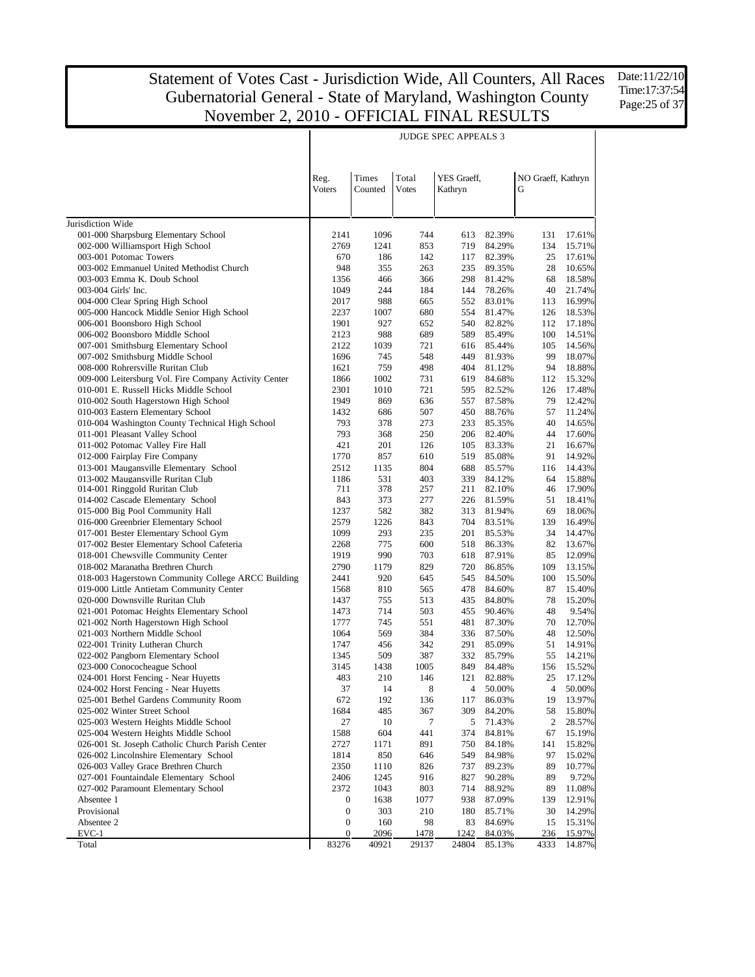Date:11/22/10 Time:17:37:54 Page: 25 of 37

|                                                                                    |                                      |             |                    | <b>JUDGE SPEC APPEALS 3</b> |                  |                    |                  |
|------------------------------------------------------------------------------------|--------------------------------------|-------------|--------------------|-----------------------------|------------------|--------------------|------------------|
|                                                                                    |                                      |             |                    |                             |                  |                    |                  |
|                                                                                    |                                      |             |                    |                             |                  |                    |                  |
|                                                                                    | Reg.                                 | Times       | Total              | YES Graeff,                 |                  | NO Graeff, Kathryn |                  |
|                                                                                    | Voters                               | Counted     | Votes              | Kathryn                     |                  | G                  |                  |
|                                                                                    |                                      |             |                    |                             |                  |                    |                  |
|                                                                                    |                                      |             |                    |                             |                  |                    |                  |
| Jurisdiction Wide                                                                  |                                      |             |                    |                             |                  |                    |                  |
| 001-000 Sharpsburg Elementary School                                               | 2141                                 | 1096        | 744                | 613                         | 82.39%           | 131                | 17.61%           |
| 002-000 Williamsport High School                                                   | 2769                                 | 1241        | 853                | 719                         | 84.29%           | 134                | 15.71%           |
| 003-001 Potomac Towers<br>003-002 Emmanuel United Methodist Church                 | 670<br>948                           | 186<br>355  | 142<br>263         | 117<br>235                  | 82.39%<br>89.35% | 25<br>28           | 17.61%<br>10.65% |
| 003-003 Emma K. Doub School                                                        | 1356                                 | 466         | 366                | 298                         | 81.42%           | 68                 | 18.58%           |
| 003-004 Girls' Inc.                                                                | 1049                                 | 244         | 184                | 144                         | 78.26%           | 40                 | 21.74%           |
| 004-000 Clear Spring High School                                                   | 2017                                 | 988         | 665                | 552                         | 83.01%           | 113                | 16.99%           |
| 005-000 Hancock Middle Senior High School                                          | 2237                                 | 1007        | 680                | 554                         | 81.47%           | 126                | 18.53%           |
| 006-001 Boonsboro High School                                                      | 1901                                 | 927         | 652                | 540                         | 82.82%           | 112                | 17.18%           |
| 006-002 Boonsboro Middle School                                                    | 2123                                 | 988         | 689                | 589                         | 85.49%           | 100                | 14.51%           |
| 007-001 Smithsburg Elementary School                                               | 2122                                 | 1039        | 721                | 616                         | 85.44%           | 105                | 14.56%           |
| 007-002 Smithsburg Middle School                                                   | 1696                                 | 745         | 548                | 449                         | 81.93%           | 99                 | 18.07%           |
| 008-000 Rohrersville Ruritan Club                                                  | 1621                                 | 759         | 498                | 404                         | 81.12%           | 94                 | 18.88%           |
| 009-000 Leitersburg Vol. Fire Company Activity Center                              | 1866                                 | 1002        | 731                | 619                         | 84.68%           | 112                | 15.32%           |
| 010-001 E. Russell Hicks Middle School<br>010-002 South Hagerstown High School     | 2301<br>1949                         | 1010<br>869 | 721<br>636         | 595<br>557                  | 82.52%<br>87.58% | 126<br>79          | 17.48%<br>12.42% |
| 010-003 Eastern Elementary School                                                  | 1432                                 | 686         | 507                | 450                         | 88.76%           | 57                 | 11.24%           |
| 010-004 Washington County Technical High School                                    | 793                                  | 378         | 273                | 233                         | 85.35%           | 40                 | 14.65%           |
| 011-001 Pleasant Valley School                                                     | 793                                  | 368         | 250                | 206                         | 82.40%           | 44                 | 17.60%           |
| 011-002 Potomac Valley Fire Hall                                                   | 421                                  | 201         | 126                | 105                         | 83.33%           | 21                 | 16.67%           |
| 012-000 Fairplay Fire Company                                                      | 1770                                 | 857         | 610                | 519                         | 85.08%           | 91                 | 14.92%           |
| 013-001 Maugansville Elementary School                                             | 2512                                 | 1135        | 804                | 688                         | 85.57%           | 116                | 14.43%           |
| 013-002 Maugansville Ruritan Club                                                  | 1186                                 | 531         | 403                | 339                         | 84.12%           | 64                 | 15.88%           |
| 014-001 Ringgold Ruritan Club                                                      | 711                                  | 378         | 257                | 211                         | 82.10%           | 46                 | 17.90%           |
| 014-002 Cascade Elementary School                                                  | 843                                  | 373         | 277                | 226                         | 81.59%           | 51                 | 18.41%           |
| 015-000 Big Pool Community Hall                                                    | 1237                                 | 582         | 382                | 313                         | 81.94%           | 69                 | 18.06%           |
| 016-000 Greenbrier Elementary School                                               | 2579<br>1099                         | 1226<br>293 | 843<br>235         | 704<br>201                  | 83.51%<br>85.53% | 139<br>34          | 16.49%<br>14.47% |
| 017-001 Bester Elementary School Gym<br>017-002 Bester Elementary School Cafeteria | 2268                                 | 775         | 600                | 518                         | 86.33%           | 82                 | 13.67%           |
| 018-001 Chewsville Community Center                                                | 1919                                 | 990         | 703                | 618                         | 87.91%           | 85                 | 12.09%           |
| 018-002 Maranatha Brethren Church                                                  | 2790                                 | 1179        | 829                | 720                         | 86.85%           | 109                | 13.15%           |
| 018-003 Hagerstown Community College ARCC Building                                 | 2441                                 | 920         | 645                | 545                         | 84.50%           | 100                | 15.50%           |
| 019-000 Little Antietam Community Center                                           | 1568                                 | 810         | 565                | 478                         | 84.60%           | 87                 | 15.40%           |
| 020-000 Downsville Ruritan Club                                                    | 1437                                 | 755         | 513                | 435                         | 84.80%           | 78                 | 15.20%           |
| 021-001 Potomac Heights Elementary School                                          | 1473                                 | 714         | 503                | 455                         | 90.46%           | 48                 | 9.54%            |
| 021-002 North Hagerstown High School                                               | 1777                                 | 745         | 551                | 481                         | 87.30%           | 70                 | 12.70%           |
| 021-003 Northern Middle School                                                     | 1064                                 | 569         | 384                | 336                         | 87.50%           | 48                 | 12.50%           |
| 022-001 Trinity Lutheran Church                                                    | 1747                                 | 456         | 342                | 291                         | 85.09%           | 51                 | 14.91%           |
| 022-002 Pangborn Elementary School                                                 | 1345                                 | 509         | 387                | 332                         | 85.79%           | 55                 | 14.21%           |
| 023-000 Conococheague School<br>024-001 Horst Fencing - Near Huyetts               | 3145<br>483                          | 1438        | 1005               | 849                         | 84.48%<br>82.88% | 156<br>25          | 15.52%<br>17.12% |
| 024-002 Horst Fencing - Near Huyetts                                               | 37                                   | 210<br>14   | 146<br>$\,$ 8 $\,$ | 121<br>4                    | 50.00%           | 4                  | $50.00\%$        |
| 025-001 Bethel Gardens Community Room                                              | 672                                  | 192         | 136                | 117                         | 86.03%           | 19                 | 13.97%           |
| 025-002 Winter Street School                                                       | 1684                                 | 485         | 367                | 309                         | 84.20%           | 58                 | 15.80%           |
| 025-003 Western Heights Middle School                                              | 27                                   | 10          | 7                  | 5                           | 71.43%           | 2                  | 28.57%           |
| 025-004 Western Heights Middle School                                              | 1588                                 | 604         | 441                | 374                         | 84.81%           | 67                 | 15.19%           |
| 026-001 St. Joseph Catholic Church Parish Center                                   | 2727                                 | 1171        | 891                | 750                         | 84.18%           | 141                | 15.82%           |
| 026-002 Lincolnshire Elementary School                                             | 1814                                 | 850         | 646                | 549                         | 84.98%           | 97                 | 15.02%           |
| 026-003 Valley Grace Brethren Church                                               | 2350                                 | 1110        | 826                | 737                         | 89.23%           | 89                 | 10.77%           |
| 027-001 Fountaindale Elementary School                                             | 2406                                 | 1245        | 916                | 827                         | 90.28%           | 89                 | 9.72%            |
| 027-002 Paramount Elementary School                                                | 2372                                 | 1043        | 803                | 714                         | 88.92%           | 89                 | 11.08%           |
| Absentee 1                                                                         | $\boldsymbol{0}$                     | 1638        | 1077               | 938                         | 87.09%           | 139                | 12.91%           |
| Provisional                                                                        | $\boldsymbol{0}$                     | 303         | 210                | 180                         | 85.71%           | 30                 | 14.29%           |
| Absentee 2<br>EVC-1                                                                | $\boldsymbol{0}$<br>$\boldsymbol{0}$ | 160<br>2096 | 98<br>1478         | 83<br>1242                  | 84.69%<br>84.03% | 15<br>236          | 15.31%<br>15.97% |
| Total                                                                              | 83276                                | 40921       | 29137              | 24804                       | 85.13%           | 4333               | 14.87%           |

JUDGE SPEC APPEALS 3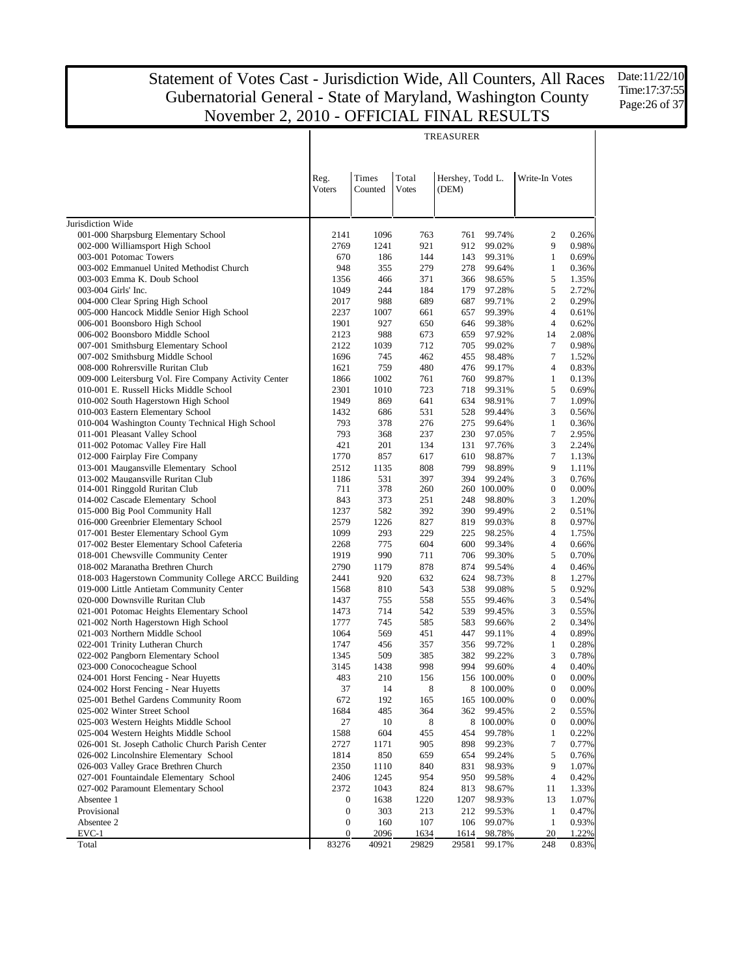Date:11/22/10 Time:17:37:55 Page: 26 of 37

| Total<br>Times<br>Hershey, Todd L.<br>Reg.<br>Write-In Votes<br>Voters<br>Counted<br><b>Votes</b><br>(DEM)<br>Jurisdiction Wide<br>001-000 Sharpsburg Elementary School<br>$\overline{c}$<br>2141<br>1096<br>763<br>761<br>99.74%<br>0.26%<br>002-000 Williamsport High School<br>2769<br>1241<br>921<br>9<br>0.98%<br>912<br>99.02%<br>003-001 Potomac Towers<br>$\mathbf{1}$<br>0.69%<br>670<br>186<br>144<br>143<br>99.31%<br>948<br>279<br>$\mathbf{1}$<br>0.36%<br>003-002 Emmanuel United Methodist Church<br>355<br>278<br>99.64%<br>5<br>003-003 Emma K. Doub School<br>1356<br>466<br>371<br>366<br>98.65%<br>1.35%<br>5<br>2.72%<br>003-004 Girls' Inc.<br>1049<br>244<br>184<br>179<br>97.28%<br>$\overline{c}$<br>988<br>0.29%<br>004-000 Clear Spring High School<br>2017<br>689<br>687<br>99.71%<br>005-000 Hancock Middle Senior High School<br>$\overline{4}$<br>0.61%<br>2237<br>1007<br>661<br>657<br>99.39%<br>006-001 Boonsboro High School<br>4<br>0.62%<br>1901<br>927<br>650<br>646<br>99.38%<br>988<br>2.08%<br>006-002 Boonsboro Middle School<br>2123<br>673<br>659<br>97.92%<br>14<br>7<br>0.98%<br>007-001 Smithsburg Elementary School<br>2122<br>1039<br>712<br>705<br>99.02%<br>745<br>7<br>007-002 Smithsburg Middle School<br>1696<br>462<br>455<br>98.48%<br>1.52%<br>4<br>0.83%<br>008-000 Rohrersville Ruritan Club<br>1621<br>759<br>480<br>476<br>99.17%<br>009-000 Leitersburg Vol. Fire Company Activity Center<br>1866<br>1002<br>761<br>760<br>99.87%<br>1<br>0.13%<br>5<br>0.69%<br>010-001 E. Russell Hicks Middle School<br>2301<br>1010<br>723<br>718<br>99.31%<br>7<br>010-002 South Hagerstown High School<br>869<br>1.09%<br>1949<br>641<br>634<br>98.91%<br>3<br>010-003 Eastern Elementary School<br>1432<br>686<br>531<br>528<br>99.44%<br>0.56%<br>010-004 Washington County Technical High School<br>276<br>793<br>378<br>275<br>99.64%<br>1<br>0.36%<br>7<br>011-001 Pleasant Valley School<br>793<br>2.95%<br>368<br>237<br>230<br>97.05%<br>3<br>011-002 Potomac Valley Fire Hall<br>421<br>201<br>134<br>131<br>97.76%<br>2.24%<br>7<br>1770<br>1.13%<br>012-000 Fairplay Fire Company<br>857<br>617<br>610<br>98.87%<br>9<br>013-001 Maugansville Elementary School<br>799<br>98.89%<br>1.11%<br>2512<br>1135<br>808<br>3<br>013-002 Maugansville Ruritan Club<br>99.24%<br>0.76%<br>1186<br>531<br>397<br>394<br>$\boldsymbol{0}$<br>014-001 Ringgold Ruritan Club<br>711<br>378<br>260<br>260 100.00%<br>0.00%<br>843<br>3<br>1.20%<br>014-002 Cascade Elementary School<br>373<br>251<br>248<br>98.80%<br>$\overline{2}$<br>015-000 Big Pool Community Hall<br>582<br>392<br>0.51%<br>1237<br>390<br>99.49%<br>016-000 Greenbrier Elementary School<br>2579<br>1226<br>827<br>8<br>0.97%<br>819<br>99.03%<br>017-001 Bester Elementary School Gym<br>1099<br>293<br>229<br>225<br>98.25%<br>$\overline{4}$<br>1.75%<br>017-002 Bester Elementary School Cafeteria<br>775<br>604<br>$\overline{4}$<br>2268<br>600<br>99.34%<br>0.66%<br>018-001 Chewsville Community Center<br>990<br>711<br>99.30%<br>5<br>0.70%<br>1919<br>706<br>018-002 Maranatha Brethren Church<br>2790<br>878<br>$\overline{4}$<br>1179<br>874<br>99.54%<br>0.46%<br>920<br>632<br>8<br>1.27%<br>018-003 Hagerstown Community College ARCC Building<br>2441<br>624<br>98.73%<br>019-000 Little Antietam Community Center<br>543<br>5<br>0.92%<br>1568<br>810<br>538<br>99.08%<br>3<br>020-000 Downsville Ruritan Club<br>755<br>558<br>0.54%<br>1437<br>555<br>99.46%<br>714<br>3<br>021-001 Potomac Heights Elementary School<br>1473<br>542<br>539<br>99.45%<br>0.55%<br>$\overline{c}$<br>745<br>585<br>0.34%<br>021-002 North Hagerstown High School<br>1777<br>583<br>99.66%<br>021-003 Northern Middle School<br>569<br>$\overline{4}$<br>0.89%<br>1064<br>451<br>447<br>99.11%<br>357<br>99.72%<br>$\mathbf{1}$<br>0.28%<br>022-001 Trinity Lutheran Church<br>1747<br>456<br>356<br>022-002 Pangborn Elementary School<br>385<br>99.22%<br>3<br>0.78%<br>1345<br>509<br>382<br>$\overline{4}$<br>023-000 Conococheague School<br>998<br>994<br>99.60%<br>0.40%<br>3145<br>1438<br>483<br>$\overline{0}$<br>0.00%<br>024-001 Horst Fencing - Near Huyetts<br>210<br>156<br>156 100.00%<br>14<br>$\,$ 8 $\,$<br>$\boldsymbol{0}$<br>$0.00\%$<br>024-002 Horst Fencing - Near Huyetts<br>37<br>8 100.00%<br>025-001 Bethel Gardens Community Room<br>672<br>192<br>$\boldsymbol{0}$<br>0.00%<br>165<br>165 100.00%<br>025-002 Winter Street School<br>1684<br>485<br>362<br>$\overline{c}$<br>0.55%<br>364<br>99.45%<br>0.00%<br>025-003 Western Heights Middle School<br>27<br>10<br>8<br>8 100.00%<br>0<br>025-004 Western Heights Middle School<br>604<br>$\mathbf{1}$<br>0.22%<br>1588<br>455<br>454<br>99.78%<br>026-001 St. Joseph Catholic Church Parish Center<br>2727<br>7<br>1171<br>905<br>898<br>99.23%<br>0.77%<br>026-002 Lincolnshire Elementary School<br>5<br>1814<br>850<br>659<br>654<br>99.24%<br>0.76%<br>026-003 Valley Grace Brethren Church<br>9<br>2350<br>1110<br>840<br>831<br>98.93%<br>1.07%<br>1245<br>954<br>950<br>$\overline{\mathcal{A}}$<br>0.42%<br>027-001 Fountaindale Elementary School<br>2406<br>99.58%<br>1043<br>027-002 Paramount Elementary School<br>2372<br>824<br>813<br>98.67%<br>11<br>1.33%<br>1207<br>1.07%<br>Absentee 1<br>0<br>1638<br>1220<br>98.93%<br>13<br>Provisional<br>212<br>0<br>303<br>213<br>1<br>0.47%<br>99.53%<br>$\mathbf{1}$<br>Absentee 2<br>0<br>160<br>107<br>106<br>99.07%<br>0.93%<br>20<br>EVC-1<br>0<br>2096<br>1634<br>1614<br>98.78%<br>1.22%<br>83276<br>248<br>0.83%<br>Total<br>40921<br>29829<br>29581<br>99.17% |  |  |  | <b>TREASURER</b> |  |  |  |  |
|-----------------------------------------------------------------------------------------------------------------------------------------------------------------------------------------------------------------------------------------------------------------------------------------------------------------------------------------------------------------------------------------------------------------------------------------------------------------------------------------------------------------------------------------------------------------------------------------------------------------------------------------------------------------------------------------------------------------------------------------------------------------------------------------------------------------------------------------------------------------------------------------------------------------------------------------------------------------------------------------------------------------------------------------------------------------------------------------------------------------------------------------------------------------------------------------------------------------------------------------------------------------------------------------------------------------------------------------------------------------------------------------------------------------------------------------------------------------------------------------------------------------------------------------------------------------------------------------------------------------------------------------------------------------------------------------------------------------------------------------------------------------------------------------------------------------------------------------------------------------------------------------------------------------------------------------------------------------------------------------------------------------------------------------------------------------------------------------------------------------------------------------------------------------------------------------------------------------------------------------------------------------------------------------------------------------------------------------------------------------------------------------------------------------------------------------------------------------------------------------------------------------------------------------------------------------------------------------------------------------------------------------------------------------------------------------------------------------------------------------------------------------------------------------------------------------------------------------------------------------------------------------------------------------------------------------------------------------------------------------------------------------------------------------------------------------------------------------------------------------------------------------------------------------------------------------------------------------------------------------------------------------------------------------------------------------------------------------------------------------------------------------------------------------------------------------------------------------------------------------------------------------------------------------------------------------------------------------------------------------------------------------------------------------------------------------------------------------------------------------------------------------------------------------------------------------------------------------------------------------------------------------------------------------------------------------------------------------------------------------------------------------------------------------------------------------------------------------------------------------------------------------------------------------------------------------------------------------------------------------------------------------------------------------------------------------------------------------------------------------------------------------------------------------------------------------------------------------------------------------------------------------------------------------------------------------------------------------------------------------------------------------------------------------------------------------------------------------------------------------------------------------------------------------------------------------------------------------------------------------------------------------------------------------------------------------------------------------------------------------------------------------------------------------------------------------------------------------------------------------------------------------------------------------------------------------------------------------------------------------------------------------------------------------------------------------------------------------------------------------------------------------------------------------------------------------------------------------------------------------------------------------------------------------------------------------------------------------------------------------------------------------------|--|--|--|------------------|--|--|--|--|
|                                                                                                                                                                                                                                                                                                                                                                                                                                                                                                                                                                                                                                                                                                                                                                                                                                                                                                                                                                                                                                                                                                                                                                                                                                                                                                                                                                                                                                                                                                                                                                                                                                                                                                                                                                                                                                                                                                                                                                                                                                                                                                                                                                                                                                                                                                                                                                                                                                                                                                                                                                                                                                                                                                                                                                                                                                                                                                                                                                                                                                                                                                                                                                                                                                                                                                                                                                                                                                                                                                                                                                                                                                                                                                                                                                                                                                                                                                                                                                                                                                                                                                                                                                                                                                                                                                                                                                                                                                                                                                                                                                                                                                                                                                                                                                                                                                                                                                                                                                                                                                                                                                                                                                                                                                                                                                                                                                                                                                                                                                                                                                                                                                               |  |  |  |                  |  |  |  |  |
|                                                                                                                                                                                                                                                                                                                                                                                                                                                                                                                                                                                                                                                                                                                                                                                                                                                                                                                                                                                                                                                                                                                                                                                                                                                                                                                                                                                                                                                                                                                                                                                                                                                                                                                                                                                                                                                                                                                                                                                                                                                                                                                                                                                                                                                                                                                                                                                                                                                                                                                                                                                                                                                                                                                                                                                                                                                                                                                                                                                                                                                                                                                                                                                                                                                                                                                                                                                                                                                                                                                                                                                                                                                                                                                                                                                                                                                                                                                                                                                                                                                                                                                                                                                                                                                                                                                                                                                                                                                                                                                                                                                                                                                                                                                                                                                                                                                                                                                                                                                                                                                                                                                                                                                                                                                                                                                                                                                                                                                                                                                                                                                                                                               |  |  |  |                  |  |  |  |  |
|                                                                                                                                                                                                                                                                                                                                                                                                                                                                                                                                                                                                                                                                                                                                                                                                                                                                                                                                                                                                                                                                                                                                                                                                                                                                                                                                                                                                                                                                                                                                                                                                                                                                                                                                                                                                                                                                                                                                                                                                                                                                                                                                                                                                                                                                                                                                                                                                                                                                                                                                                                                                                                                                                                                                                                                                                                                                                                                                                                                                                                                                                                                                                                                                                                                                                                                                                                                                                                                                                                                                                                                                                                                                                                                                                                                                                                                                                                                                                                                                                                                                                                                                                                                                                                                                                                                                                                                                                                                                                                                                                                                                                                                                                                                                                                                                                                                                                                                                                                                                                                                                                                                                                                                                                                                                                                                                                                                                                                                                                                                                                                                                                                               |  |  |  |                  |  |  |  |  |
|                                                                                                                                                                                                                                                                                                                                                                                                                                                                                                                                                                                                                                                                                                                                                                                                                                                                                                                                                                                                                                                                                                                                                                                                                                                                                                                                                                                                                                                                                                                                                                                                                                                                                                                                                                                                                                                                                                                                                                                                                                                                                                                                                                                                                                                                                                                                                                                                                                                                                                                                                                                                                                                                                                                                                                                                                                                                                                                                                                                                                                                                                                                                                                                                                                                                                                                                                                                                                                                                                                                                                                                                                                                                                                                                                                                                                                                                                                                                                                                                                                                                                                                                                                                                                                                                                                                                                                                                                                                                                                                                                                                                                                                                                                                                                                                                                                                                                                                                                                                                                                                                                                                                                                                                                                                                                                                                                                                                                                                                                                                                                                                                                                               |  |  |  |                  |  |  |  |  |
|                                                                                                                                                                                                                                                                                                                                                                                                                                                                                                                                                                                                                                                                                                                                                                                                                                                                                                                                                                                                                                                                                                                                                                                                                                                                                                                                                                                                                                                                                                                                                                                                                                                                                                                                                                                                                                                                                                                                                                                                                                                                                                                                                                                                                                                                                                                                                                                                                                                                                                                                                                                                                                                                                                                                                                                                                                                                                                                                                                                                                                                                                                                                                                                                                                                                                                                                                                                                                                                                                                                                                                                                                                                                                                                                                                                                                                                                                                                                                                                                                                                                                                                                                                                                                                                                                                                                                                                                                                                                                                                                                                                                                                                                                                                                                                                                                                                                                                                                                                                                                                                                                                                                                                                                                                                                                                                                                                                                                                                                                                                                                                                                                                               |  |  |  |                  |  |  |  |  |
|                                                                                                                                                                                                                                                                                                                                                                                                                                                                                                                                                                                                                                                                                                                                                                                                                                                                                                                                                                                                                                                                                                                                                                                                                                                                                                                                                                                                                                                                                                                                                                                                                                                                                                                                                                                                                                                                                                                                                                                                                                                                                                                                                                                                                                                                                                                                                                                                                                                                                                                                                                                                                                                                                                                                                                                                                                                                                                                                                                                                                                                                                                                                                                                                                                                                                                                                                                                                                                                                                                                                                                                                                                                                                                                                                                                                                                                                                                                                                                                                                                                                                                                                                                                                                                                                                                                                                                                                                                                                                                                                                                                                                                                                                                                                                                                                                                                                                                                                                                                                                                                                                                                                                                                                                                                                                                                                                                                                                                                                                                                                                                                                                                               |  |  |  |                  |  |  |  |  |
|                                                                                                                                                                                                                                                                                                                                                                                                                                                                                                                                                                                                                                                                                                                                                                                                                                                                                                                                                                                                                                                                                                                                                                                                                                                                                                                                                                                                                                                                                                                                                                                                                                                                                                                                                                                                                                                                                                                                                                                                                                                                                                                                                                                                                                                                                                                                                                                                                                                                                                                                                                                                                                                                                                                                                                                                                                                                                                                                                                                                                                                                                                                                                                                                                                                                                                                                                                                                                                                                                                                                                                                                                                                                                                                                                                                                                                                                                                                                                                                                                                                                                                                                                                                                                                                                                                                                                                                                                                                                                                                                                                                                                                                                                                                                                                                                                                                                                                                                                                                                                                                                                                                                                                                                                                                                                                                                                                                                                                                                                                                                                                                                                                               |  |  |  |                  |  |  |  |  |
|                                                                                                                                                                                                                                                                                                                                                                                                                                                                                                                                                                                                                                                                                                                                                                                                                                                                                                                                                                                                                                                                                                                                                                                                                                                                                                                                                                                                                                                                                                                                                                                                                                                                                                                                                                                                                                                                                                                                                                                                                                                                                                                                                                                                                                                                                                                                                                                                                                                                                                                                                                                                                                                                                                                                                                                                                                                                                                                                                                                                                                                                                                                                                                                                                                                                                                                                                                                                                                                                                                                                                                                                                                                                                                                                                                                                                                                                                                                                                                                                                                                                                                                                                                                                                                                                                                                                                                                                                                                                                                                                                                                                                                                                                                                                                                                                                                                                                                                                                                                                                                                                                                                                                                                                                                                                                                                                                                                                                                                                                                                                                                                                                                               |  |  |  |                  |  |  |  |  |
|                                                                                                                                                                                                                                                                                                                                                                                                                                                                                                                                                                                                                                                                                                                                                                                                                                                                                                                                                                                                                                                                                                                                                                                                                                                                                                                                                                                                                                                                                                                                                                                                                                                                                                                                                                                                                                                                                                                                                                                                                                                                                                                                                                                                                                                                                                                                                                                                                                                                                                                                                                                                                                                                                                                                                                                                                                                                                                                                                                                                                                                                                                                                                                                                                                                                                                                                                                                                                                                                                                                                                                                                                                                                                                                                                                                                                                                                                                                                                                                                                                                                                                                                                                                                                                                                                                                                                                                                                                                                                                                                                                                                                                                                                                                                                                                                                                                                                                                                                                                                                                                                                                                                                                                                                                                                                                                                                                                                                                                                                                                                                                                                                                               |  |  |  |                  |  |  |  |  |
|                                                                                                                                                                                                                                                                                                                                                                                                                                                                                                                                                                                                                                                                                                                                                                                                                                                                                                                                                                                                                                                                                                                                                                                                                                                                                                                                                                                                                                                                                                                                                                                                                                                                                                                                                                                                                                                                                                                                                                                                                                                                                                                                                                                                                                                                                                                                                                                                                                                                                                                                                                                                                                                                                                                                                                                                                                                                                                                                                                                                                                                                                                                                                                                                                                                                                                                                                                                                                                                                                                                                                                                                                                                                                                                                                                                                                                                                                                                                                                                                                                                                                                                                                                                                                                                                                                                                                                                                                                                                                                                                                                                                                                                                                                                                                                                                                                                                                                                                                                                                                                                                                                                                                                                                                                                                                                                                                                                                                                                                                                                                                                                                                                               |  |  |  |                  |  |  |  |  |
|                                                                                                                                                                                                                                                                                                                                                                                                                                                                                                                                                                                                                                                                                                                                                                                                                                                                                                                                                                                                                                                                                                                                                                                                                                                                                                                                                                                                                                                                                                                                                                                                                                                                                                                                                                                                                                                                                                                                                                                                                                                                                                                                                                                                                                                                                                                                                                                                                                                                                                                                                                                                                                                                                                                                                                                                                                                                                                                                                                                                                                                                                                                                                                                                                                                                                                                                                                                                                                                                                                                                                                                                                                                                                                                                                                                                                                                                                                                                                                                                                                                                                                                                                                                                                                                                                                                                                                                                                                                                                                                                                                                                                                                                                                                                                                                                                                                                                                                                                                                                                                                                                                                                                                                                                                                                                                                                                                                                                                                                                                                                                                                                                                               |  |  |  |                  |  |  |  |  |
|                                                                                                                                                                                                                                                                                                                                                                                                                                                                                                                                                                                                                                                                                                                                                                                                                                                                                                                                                                                                                                                                                                                                                                                                                                                                                                                                                                                                                                                                                                                                                                                                                                                                                                                                                                                                                                                                                                                                                                                                                                                                                                                                                                                                                                                                                                                                                                                                                                                                                                                                                                                                                                                                                                                                                                                                                                                                                                                                                                                                                                                                                                                                                                                                                                                                                                                                                                                                                                                                                                                                                                                                                                                                                                                                                                                                                                                                                                                                                                                                                                                                                                                                                                                                                                                                                                                                                                                                                                                                                                                                                                                                                                                                                                                                                                                                                                                                                                                                                                                                                                                                                                                                                                                                                                                                                                                                                                                                                                                                                                                                                                                                                                               |  |  |  |                  |  |  |  |  |
|                                                                                                                                                                                                                                                                                                                                                                                                                                                                                                                                                                                                                                                                                                                                                                                                                                                                                                                                                                                                                                                                                                                                                                                                                                                                                                                                                                                                                                                                                                                                                                                                                                                                                                                                                                                                                                                                                                                                                                                                                                                                                                                                                                                                                                                                                                                                                                                                                                                                                                                                                                                                                                                                                                                                                                                                                                                                                                                                                                                                                                                                                                                                                                                                                                                                                                                                                                                                                                                                                                                                                                                                                                                                                                                                                                                                                                                                                                                                                                                                                                                                                                                                                                                                                                                                                                                                                                                                                                                                                                                                                                                                                                                                                                                                                                                                                                                                                                                                                                                                                                                                                                                                                                                                                                                                                                                                                                                                                                                                                                                                                                                                                                               |  |  |  |                  |  |  |  |  |
|                                                                                                                                                                                                                                                                                                                                                                                                                                                                                                                                                                                                                                                                                                                                                                                                                                                                                                                                                                                                                                                                                                                                                                                                                                                                                                                                                                                                                                                                                                                                                                                                                                                                                                                                                                                                                                                                                                                                                                                                                                                                                                                                                                                                                                                                                                                                                                                                                                                                                                                                                                                                                                                                                                                                                                                                                                                                                                                                                                                                                                                                                                                                                                                                                                                                                                                                                                                                                                                                                                                                                                                                                                                                                                                                                                                                                                                                                                                                                                                                                                                                                                                                                                                                                                                                                                                                                                                                                                                                                                                                                                                                                                                                                                                                                                                                                                                                                                                                                                                                                                                                                                                                                                                                                                                                                                                                                                                                                                                                                                                                                                                                                                               |  |  |  |                  |  |  |  |  |
|                                                                                                                                                                                                                                                                                                                                                                                                                                                                                                                                                                                                                                                                                                                                                                                                                                                                                                                                                                                                                                                                                                                                                                                                                                                                                                                                                                                                                                                                                                                                                                                                                                                                                                                                                                                                                                                                                                                                                                                                                                                                                                                                                                                                                                                                                                                                                                                                                                                                                                                                                                                                                                                                                                                                                                                                                                                                                                                                                                                                                                                                                                                                                                                                                                                                                                                                                                                                                                                                                                                                                                                                                                                                                                                                                                                                                                                                                                                                                                                                                                                                                                                                                                                                                                                                                                                                                                                                                                                                                                                                                                                                                                                                                                                                                                                                                                                                                                                                                                                                                                                                                                                                                                                                                                                                                                                                                                                                                                                                                                                                                                                                                                               |  |  |  |                  |  |  |  |  |
|                                                                                                                                                                                                                                                                                                                                                                                                                                                                                                                                                                                                                                                                                                                                                                                                                                                                                                                                                                                                                                                                                                                                                                                                                                                                                                                                                                                                                                                                                                                                                                                                                                                                                                                                                                                                                                                                                                                                                                                                                                                                                                                                                                                                                                                                                                                                                                                                                                                                                                                                                                                                                                                                                                                                                                                                                                                                                                                                                                                                                                                                                                                                                                                                                                                                                                                                                                                                                                                                                                                                                                                                                                                                                                                                                                                                                                                                                                                                                                                                                                                                                                                                                                                                                                                                                                                                                                                                                                                                                                                                                                                                                                                                                                                                                                                                                                                                                                                                                                                                                                                                                                                                                                                                                                                                                                                                                                                                                                                                                                                                                                                                                                               |  |  |  |                  |  |  |  |  |
|                                                                                                                                                                                                                                                                                                                                                                                                                                                                                                                                                                                                                                                                                                                                                                                                                                                                                                                                                                                                                                                                                                                                                                                                                                                                                                                                                                                                                                                                                                                                                                                                                                                                                                                                                                                                                                                                                                                                                                                                                                                                                                                                                                                                                                                                                                                                                                                                                                                                                                                                                                                                                                                                                                                                                                                                                                                                                                                                                                                                                                                                                                                                                                                                                                                                                                                                                                                                                                                                                                                                                                                                                                                                                                                                                                                                                                                                                                                                                                                                                                                                                                                                                                                                                                                                                                                                                                                                                                                                                                                                                                                                                                                                                                                                                                                                                                                                                                                                                                                                                                                                                                                                                                                                                                                                                                                                                                                                                                                                                                                                                                                                                                               |  |  |  |                  |  |  |  |  |
|                                                                                                                                                                                                                                                                                                                                                                                                                                                                                                                                                                                                                                                                                                                                                                                                                                                                                                                                                                                                                                                                                                                                                                                                                                                                                                                                                                                                                                                                                                                                                                                                                                                                                                                                                                                                                                                                                                                                                                                                                                                                                                                                                                                                                                                                                                                                                                                                                                                                                                                                                                                                                                                                                                                                                                                                                                                                                                                                                                                                                                                                                                                                                                                                                                                                                                                                                                                                                                                                                                                                                                                                                                                                                                                                                                                                                                                                                                                                                                                                                                                                                                                                                                                                                                                                                                                                                                                                                                                                                                                                                                                                                                                                                                                                                                                                                                                                                                                                                                                                                                                                                                                                                                                                                                                                                                                                                                                                                                                                                                                                                                                                                                               |  |  |  |                  |  |  |  |  |
|                                                                                                                                                                                                                                                                                                                                                                                                                                                                                                                                                                                                                                                                                                                                                                                                                                                                                                                                                                                                                                                                                                                                                                                                                                                                                                                                                                                                                                                                                                                                                                                                                                                                                                                                                                                                                                                                                                                                                                                                                                                                                                                                                                                                                                                                                                                                                                                                                                                                                                                                                                                                                                                                                                                                                                                                                                                                                                                                                                                                                                                                                                                                                                                                                                                                                                                                                                                                                                                                                                                                                                                                                                                                                                                                                                                                                                                                                                                                                                                                                                                                                                                                                                                                                                                                                                                                                                                                                                                                                                                                                                                                                                                                                                                                                                                                                                                                                                                                                                                                                                                                                                                                                                                                                                                                                                                                                                                                                                                                                                                                                                                                                                               |  |  |  |                  |  |  |  |  |
|                                                                                                                                                                                                                                                                                                                                                                                                                                                                                                                                                                                                                                                                                                                                                                                                                                                                                                                                                                                                                                                                                                                                                                                                                                                                                                                                                                                                                                                                                                                                                                                                                                                                                                                                                                                                                                                                                                                                                                                                                                                                                                                                                                                                                                                                                                                                                                                                                                                                                                                                                                                                                                                                                                                                                                                                                                                                                                                                                                                                                                                                                                                                                                                                                                                                                                                                                                                                                                                                                                                                                                                                                                                                                                                                                                                                                                                                                                                                                                                                                                                                                                                                                                                                                                                                                                                                                                                                                                                                                                                                                                                                                                                                                                                                                                                                                                                                                                                                                                                                                                                                                                                                                                                                                                                                                                                                                                                                                                                                                                                                                                                                                                               |  |  |  |                  |  |  |  |  |
|                                                                                                                                                                                                                                                                                                                                                                                                                                                                                                                                                                                                                                                                                                                                                                                                                                                                                                                                                                                                                                                                                                                                                                                                                                                                                                                                                                                                                                                                                                                                                                                                                                                                                                                                                                                                                                                                                                                                                                                                                                                                                                                                                                                                                                                                                                                                                                                                                                                                                                                                                                                                                                                                                                                                                                                                                                                                                                                                                                                                                                                                                                                                                                                                                                                                                                                                                                                                                                                                                                                                                                                                                                                                                                                                                                                                                                                                                                                                                                                                                                                                                                                                                                                                                                                                                                                                                                                                                                                                                                                                                                                                                                                                                                                                                                                                                                                                                                                                                                                                                                                                                                                                                                                                                                                                                                                                                                                                                                                                                                                                                                                                                                               |  |  |  |                  |  |  |  |  |
|                                                                                                                                                                                                                                                                                                                                                                                                                                                                                                                                                                                                                                                                                                                                                                                                                                                                                                                                                                                                                                                                                                                                                                                                                                                                                                                                                                                                                                                                                                                                                                                                                                                                                                                                                                                                                                                                                                                                                                                                                                                                                                                                                                                                                                                                                                                                                                                                                                                                                                                                                                                                                                                                                                                                                                                                                                                                                                                                                                                                                                                                                                                                                                                                                                                                                                                                                                                                                                                                                                                                                                                                                                                                                                                                                                                                                                                                                                                                                                                                                                                                                                                                                                                                                                                                                                                                                                                                                                                                                                                                                                                                                                                                                                                                                                                                                                                                                                                                                                                                                                                                                                                                                                                                                                                                                                                                                                                                                                                                                                                                                                                                                                               |  |  |  |                  |  |  |  |  |
|                                                                                                                                                                                                                                                                                                                                                                                                                                                                                                                                                                                                                                                                                                                                                                                                                                                                                                                                                                                                                                                                                                                                                                                                                                                                                                                                                                                                                                                                                                                                                                                                                                                                                                                                                                                                                                                                                                                                                                                                                                                                                                                                                                                                                                                                                                                                                                                                                                                                                                                                                                                                                                                                                                                                                                                                                                                                                                                                                                                                                                                                                                                                                                                                                                                                                                                                                                                                                                                                                                                                                                                                                                                                                                                                                                                                                                                                                                                                                                                                                                                                                                                                                                                                                                                                                                                                                                                                                                                                                                                                                                                                                                                                                                                                                                                                                                                                                                                                                                                                                                                                                                                                                                                                                                                                                                                                                                                                                                                                                                                                                                                                                                               |  |  |  |                  |  |  |  |  |
|                                                                                                                                                                                                                                                                                                                                                                                                                                                                                                                                                                                                                                                                                                                                                                                                                                                                                                                                                                                                                                                                                                                                                                                                                                                                                                                                                                                                                                                                                                                                                                                                                                                                                                                                                                                                                                                                                                                                                                                                                                                                                                                                                                                                                                                                                                                                                                                                                                                                                                                                                                                                                                                                                                                                                                                                                                                                                                                                                                                                                                                                                                                                                                                                                                                                                                                                                                                                                                                                                                                                                                                                                                                                                                                                                                                                                                                                                                                                                                                                                                                                                                                                                                                                                                                                                                                                                                                                                                                                                                                                                                                                                                                                                                                                                                                                                                                                                                                                                                                                                                                                                                                                                                                                                                                                                                                                                                                                                                                                                                                                                                                                                                               |  |  |  |                  |  |  |  |  |
|                                                                                                                                                                                                                                                                                                                                                                                                                                                                                                                                                                                                                                                                                                                                                                                                                                                                                                                                                                                                                                                                                                                                                                                                                                                                                                                                                                                                                                                                                                                                                                                                                                                                                                                                                                                                                                                                                                                                                                                                                                                                                                                                                                                                                                                                                                                                                                                                                                                                                                                                                                                                                                                                                                                                                                                                                                                                                                                                                                                                                                                                                                                                                                                                                                                                                                                                                                                                                                                                                                                                                                                                                                                                                                                                                                                                                                                                                                                                                                                                                                                                                                                                                                                                                                                                                                                                                                                                                                                                                                                                                                                                                                                                                                                                                                                                                                                                                                                                                                                                                                                                                                                                                                                                                                                                                                                                                                                                                                                                                                                                                                                                                                               |  |  |  |                  |  |  |  |  |
|                                                                                                                                                                                                                                                                                                                                                                                                                                                                                                                                                                                                                                                                                                                                                                                                                                                                                                                                                                                                                                                                                                                                                                                                                                                                                                                                                                                                                                                                                                                                                                                                                                                                                                                                                                                                                                                                                                                                                                                                                                                                                                                                                                                                                                                                                                                                                                                                                                                                                                                                                                                                                                                                                                                                                                                                                                                                                                                                                                                                                                                                                                                                                                                                                                                                                                                                                                                                                                                                                                                                                                                                                                                                                                                                                                                                                                                                                                                                                                                                                                                                                                                                                                                                                                                                                                                                                                                                                                                                                                                                                                                                                                                                                                                                                                                                                                                                                                                                                                                                                                                                                                                                                                                                                                                                                                                                                                                                                                                                                                                                                                                                                                               |  |  |  |                  |  |  |  |  |
|                                                                                                                                                                                                                                                                                                                                                                                                                                                                                                                                                                                                                                                                                                                                                                                                                                                                                                                                                                                                                                                                                                                                                                                                                                                                                                                                                                                                                                                                                                                                                                                                                                                                                                                                                                                                                                                                                                                                                                                                                                                                                                                                                                                                                                                                                                                                                                                                                                                                                                                                                                                                                                                                                                                                                                                                                                                                                                                                                                                                                                                                                                                                                                                                                                                                                                                                                                                                                                                                                                                                                                                                                                                                                                                                                                                                                                                                                                                                                                                                                                                                                                                                                                                                                                                                                                                                                                                                                                                                                                                                                                                                                                                                                                                                                                                                                                                                                                                                                                                                                                                                                                                                                                                                                                                                                                                                                                                                                                                                                                                                                                                                                                               |  |  |  |                  |  |  |  |  |
|                                                                                                                                                                                                                                                                                                                                                                                                                                                                                                                                                                                                                                                                                                                                                                                                                                                                                                                                                                                                                                                                                                                                                                                                                                                                                                                                                                                                                                                                                                                                                                                                                                                                                                                                                                                                                                                                                                                                                                                                                                                                                                                                                                                                                                                                                                                                                                                                                                                                                                                                                                                                                                                                                                                                                                                                                                                                                                                                                                                                                                                                                                                                                                                                                                                                                                                                                                                                                                                                                                                                                                                                                                                                                                                                                                                                                                                                                                                                                                                                                                                                                                                                                                                                                                                                                                                                                                                                                                                                                                                                                                                                                                                                                                                                                                                                                                                                                                                                                                                                                                                                                                                                                                                                                                                                                                                                                                                                                                                                                                                                                                                                                                               |  |  |  |                  |  |  |  |  |
|                                                                                                                                                                                                                                                                                                                                                                                                                                                                                                                                                                                                                                                                                                                                                                                                                                                                                                                                                                                                                                                                                                                                                                                                                                                                                                                                                                                                                                                                                                                                                                                                                                                                                                                                                                                                                                                                                                                                                                                                                                                                                                                                                                                                                                                                                                                                                                                                                                                                                                                                                                                                                                                                                                                                                                                                                                                                                                                                                                                                                                                                                                                                                                                                                                                                                                                                                                                                                                                                                                                                                                                                                                                                                                                                                                                                                                                                                                                                                                                                                                                                                                                                                                                                                                                                                                                                                                                                                                                                                                                                                                                                                                                                                                                                                                                                                                                                                                                                                                                                                                                                                                                                                                                                                                                                                                                                                                                                                                                                                                                                                                                                                                               |  |  |  |                  |  |  |  |  |
|                                                                                                                                                                                                                                                                                                                                                                                                                                                                                                                                                                                                                                                                                                                                                                                                                                                                                                                                                                                                                                                                                                                                                                                                                                                                                                                                                                                                                                                                                                                                                                                                                                                                                                                                                                                                                                                                                                                                                                                                                                                                                                                                                                                                                                                                                                                                                                                                                                                                                                                                                                                                                                                                                                                                                                                                                                                                                                                                                                                                                                                                                                                                                                                                                                                                                                                                                                                                                                                                                                                                                                                                                                                                                                                                                                                                                                                                                                                                                                                                                                                                                                                                                                                                                                                                                                                                                                                                                                                                                                                                                                                                                                                                                                                                                                                                                                                                                                                                                                                                                                                                                                                                                                                                                                                                                                                                                                                                                                                                                                                                                                                                                                               |  |  |  |                  |  |  |  |  |
|                                                                                                                                                                                                                                                                                                                                                                                                                                                                                                                                                                                                                                                                                                                                                                                                                                                                                                                                                                                                                                                                                                                                                                                                                                                                                                                                                                                                                                                                                                                                                                                                                                                                                                                                                                                                                                                                                                                                                                                                                                                                                                                                                                                                                                                                                                                                                                                                                                                                                                                                                                                                                                                                                                                                                                                                                                                                                                                                                                                                                                                                                                                                                                                                                                                                                                                                                                                                                                                                                                                                                                                                                                                                                                                                                                                                                                                                                                                                                                                                                                                                                                                                                                                                                                                                                                                                                                                                                                                                                                                                                                                                                                                                                                                                                                                                                                                                                                                                                                                                                                                                                                                                                                                                                                                                                                                                                                                                                                                                                                                                                                                                                                               |  |  |  |                  |  |  |  |  |
|                                                                                                                                                                                                                                                                                                                                                                                                                                                                                                                                                                                                                                                                                                                                                                                                                                                                                                                                                                                                                                                                                                                                                                                                                                                                                                                                                                                                                                                                                                                                                                                                                                                                                                                                                                                                                                                                                                                                                                                                                                                                                                                                                                                                                                                                                                                                                                                                                                                                                                                                                                                                                                                                                                                                                                                                                                                                                                                                                                                                                                                                                                                                                                                                                                                                                                                                                                                                                                                                                                                                                                                                                                                                                                                                                                                                                                                                                                                                                                                                                                                                                                                                                                                                                                                                                                                                                                                                                                                                                                                                                                                                                                                                                                                                                                                                                                                                                                                                                                                                                                                                                                                                                                                                                                                                                                                                                                                                                                                                                                                                                                                                                                               |  |  |  |                  |  |  |  |  |
|                                                                                                                                                                                                                                                                                                                                                                                                                                                                                                                                                                                                                                                                                                                                                                                                                                                                                                                                                                                                                                                                                                                                                                                                                                                                                                                                                                                                                                                                                                                                                                                                                                                                                                                                                                                                                                                                                                                                                                                                                                                                                                                                                                                                                                                                                                                                                                                                                                                                                                                                                                                                                                                                                                                                                                                                                                                                                                                                                                                                                                                                                                                                                                                                                                                                                                                                                                                                                                                                                                                                                                                                                                                                                                                                                                                                                                                                                                                                                                                                                                                                                                                                                                                                                                                                                                                                                                                                                                                                                                                                                                                                                                                                                                                                                                                                                                                                                                                                                                                                                                                                                                                                                                                                                                                                                                                                                                                                                                                                                                                                                                                                                                               |  |  |  |                  |  |  |  |  |
|                                                                                                                                                                                                                                                                                                                                                                                                                                                                                                                                                                                                                                                                                                                                                                                                                                                                                                                                                                                                                                                                                                                                                                                                                                                                                                                                                                                                                                                                                                                                                                                                                                                                                                                                                                                                                                                                                                                                                                                                                                                                                                                                                                                                                                                                                                                                                                                                                                                                                                                                                                                                                                                                                                                                                                                                                                                                                                                                                                                                                                                                                                                                                                                                                                                                                                                                                                                                                                                                                                                                                                                                                                                                                                                                                                                                                                                                                                                                                                                                                                                                                                                                                                                                                                                                                                                                                                                                                                                                                                                                                                                                                                                                                                                                                                                                                                                                                                                                                                                                                                                                                                                                                                                                                                                                                                                                                                                                                                                                                                                                                                                                                                               |  |  |  |                  |  |  |  |  |
|                                                                                                                                                                                                                                                                                                                                                                                                                                                                                                                                                                                                                                                                                                                                                                                                                                                                                                                                                                                                                                                                                                                                                                                                                                                                                                                                                                                                                                                                                                                                                                                                                                                                                                                                                                                                                                                                                                                                                                                                                                                                                                                                                                                                                                                                                                                                                                                                                                                                                                                                                                                                                                                                                                                                                                                                                                                                                                                                                                                                                                                                                                                                                                                                                                                                                                                                                                                                                                                                                                                                                                                                                                                                                                                                                                                                                                                                                                                                                                                                                                                                                                                                                                                                                                                                                                                                                                                                                                                                                                                                                                                                                                                                                                                                                                                                                                                                                                                                                                                                                                                                                                                                                                                                                                                                                                                                                                                                                                                                                                                                                                                                                                               |  |  |  |                  |  |  |  |  |
|                                                                                                                                                                                                                                                                                                                                                                                                                                                                                                                                                                                                                                                                                                                                                                                                                                                                                                                                                                                                                                                                                                                                                                                                                                                                                                                                                                                                                                                                                                                                                                                                                                                                                                                                                                                                                                                                                                                                                                                                                                                                                                                                                                                                                                                                                                                                                                                                                                                                                                                                                                                                                                                                                                                                                                                                                                                                                                                                                                                                                                                                                                                                                                                                                                                                                                                                                                                                                                                                                                                                                                                                                                                                                                                                                                                                                                                                                                                                                                                                                                                                                                                                                                                                                                                                                                                                                                                                                                                                                                                                                                                                                                                                                                                                                                                                                                                                                                                                                                                                                                                                                                                                                                                                                                                                                                                                                                                                                                                                                                                                                                                                                                               |  |  |  |                  |  |  |  |  |
|                                                                                                                                                                                                                                                                                                                                                                                                                                                                                                                                                                                                                                                                                                                                                                                                                                                                                                                                                                                                                                                                                                                                                                                                                                                                                                                                                                                                                                                                                                                                                                                                                                                                                                                                                                                                                                                                                                                                                                                                                                                                                                                                                                                                                                                                                                                                                                                                                                                                                                                                                                                                                                                                                                                                                                                                                                                                                                                                                                                                                                                                                                                                                                                                                                                                                                                                                                                                                                                                                                                                                                                                                                                                                                                                                                                                                                                                                                                                                                                                                                                                                                                                                                                                                                                                                                                                                                                                                                                                                                                                                                                                                                                                                                                                                                                                                                                                                                                                                                                                                                                                                                                                                                                                                                                                                                                                                                                                                                                                                                                                                                                                                                               |  |  |  |                  |  |  |  |  |
|                                                                                                                                                                                                                                                                                                                                                                                                                                                                                                                                                                                                                                                                                                                                                                                                                                                                                                                                                                                                                                                                                                                                                                                                                                                                                                                                                                                                                                                                                                                                                                                                                                                                                                                                                                                                                                                                                                                                                                                                                                                                                                                                                                                                                                                                                                                                                                                                                                                                                                                                                                                                                                                                                                                                                                                                                                                                                                                                                                                                                                                                                                                                                                                                                                                                                                                                                                                                                                                                                                                                                                                                                                                                                                                                                                                                                                                                                                                                                                                                                                                                                                                                                                                                                                                                                                                                                                                                                                                                                                                                                                                                                                                                                                                                                                                                                                                                                                                                                                                                                                                                                                                                                                                                                                                                                                                                                                                                                                                                                                                                                                                                                                               |  |  |  |                  |  |  |  |  |
|                                                                                                                                                                                                                                                                                                                                                                                                                                                                                                                                                                                                                                                                                                                                                                                                                                                                                                                                                                                                                                                                                                                                                                                                                                                                                                                                                                                                                                                                                                                                                                                                                                                                                                                                                                                                                                                                                                                                                                                                                                                                                                                                                                                                                                                                                                                                                                                                                                                                                                                                                                                                                                                                                                                                                                                                                                                                                                                                                                                                                                                                                                                                                                                                                                                                                                                                                                                                                                                                                                                                                                                                                                                                                                                                                                                                                                                                                                                                                                                                                                                                                                                                                                                                                                                                                                                                                                                                                                                                                                                                                                                                                                                                                                                                                                                                                                                                                                                                                                                                                                                                                                                                                                                                                                                                                                                                                                                                                                                                                                                                                                                                                                               |  |  |  |                  |  |  |  |  |
|                                                                                                                                                                                                                                                                                                                                                                                                                                                                                                                                                                                                                                                                                                                                                                                                                                                                                                                                                                                                                                                                                                                                                                                                                                                                                                                                                                                                                                                                                                                                                                                                                                                                                                                                                                                                                                                                                                                                                                                                                                                                                                                                                                                                                                                                                                                                                                                                                                                                                                                                                                                                                                                                                                                                                                                                                                                                                                                                                                                                                                                                                                                                                                                                                                                                                                                                                                                                                                                                                                                                                                                                                                                                                                                                                                                                                                                                                                                                                                                                                                                                                                                                                                                                                                                                                                                                                                                                                                                                                                                                                                                                                                                                                                                                                                                                                                                                                                                                                                                                                                                                                                                                                                                                                                                                                                                                                                                                                                                                                                                                                                                                                                               |  |  |  |                  |  |  |  |  |
|                                                                                                                                                                                                                                                                                                                                                                                                                                                                                                                                                                                                                                                                                                                                                                                                                                                                                                                                                                                                                                                                                                                                                                                                                                                                                                                                                                                                                                                                                                                                                                                                                                                                                                                                                                                                                                                                                                                                                                                                                                                                                                                                                                                                                                                                                                                                                                                                                                                                                                                                                                                                                                                                                                                                                                                                                                                                                                                                                                                                                                                                                                                                                                                                                                                                                                                                                                                                                                                                                                                                                                                                                                                                                                                                                                                                                                                                                                                                                                                                                                                                                                                                                                                                                                                                                                                                                                                                                                                                                                                                                                                                                                                                                                                                                                                                                                                                                                                                                                                                                                                                                                                                                                                                                                                                                                                                                                                                                                                                                                                                                                                                                                               |  |  |  |                  |  |  |  |  |
|                                                                                                                                                                                                                                                                                                                                                                                                                                                                                                                                                                                                                                                                                                                                                                                                                                                                                                                                                                                                                                                                                                                                                                                                                                                                                                                                                                                                                                                                                                                                                                                                                                                                                                                                                                                                                                                                                                                                                                                                                                                                                                                                                                                                                                                                                                                                                                                                                                                                                                                                                                                                                                                                                                                                                                                                                                                                                                                                                                                                                                                                                                                                                                                                                                                                                                                                                                                                                                                                                                                                                                                                                                                                                                                                                                                                                                                                                                                                                                                                                                                                                                                                                                                                                                                                                                                                                                                                                                                                                                                                                                                                                                                                                                                                                                                                                                                                                                                                                                                                                                                                                                                                                                                                                                                                                                                                                                                                                                                                                                                                                                                                                                               |  |  |  |                  |  |  |  |  |
|                                                                                                                                                                                                                                                                                                                                                                                                                                                                                                                                                                                                                                                                                                                                                                                                                                                                                                                                                                                                                                                                                                                                                                                                                                                                                                                                                                                                                                                                                                                                                                                                                                                                                                                                                                                                                                                                                                                                                                                                                                                                                                                                                                                                                                                                                                                                                                                                                                                                                                                                                                                                                                                                                                                                                                                                                                                                                                                                                                                                                                                                                                                                                                                                                                                                                                                                                                                                                                                                                                                                                                                                                                                                                                                                                                                                                                                                                                                                                                                                                                                                                                                                                                                                                                                                                                                                                                                                                                                                                                                                                                                                                                                                                                                                                                                                                                                                                                                                                                                                                                                                                                                                                                                                                                                                                                                                                                                                                                                                                                                                                                                                                                               |  |  |  |                  |  |  |  |  |
|                                                                                                                                                                                                                                                                                                                                                                                                                                                                                                                                                                                                                                                                                                                                                                                                                                                                                                                                                                                                                                                                                                                                                                                                                                                                                                                                                                                                                                                                                                                                                                                                                                                                                                                                                                                                                                                                                                                                                                                                                                                                                                                                                                                                                                                                                                                                                                                                                                                                                                                                                                                                                                                                                                                                                                                                                                                                                                                                                                                                                                                                                                                                                                                                                                                                                                                                                                                                                                                                                                                                                                                                                                                                                                                                                                                                                                                                                                                                                                                                                                                                                                                                                                                                                                                                                                                                                                                                                                                                                                                                                                                                                                                                                                                                                                                                                                                                                                                                                                                                                                                                                                                                                                                                                                                                                                                                                                                                                                                                                                                                                                                                                                               |  |  |  |                  |  |  |  |  |
|                                                                                                                                                                                                                                                                                                                                                                                                                                                                                                                                                                                                                                                                                                                                                                                                                                                                                                                                                                                                                                                                                                                                                                                                                                                                                                                                                                                                                                                                                                                                                                                                                                                                                                                                                                                                                                                                                                                                                                                                                                                                                                                                                                                                                                                                                                                                                                                                                                                                                                                                                                                                                                                                                                                                                                                                                                                                                                                                                                                                                                                                                                                                                                                                                                                                                                                                                                                                                                                                                                                                                                                                                                                                                                                                                                                                                                                                                                                                                                                                                                                                                                                                                                                                                                                                                                                                                                                                                                                                                                                                                                                                                                                                                                                                                                                                                                                                                                                                                                                                                                                                                                                                                                                                                                                                                                                                                                                                                                                                                                                                                                                                                                               |  |  |  |                  |  |  |  |  |
|                                                                                                                                                                                                                                                                                                                                                                                                                                                                                                                                                                                                                                                                                                                                                                                                                                                                                                                                                                                                                                                                                                                                                                                                                                                                                                                                                                                                                                                                                                                                                                                                                                                                                                                                                                                                                                                                                                                                                                                                                                                                                                                                                                                                                                                                                                                                                                                                                                                                                                                                                                                                                                                                                                                                                                                                                                                                                                                                                                                                                                                                                                                                                                                                                                                                                                                                                                                                                                                                                                                                                                                                                                                                                                                                                                                                                                                                                                                                                                                                                                                                                                                                                                                                                                                                                                                                                                                                                                                                                                                                                                                                                                                                                                                                                                                                                                                                                                                                                                                                                                                                                                                                                                                                                                                                                                                                                                                                                                                                                                                                                                                                                                               |  |  |  |                  |  |  |  |  |
|                                                                                                                                                                                                                                                                                                                                                                                                                                                                                                                                                                                                                                                                                                                                                                                                                                                                                                                                                                                                                                                                                                                                                                                                                                                                                                                                                                                                                                                                                                                                                                                                                                                                                                                                                                                                                                                                                                                                                                                                                                                                                                                                                                                                                                                                                                                                                                                                                                                                                                                                                                                                                                                                                                                                                                                                                                                                                                                                                                                                                                                                                                                                                                                                                                                                                                                                                                                                                                                                                                                                                                                                                                                                                                                                                                                                                                                                                                                                                                                                                                                                                                                                                                                                                                                                                                                                                                                                                                                                                                                                                                                                                                                                                                                                                                                                                                                                                                                                                                                                                                                                                                                                                                                                                                                                                                                                                                                                                                                                                                                                                                                                                                               |  |  |  |                  |  |  |  |  |
|                                                                                                                                                                                                                                                                                                                                                                                                                                                                                                                                                                                                                                                                                                                                                                                                                                                                                                                                                                                                                                                                                                                                                                                                                                                                                                                                                                                                                                                                                                                                                                                                                                                                                                                                                                                                                                                                                                                                                                                                                                                                                                                                                                                                                                                                                                                                                                                                                                                                                                                                                                                                                                                                                                                                                                                                                                                                                                                                                                                                                                                                                                                                                                                                                                                                                                                                                                                                                                                                                                                                                                                                                                                                                                                                                                                                                                                                                                                                                                                                                                                                                                                                                                                                                                                                                                                                                                                                                                                                                                                                                                                                                                                                                                                                                                                                                                                                                                                                                                                                                                                                                                                                                                                                                                                                                                                                                                                                                                                                                                                                                                                                                                               |  |  |  |                  |  |  |  |  |
|                                                                                                                                                                                                                                                                                                                                                                                                                                                                                                                                                                                                                                                                                                                                                                                                                                                                                                                                                                                                                                                                                                                                                                                                                                                                                                                                                                                                                                                                                                                                                                                                                                                                                                                                                                                                                                                                                                                                                                                                                                                                                                                                                                                                                                                                                                                                                                                                                                                                                                                                                                                                                                                                                                                                                                                                                                                                                                                                                                                                                                                                                                                                                                                                                                                                                                                                                                                                                                                                                                                                                                                                                                                                                                                                                                                                                                                                                                                                                                                                                                                                                                                                                                                                                                                                                                                                                                                                                                                                                                                                                                                                                                                                                                                                                                                                                                                                                                                                                                                                                                                                                                                                                                                                                                                                                                                                                                                                                                                                                                                                                                                                                                               |  |  |  |                  |  |  |  |  |
|                                                                                                                                                                                                                                                                                                                                                                                                                                                                                                                                                                                                                                                                                                                                                                                                                                                                                                                                                                                                                                                                                                                                                                                                                                                                                                                                                                                                                                                                                                                                                                                                                                                                                                                                                                                                                                                                                                                                                                                                                                                                                                                                                                                                                                                                                                                                                                                                                                                                                                                                                                                                                                                                                                                                                                                                                                                                                                                                                                                                                                                                                                                                                                                                                                                                                                                                                                                                                                                                                                                                                                                                                                                                                                                                                                                                                                                                                                                                                                                                                                                                                                                                                                                                                                                                                                                                                                                                                                                                                                                                                                                                                                                                                                                                                                                                                                                                                                                                                                                                                                                                                                                                                                                                                                                                                                                                                                                                                                                                                                                                                                                                                                               |  |  |  |                  |  |  |  |  |
|                                                                                                                                                                                                                                                                                                                                                                                                                                                                                                                                                                                                                                                                                                                                                                                                                                                                                                                                                                                                                                                                                                                                                                                                                                                                                                                                                                                                                                                                                                                                                                                                                                                                                                                                                                                                                                                                                                                                                                                                                                                                                                                                                                                                                                                                                                                                                                                                                                                                                                                                                                                                                                                                                                                                                                                                                                                                                                                                                                                                                                                                                                                                                                                                                                                                                                                                                                                                                                                                                                                                                                                                                                                                                                                                                                                                                                                                                                                                                                                                                                                                                                                                                                                                                                                                                                                                                                                                                                                                                                                                                                                                                                                                                                                                                                                                                                                                                                                                                                                                                                                                                                                                                                                                                                                                                                                                                                                                                                                                                                                                                                                                                                               |  |  |  |                  |  |  |  |  |
|                                                                                                                                                                                                                                                                                                                                                                                                                                                                                                                                                                                                                                                                                                                                                                                                                                                                                                                                                                                                                                                                                                                                                                                                                                                                                                                                                                                                                                                                                                                                                                                                                                                                                                                                                                                                                                                                                                                                                                                                                                                                                                                                                                                                                                                                                                                                                                                                                                                                                                                                                                                                                                                                                                                                                                                                                                                                                                                                                                                                                                                                                                                                                                                                                                                                                                                                                                                                                                                                                                                                                                                                                                                                                                                                                                                                                                                                                                                                                                                                                                                                                                                                                                                                                                                                                                                                                                                                                                                                                                                                                                                                                                                                                                                                                                                                                                                                                                                                                                                                                                                                                                                                                                                                                                                                                                                                                                                                                                                                                                                                                                                                                                               |  |  |  |                  |  |  |  |  |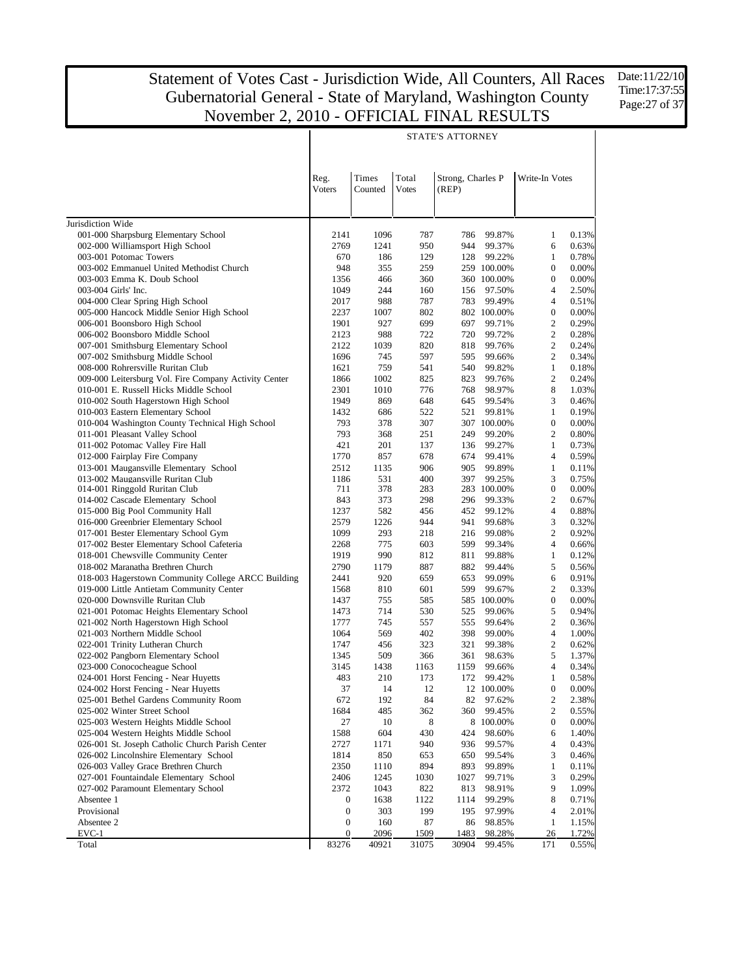Time:17:37:55 Page:27 of 37

|                                                                                            |                                                               |             |            | STATE'S ATTORNEY |                       |                                    |                |  |  |
|--------------------------------------------------------------------------------------------|---------------------------------------------------------------|-------------|------------|------------------|-----------------------|------------------------------------|----------------|--|--|
|                                                                                            | Times<br>Total<br>Reg.<br>Strong, Charles P<br>Write-In Votes |             |            |                  |                       |                                    |                |  |  |
|                                                                                            | Voters                                                        | Counted     | Votes      | (REP)            |                       |                                    |                |  |  |
| Jurisdiction Wide                                                                          |                                                               |             |            |                  |                       |                                    |                |  |  |
| 001-000 Sharpsburg Elementary School                                                       | 2141                                                          | 1096        | 787        | 786              | 99.87%                | 1                                  | 0.13%          |  |  |
| 002-000 Williamsport High School                                                           | 2769                                                          | 1241        | 950        | 944              | 99.37%                | 6                                  | 0.63%          |  |  |
| 003-001 Potomac Towers                                                                     | 670                                                           | 186         | 129        | 128              | 99.22%                | 1                                  | 0.78%          |  |  |
| 003-002 Emmanuel United Methodist Church                                                   | 948                                                           | 355         | 259        |                  | 259 100.00%           | $\boldsymbol{0}$                   | 0.00%          |  |  |
| 003-003 Emma K. Doub School                                                                | 1356                                                          | 466         | 360        |                  | 360 100.00%           | $\boldsymbol{0}$                   | 0.00%          |  |  |
| 003-004 Girls' Inc.                                                                        | 1049                                                          | 244         | 160        | 156              | 97.50%                | 4                                  | 2.50%          |  |  |
| 004-000 Clear Spring High School<br>005-000 Hancock Middle Senior High School              | 2017<br>2237                                                  | 988<br>1007 | 787<br>802 | 783              | 99.49%<br>802 100.00% | $\overline{4}$<br>$\boldsymbol{0}$ | 0.51%<br>0.00% |  |  |
| 006-001 Boonsboro High School                                                              | 1901                                                          | 927         | 699        | 697              | 99.71%                | $\mathbf{2}$                       | 0.29%          |  |  |
| 006-002 Boonsboro Middle School                                                            | 2123                                                          | 988         | 722        | 720              | 99.72%                | $\mathbf{2}$                       | 0.28%          |  |  |
| 007-001 Smithsburg Elementary School                                                       | 2122                                                          | 1039        | 820        | 818              | 99.76%                | $\mathbf{2}$                       | 0.24%          |  |  |
| 007-002 Smithsburg Middle School                                                           | 1696                                                          | 745         | 597        | 595              | 99.66%                | $\mathbf{2}$                       | 0.34%          |  |  |
| 008-000 Rohrersville Ruritan Club                                                          | 1621                                                          | 759         | 541        | 540              | 99.82%                | $\mathbf{1}$                       | 0.18%          |  |  |
| 009-000 Leitersburg Vol. Fire Company Activity Center                                      | 1866                                                          | 1002        | 825        | 823              | 99.76%                | $\mathbf{2}$                       | 0.24%          |  |  |
| 010-001 E. Russell Hicks Middle School                                                     | 2301                                                          | 1010        | 776        | 768              | 98.97%                | 8                                  | 1.03%          |  |  |
| 010-002 South Hagerstown High School                                                       | 1949                                                          | 869         | 648        | 645              | 99.54%                | 3                                  | 0.46%          |  |  |
| 010-003 Eastern Elementary School<br>010-004 Washington County Technical High School       | 1432<br>793                                                   | 686         | 522<br>307 | 521              | 99.81%                | $\mathbf{1}$<br>$\boldsymbol{0}$   | 0.19%<br>0.00% |  |  |
| 011-001 Pleasant Valley School                                                             | 793                                                           | 378<br>368  | 251        | 249              | 307 100.00%<br>99.20% | $\mathbf{2}$                       | 0.80%          |  |  |
| 011-002 Potomac Valley Fire Hall                                                           | 421                                                           | 201         | 137        | 136              | 99.27%                | $\mathbf{1}$                       | 0.73%          |  |  |
| 012-000 Fairplay Fire Company                                                              | 1770                                                          | 857         | 678        | 674              | 99.41%                | 4                                  | 0.59%          |  |  |
| 013-001 Maugansville Elementary School                                                     | 2512                                                          | 1135        | 906        | 905              | 99.89%                | 1                                  | 0.11%          |  |  |
| 013-002 Maugansville Ruritan Club                                                          | 1186                                                          | 531         | 400        | 397              | 99.25%                | 3                                  | 0.75%          |  |  |
| 014-001 Ringgold Ruritan Club                                                              | 711                                                           | 378         | 283        |                  | 283 100.00%           | $\boldsymbol{0}$                   | 0.00%          |  |  |
| 014-002 Cascade Elementary School                                                          | 843                                                           | 373         | 298        | 296              | 99.33%                | 2                                  | 0.67%          |  |  |
| 015-000 Big Pool Community Hall                                                            | 1237                                                          | 582         | 456        | 452              | 99.12%                | $\overline{4}$                     | 0.88%          |  |  |
| 016-000 Greenbrier Elementary School                                                       | 2579<br>1099                                                  | 1226<br>293 | 944<br>218 | 941              | 99.68%                | 3<br>$\overline{c}$                | 0.32%          |  |  |
| 017-001 Bester Elementary School Gym<br>017-002 Bester Elementary School Cafeteria         | 2268                                                          | 775         | 603        | 216<br>599       | 99.08%<br>99.34%      | $\overline{4}$                     | 0.92%<br>0.66% |  |  |
| 018-001 Chewsville Community Center                                                        | 1919                                                          | 990         | 812        | 811              | 99.88%                | $\mathbf{1}$                       | 0.12%          |  |  |
| 018-002 Maranatha Brethren Church                                                          | 2790                                                          | 1179        | 887        | 882              | 99.44%                | 5                                  | 0.56%          |  |  |
| 018-003 Hagerstown Community College ARCC Building                                         | 2441                                                          | 920         | 659        | 653              | 99.09%                | 6                                  | 0.91%          |  |  |
| 019-000 Little Antietam Community Center                                                   | 1568                                                          | 810         | 601        | 599              | 99.67%                | 2                                  | 0.33%          |  |  |
| 020-000 Downsville Ruritan Club                                                            | 1437                                                          | 755         | 585        |                  | 585 100.00%           | $\boldsymbol{0}$                   | 0.00%          |  |  |
| 021-001 Potomac Heights Elementary School                                                  | 1473                                                          | 714         | 530        | 525              | 99.06%                | 5                                  | 0.94%          |  |  |
| 021-002 North Hagerstown High School                                                       | 1777                                                          | 745         | 557        | 555              | 99.64%                | $\mathbf{2}$                       | 0.36%          |  |  |
| 021-003 Northern Middle School<br>022-001 Trinity Lutheran Church                          | 1064<br>1747                                                  | 569<br>456  | 402<br>323 | 398<br>321       | 99.00%<br>99.38%      | 4<br>$\mathfrak{2}$                | 1.00%<br>0.62% |  |  |
| 022-002 Pangborn Elementary School                                                         | 1345                                                          | 509         | 366        | 361              | 98.63%                | 5                                  | 1.37%          |  |  |
| 023-000 Conococheague School                                                               | 3145                                                          | 1438        | 1163       | 1159             | 99.66%                | $\overline{4}$                     | 0.34%          |  |  |
| 024-001 Horst Fencing - Near Huyetts                                                       | 483                                                           | 210         | 173        | 172              | 99.42%                | 1                                  | 0.58%          |  |  |
| 024-002 Horst Fencing - Near Huyetts                                                       | 37                                                            | 14          | 12         |                  | 12 100.00%            | $\boldsymbol{0}$                   | $0.00\%$       |  |  |
| 025-001 Bethel Gardens Community Room                                                      | 672                                                           | 192         | 84         | 82               | 97.62%                | 2                                  | 2.38%          |  |  |
| 025-002 Winter Street School                                                               | 1684                                                          | 485         | 362        | 360              | 99.45%                | 2                                  | 0.55%          |  |  |
| 025-003 Western Heights Middle School                                                      | 27                                                            | 10          | 8          |                  | 8 100.00%             | $\boldsymbol{0}$                   | 0.00%          |  |  |
| 025-004 Western Heights Middle School                                                      | 1588                                                          | 604         | 430        | 424              | 98.60%                | 6                                  | 1.40%          |  |  |
| 026-001 St. Joseph Catholic Church Parish Center<br>026-002 Lincolnshire Elementary School | 2727                                                          | 1171        | 940        | 936              | 99.57%                | 4<br>3                             | 0.43%          |  |  |
| 026-003 Valley Grace Brethren Church                                                       | 1814<br>2350                                                  | 850<br>1110 | 653<br>894 | 650<br>893       | 99.54%<br>99.89%      | $\mathbf{1}$                       | 0.46%<br>0.11% |  |  |
| 027-001 Fountaindale Elementary School                                                     | 2406                                                          | 1245        | 1030       | 1027             | 99.71%                | 3                                  | 0.29%          |  |  |
| 027-002 Paramount Elementary School                                                        | 2372                                                          | 1043        | 822        | 813              | 98.91%                | 9                                  | 1.09%          |  |  |
| Absentee 1                                                                                 | $\boldsymbol{0}$                                              | 1638        | 1122       | 1114             | 99.29%                | 8                                  | 0.71%          |  |  |
| Provisional                                                                                | $\boldsymbol{0}$                                              | 303         | 199        | 195              | 97.99%                | 4                                  | 2.01%          |  |  |
| Absentee 2                                                                                 | $\boldsymbol{0}$                                              | 160         | 87         | 86               | 98.85%                | $\mathbf{1}$                       | 1.15%          |  |  |
| EVC-1                                                                                      | $\boldsymbol{0}$                                              | 2096        | 1509       | 1483             | 98.28%                | 26                                 | 1.72%          |  |  |
| Total                                                                                      | 83276                                                         | 40921       | 31075      | 30904            | 99.45%                | 171                                | 0.55%          |  |  |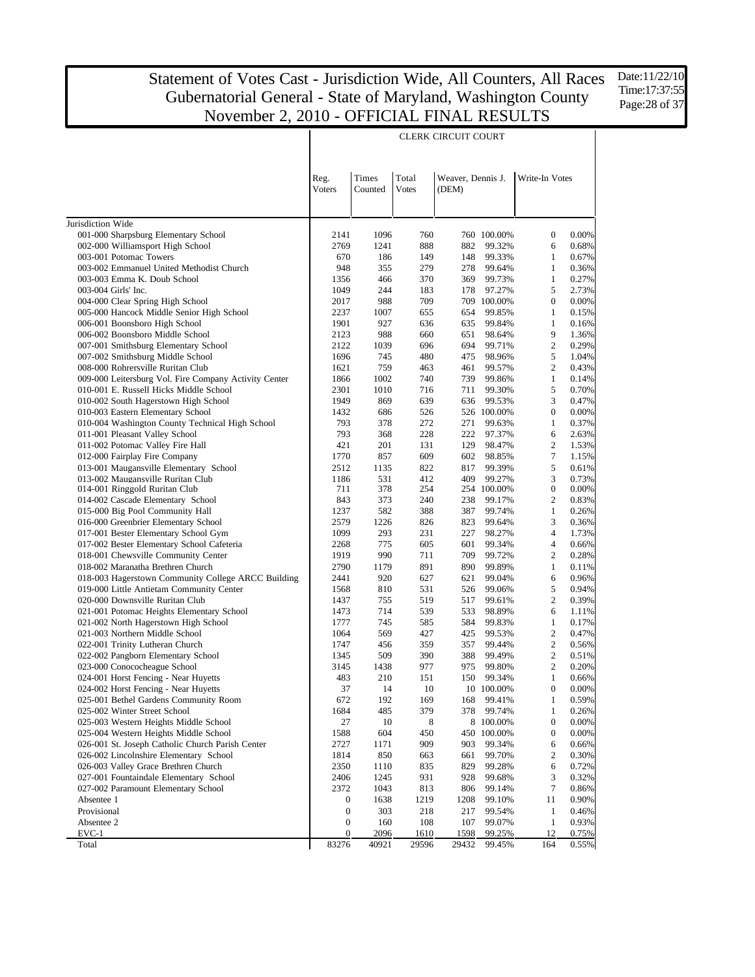Date:11/22/10 Time:17:37:55 Page: 28 of 37

|                                                                              |                                      |             |            | <b>CLERK CIRCUIT COURT</b> |                     |                                  |                |
|------------------------------------------------------------------------------|--------------------------------------|-------------|------------|----------------------------|---------------------|----------------------------------|----------------|
|                                                                              |                                      |             |            |                            |                     |                                  |                |
|                                                                              |                                      |             |            |                            |                     |                                  |                |
|                                                                              | Reg.                                 | Times       | Total      | Weaver, Dennis J.          |                     | Write-In Votes                   |                |
|                                                                              | Voters                               | Counted     | Votes      | (DEM)                      |                     |                                  |                |
|                                                                              |                                      |             |            |                            |                     |                                  |                |
| Jurisdiction Wide                                                            |                                      |             |            |                            |                     |                                  |                |
| 001-000 Sharpsburg Elementary School                                         | 2141                                 | 1096        | 760        |                            | 760 100.00%         | $\boldsymbol{0}$                 | 0.00%          |
| 002-000 Williamsport High School                                             | 2769                                 | 1241        | 888        | 882                        | 99.32%              | 6                                | 0.68%          |
| 003-001 Potomac Towers                                                       | 670                                  | 186         | 149        | 148                        | 99.33%              | 1                                | 0.67%          |
| 003-002 Emmanuel United Methodist Church<br>003-003 Emma K. Doub School      | 948<br>1356                          | 355<br>466  | 279<br>370 | 278<br>369                 | 99.64%<br>99.73%    | $\mathbf{1}$<br>$\mathbf{1}$     | 0.36%<br>0.27% |
| 003-004 Girls' Inc.                                                          | 1049                                 | 244         | 183        | 178                        | 97.27%              | 5                                | 2.73%          |
| 004-000 Clear Spring High School                                             | 2017                                 | 988         | 709        |                            | 709 100.00%         | $\boldsymbol{0}$                 | 0.00%          |
| 005-000 Hancock Middle Senior High School                                    | 2237                                 | 1007        | 655        | 654                        | 99.85%              | 1                                | 0.15%          |
| 006-001 Boonsboro High School                                                | 1901                                 | 927         | 636        | 635                        | 99.84%              | $\mathbf{1}$                     | 0.16%          |
| 006-002 Boonsboro Middle School                                              | 2123                                 | 988         | 660        | 651                        | 98.64%              | 9                                | 1.36%          |
| 007-001 Smithsburg Elementary School                                         | 2122                                 | 1039        | 696        | 694                        | 99.71%              | $\mathbf{2}$                     | 0.29%          |
| 007-002 Smithsburg Middle School<br>008-000 Rohrersville Ruritan Club        | 1696<br>1621                         | 745<br>759  | 480<br>463 | 475<br>461                 | 98.96%<br>99.57%    | 5<br>$\mathbf{2}$                | 1.04%<br>0.43% |
| 009-000 Leitersburg Vol. Fire Company Activity Center                        | 1866                                 | 1002        | 740        | 739                        | 99.86%              | $\mathbf{1}$                     | 0.14%          |
| 010-001 E. Russell Hicks Middle School                                       | 2301                                 | 1010        | 716        | 711                        | 99.30%              | 5                                | 0.70%          |
| 010-002 South Hagerstown High School                                         | 1949                                 | 869         | 639        | 636                        | 99.53%              | 3                                | 0.47%          |
| 010-003 Eastern Elementary School                                            | 1432                                 | 686         | 526        |                            | 526 100.00%         | $\boldsymbol{0}$                 | 0.00%          |
| 010-004 Washington County Technical High School                              | 793                                  | 378         | 272        | 271                        | 99.63%              | 1                                | 0.37%          |
| 011-001 Pleasant Valley School                                               | 793                                  | 368         | 228        | 222                        | 97.37%              | 6                                | 2.63%          |
| 011-002 Potomac Valley Fire Hall<br>012-000 Fairplay Fire Company            | 421<br>1770                          | 201<br>857  | 131<br>609 | 129<br>602                 | 98.47%<br>98.85%    | $\mathbf{2}$<br>7                | 1.53%<br>1.15% |
| 013-001 Maugansville Elementary School                                       | 2512                                 | 1135        | 822        | 817                        | 99.39%              | 5                                | 0.61%          |
| 013-002 Maugansville Ruritan Club                                            | 1186                                 | 531         | 412        | 409                        | 99.27%              | 3                                | 0.73%          |
| 014-001 Ringgold Ruritan Club                                                | 711                                  | 378         | 254        |                            | 254 100.00%         | $\boldsymbol{0}$                 | 0.00%          |
| 014-002 Cascade Elementary School                                            | 843                                  | 373         | 240        | 238                        | 99.17%              | 2                                | 0.83%          |
| 015-000 Big Pool Community Hall                                              | 1237                                 | 582         | 388        | 387                        | 99.74%              | $\mathbf{1}$                     | 0.26%          |
| 016-000 Greenbrier Elementary School<br>017-001 Bester Elementary School Gym | 2579<br>1099                         | 1226<br>293 | 826<br>231 | 823<br>227                 | 99.64%<br>98.27%    | 3<br>$\overline{4}$              | 0.36%<br>1.73% |
| 017-002 Bester Elementary School Cafeteria                                   | 2268                                 | 775         | 605        | 601                        | 99.34%              | $\overline{4}$                   | 0.66%          |
| 018-001 Chewsville Community Center                                          | 1919                                 | 990         | 711        | 709                        | 99.72%              | $\overline{c}$                   | 0.28%          |
| 018-002 Maranatha Brethren Church                                            | 2790                                 | 1179        | 891        | 890                        | 99.89%              | $\mathbf{1}$                     | 0.11%          |
| 018-003 Hagerstown Community College ARCC Building                           | 2441                                 | 920         | 627        | 621                        | 99.04%              | 6                                | 0.96%          |
| 019-000 Little Antietam Community Center                                     | 1568                                 | 810         | 531        | 526                        | 99.06%              | 5                                | 0.94%          |
| 020-000 Downsville Ruritan Club                                              | 1437                                 | 755         | 519        | 517                        | 99.61%              | $\overline{c}$                   | 0.39%          |
| 021-001 Potomac Heights Elementary School                                    | 1473<br>1777                         | 714<br>745  | 539<br>585 | 533<br>584                 | 98.89%              | 6<br>$\mathbf{1}$                | 1.11%<br>0.17% |
| 021-002 North Hagerstown High School<br>021-003 Northern Middle School       | 1064                                 | 569         | 427        | 425                        | 99.83%<br>99.53%    | $\mathbf{2}$                     | 0.47%          |
| 022-001 Trinity Lutheran Church                                              | 1747                                 | 456         | 359        | 357                        | 99.44%              | $\mathfrak{2}$                   | 0.56%          |
| 022-002 Pangborn Elementary School                                           | 1345                                 | 509         | 390        | 388                        | 99.49%              | $\mathbf{2}$                     | 0.51%          |
| 023-000 Conococheague School                                                 | 3145                                 | 1438        | 977        | 975                        | 99.80%              | $\mathbf{2}$                     | 0.20%          |
| 024-001 Horst Fencing - Near Huyetts                                         | 483                                  | 210         | 151        | 150                        | 99.34%              | 1                                | 0.66%          |
| 024-002 Horst Fencing - Near Huyetts                                         | 37                                   | 14          | 10         |                            | 10 100.00%          | $\boldsymbol{0}$                 | 0.00%          |
| 025-001 Bethel Gardens Community Room                                        | 672                                  | 192         | 169        | 168                        | 99.41%              | $\mathbf{1}$                     | 0.59%          |
| 025-002 Winter Street School<br>025-003 Western Heights Middle School        | 1684<br>27                           | 485<br>10   | 379<br>8   | 378                        | 99.74%<br>8 100.00% | $\mathbf{1}$<br>$\boldsymbol{0}$ | 0.26%<br>0.00% |
| 025-004 Western Heights Middle School                                        | 1588                                 | 604         | 450        |                            | 450 100.00%         | $\boldsymbol{0}$                 | 0.00%          |
| 026-001 St. Joseph Catholic Church Parish Center                             | 2727                                 | 1171        | 909        | 903                        | 99.34%              | 6                                | 0.66%          |
| 026-002 Lincolnshire Elementary School                                       | 1814                                 | 850         | 663        | 661                        | 99.70%              | 2                                | 0.30%          |
| 026-003 Valley Grace Brethren Church                                         | 2350                                 | 1110        | 835        | 829                        | 99.28%              | 6                                | 0.72%          |
| 027-001 Fountaindale Elementary School                                       | 2406                                 | 1245        | 931        | 928                        | 99.68%              | 3                                | 0.32%          |
| 027-002 Paramount Elementary School                                          | 2372                                 | 1043        | 813        | 806                        | 99.14%              | 7                                | 0.86%          |
| Absentee 1                                                                   | $\boldsymbol{0}$                     | 1638        | 1219       | 1208                       | 99.10%              | 11                               | 0.90%          |
| Provisional<br>Absentee 2                                                    | $\boldsymbol{0}$<br>$\boldsymbol{0}$ | 303<br>160  | 218<br>108 | 217<br>107                 | 99.54%<br>99.07%    | $\mathbf{1}$<br>$\mathbf{1}$     | 0.46%<br>0.93% |
| EVC-1                                                                        | $\boldsymbol{0}$                     | 2096        | 1610       | 1598                       | 99.25%              | 12                               | 0.75%          |
| Total                                                                        | 83276                                | 40921       | 29596      | 29432                      | 99.45%              | 164                              | 0.55%          |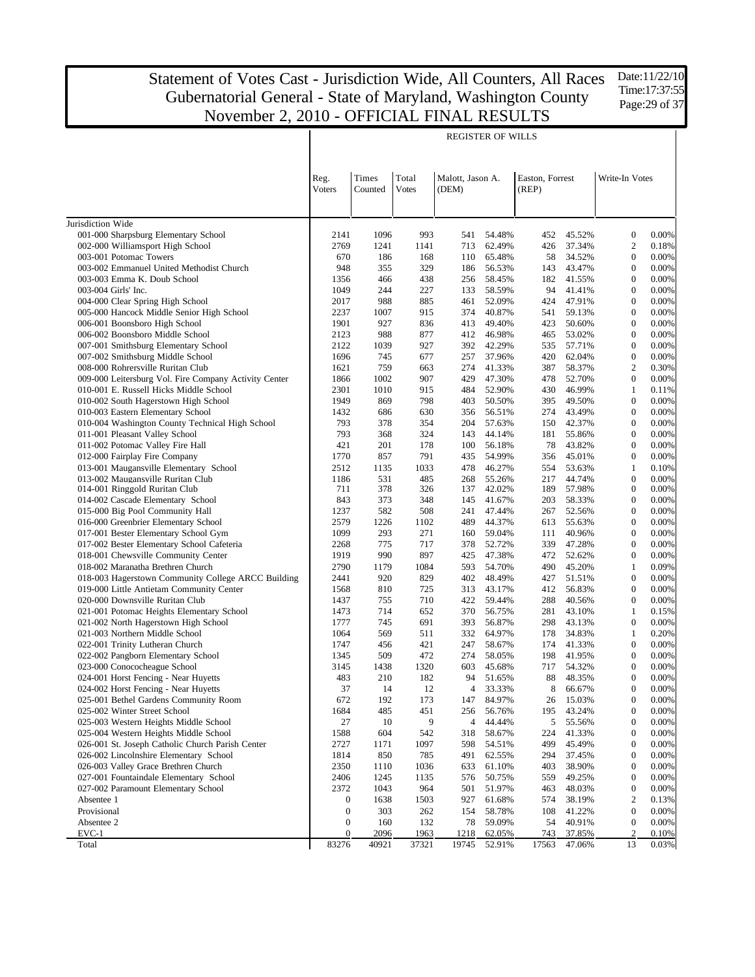Date:11/22/10 Time:17:37:55 Page: 29 of 37

|                                                                            |                       |                  |                       |                           | <b>REGISTER OF WILLS</b> |                          |                  |                                      |                |
|----------------------------------------------------------------------------|-----------------------|------------------|-----------------------|---------------------------|--------------------------|--------------------------|------------------|--------------------------------------|----------------|
|                                                                            | Reg.<br>Voters        | Times<br>Counted | Total<br><b>Votes</b> | Malott, Jason A.<br>(DEM) |                          | Easton, Forrest<br>(REP) |                  | Write-In Votes                       |                |
| Jurisdiction Wide                                                          |                       |                  |                       |                           |                          |                          |                  |                                      |                |
| 001-000 Sharpsburg Elementary School                                       | 2141                  | 1096             | 993                   | 541                       | 54.48%                   | 452                      | 45.52%           | $\boldsymbol{0}$                     | 0.00%          |
| 002-000 Williamsport High School                                           | 2769                  | 1241             | 1141                  | 713                       | 62.49%                   | 426                      | 37.34%           | $\overline{c}$                       | 0.18%          |
| 003-001 Potomac Towers                                                     | 670                   | 186              | 168                   | 110                       | 65.48%                   | 58                       | 34.52%           | $\boldsymbol{0}$                     | 0.00%          |
| 003-002 Emmanuel United Methodist Church                                   | 948                   | 355              | 329                   | 186                       | 56.53%                   | 143                      | 43.47%           | $\boldsymbol{0}$                     | 0.00%          |
| 003-003 Emma K. Doub School                                                | 1356                  | 466              | 438                   | 256                       | 58.45%                   | 182                      | 41.55%           | $\boldsymbol{0}$                     | 0.00%          |
| 003-004 Girls' Inc.                                                        | 1049                  | 244              | 227                   | 133                       | 58.59%                   | 94                       | 41.41%           | $\boldsymbol{0}$                     | 0.00%          |
| 004-000 Clear Spring High School                                           | 2017                  | 988              | 885                   | 461                       | 52.09%                   | 424                      | 47.91%           | $\boldsymbol{0}$<br>$\boldsymbol{0}$ | 0.00%          |
| 005-000 Hancock Middle Senior High School<br>006-001 Boonsboro High School | 2237<br>1901          | 1007<br>927      | 915<br>836            | 374<br>413                | 40.87%<br>49.40%         | 541<br>423               | 59.13%<br>50.60% | $\boldsymbol{0}$                     | 0.00%<br>0.00% |
| 006-002 Boonsboro Middle School                                            | 2123                  | 988              | 877                   | 412                       | 46.98%                   | 465                      | 53.02%           | $\boldsymbol{0}$                     | 0.00%          |
| 007-001 Smithsburg Elementary School                                       | 2122                  | 1039             | 927                   | 392                       | 42.29%                   | 535                      | 57.71%           | $\boldsymbol{0}$                     | 0.00%          |
| 007-002 Smithsburg Middle School                                           | 1696                  | 745              | 677                   | 257                       | 37.96%                   | 420                      | 62.04%           | $\boldsymbol{0}$                     | 0.00%          |
| 008-000 Rohrersville Ruritan Club                                          | 1621                  | 759              | 663                   | 274                       | 41.33%                   | 387                      | 58.37%           | $\overline{c}$                       | 0.30%          |
| 009-000 Leitersburg Vol. Fire Company Activity Center                      | 1866                  | 1002             | 907                   | 429                       | 47.30%                   | 478                      | 52.70%           | $\boldsymbol{0}$                     | 0.00%          |
| 010-001 E. Russell Hicks Middle School                                     | 2301                  | 1010             | 915                   | 484                       | 52.90%                   | 430                      | 46.99%           | $\mathbf{1}$                         | 0.11%          |
| 010-002 South Hagerstown High School                                       | 1949                  | 869              | 798                   | 403                       | 50.50%                   | 395                      | 49.50%           | $\boldsymbol{0}$                     | 0.00%          |
| 010-003 Eastern Elementary School                                          | 1432                  | 686              | 630                   | 356                       | 56.51%                   | 274                      | 43.49%           | $\boldsymbol{0}$                     | 0.00%          |
| 010-004 Washington County Technical High School                            | 793                   | 378              | 354                   | 204                       | 57.63%                   | 150                      | 42.37%           | $\boldsymbol{0}$                     | 0.00%          |
| 011-001 Pleasant Valley School                                             | 793                   | 368              | 324                   | 143                       | 44.14%                   | 181                      | 55.86%           | $\boldsymbol{0}$                     | 0.00%          |
| 011-002 Potomac Valley Fire Hall                                           | 421                   | 201              | 178                   | 100                       | 56.18%                   | 78                       | 43.82%           | $\boldsymbol{0}$                     | 0.00%          |
| 012-000 Fairplay Fire Company                                              | 1770                  | 857              | 791                   | 435                       | 54.99%                   | 356                      | 45.01%           | $\boldsymbol{0}$                     | 0.00%          |
| 013-001 Maugansville Elementary School                                     | 2512                  | 1135             | 1033                  | 478                       | 46.27%                   | 554                      | 53.63%           | $\mathbf{1}$<br>$\boldsymbol{0}$     | 0.10%<br>0.00% |
| 013-002 Maugansville Ruritan Club<br>014-001 Ringgold Ruritan Club         | 1186<br>711           | 531<br>378       | 485<br>326            | 268<br>137                | 55.26%<br>42.02%         | 217<br>189               | 44.74%<br>57.98% | $\boldsymbol{0}$                     | 0.00%          |
| 014-002 Cascade Elementary School                                          | 843                   | 373              | 348                   | 145                       | 41.67%                   | 203                      | 58.33%           | $\mathbf{0}$                         | 0.00%          |
| 015-000 Big Pool Community Hall                                            | 1237                  | 582              | 508                   | 241                       | 47.44%                   | 267                      | 52.56%           | $\boldsymbol{0}$                     | 0.00%          |
| 016-000 Greenbrier Elementary School                                       | 2579                  | 1226             | 1102                  | 489                       | 44.37%                   | 613                      | 55.63%           | $\boldsymbol{0}$                     | 0.00%          |
| 017-001 Bester Elementary School Gym                                       | 1099                  | 293              | 271                   | 160                       | 59.04%                   | 111                      | 40.96%           | $\boldsymbol{0}$                     | 0.00%          |
| 017-002 Bester Elementary School Cafeteria                                 | 2268                  | 775              | 717                   | 378                       | 52.72%                   | 339                      | 47.28%           | $\boldsymbol{0}$                     | 0.00%          |
| 018-001 Chewsville Community Center                                        | 1919                  | 990              | 897                   | 425                       | 47.38%                   | 472                      | 52.62%           | $\boldsymbol{0}$                     | 0.00%          |
| 018-002 Maranatha Brethren Church                                          | 2790                  | 1179             | 1084                  | 593                       | 54.70%                   | 490                      | 45.20%           | $\mathbf{1}$                         | 0.09%          |
| 018-003 Hagerstown Community College ARCC Building                         | 2441                  | 920              | 829                   | 402                       | 48.49%                   | 427                      | 51.51%           | $\boldsymbol{0}$                     | 0.00%          |
| 019-000 Little Antietam Community Center                                   | 1568                  | 810              | 725                   | 313                       | 43.17%                   | 412                      | 56.83%           | $\boldsymbol{0}$                     | 0.00%          |
| 020-000 Downsville Ruritan Club                                            | 1437                  | 755              | 710                   | 422                       | 59.44%                   | 288                      | 40.56%           | $\boldsymbol{0}$                     | 0.00%          |
| 021-001 Potomac Heights Elementary School                                  | 1473                  | 714              | 652                   | 370                       | 56.75%                   | 281                      | 43.10%           | $\mathbf{1}$                         | 0.15%          |
| 021-002 North Hagerstown High School<br>021-003 Northern Middle School     | 1777<br>1064          | 745<br>569       | 691<br>511            | 393<br>332                | 56.87%<br>64.97%         | 298<br>178               | 43.13%<br>34.83% | $\boldsymbol{0}$<br>$\mathbf{1}$     | 0.00%<br>0.20% |
| 022-001 Trinity Lutheran Church                                            | 1747                  | 456              | 421                   | 247                       | 58.67%                   | 174                      | 41.33%           | $\boldsymbol{0}$                     | 0.00%          |
| 022-002 Pangborn Elementary School                                         | 1345                  | 509              | 472                   | 274                       | 58.05%                   | 198                      | 41.95%           | $\boldsymbol{0}$                     | 0.00%          |
| 023-000 Conococheague School                                               | 3145                  | 1438             | 1320                  | 603                       | 45.68%                   | 717                      | 54.32%           | $\boldsymbol{0}$                     | 0.00%          |
| 024-001 Horst Fencing - Near Huyetts                                       | 483                   | 210              | 182                   | 94                        | 51.65%                   | 88                       | 48.35%           | $\overline{0}$                       | 0.00%          |
| 024-002 Horst Fencing - Near Huyetts                                       | 37                    | 14               | 12                    | 4                         | 33.33%                   | 8                        | 66.67%           | $\boldsymbol{0}$                     | $0.00\%$       |
| 025-001 Bethel Gardens Community Room                                      | 672                   | 192              | 173                   | 147                       | 84.97%                   | 26                       | 15.03%           | $\boldsymbol{0}$                     | 0.00%          |
| 025-002 Winter Street School                                               | 1684                  | 485              | 451                   | 256                       | 56.76%                   | 195                      | 43.24%           | $\boldsymbol{0}$                     | 0.00%          |
| 025-003 Western Heights Middle School                                      | $27\,$                | 10               | 9                     | 4                         | 44.44%                   | 5                        | 55.56%           | $\boldsymbol{0}$                     | 0.00%          |
| 025-004 Western Heights Middle School                                      | 1588                  | 604              | 542                   | 318                       | 58.67%                   | 224                      | 41.33%           | $\boldsymbol{0}$                     | 0.00%          |
| 026-001 St. Joseph Catholic Church Parish Center                           | 2727                  | 1171             | 1097                  | 598                       | 54.51%                   | 499                      | 45.49%           | $\boldsymbol{0}$                     | 0.00%          |
| 026-002 Lincolnshire Elementary School                                     | 1814                  | 850              | 785                   | 491                       | 62.55%                   | 294                      | 37.45%           | $\boldsymbol{0}$                     | 0.00%          |
| 026-003 Valley Grace Brethren Church                                       | 2350                  | 1110             | 1036                  | 633                       | 61.10%                   | 403                      | 38.90%           | $\boldsymbol{0}$                     | 0.00%          |
| 027-001 Fountaindale Elementary School                                     | 2406                  | 1245             | 1135                  | 576                       | 50.75%                   | 559                      | 49.25%           | $\boldsymbol{0}$                     | 0.00%          |
| 027-002 Paramount Elementary School                                        | 2372                  | 1043             | 964                   | 501                       | 51.97%                   | 463                      | 48.03%           | $\boldsymbol{0}$                     | 0.00%          |
| Absentee 1<br>Provisional                                                  | 0<br>$\boldsymbol{0}$ | 1638<br>303      | 1503<br>262           | 927<br>154                | 61.68%<br>58.78%         | 574<br>108               | 38.19%<br>41.22% | $\boldsymbol{2}$<br>$\boldsymbol{0}$ | 0.13%<br>0.00% |
| Absentee 2                                                                 | 0                     | 160              | 132                   | 78                        | 59.09%                   | 54                       | 40.91%           | $\boldsymbol{0}$                     | 0.00%          |
| $EVC-1$                                                                    | $\boldsymbol{0}$      | 2096             | 1963                  | 1218                      | 62.05%                   | 743                      | 37.85%           | $\overline{c}$                       | 0.10%          |
| Total                                                                      | 83276                 | 40921            | 37321                 | 19745                     | 52.91%                   | 17563                    | 47.06%           | 13                                   | 0.03%          |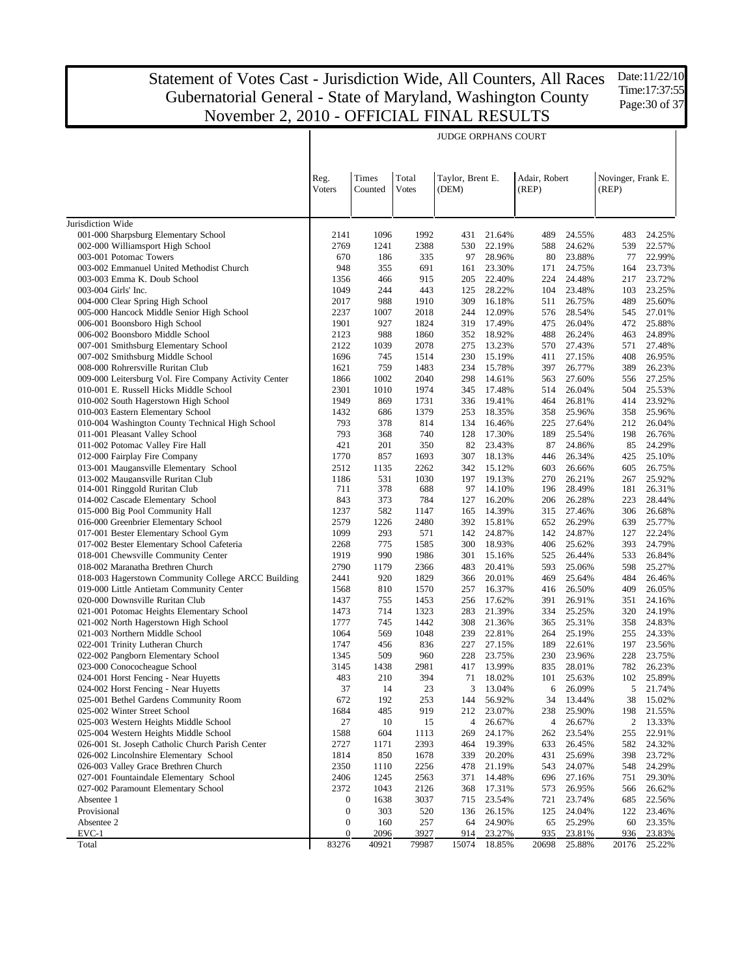JUDGE ORPHANS COURT

Reg. Voters Times Counted Total Votes Taylor, Brent E. (DEM) Adair, Robert (REP) Novinger, Frank E. (REP) 2141 1096 1992 431 21.64% 489 24.55% 483 24.25% 2769 1241 2388 530 22.19% 588 24.62% 539 22.57% 670 186 335 97 28.96% 80 23.88% 77 22.99% 948 355 691 161 23.30% 171 24.75% 164 23.73% 1356 466 915 205 22.40% 224 24.48% 217 23.72% 1049 244 443 125 28.22% 104 23.48% 103 23.25% 2017 988 1910 309 16.18% 511 26.75% 489 25.60% 2237 1007 2018 244 12.09% 576 28.54% 545 27.01% 1901 927 1824 319 17.49% 475 26.04% 472 25.88% 2123 988 1860 352 18.92% 488 26.24% 463 24.89% 2122 1039 2078 275 13.23% 570 27.43% 571 27.48% 1696 745 1514 230 15.19% 411 27.15% 408 26.95% 1621 759 1483 234 15.78% 397 26.77% 389 26.23% 1866 1002 2040 298 14.61% 563 27.60% 556 27.25% 2301 1010 1974 345 17.48% 514 26.04% 504 25.53% 1949 869 1731 336 19.41% 464 26.81% 414 23.92% 1432 686 1379 253 18.35% 358 25.96% 358 25.96%

| Jurisdiction Wide                                     |                  |       |       |       |        |       |        |                  |        |
|-------------------------------------------------------|------------------|-------|-------|-------|--------|-------|--------|------------------|--------|
| 001-000 Sharpsburg Elementary School                  | 2141             | 1096  | 1992  | 431   | 21.64% | 489   | 24.55% | 483              | 24.25% |
| 002-000 Williamsport High School                      | 2769             | 1241  | 2388  | 530   | 22.19% | 588   | 24.62% | 539              | 22.57% |
| 003-001 Potomac Towers                                | 670              | 186   | 335   | 97    | 28.96% | 80    | 23.88% | 77               | 22.99% |
| 003-002 Emmanuel United Methodist Church              | 948              | 355   | 691   | 161   | 23.30% | 171   | 24.75% | 164              | 23.73% |
| 003-003 Emma K. Doub School                           | 1356             | 466   | 915   | 205   | 22.40% | 224   | 24.48% | 217              | 23.72% |
| 003-004 Girls' Inc.                                   | 1049             | 244   | 443   | 125   | 28.22% | 104   | 23.48% | 103              | 23.25% |
| 004-000 Clear Spring High School                      | 2017             | 988   | 1910  | 309   | 16.18% | 511   | 26.75% | 489              | 25.60% |
| 005-000 Hancock Middle Senior High School             | 2237             | 1007  | 2018  | 244   | 12.09% | 576   | 28.54% | 545              | 27.01% |
| 006-001 Boonsboro High School                         | 1901             | 927   | 1824  | 319   | 17.49% | 475   | 26.04% | 472              | 25.88% |
| 006-002 Boonsboro Middle School                       | 2123             | 988   | 1860  | 352   | 18.92% | 488   | 26.24% | 463              | 24.89% |
| 007-001 Smithsburg Elementary School                  | 2122             | 1039  | 2078  | 275   | 13.23% | 570   | 27.43% | 571              | 27.48% |
| 007-002 Smithsburg Middle School                      | 1696             | 745   | 1514  | 230   | 15.19% | 411   | 27.15% | 408              | 26.95% |
| 008-000 Rohrersville Ruritan Club                     | 1621             | 759   | 1483  | 234   | 15.78% | 397   | 26.77% | 389              | 26.23% |
| 009-000 Leitersburg Vol. Fire Company Activity Center | 1866             | 1002  | 2040  | 298   | 14.61% | 563   | 27.60% | 556              | 27.25% |
| 010-001 E. Russell Hicks Middle School                | 2301             | 1010  | 1974  | 345   | 17.48% | 514   | 26.04% | 504              | 25.53% |
| 010-002 South Hagerstown High School                  | 1949             | 869   | 1731  | 336   | 19.41% | 464   | 26.81% | 414              | 23.92% |
| 010-003 Eastern Elementary School                     | 1432             | 686   | 1379  | 253   | 18.35% | 358   | 25.96% | 358              | 25.96% |
| 010-004 Washington County Technical High School       | 793              | 378   | 814   | 134   | 16.46% | 225   | 27.64% | 212              | 26.04% |
| 011-001 Pleasant Valley School                        | 793              | 368   | 740   | 128   | 17.30% | 189   | 25.54% | 198              | 26.76% |
| 011-002 Potomac Valley Fire Hall                      | 421              | 201   | 350   | 82    | 23.43% | 87    | 24.86% | 85               | 24.29% |
| 012-000 Fairplay Fire Company                         | 1770             | 857   | 1693  | 307   | 18.13% | 446   | 26.34% | 425              | 25.10% |
| 013-001 Maugansville Elementary School                | 2512             | 1135  | 2262  | 342   | 15.12% | 603   | 26.66% | 605              | 26.75% |
| 013-002 Maugansville Ruritan Club                     | 1186             | 531   | 1030  | 197   | 19.13% | 270   | 26.21% | 267              | 25.92% |
| 014-001 Ringgold Ruritan Club                         | 711              | 378   | 688   | 97    | 14.10% | 196   | 28.49% | 181              | 26.31% |
| 014-002 Cascade Elementary School                     | 843              | 373   | 784   | 127   | 16.20% | 206   | 26.28% | 223              | 28.44% |
| 015-000 Big Pool Community Hall                       | 1237             | 582   | 1147  | 165   | 14.39% | 315   | 27.46% | 306              | 26.68% |
| 016-000 Greenbrier Elementary School                  | 2579             | 1226  | 2480  | 392   | 15.81% | 652   | 26.29% | 639              | 25.77% |
| 017-001 Bester Elementary School Gym                  | 1099             | 293   | 571   | 142   | 24.87% | 142   | 24.87% | 127              | 22.24% |
| 017-002 Bester Elementary School Cafeteria            | 2268             | 775   | 1585  | 300   | 18.93% | 406   | 25.62% | 393              | 24.79% |
| 018-001 Chewsville Community Center                   | 1919             | 990   | 1986  | 301   | 15.16% | 525   | 26.44% | 533              | 26.84% |
| 018-002 Maranatha Brethren Church                     | 2790             | 1179  | 2366  | 483   | 20.41% | 593   | 25.06% | 598              | 25.27% |
| 018-003 Hagerstown Community College ARCC Building    | 2441             | 920   | 1829  | 366   | 20.01% | 469   | 25.64% | 484              | 26.46% |
| 019-000 Little Antietam Community Center              | 1568             | 810   | 1570  | 257   | 16.37% | 416   | 26.50% | 409              | 26.05% |
| 020-000 Downsville Ruritan Club                       | 1437             | 755   | 1453  | 256   | 17.62% | 391   | 26.91% | 351              | 24.16% |
| 021-001 Potomac Heights Elementary School             | 1473             | 714   | 1323  | 283   | 21.39% | 334   | 25.25% | 320              | 24.19% |
| 021-002 North Hagerstown High School                  | 1777             | 745   | 1442  | 308   | 21.36% | 365   | 25.31% | 358              | 24.83% |
| 021-003 Northern Middle School                        | 1064             | 569   | 1048  | 239   | 22.81% | 264   | 25.19% | 255              | 24.33% |
| 022-001 Trinity Lutheran Church                       | 1747             | 456   | 836   | 227   | 27.15% | 189   | 22.61% | 197              | 23.56% |
| 022-002 Pangborn Elementary School                    | 1345             | 509   | 960   | 228   | 23.75% | 230   | 23.96% | 228              | 23.75% |
| 023-000 Conococheague School                          | 3145             | 1438  | 2981  | 417   | 13.99% | 835   | 28.01% | 782              | 26.23% |
| 024-001 Horst Fencing - Near Huyetts                  | 483              | 210   | 394   | 71    | 18.02% | 101   | 25.63% | 102              | 25.89% |
| 024-002 Horst Fencing - Near Huyetts                  | 37               | 14    | 23    | 3     | 13.04% | 6     | 26.09% | 5                | 21.74% |
| 025-001 Bethel Gardens Community Room                 | 672              | 192   | 253   | 144   | 56.92% | 34    | 13.44% | 38               | 15.02% |
| 025-002 Winter Street School                          | 1684             | 485   | 919   | 212   | 23.07% | 238   | 25.90% | 198              | 21.55% |
| 025-003 Western Heights Middle School                 | 27               | 10    | 15    | 4     | 26.67% | 4     | 26.67% | $\boldsymbol{2}$ | 13.33% |
| 025-004 Western Heights Middle School                 | 1588             | 604   | 1113  | 269   | 24.17% | 262   | 23.54% | 255              | 22.91% |
| 026-001 St. Joseph Catholic Church Parish Center      | 2727             | 1171  | 2393  | 464   | 19.39% | 633   | 26.45% | 582              | 24.32% |
| 026-002 Lincolnshire Elementary School                | 1814             | 850   | 1678  | 339   | 20.20% | 431   | 25.69% | 398              | 23.72% |
| 026-003 Valley Grace Brethren Church                  | 2350             | 1110  | 2256  | 478   | 21.19% | 543   | 24.07% | 548              | 24.29% |
| 027-001 Fountaindale Elementary School                | 2406             | 1245  | 2563  | 371   | 14.48% | 696   | 27.16% | 751              | 29.30% |
| 027-002 Paramount Elementary School                   | 2372             | 1043  | 2126  | 368   | 17.31% | 573   | 26.95% | 566              | 26.62% |
| Absentee 1                                            | $\boldsymbol{0}$ | 1638  | 3037  | 715   | 23.54% | 721   | 23.74% | 685              | 22.56% |
| Provisional                                           | $\boldsymbol{0}$ | 303   | 520   | 136   | 26.15% | 125   | 24.04% | 122              | 23.46% |
| Absentee 2                                            | $\boldsymbol{0}$ | 160   | 257   | 64    | 24.90% | 65    | 25.29% | 60               | 23.35% |
| EVC-1                                                 | $\boldsymbol{0}$ | 2096  | 3927  | 914   | 23.27% | 935   | 23.81% | 936              | 23.83% |
| Total                                                 | 83276            | 40921 | 79987 | 15074 | 18.85% | 20698 | 25.88% | 20176            | 25.22% |
|                                                       |                  |       |       |       |        |       |        |                  |        |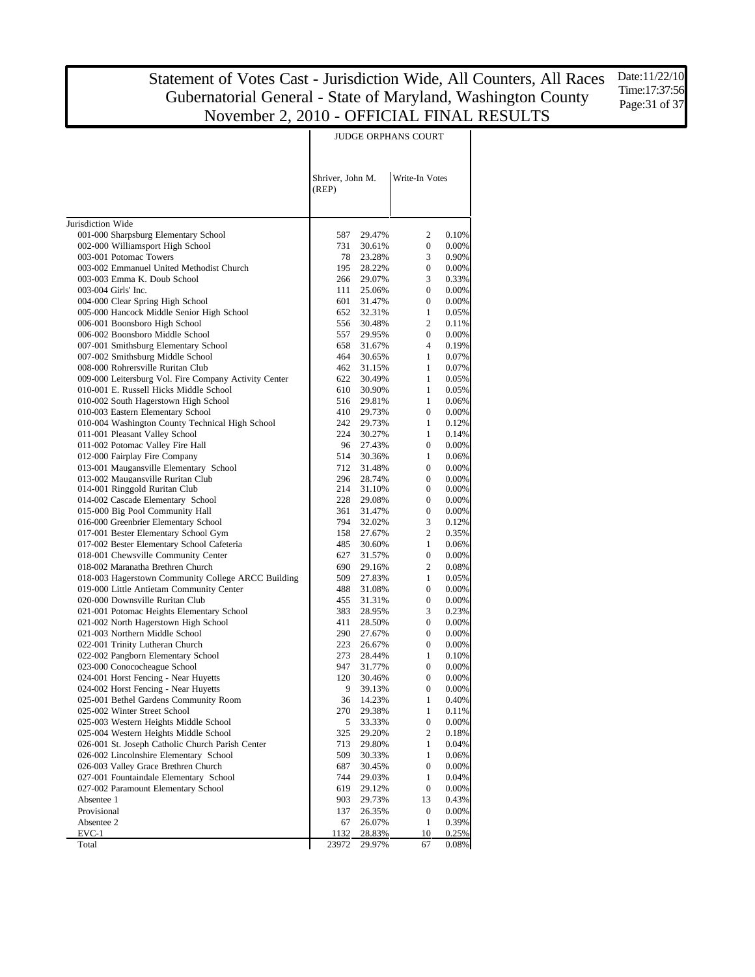Date:11/22/10 Time:17:37:56 Page: 31 of 37

| Shriver, John M.<br>Write-In Votes<br>(REP)<br>Jurisdiction Wide<br>001-000 Sharpsburg Elementary School<br>587<br>2<br>0.10%<br>29.47%<br>002-000 Williamsport High School<br>731<br>0<br>0.00%<br>30.61%<br>003-001 Potomac Towers<br>3<br>78<br>23.28%<br>0.90%<br>003-002 Emmanuel United Methodist Church<br>195<br>28.22%<br>$\boldsymbol{0}$<br>0.00%<br>3<br>003-003 Emma K. Doub School<br>266<br>0.33%<br>29.07%<br>003-004 Girls' Inc.<br>111<br>$\boldsymbol{0}$<br>0.00%<br>25.06%<br>004-000 Clear Spring High School<br>601<br>$\boldsymbol{0}$<br>0.00%<br>31.47%<br>005-000 Hancock Middle Senior High School<br>652<br>$\mathbf{1}$<br>0.05%<br>32.31%<br>2<br>006-001 Boonsboro High School<br>556<br>30.48%<br>0.11%<br>006-002 Boonsboro Middle School<br>557<br>29.95%<br>$\boldsymbol{0}$<br>0.00%<br>007-001 Smithsburg Elementary School<br>658<br>4<br>0.19%<br>31.67%<br>007-002 Smithsburg Middle School<br>464<br>$\mathbf{1}$<br>0.07%<br>30.65%<br>008-000 Rohrersville Ruritan Club<br>462<br>1<br>0.07%<br>31.15%<br>009-000 Leitersburg Vol. Fire Company Activity Center<br>622<br>$\mathbf{1}$<br>30.49%<br>0.05%<br>010-001 E. Russell Hicks Middle School<br>610<br>1<br>30.90%<br>0.05%<br>010-002 South Hagerstown High School<br>516<br>$\mathbf{1}$<br>0.06%<br>29.81%<br>010-003 Eastern Elementary School<br>410<br>0<br>0.00%<br>29.73%<br>010-004 Washington County Technical High School<br>242<br>29.73%<br>$\mathbf{1}$<br>0.12%<br>011-001 Pleasant Valley School<br>224<br>$\mathbf{1}$<br>0.14%<br>30.27%<br>011-002 Potomac Valley Fire Hall<br>96<br>$\boldsymbol{0}$<br>0.00%<br>27.43%<br>012-000 Fairplay Fire Company<br>514<br>1<br>0.06%<br>30.36%<br>013-001 Maugansville Elementary School<br>712<br>$\boldsymbol{0}$<br>0.00%<br>31.48%<br>013-002 Maugansville Ruritan Club<br>296<br>28.74%<br>$\boldsymbol{0}$<br>0.00%<br>014-001 Ringgold Ruritan Club<br>214<br>$\boldsymbol{0}$<br>0.00%<br>31.10%<br>228<br>014-002 Cascade Elementary School<br>$\mathbf{0}$<br>0.00%<br>29.08%<br>015-000 Big Pool Community Hall<br>361<br>$\boldsymbol{0}$<br>0.00%<br>31.47%<br>016-000 Greenbrier Elementary School<br>794<br>3<br>0.12%<br>32.02%<br>017-001 Bester Elementary School Gym<br>$\overline{c}$<br>158<br>0.35%<br>27.67%<br>017-002 Bester Elementary School Cafeteria<br>485<br>$\mathbf{1}$<br>0.06%<br>30.60%<br>018-001 Chewsville Community Center<br>627<br>$\boldsymbol{0}$<br>0.00%<br>31.57%<br>018-002 Maranatha Brethren Church<br>$\overline{c}$<br>690<br>0.08%<br>29.16%<br>018-003 Hagerstown Community College ARCC Building<br>509<br>1<br>0.05%<br>27.83%<br>019-000 Little Antietam Community Center<br>488<br>$\mathbf{0}$<br>0.00%<br>31.08%<br>020-000 Downsville Ruritan Club<br>455<br>$\boldsymbol{0}$<br>0.00%<br>31.31%<br>021-001 Potomac Heights Elementary School<br>383<br>3<br>0.23%<br>28.95%<br>021-002 North Hagerstown High School<br>411<br>$\boldsymbol{0}$<br>0.00%<br>28.50%<br>021-003 Northern Middle School<br>290<br>$\mathbf{0}$<br>0.00%<br>27.67%<br>022-001 Trinity Lutheran Church<br>223<br>$\boldsymbol{0}$<br>0.00%<br>26.67%<br>022-002 Pangborn Elementary School<br>273<br>1<br>0.10%<br>28.44%<br>023-000 Conococheague School<br>947<br>$\mathbf{0}$<br>31.77%<br>0.00%<br>024-001 Horst Fencing - Near Huyetts<br>120<br>$\boldsymbol{0}$<br>0.00%<br>30.46%<br>024-002 Horst Fencing - Near Huyetts<br>9<br>39.13%<br>$\boldsymbol{\theta}$<br>025-001 Bethel Gardens Community Room<br>36<br>14.23%<br>1<br>025-002 Winter Street School<br>270<br>29.38%<br>1<br>025-003 Western Heights Middle School<br>5<br>$\boldsymbol{0}$<br>33.33%<br>025-004 Western Heights Middle School<br>2<br>325<br>29.20%<br>026-001 St. Joseph Catholic Church Parish Center<br>713<br>$\mathbf{1}$<br>29.80%<br>026-002 Lincolnshire Elementary School<br>509<br>30.33%<br>1<br>026-003 Valley Grace Brethren Church<br>687<br>$\boldsymbol{0}$<br>30.45%<br>027-001 Fountaindale Elementary School<br>744<br>29.03%<br>1<br>027-002 Paramount Elementary School<br>619<br>29.12%<br>$\boldsymbol{0}$<br>Absentee 1<br>903<br>29.73%<br>13<br>Provisional<br>137<br>26.35%<br>$\boldsymbol{0}$<br>Absentee 2<br>67<br>26.07%<br>$\mathbf{1}$<br>$EVC-1$<br>1132<br>28.83%<br>10<br>0.25%<br>Total<br>23972<br>29.97%<br>67 | JUDGE ORPHANS COURT |  |  |  |  |  |  |
|-----------------------------------------------------------------------------------------------------------------------------------------------------------------------------------------------------------------------------------------------------------------------------------------------------------------------------------------------------------------------------------------------------------------------------------------------------------------------------------------------------------------------------------------------------------------------------------------------------------------------------------------------------------------------------------------------------------------------------------------------------------------------------------------------------------------------------------------------------------------------------------------------------------------------------------------------------------------------------------------------------------------------------------------------------------------------------------------------------------------------------------------------------------------------------------------------------------------------------------------------------------------------------------------------------------------------------------------------------------------------------------------------------------------------------------------------------------------------------------------------------------------------------------------------------------------------------------------------------------------------------------------------------------------------------------------------------------------------------------------------------------------------------------------------------------------------------------------------------------------------------------------------------------------------------------------------------------------------------------------------------------------------------------------------------------------------------------------------------------------------------------------------------------------------------------------------------------------------------------------------------------------------------------------------------------------------------------------------------------------------------------------------------------------------------------------------------------------------------------------------------------------------------------------------------------------------------------------------------------------------------------------------------------------------------------------------------------------------------------------------------------------------------------------------------------------------------------------------------------------------------------------------------------------------------------------------------------------------------------------------------------------------------------------------------------------------------------------------------------------------------------------------------------------------------------------------------------------------------------------------------------------------------------------------------------------------------------------------------------------------------------------------------------------------------------------------------------------------------------------------------------------------------------------------------------------------------------------------------------------------------------------------------------------------------------------------------------------------------------------------------------------------------------------------------------------------------------------------------------------------------------------------------------------------------------------------------------------------------------------------------------------------------------------------------------------------------------------------------------------------------------------------------------------------------------------------------------------------------------------------------------------------------------------------------------------------------------------------------|---------------------|--|--|--|--|--|--|
|                                                                                                                                                                                                                                                                                                                                                                                                                                                                                                                                                                                                                                                                                                                                                                                                                                                                                                                                                                                                                                                                                                                                                                                                                                                                                                                                                                                                                                                                                                                                                                                                                                                                                                                                                                                                                                                                                                                                                                                                                                                                                                                                                                                                                                                                                                                                                                                                                                                                                                                                                                                                                                                                                                                                                                                                                                                                                                                                                                                                                                                                                                                                                                                                                                                                                                                                                                                                                                                                                                                                                                                                                                                                                                                                                                                                                                                                                                                                                                                                                                                                                                                                                                                                                                                                                                                                                     |                     |  |  |  |  |  |  |
| 0.00%<br>0.18%<br>0.04%<br>0.06%<br>0.00%<br>0.04%<br>0.00%<br>0.43%<br>0.00%<br>0.39%                                                                                                                                                                                                                                                                                                                                                                                                                                                                                                                                                                                                                                                                                                                                                                                                                                                                                                                                                                                                                                                                                                                                                                                                                                                                                                                                                                                                                                                                                                                                                                                                                                                                                                                                                                                                                                                                                                                                                                                                                                                                                                                                                                                                                                                                                                                                                                                                                                                                                                                                                                                                                                                                                                                                                                                                                                                                                                                                                                                                                                                                                                                                                                                                                                                                                                                                                                                                                                                                                                                                                                                                                                                                                                                                                                                                                                                                                                                                                                                                                                                                                                                                                                                                                                                              |                     |  |  |  |  |  |  |
|                                                                                                                                                                                                                                                                                                                                                                                                                                                                                                                                                                                                                                                                                                                                                                                                                                                                                                                                                                                                                                                                                                                                                                                                                                                                                                                                                                                                                                                                                                                                                                                                                                                                                                                                                                                                                                                                                                                                                                                                                                                                                                                                                                                                                                                                                                                                                                                                                                                                                                                                                                                                                                                                                                                                                                                                                                                                                                                                                                                                                                                                                                                                                                                                                                                                                                                                                                                                                                                                                                                                                                                                                                                                                                                                                                                                                                                                                                                                                                                                                                                                                                                                                                                                                                                                                                                                                     |                     |  |  |  |  |  |  |
|                                                                                                                                                                                                                                                                                                                                                                                                                                                                                                                                                                                                                                                                                                                                                                                                                                                                                                                                                                                                                                                                                                                                                                                                                                                                                                                                                                                                                                                                                                                                                                                                                                                                                                                                                                                                                                                                                                                                                                                                                                                                                                                                                                                                                                                                                                                                                                                                                                                                                                                                                                                                                                                                                                                                                                                                                                                                                                                                                                                                                                                                                                                                                                                                                                                                                                                                                                                                                                                                                                                                                                                                                                                                                                                                                                                                                                                                                                                                                                                                                                                                                                                                                                                                                                                                                                                                                     |                     |  |  |  |  |  |  |
|                                                                                                                                                                                                                                                                                                                                                                                                                                                                                                                                                                                                                                                                                                                                                                                                                                                                                                                                                                                                                                                                                                                                                                                                                                                                                                                                                                                                                                                                                                                                                                                                                                                                                                                                                                                                                                                                                                                                                                                                                                                                                                                                                                                                                                                                                                                                                                                                                                                                                                                                                                                                                                                                                                                                                                                                                                                                                                                                                                                                                                                                                                                                                                                                                                                                                                                                                                                                                                                                                                                                                                                                                                                                                                                                                                                                                                                                                                                                                                                                                                                                                                                                                                                                                                                                                                                                                     |                     |  |  |  |  |  |  |
|                                                                                                                                                                                                                                                                                                                                                                                                                                                                                                                                                                                                                                                                                                                                                                                                                                                                                                                                                                                                                                                                                                                                                                                                                                                                                                                                                                                                                                                                                                                                                                                                                                                                                                                                                                                                                                                                                                                                                                                                                                                                                                                                                                                                                                                                                                                                                                                                                                                                                                                                                                                                                                                                                                                                                                                                                                                                                                                                                                                                                                                                                                                                                                                                                                                                                                                                                                                                                                                                                                                                                                                                                                                                                                                                                                                                                                                                                                                                                                                                                                                                                                                                                                                                                                                                                                                                                     |                     |  |  |  |  |  |  |
|                                                                                                                                                                                                                                                                                                                                                                                                                                                                                                                                                                                                                                                                                                                                                                                                                                                                                                                                                                                                                                                                                                                                                                                                                                                                                                                                                                                                                                                                                                                                                                                                                                                                                                                                                                                                                                                                                                                                                                                                                                                                                                                                                                                                                                                                                                                                                                                                                                                                                                                                                                                                                                                                                                                                                                                                                                                                                                                                                                                                                                                                                                                                                                                                                                                                                                                                                                                                                                                                                                                                                                                                                                                                                                                                                                                                                                                                                                                                                                                                                                                                                                                                                                                                                                                                                                                                                     |                     |  |  |  |  |  |  |
|                                                                                                                                                                                                                                                                                                                                                                                                                                                                                                                                                                                                                                                                                                                                                                                                                                                                                                                                                                                                                                                                                                                                                                                                                                                                                                                                                                                                                                                                                                                                                                                                                                                                                                                                                                                                                                                                                                                                                                                                                                                                                                                                                                                                                                                                                                                                                                                                                                                                                                                                                                                                                                                                                                                                                                                                                                                                                                                                                                                                                                                                                                                                                                                                                                                                                                                                                                                                                                                                                                                                                                                                                                                                                                                                                                                                                                                                                                                                                                                                                                                                                                                                                                                                                                                                                                                                                     |                     |  |  |  |  |  |  |
|                                                                                                                                                                                                                                                                                                                                                                                                                                                                                                                                                                                                                                                                                                                                                                                                                                                                                                                                                                                                                                                                                                                                                                                                                                                                                                                                                                                                                                                                                                                                                                                                                                                                                                                                                                                                                                                                                                                                                                                                                                                                                                                                                                                                                                                                                                                                                                                                                                                                                                                                                                                                                                                                                                                                                                                                                                                                                                                                                                                                                                                                                                                                                                                                                                                                                                                                                                                                                                                                                                                                                                                                                                                                                                                                                                                                                                                                                                                                                                                                                                                                                                                                                                                                                                                                                                                                                     |                     |  |  |  |  |  |  |
|                                                                                                                                                                                                                                                                                                                                                                                                                                                                                                                                                                                                                                                                                                                                                                                                                                                                                                                                                                                                                                                                                                                                                                                                                                                                                                                                                                                                                                                                                                                                                                                                                                                                                                                                                                                                                                                                                                                                                                                                                                                                                                                                                                                                                                                                                                                                                                                                                                                                                                                                                                                                                                                                                                                                                                                                                                                                                                                                                                                                                                                                                                                                                                                                                                                                                                                                                                                                                                                                                                                                                                                                                                                                                                                                                                                                                                                                                                                                                                                                                                                                                                                                                                                                                                                                                                                                                     |                     |  |  |  |  |  |  |
|                                                                                                                                                                                                                                                                                                                                                                                                                                                                                                                                                                                                                                                                                                                                                                                                                                                                                                                                                                                                                                                                                                                                                                                                                                                                                                                                                                                                                                                                                                                                                                                                                                                                                                                                                                                                                                                                                                                                                                                                                                                                                                                                                                                                                                                                                                                                                                                                                                                                                                                                                                                                                                                                                                                                                                                                                                                                                                                                                                                                                                                                                                                                                                                                                                                                                                                                                                                                                                                                                                                                                                                                                                                                                                                                                                                                                                                                                                                                                                                                                                                                                                                                                                                                                                                                                                                                                     |                     |  |  |  |  |  |  |
|                                                                                                                                                                                                                                                                                                                                                                                                                                                                                                                                                                                                                                                                                                                                                                                                                                                                                                                                                                                                                                                                                                                                                                                                                                                                                                                                                                                                                                                                                                                                                                                                                                                                                                                                                                                                                                                                                                                                                                                                                                                                                                                                                                                                                                                                                                                                                                                                                                                                                                                                                                                                                                                                                                                                                                                                                                                                                                                                                                                                                                                                                                                                                                                                                                                                                                                                                                                                                                                                                                                                                                                                                                                                                                                                                                                                                                                                                                                                                                                                                                                                                                                                                                                                                                                                                                                                                     |                     |  |  |  |  |  |  |
|                                                                                                                                                                                                                                                                                                                                                                                                                                                                                                                                                                                                                                                                                                                                                                                                                                                                                                                                                                                                                                                                                                                                                                                                                                                                                                                                                                                                                                                                                                                                                                                                                                                                                                                                                                                                                                                                                                                                                                                                                                                                                                                                                                                                                                                                                                                                                                                                                                                                                                                                                                                                                                                                                                                                                                                                                                                                                                                                                                                                                                                                                                                                                                                                                                                                                                                                                                                                                                                                                                                                                                                                                                                                                                                                                                                                                                                                                                                                                                                                                                                                                                                                                                                                                                                                                                                                                     |                     |  |  |  |  |  |  |
|                                                                                                                                                                                                                                                                                                                                                                                                                                                                                                                                                                                                                                                                                                                                                                                                                                                                                                                                                                                                                                                                                                                                                                                                                                                                                                                                                                                                                                                                                                                                                                                                                                                                                                                                                                                                                                                                                                                                                                                                                                                                                                                                                                                                                                                                                                                                                                                                                                                                                                                                                                                                                                                                                                                                                                                                                                                                                                                                                                                                                                                                                                                                                                                                                                                                                                                                                                                                                                                                                                                                                                                                                                                                                                                                                                                                                                                                                                                                                                                                                                                                                                                                                                                                                                                                                                                                                     |                     |  |  |  |  |  |  |
|                                                                                                                                                                                                                                                                                                                                                                                                                                                                                                                                                                                                                                                                                                                                                                                                                                                                                                                                                                                                                                                                                                                                                                                                                                                                                                                                                                                                                                                                                                                                                                                                                                                                                                                                                                                                                                                                                                                                                                                                                                                                                                                                                                                                                                                                                                                                                                                                                                                                                                                                                                                                                                                                                                                                                                                                                                                                                                                                                                                                                                                                                                                                                                                                                                                                                                                                                                                                                                                                                                                                                                                                                                                                                                                                                                                                                                                                                                                                                                                                                                                                                                                                                                                                                                                                                                                                                     |                     |  |  |  |  |  |  |
|                                                                                                                                                                                                                                                                                                                                                                                                                                                                                                                                                                                                                                                                                                                                                                                                                                                                                                                                                                                                                                                                                                                                                                                                                                                                                                                                                                                                                                                                                                                                                                                                                                                                                                                                                                                                                                                                                                                                                                                                                                                                                                                                                                                                                                                                                                                                                                                                                                                                                                                                                                                                                                                                                                                                                                                                                                                                                                                                                                                                                                                                                                                                                                                                                                                                                                                                                                                                                                                                                                                                                                                                                                                                                                                                                                                                                                                                                                                                                                                                                                                                                                                                                                                                                                                                                                                                                     |                     |  |  |  |  |  |  |
|                                                                                                                                                                                                                                                                                                                                                                                                                                                                                                                                                                                                                                                                                                                                                                                                                                                                                                                                                                                                                                                                                                                                                                                                                                                                                                                                                                                                                                                                                                                                                                                                                                                                                                                                                                                                                                                                                                                                                                                                                                                                                                                                                                                                                                                                                                                                                                                                                                                                                                                                                                                                                                                                                                                                                                                                                                                                                                                                                                                                                                                                                                                                                                                                                                                                                                                                                                                                                                                                                                                                                                                                                                                                                                                                                                                                                                                                                                                                                                                                                                                                                                                                                                                                                                                                                                                                                     |                     |  |  |  |  |  |  |
|                                                                                                                                                                                                                                                                                                                                                                                                                                                                                                                                                                                                                                                                                                                                                                                                                                                                                                                                                                                                                                                                                                                                                                                                                                                                                                                                                                                                                                                                                                                                                                                                                                                                                                                                                                                                                                                                                                                                                                                                                                                                                                                                                                                                                                                                                                                                                                                                                                                                                                                                                                                                                                                                                                                                                                                                                                                                                                                                                                                                                                                                                                                                                                                                                                                                                                                                                                                                                                                                                                                                                                                                                                                                                                                                                                                                                                                                                                                                                                                                                                                                                                                                                                                                                                                                                                                                                     |                     |  |  |  |  |  |  |
|                                                                                                                                                                                                                                                                                                                                                                                                                                                                                                                                                                                                                                                                                                                                                                                                                                                                                                                                                                                                                                                                                                                                                                                                                                                                                                                                                                                                                                                                                                                                                                                                                                                                                                                                                                                                                                                                                                                                                                                                                                                                                                                                                                                                                                                                                                                                                                                                                                                                                                                                                                                                                                                                                                                                                                                                                                                                                                                                                                                                                                                                                                                                                                                                                                                                                                                                                                                                                                                                                                                                                                                                                                                                                                                                                                                                                                                                                                                                                                                                                                                                                                                                                                                                                                                                                                                                                     |                     |  |  |  |  |  |  |
|                                                                                                                                                                                                                                                                                                                                                                                                                                                                                                                                                                                                                                                                                                                                                                                                                                                                                                                                                                                                                                                                                                                                                                                                                                                                                                                                                                                                                                                                                                                                                                                                                                                                                                                                                                                                                                                                                                                                                                                                                                                                                                                                                                                                                                                                                                                                                                                                                                                                                                                                                                                                                                                                                                                                                                                                                                                                                                                                                                                                                                                                                                                                                                                                                                                                                                                                                                                                                                                                                                                                                                                                                                                                                                                                                                                                                                                                                                                                                                                                                                                                                                                                                                                                                                                                                                                                                     |                     |  |  |  |  |  |  |
|                                                                                                                                                                                                                                                                                                                                                                                                                                                                                                                                                                                                                                                                                                                                                                                                                                                                                                                                                                                                                                                                                                                                                                                                                                                                                                                                                                                                                                                                                                                                                                                                                                                                                                                                                                                                                                                                                                                                                                                                                                                                                                                                                                                                                                                                                                                                                                                                                                                                                                                                                                                                                                                                                                                                                                                                                                                                                                                                                                                                                                                                                                                                                                                                                                                                                                                                                                                                                                                                                                                                                                                                                                                                                                                                                                                                                                                                                                                                                                                                                                                                                                                                                                                                                                                                                                                                                     |                     |  |  |  |  |  |  |
|                                                                                                                                                                                                                                                                                                                                                                                                                                                                                                                                                                                                                                                                                                                                                                                                                                                                                                                                                                                                                                                                                                                                                                                                                                                                                                                                                                                                                                                                                                                                                                                                                                                                                                                                                                                                                                                                                                                                                                                                                                                                                                                                                                                                                                                                                                                                                                                                                                                                                                                                                                                                                                                                                                                                                                                                                                                                                                                                                                                                                                                                                                                                                                                                                                                                                                                                                                                                                                                                                                                                                                                                                                                                                                                                                                                                                                                                                                                                                                                                                                                                                                                                                                                                                                                                                                                                                     |                     |  |  |  |  |  |  |
|                                                                                                                                                                                                                                                                                                                                                                                                                                                                                                                                                                                                                                                                                                                                                                                                                                                                                                                                                                                                                                                                                                                                                                                                                                                                                                                                                                                                                                                                                                                                                                                                                                                                                                                                                                                                                                                                                                                                                                                                                                                                                                                                                                                                                                                                                                                                                                                                                                                                                                                                                                                                                                                                                                                                                                                                                                                                                                                                                                                                                                                                                                                                                                                                                                                                                                                                                                                                                                                                                                                                                                                                                                                                                                                                                                                                                                                                                                                                                                                                                                                                                                                                                                                                                                                                                                                                                     |                     |  |  |  |  |  |  |
|                                                                                                                                                                                                                                                                                                                                                                                                                                                                                                                                                                                                                                                                                                                                                                                                                                                                                                                                                                                                                                                                                                                                                                                                                                                                                                                                                                                                                                                                                                                                                                                                                                                                                                                                                                                                                                                                                                                                                                                                                                                                                                                                                                                                                                                                                                                                                                                                                                                                                                                                                                                                                                                                                                                                                                                                                                                                                                                                                                                                                                                                                                                                                                                                                                                                                                                                                                                                                                                                                                                                                                                                                                                                                                                                                                                                                                                                                                                                                                                                                                                                                                                                                                                                                                                                                                                                                     |                     |  |  |  |  |  |  |
| $0.00\%$<br>0.40%<br>0.11%                                                                                                                                                                                                                                                                                                                                                                                                                                                                                                                                                                                                                                                                                                                                                                                                                                                                                                                                                                                                                                                                                                                                                                                                                                                                                                                                                                                                                                                                                                                                                                                                                                                                                                                                                                                                                                                                                                                                                                                                                                                                                                                                                                                                                                                                                                                                                                                                                                                                                                                                                                                                                                                                                                                                                                                                                                                                                                                                                                                                                                                                                                                                                                                                                                                                                                                                                                                                                                                                                                                                                                                                                                                                                                                                                                                                                                                                                                                                                                                                                                                                                                                                                                                                                                                                                                                          |                     |  |  |  |  |  |  |
|                                                                                                                                                                                                                                                                                                                                                                                                                                                                                                                                                                                                                                                                                                                                                                                                                                                                                                                                                                                                                                                                                                                                                                                                                                                                                                                                                                                                                                                                                                                                                                                                                                                                                                                                                                                                                                                                                                                                                                                                                                                                                                                                                                                                                                                                                                                                                                                                                                                                                                                                                                                                                                                                                                                                                                                                                                                                                                                                                                                                                                                                                                                                                                                                                                                                                                                                                                                                                                                                                                                                                                                                                                                                                                                                                                                                                                                                                                                                                                                                                                                                                                                                                                                                                                                                                                                                                     |                     |  |  |  |  |  |  |
|                                                                                                                                                                                                                                                                                                                                                                                                                                                                                                                                                                                                                                                                                                                                                                                                                                                                                                                                                                                                                                                                                                                                                                                                                                                                                                                                                                                                                                                                                                                                                                                                                                                                                                                                                                                                                                                                                                                                                                                                                                                                                                                                                                                                                                                                                                                                                                                                                                                                                                                                                                                                                                                                                                                                                                                                                                                                                                                                                                                                                                                                                                                                                                                                                                                                                                                                                                                                                                                                                                                                                                                                                                                                                                                                                                                                                                                                                                                                                                                                                                                                                                                                                                                                                                                                                                                                                     |                     |  |  |  |  |  |  |
|                                                                                                                                                                                                                                                                                                                                                                                                                                                                                                                                                                                                                                                                                                                                                                                                                                                                                                                                                                                                                                                                                                                                                                                                                                                                                                                                                                                                                                                                                                                                                                                                                                                                                                                                                                                                                                                                                                                                                                                                                                                                                                                                                                                                                                                                                                                                                                                                                                                                                                                                                                                                                                                                                                                                                                                                                                                                                                                                                                                                                                                                                                                                                                                                                                                                                                                                                                                                                                                                                                                                                                                                                                                                                                                                                                                                                                                                                                                                                                                                                                                                                                                                                                                                                                                                                                                                                     |                     |  |  |  |  |  |  |
|                                                                                                                                                                                                                                                                                                                                                                                                                                                                                                                                                                                                                                                                                                                                                                                                                                                                                                                                                                                                                                                                                                                                                                                                                                                                                                                                                                                                                                                                                                                                                                                                                                                                                                                                                                                                                                                                                                                                                                                                                                                                                                                                                                                                                                                                                                                                                                                                                                                                                                                                                                                                                                                                                                                                                                                                                                                                                                                                                                                                                                                                                                                                                                                                                                                                                                                                                                                                                                                                                                                                                                                                                                                                                                                                                                                                                                                                                                                                                                                                                                                                                                                                                                                                                                                                                                                                                     |                     |  |  |  |  |  |  |
|                                                                                                                                                                                                                                                                                                                                                                                                                                                                                                                                                                                                                                                                                                                                                                                                                                                                                                                                                                                                                                                                                                                                                                                                                                                                                                                                                                                                                                                                                                                                                                                                                                                                                                                                                                                                                                                                                                                                                                                                                                                                                                                                                                                                                                                                                                                                                                                                                                                                                                                                                                                                                                                                                                                                                                                                                                                                                                                                                                                                                                                                                                                                                                                                                                                                                                                                                                                                                                                                                                                                                                                                                                                                                                                                                                                                                                                                                                                                                                                                                                                                                                                                                                                                                                                                                                                                                     |                     |  |  |  |  |  |  |
|                                                                                                                                                                                                                                                                                                                                                                                                                                                                                                                                                                                                                                                                                                                                                                                                                                                                                                                                                                                                                                                                                                                                                                                                                                                                                                                                                                                                                                                                                                                                                                                                                                                                                                                                                                                                                                                                                                                                                                                                                                                                                                                                                                                                                                                                                                                                                                                                                                                                                                                                                                                                                                                                                                                                                                                                                                                                                                                                                                                                                                                                                                                                                                                                                                                                                                                                                                                                                                                                                                                                                                                                                                                                                                                                                                                                                                                                                                                                                                                                                                                                                                                                                                                                                                                                                                                                                     |                     |  |  |  |  |  |  |
|                                                                                                                                                                                                                                                                                                                                                                                                                                                                                                                                                                                                                                                                                                                                                                                                                                                                                                                                                                                                                                                                                                                                                                                                                                                                                                                                                                                                                                                                                                                                                                                                                                                                                                                                                                                                                                                                                                                                                                                                                                                                                                                                                                                                                                                                                                                                                                                                                                                                                                                                                                                                                                                                                                                                                                                                                                                                                                                                                                                                                                                                                                                                                                                                                                                                                                                                                                                                                                                                                                                                                                                                                                                                                                                                                                                                                                                                                                                                                                                                                                                                                                                                                                                                                                                                                                                                                     |                     |  |  |  |  |  |  |
|                                                                                                                                                                                                                                                                                                                                                                                                                                                                                                                                                                                                                                                                                                                                                                                                                                                                                                                                                                                                                                                                                                                                                                                                                                                                                                                                                                                                                                                                                                                                                                                                                                                                                                                                                                                                                                                                                                                                                                                                                                                                                                                                                                                                                                                                                                                                                                                                                                                                                                                                                                                                                                                                                                                                                                                                                                                                                                                                                                                                                                                                                                                                                                                                                                                                                                                                                                                                                                                                                                                                                                                                                                                                                                                                                                                                                                                                                                                                                                                                                                                                                                                                                                                                                                                                                                                                                     |                     |  |  |  |  |  |  |
|                                                                                                                                                                                                                                                                                                                                                                                                                                                                                                                                                                                                                                                                                                                                                                                                                                                                                                                                                                                                                                                                                                                                                                                                                                                                                                                                                                                                                                                                                                                                                                                                                                                                                                                                                                                                                                                                                                                                                                                                                                                                                                                                                                                                                                                                                                                                                                                                                                                                                                                                                                                                                                                                                                                                                                                                                                                                                                                                                                                                                                                                                                                                                                                                                                                                                                                                                                                                                                                                                                                                                                                                                                                                                                                                                                                                                                                                                                                                                                                                                                                                                                                                                                                                                                                                                                                                                     |                     |  |  |  |  |  |  |
|                                                                                                                                                                                                                                                                                                                                                                                                                                                                                                                                                                                                                                                                                                                                                                                                                                                                                                                                                                                                                                                                                                                                                                                                                                                                                                                                                                                                                                                                                                                                                                                                                                                                                                                                                                                                                                                                                                                                                                                                                                                                                                                                                                                                                                                                                                                                                                                                                                                                                                                                                                                                                                                                                                                                                                                                                                                                                                                                                                                                                                                                                                                                                                                                                                                                                                                                                                                                                                                                                                                                                                                                                                                                                                                                                                                                                                                                                                                                                                                                                                                                                                                                                                                                                                                                                                                                                     |                     |  |  |  |  |  |  |
|                                                                                                                                                                                                                                                                                                                                                                                                                                                                                                                                                                                                                                                                                                                                                                                                                                                                                                                                                                                                                                                                                                                                                                                                                                                                                                                                                                                                                                                                                                                                                                                                                                                                                                                                                                                                                                                                                                                                                                                                                                                                                                                                                                                                                                                                                                                                                                                                                                                                                                                                                                                                                                                                                                                                                                                                                                                                                                                                                                                                                                                                                                                                                                                                                                                                                                                                                                                                                                                                                                                                                                                                                                                                                                                                                                                                                                                                                                                                                                                                                                                                                                                                                                                                                                                                                                                                                     |                     |  |  |  |  |  |  |
|                                                                                                                                                                                                                                                                                                                                                                                                                                                                                                                                                                                                                                                                                                                                                                                                                                                                                                                                                                                                                                                                                                                                                                                                                                                                                                                                                                                                                                                                                                                                                                                                                                                                                                                                                                                                                                                                                                                                                                                                                                                                                                                                                                                                                                                                                                                                                                                                                                                                                                                                                                                                                                                                                                                                                                                                                                                                                                                                                                                                                                                                                                                                                                                                                                                                                                                                                                                                                                                                                                                                                                                                                                                                                                                                                                                                                                                                                                                                                                                                                                                                                                                                                                                                                                                                                                                                                     |                     |  |  |  |  |  |  |
|                                                                                                                                                                                                                                                                                                                                                                                                                                                                                                                                                                                                                                                                                                                                                                                                                                                                                                                                                                                                                                                                                                                                                                                                                                                                                                                                                                                                                                                                                                                                                                                                                                                                                                                                                                                                                                                                                                                                                                                                                                                                                                                                                                                                                                                                                                                                                                                                                                                                                                                                                                                                                                                                                                                                                                                                                                                                                                                                                                                                                                                                                                                                                                                                                                                                                                                                                                                                                                                                                                                                                                                                                                                                                                                                                                                                                                                                                                                                                                                                                                                                                                                                                                                                                                                                                                                                                     |                     |  |  |  |  |  |  |
|                                                                                                                                                                                                                                                                                                                                                                                                                                                                                                                                                                                                                                                                                                                                                                                                                                                                                                                                                                                                                                                                                                                                                                                                                                                                                                                                                                                                                                                                                                                                                                                                                                                                                                                                                                                                                                                                                                                                                                                                                                                                                                                                                                                                                                                                                                                                                                                                                                                                                                                                                                                                                                                                                                                                                                                                                                                                                                                                                                                                                                                                                                                                                                                                                                                                                                                                                                                                                                                                                                                                                                                                                                                                                                                                                                                                                                                                                                                                                                                                                                                                                                                                                                                                                                                                                                                                                     |                     |  |  |  |  |  |  |
|                                                                                                                                                                                                                                                                                                                                                                                                                                                                                                                                                                                                                                                                                                                                                                                                                                                                                                                                                                                                                                                                                                                                                                                                                                                                                                                                                                                                                                                                                                                                                                                                                                                                                                                                                                                                                                                                                                                                                                                                                                                                                                                                                                                                                                                                                                                                                                                                                                                                                                                                                                                                                                                                                                                                                                                                                                                                                                                                                                                                                                                                                                                                                                                                                                                                                                                                                                                                                                                                                                                                                                                                                                                                                                                                                                                                                                                                                                                                                                                                                                                                                                                                                                                                                                                                                                                                                     |                     |  |  |  |  |  |  |
|                                                                                                                                                                                                                                                                                                                                                                                                                                                                                                                                                                                                                                                                                                                                                                                                                                                                                                                                                                                                                                                                                                                                                                                                                                                                                                                                                                                                                                                                                                                                                                                                                                                                                                                                                                                                                                                                                                                                                                                                                                                                                                                                                                                                                                                                                                                                                                                                                                                                                                                                                                                                                                                                                                                                                                                                                                                                                                                                                                                                                                                                                                                                                                                                                                                                                                                                                                                                                                                                                                                                                                                                                                                                                                                                                                                                                                                                                                                                                                                                                                                                                                                                                                                                                                                                                                                                                     |                     |  |  |  |  |  |  |
|                                                                                                                                                                                                                                                                                                                                                                                                                                                                                                                                                                                                                                                                                                                                                                                                                                                                                                                                                                                                                                                                                                                                                                                                                                                                                                                                                                                                                                                                                                                                                                                                                                                                                                                                                                                                                                                                                                                                                                                                                                                                                                                                                                                                                                                                                                                                                                                                                                                                                                                                                                                                                                                                                                                                                                                                                                                                                                                                                                                                                                                                                                                                                                                                                                                                                                                                                                                                                                                                                                                                                                                                                                                                                                                                                                                                                                                                                                                                                                                                                                                                                                                                                                                                                                                                                                                                                     |                     |  |  |  |  |  |  |
|                                                                                                                                                                                                                                                                                                                                                                                                                                                                                                                                                                                                                                                                                                                                                                                                                                                                                                                                                                                                                                                                                                                                                                                                                                                                                                                                                                                                                                                                                                                                                                                                                                                                                                                                                                                                                                                                                                                                                                                                                                                                                                                                                                                                                                                                                                                                                                                                                                                                                                                                                                                                                                                                                                                                                                                                                                                                                                                                                                                                                                                                                                                                                                                                                                                                                                                                                                                                                                                                                                                                                                                                                                                                                                                                                                                                                                                                                                                                                                                                                                                                                                                                                                                                                                                                                                                                                     |                     |  |  |  |  |  |  |
|                                                                                                                                                                                                                                                                                                                                                                                                                                                                                                                                                                                                                                                                                                                                                                                                                                                                                                                                                                                                                                                                                                                                                                                                                                                                                                                                                                                                                                                                                                                                                                                                                                                                                                                                                                                                                                                                                                                                                                                                                                                                                                                                                                                                                                                                                                                                                                                                                                                                                                                                                                                                                                                                                                                                                                                                                                                                                                                                                                                                                                                                                                                                                                                                                                                                                                                                                                                                                                                                                                                                                                                                                                                                                                                                                                                                                                                                                                                                                                                                                                                                                                                                                                                                                                                                                                                                                     |                     |  |  |  |  |  |  |
|                                                                                                                                                                                                                                                                                                                                                                                                                                                                                                                                                                                                                                                                                                                                                                                                                                                                                                                                                                                                                                                                                                                                                                                                                                                                                                                                                                                                                                                                                                                                                                                                                                                                                                                                                                                                                                                                                                                                                                                                                                                                                                                                                                                                                                                                                                                                                                                                                                                                                                                                                                                                                                                                                                                                                                                                                                                                                                                                                                                                                                                                                                                                                                                                                                                                                                                                                                                                                                                                                                                                                                                                                                                                                                                                                                                                                                                                                                                                                                                                                                                                                                                                                                                                                                                                                                                                                     |                     |  |  |  |  |  |  |
|                                                                                                                                                                                                                                                                                                                                                                                                                                                                                                                                                                                                                                                                                                                                                                                                                                                                                                                                                                                                                                                                                                                                                                                                                                                                                                                                                                                                                                                                                                                                                                                                                                                                                                                                                                                                                                                                                                                                                                                                                                                                                                                                                                                                                                                                                                                                                                                                                                                                                                                                                                                                                                                                                                                                                                                                                                                                                                                                                                                                                                                                                                                                                                                                                                                                                                                                                                                                                                                                                                                                                                                                                                                                                                                                                                                                                                                                                                                                                                                                                                                                                                                                                                                                                                                                                                                                                     |                     |  |  |  |  |  |  |
|                                                                                                                                                                                                                                                                                                                                                                                                                                                                                                                                                                                                                                                                                                                                                                                                                                                                                                                                                                                                                                                                                                                                                                                                                                                                                                                                                                                                                                                                                                                                                                                                                                                                                                                                                                                                                                                                                                                                                                                                                                                                                                                                                                                                                                                                                                                                                                                                                                                                                                                                                                                                                                                                                                                                                                                                                                                                                                                                                                                                                                                                                                                                                                                                                                                                                                                                                                                                                                                                                                                                                                                                                                                                                                                                                                                                                                                                                                                                                                                                                                                                                                                                                                                                                                                                                                                                                     |                     |  |  |  |  |  |  |
|                                                                                                                                                                                                                                                                                                                                                                                                                                                                                                                                                                                                                                                                                                                                                                                                                                                                                                                                                                                                                                                                                                                                                                                                                                                                                                                                                                                                                                                                                                                                                                                                                                                                                                                                                                                                                                                                                                                                                                                                                                                                                                                                                                                                                                                                                                                                                                                                                                                                                                                                                                                                                                                                                                                                                                                                                                                                                                                                                                                                                                                                                                                                                                                                                                                                                                                                                                                                                                                                                                                                                                                                                                                                                                                                                                                                                                                                                                                                                                                                                                                                                                                                                                                                                                                                                                                                                     |                     |  |  |  |  |  |  |
|                                                                                                                                                                                                                                                                                                                                                                                                                                                                                                                                                                                                                                                                                                                                                                                                                                                                                                                                                                                                                                                                                                                                                                                                                                                                                                                                                                                                                                                                                                                                                                                                                                                                                                                                                                                                                                                                                                                                                                                                                                                                                                                                                                                                                                                                                                                                                                                                                                                                                                                                                                                                                                                                                                                                                                                                                                                                                                                                                                                                                                                                                                                                                                                                                                                                                                                                                                                                                                                                                                                                                                                                                                                                                                                                                                                                                                                                                                                                                                                                                                                                                                                                                                                                                                                                                                                                                     |                     |  |  |  |  |  |  |
|                                                                                                                                                                                                                                                                                                                                                                                                                                                                                                                                                                                                                                                                                                                                                                                                                                                                                                                                                                                                                                                                                                                                                                                                                                                                                                                                                                                                                                                                                                                                                                                                                                                                                                                                                                                                                                                                                                                                                                                                                                                                                                                                                                                                                                                                                                                                                                                                                                                                                                                                                                                                                                                                                                                                                                                                                                                                                                                                                                                                                                                                                                                                                                                                                                                                                                                                                                                                                                                                                                                                                                                                                                                                                                                                                                                                                                                                                                                                                                                                                                                                                                                                                                                                                                                                                                                                                     |                     |  |  |  |  |  |  |
|                                                                                                                                                                                                                                                                                                                                                                                                                                                                                                                                                                                                                                                                                                                                                                                                                                                                                                                                                                                                                                                                                                                                                                                                                                                                                                                                                                                                                                                                                                                                                                                                                                                                                                                                                                                                                                                                                                                                                                                                                                                                                                                                                                                                                                                                                                                                                                                                                                                                                                                                                                                                                                                                                                                                                                                                                                                                                                                                                                                                                                                                                                                                                                                                                                                                                                                                                                                                                                                                                                                                                                                                                                                                                                                                                                                                                                                                                                                                                                                                                                                                                                                                                                                                                                                                                                                                                     |                     |  |  |  |  |  |  |
|                                                                                                                                                                                                                                                                                                                                                                                                                                                                                                                                                                                                                                                                                                                                                                                                                                                                                                                                                                                                                                                                                                                                                                                                                                                                                                                                                                                                                                                                                                                                                                                                                                                                                                                                                                                                                                                                                                                                                                                                                                                                                                                                                                                                                                                                                                                                                                                                                                                                                                                                                                                                                                                                                                                                                                                                                                                                                                                                                                                                                                                                                                                                                                                                                                                                                                                                                                                                                                                                                                                                                                                                                                                                                                                                                                                                                                                                                                                                                                                                                                                                                                                                                                                                                                                                                                                                                     |                     |  |  |  |  |  |  |
| 0.08%                                                                                                                                                                                                                                                                                                                                                                                                                                                                                                                                                                                                                                                                                                                                                                                                                                                                                                                                                                                                                                                                                                                                                                                                                                                                                                                                                                                                                                                                                                                                                                                                                                                                                                                                                                                                                                                                                                                                                                                                                                                                                                                                                                                                                                                                                                                                                                                                                                                                                                                                                                                                                                                                                                                                                                                                                                                                                                                                                                                                                                                                                                                                                                                                                                                                                                                                                                                                                                                                                                                                                                                                                                                                                                                                                                                                                                                                                                                                                                                                                                                                                                                                                                                                                                                                                                                                               |                     |  |  |  |  |  |  |
|                                                                                                                                                                                                                                                                                                                                                                                                                                                                                                                                                                                                                                                                                                                                                                                                                                                                                                                                                                                                                                                                                                                                                                                                                                                                                                                                                                                                                                                                                                                                                                                                                                                                                                                                                                                                                                                                                                                                                                                                                                                                                                                                                                                                                                                                                                                                                                                                                                                                                                                                                                                                                                                                                                                                                                                                                                                                                                                                                                                                                                                                                                                                                                                                                                                                                                                                                                                                                                                                                                                                                                                                                                                                                                                                                                                                                                                                                                                                                                                                                                                                                                                                                                                                                                                                                                                                                     |                     |  |  |  |  |  |  |
|                                                                                                                                                                                                                                                                                                                                                                                                                                                                                                                                                                                                                                                                                                                                                                                                                                                                                                                                                                                                                                                                                                                                                                                                                                                                                                                                                                                                                                                                                                                                                                                                                                                                                                                                                                                                                                                                                                                                                                                                                                                                                                                                                                                                                                                                                                                                                                                                                                                                                                                                                                                                                                                                                                                                                                                                                                                                                                                                                                                                                                                                                                                                                                                                                                                                                                                                                                                                                                                                                                                                                                                                                                                                                                                                                                                                                                                                                                                                                                                                                                                                                                                                                                                                                                                                                                                                                     |                     |  |  |  |  |  |  |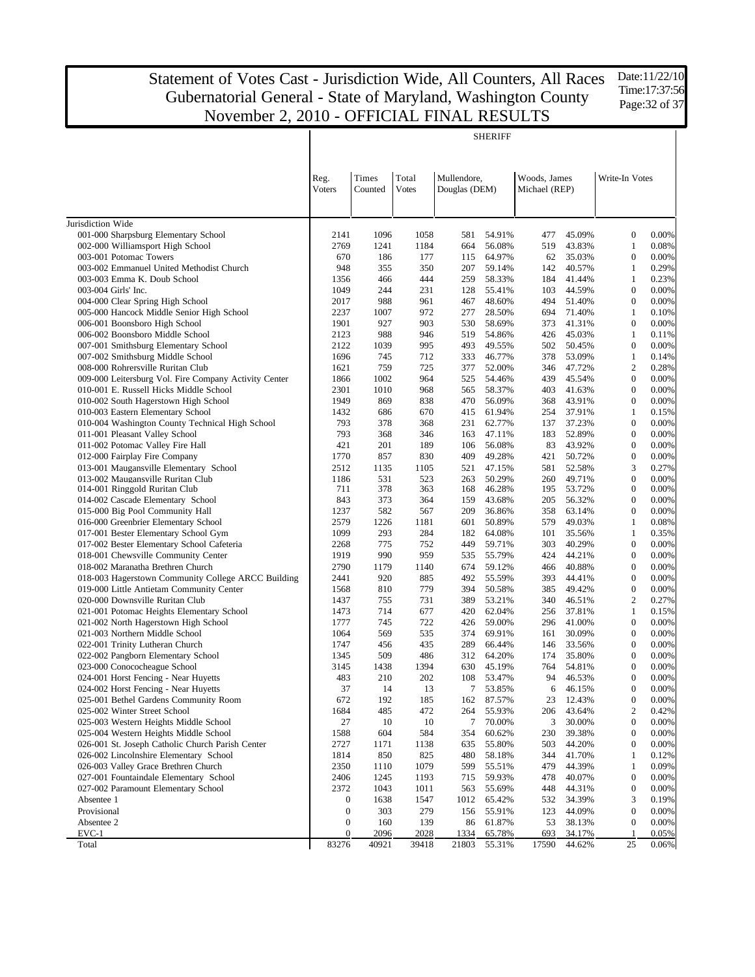Date:11/22/10 Time:17:37:56 Page: 32 of 37

|                                                                          | <b>SHERIFF</b>                       |                  |                       |                              |                  |                               |                  |                                  |                |  |
|--------------------------------------------------------------------------|--------------------------------------|------------------|-----------------------|------------------------------|------------------|-------------------------------|------------------|----------------------------------|----------------|--|
|                                                                          | Reg.<br><b>Voters</b>                | Times<br>Counted | Total<br><b>Votes</b> | Mullendore,<br>Douglas (DEM) |                  | Woods, James<br>Michael (REP) |                  | Write-In Votes                   |                |  |
| Jurisdiction Wide                                                        |                                      |                  |                       |                              |                  |                               |                  |                                  |                |  |
| 001-000 Sharpsburg Elementary School                                     | 2141                                 | 1096             | 1058                  | 581                          | 54.91%           | 477                           | 45.09%           | $\mathbf{0}$                     | 0.00%          |  |
| 002-000 Williamsport High School                                         | 2769                                 | 1241             | 1184                  | 664                          | 56.08%           | 519                           | 43.83%           | 1                                | 0.08%          |  |
| 003-001 Potomac Towers                                                   | 670                                  | 186              | 177                   | 115                          | 64.97%           | 62                            | 35.03%           | $\boldsymbol{0}$                 | 0.00%          |  |
| 003-002 Emmanuel United Methodist Church                                 | 948                                  | 355              | 350                   | 207                          | 59.14%           | 142                           | 40.57%           | 1                                | 0.29%          |  |
| 003-003 Emma K. Doub School                                              | 1356                                 | 466              | 444                   | 259                          | 58.33%           | 184                           | 41.44%           | $\mathbf{1}$                     | 0.23%          |  |
| 003-004 Girls' Inc.                                                      | 1049                                 | 244              | 231                   | 128                          | 55.41%           | 103                           | 44.59%           | $\boldsymbol{0}$                 | 0.00%          |  |
| 004-000 Clear Spring High School                                         | 2017                                 | 988              | 961                   | 467                          | 48.60%           | 494                           | 51.40%           | $\boldsymbol{0}$                 | 0.00%          |  |
| 005-000 Hancock Middle Senior High School                                | 2237                                 | 1007             | 972                   | 277                          | 28.50%           | 694                           | 71.40%           | $\mathbf{1}$<br>$\boldsymbol{0}$ | 0.10%          |  |
| 006-001 Boonsboro High School<br>006-002 Boonsboro Middle School         | 1901<br>2123                         | 927<br>988       | 903<br>946            | 530<br>519                   | 58.69%<br>54.86% | 373<br>426                    | 41.31%<br>45.03% | $\mathbf{1}$                     | 0.00%<br>0.11% |  |
| 007-001 Smithsburg Elementary School                                     | 2122                                 | 1039             | 995                   | 493                          | 49.55%           | 502                           | 50.45%           | $\boldsymbol{0}$                 | 0.00%          |  |
| 007-002 Smithsburg Middle School                                         | 1696                                 | 745              | 712                   | 333                          | 46.77%           | 378                           | 53.09%           | $\mathbf{1}$                     | 0.14%          |  |
| 008-000 Rohrersville Ruritan Club                                        | 1621                                 | 759              | 725                   | 377                          | 52.00%           | 346                           | 47.72%           | $\overline{2}$                   | 0.28%          |  |
| 009-000 Leitersburg Vol. Fire Company Activity Center                    | 1866                                 | 1002             | 964                   | 525                          | 54.46%           | 439                           | 45.54%           | $\boldsymbol{0}$                 | 0.00%          |  |
| 010-001 E. Russell Hicks Middle School                                   | 2301                                 | 1010             | 968                   | 565                          | 58.37%           | 403                           | 41.63%           | $\boldsymbol{0}$                 | 0.00%          |  |
| 010-002 South Hagerstown High School                                     | 1949                                 | 869              | 838                   | 470                          | 56.09%           | 368                           | 43.91%           | $\boldsymbol{0}$                 | 0.00%          |  |
| 010-003 Eastern Elementary School                                        | 1432                                 | 686              | 670                   | 415                          | 61.94%           | 254                           | 37.91%           | $\mathbf{1}$                     | 0.15%          |  |
| 010-004 Washington County Technical High School                          | 793                                  | 378              | 368                   | 231                          | 62.77%           | 137                           | 37.23%           | $\boldsymbol{0}$                 | 0.00%          |  |
| 011-001 Pleasant Valley School                                           | 793                                  | 368              | 346                   | 163                          | 47.11%           | 183                           | 52.89%           | $\boldsymbol{0}$                 | 0.00%          |  |
| 011-002 Potomac Valley Fire Hall                                         | 421                                  | 201              | 189                   | 106                          | 56.08%           | 83                            | 43.92%           | $\boldsymbol{0}$                 | 0.00%          |  |
| 012-000 Fairplay Fire Company                                            | 1770                                 | 857              | 830                   | 409                          | 49.28%           | 421                           | 50.72%           | $\boldsymbol{0}$                 | 0.00%          |  |
| 013-001 Maugansville Elementary School                                   | 2512                                 | 1135             | 1105                  | 521                          | 47.15%           | 581                           | 52.58%           | 3                                | 0.27%          |  |
| 013-002 Maugansville Ruritan Club                                        | 1186                                 | 531              | 523                   | 263                          | 50.29%           | 260                           | 49.71%           | $\boldsymbol{0}$                 | 0.00%          |  |
| 014-001 Ringgold Ruritan Club                                            | 711                                  | 378              | 363                   | 168                          | 46.28%           | 195                           | 53.72%           | $\boldsymbol{0}$                 | 0.00%          |  |
| 014-002 Cascade Elementary School                                        | 843                                  | 373              | 364                   | 159                          | 43.68%           | 205                           | 56.32%           | $\boldsymbol{0}$                 | 0.00%          |  |
| 015-000 Big Pool Community Hall                                          | 1237                                 | 582              | 567                   | 209                          | 36.86%           | 358                           | 63.14%           | $\boldsymbol{0}$                 | 0.00%          |  |
| 016-000 Greenbrier Elementary School                                     | 2579                                 | 1226             | 1181                  | 601                          | 50.89%           | 579                           | 49.03%           | $\mathbf{1}$                     | 0.08%          |  |
| 017-001 Bester Elementary School Gym                                     | 1099                                 | 293              | 284                   | 182                          | 64.08%           | 101                           | 35.56%           | $\mathbf{1}$                     | 0.35%          |  |
| 017-002 Bester Elementary School Cafeteria                               | 2268                                 | 775<br>990       | 752<br>959            | 449                          | 59.71%           | 303                           | 40.29%           | $\mathbf{0}$<br>$\boldsymbol{0}$ | 0.00%          |  |
| 018-001 Chewsville Community Center<br>018-002 Maranatha Brethren Church | 1919<br>2790                         | 1179             | 1140                  | 535<br>674                   | 55.79%<br>59.12% | 424<br>466                    | 44.21%<br>40.88% | $\mathbf{0}$                     | 0.00%<br>0.00% |  |
| 018-003 Hagerstown Community College ARCC Building                       | 2441                                 | 920              | 885                   | 492                          | 55.59%           | 393                           | 44.41%           | $\boldsymbol{0}$                 | 0.00%          |  |
| 019-000 Little Antietam Community Center                                 | 1568                                 | 810              | 779                   | 394                          | 50.58%           | 385                           | 49.42%           | $\boldsymbol{0}$                 | 0.00%          |  |
| 020-000 Downsville Ruritan Club                                          | 1437                                 | 755              | 731                   | 389                          | 53.21%           | 340                           | 46.51%           | $\overline{2}$                   | 0.27%          |  |
| 021-001 Potomac Heights Elementary School                                | 1473                                 | 714              | 677                   | 420                          | 62.04%           | 256                           | 37.81%           | $\mathbf{1}$                     | 0.15%          |  |
| 021-002 North Hagerstown High School                                     | 1777                                 | 745              | 722                   | 426                          | 59.00%           | 296                           | 41.00%           | $\boldsymbol{0}$                 | 0.00%          |  |
| 021-003 Northern Middle School                                           | 1064                                 | 569              | 535                   | 374                          | 69.91%           | 161                           | 30.09%           | $\mathbf{0}$                     | 0.00%          |  |
| 022-001 Trinity Lutheran Church                                          | 1747                                 | 456              | 435                   | 289                          | 66.44%           | 146                           | 33.56%           | $\boldsymbol{0}$                 | 0.00%          |  |
| 022-002 Pangborn Elementary School                                       | 1345                                 | 509              | 486                   | 312                          | 64.20%           | 174                           | 35.80%           | $\theta$                         | 0.00%          |  |
| 023-000 Conococheague School                                             | 3145                                 | 1438             | 1394                  | 630                          | 45.19%           | 764                           | 54.81%           | $\boldsymbol{0}$                 | 0.00%          |  |
| 024-001 Horst Fencing - Near Huyetts                                     | 483                                  | 210              | 202                   | 108                          | 53.47%           | 94                            | 46.53%           | $\overline{0}$                   | 0.00%          |  |
| 024-002 Horst Fencing - Near Huyetts                                     | 37                                   | 14               | 13                    | 7                            | 53.85%           | 6                             | 46.15%           | $\boldsymbol{0}$                 | 0.00%          |  |
| 025-001 Bethel Gardens Community Room                                    | 672                                  | 192              | 185                   | 162                          | 87.57%           | 23                            | 12.43%           | $\boldsymbol{0}$                 | 0.00%          |  |
| 025-002 Winter Street School                                             | 1684                                 | 485              | 472                   | 264                          | 55.93%           | 206                           | 43.64%           | $\overline{2}$                   | 0.42%          |  |
| 025-003 Western Heights Middle School                                    | 27                                   | 10               | 10                    | 7                            | 70.00%           | 3                             | 30.00%           | $\boldsymbol{0}$                 | 0.00%          |  |
| 025-004 Western Heights Middle School                                    | 1588                                 | 604              | 584                   | 354                          | 60.62%           | 230                           | 39.38%           | $\mathbf{0}$                     | 0.00%          |  |
| 026-001 St. Joseph Catholic Church Parish Center                         | 2727                                 | 1171             | 1138                  | 635                          | 55.80%           | 503                           | 44.20%           | $\boldsymbol{0}$                 | 0.00%          |  |
| 026-002 Lincolnshire Elementary School                                   | 1814                                 | 850              | 825                   | 480                          | 58.18%           | 344                           | 41.70%           | $\mathbf{1}$                     | 0.12%          |  |
| 026-003 Valley Grace Brethren Church                                     | 2350                                 | 1110             | 1079                  | 599                          | 55.51%           | 479                           | 44.39%           | $\mathbf{1}$                     | 0.09%          |  |
| 027-001 Fountaindale Elementary School                                   | 2406                                 | 1245             | 1193                  | 715                          | 59.93%           | 478                           | 40.07%           | $\boldsymbol{0}$                 | 0.00%          |  |
| 027-002 Paramount Elementary School                                      | 2372                                 | 1043             | 1011                  | 563                          | 55.69%           | 448                           | 44.31%           | $\boldsymbol{0}$                 | 0.00%          |  |
| Absentee 1<br>Provisional                                                | $\boldsymbol{0}$<br>$\boldsymbol{0}$ | 1638<br>303      | 1547<br>279           | 1012                         | 65.42%           | 532                           | 34.39%<br>44.09% | 3<br>$\boldsymbol{0}$            | 0.19%<br>0.00% |  |
| Absentee 2                                                               | $\boldsymbol{0}$                     | 160              | 139                   | 156<br>86                    | 55.91%<br>61.87% | 123<br>53                     | 38.13%           | $\boldsymbol{0}$                 | 0.00%          |  |
| $EVC-1$                                                                  | $\boldsymbol{0}$                     | 2096             | 2028                  | 1334                         | 65.78%           | 693                           | 34.17%           | -1                               | 0.05%          |  |
| Total                                                                    | 83276                                | 40921            | 39418                 | 21803                        | 55.31%           | 17590                         | 44.62%           | 25                               | 0.06%          |  |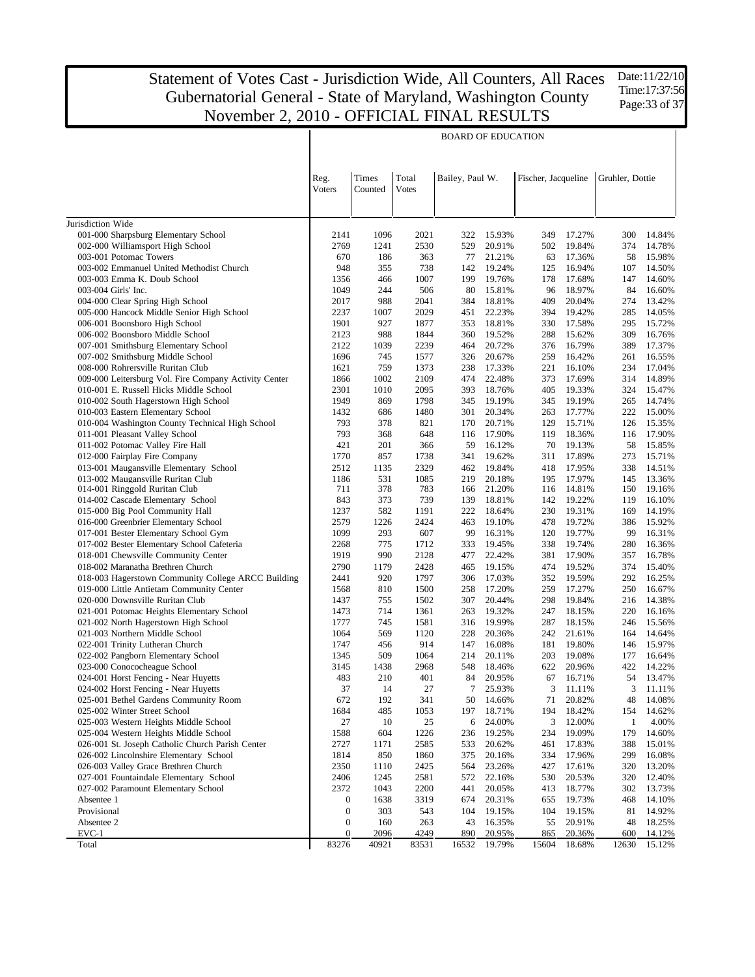BOARD OF EDUCATION

Jurisdiction Wide 001-000 Sharpsburg Elementary School 002-000 Williamsport High School 003-001 Potomac Towers 003-002 Emmanuel United Methodist Church 003-003 Emma K. Doub School 003-004 Girls' Inc. 004-000 Clear Spring High School 005-000 Hancock Middle Senior High School 006-001 Boonsboro High School 006-002 Boonsboro Middle School 007-001 Smithsburg Elementary School 007-002 Smithsburg Middle School 008-000 Rohrersville Ruritan Club 009-000 Leitersburg Vol. Fire Company Activity Center 010-001 E. Russell Hicks Middle School 010-002 South Hagerstown High School 010-003 Eastern Elementary School 010-004 Washington County Technical High School 011-001 Pleasant Valley School 011-002 Potomac Valley Fire Hall 012-000 Fairplay Fire Company 013-001 Maugansville Elementary School 013-002 Maugansville Ruritan Club 014-001 Ringgold Ruritan Club 014-002 Cascade Elementary School 015-000 Big Pool Community Hall 016-000 Greenbrier Elementary School 017-001 Bester Elementary School Gym 017-002 Bester Elementary School Cafeteria 018-001 Chewsville Community Center 018-002 Maranatha Brethren Church 018-003 Hagerstown Community College ARCC Building 019-000 Little Antietam Community Center 020-000 Downsville Ruritan Club 021-001 Potomac Heights Elementary School 021-002 North Hagerstown High School 021-003 Northern Middle School 022-001 Trinity Lutheran Church 022-002 Pangborn Elementary School 023-000 Conococheague School 024-001 Horst Fencing - Near Huyetts 024-002 Horst Fencing - Near Huyetts 025-001 Bethel Gardens Community Room 025-002 Winter Street School 025-003 Western Heights Middle School 025-004 Western Heights Middle School 026-001 St. Joseph Catholic Church Parish Center 026-002 Lincolnshire Elementary School 026-003 Valley Grace Brethren Church 027-001 Fountaindale Elementary School 027-002 Paramount Elementary School Absentee 1 Provisional Absentee 2 EVC-1 Total Reg. Voters Times Counted Total Votes Bailey, Paul W. Fischer, Jacqueline Gruhler, Dottie 2141 1096 2021 322 15.93% 349 17.27% 300 14.84% 2769 1241 2530 529 20.91% 502 19.84% 374 14.78% 670 186 363 77 21.21% 63 17.36% 58 15.98% 948 355 738 142 19.24% 125 16.94% 107 14.50% 1356 466 1007 199 19.76% 178 17.68% 147 14.60% 1049 244 506 80 15.81% 96 18.97% 84 16.60% 2017 988 2041 384 18.81% 409 20.04% 274 13.42% 2237 1007 2029 451 22.23% 394 19.42% 285 14.05% 1901 927 1877 353 18.81% 330 17.58% 295 15.72% 2123 988 1844 360 19.52% 288 15.62% 309 16.76% 2122 1039 2239 464 20.72% 376 16.79% 389 17.37% 1696 745 1577 326 20.67% 259 16.42% 261 16.55% 1621 759 1373 238 17.33% 221 16.10% 234 17.04% 1866 1002 2109 474 22.48% 373 17.69% 314 14.89% 2301 1010 2095 393 18.76% 405 19.33% 324 15.47% 1949 869 1798 345 19.19% 345 19.19% 265 14.74% 1432 686 1480 301 20.34% 263 17.77% 222 15.00% 793 378 821 170 20.71% 129 15.71% 126 15.35% 793 368 648 116 17.90% 119 18.36% 116 17.90% 421 201 366 59 16.12% 70 19.13% 58 15.85% 1770 857 1738 341 19.62% 311 17.89% 273 15.71% 2512 1135 2329 462 19.84% 418 17.95% 338 14.51% 1186 531 1085 219 20.18% 195 17.97% 145 13.36% 711 378 783 166 21.20% 116 14.81% 150 19.16% 843 373 739 139 18.81% 142 19.22% 119 16.10% 1237 582 1191 222 18.64% 230 19.31% 169 14.19% 2579 1226 2424 463 19.10% 478 19.72% 386 15.92% 1099 293 607 99 16.31% 120 19.77% 99 16.31% 2268 775 1712 333 19.45% 338 19.74% 280 16.36% 1919 990 2128 477 22.42% 381 17.90% 357 16.78% 2790 1179 2428 465 19.15% 474 19.52% 374 15.40% 2441 920 1797 306 17.03% 352 19.59% 292 16.25% 1568 810 1500 258 17.20% 259 17.27% 250 16.67% 1437 755 1502 307 20.44% 298 19.84% 216 14.38% 1473 714 1361 263 19.32% 247 18.15% 220 16.16% 1777 745 1581 316 19.99% 287 18.15% 246 15.56% 1064 569 1120 228 20.36% 242 21.61% 164 14.64% 1747 456 914 147 16.08% 181 19.80% 146 15.97% 1345 509 1064 214 20.11% 203 19.08% 177 16.64% 3145 1438 2968 548 18.46% 622 20.96% 422 14.22% 483 210 401 84 20.95% 67 16.71% 54 13.47% 37 14 27 7 25.93% 3 11.11% 3 11.11% 672 192 341 50 14.66% 71 20.82% 48 14.08% 1684 485 1053 197 18.71% 194 18.42% 154 14.62% 27 10 25 6 24.00% 3 12.00% 1 4.00% 1588 604 1226 236 19.25% 234 19.09% 179 14.60% 2727 1171 2585 533 20.62% 461 17.83% 388 15.01% 1814 850 1860 375 20.16% 334 17.96% 299 16.08% 2350 1110 2425 564 23.26% 427 17.61% 320 13.20% 2406 1245 2581 572 22.16% 530 20.53% 320 12.40% 2372 1043 2200 441 20.05% 413 18.77% 302 13.73% 0 1638 3319 674 20.31% 655 19.73% 468 14.10% 0 303 543 104 19.15% 104 19.15% 81 14.92% 0 160 263 43 16.35% 55 20.91% 48 18.25% 0 2096 4249 890 20.95% 865 20.36% 600 14.12% 83276 40921 83531 16532 19.79% 15604 18.68% 12630 15.12%

Date:11/22/10 Time:17:37:56 Page:33 of 37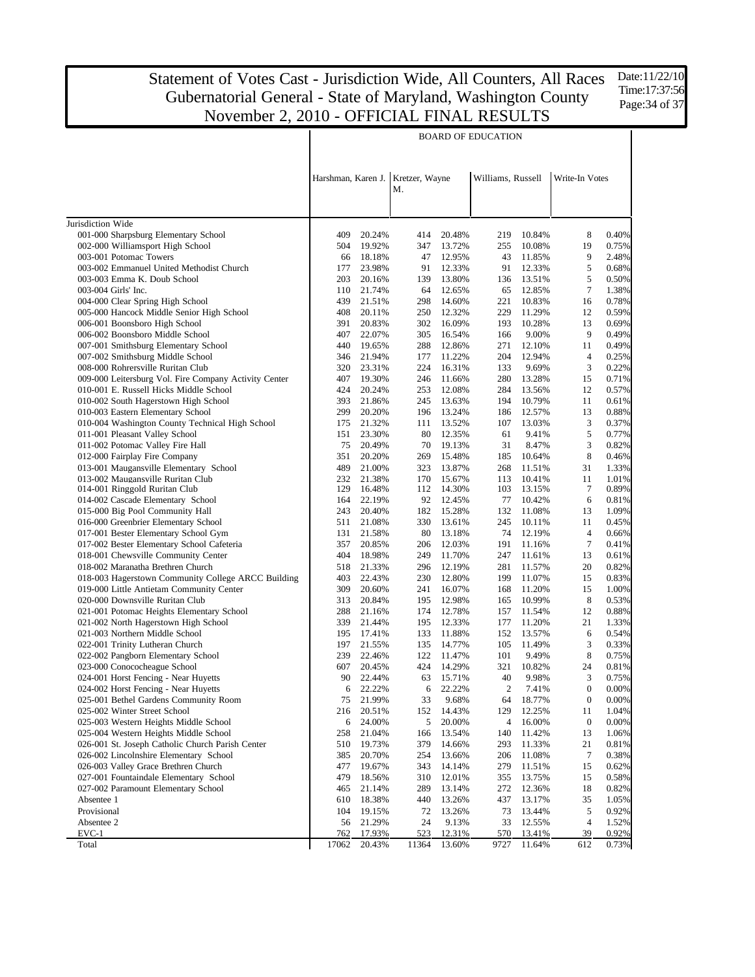Date:11/22/10 Time:17:37:56 Page: 34 of 37

|                                                                                   | <b>BOARD OF EDUCATION</b> |                  |                      |                  |                   |                  |                  |                |
|-----------------------------------------------------------------------------------|---------------------------|------------------|----------------------|------------------|-------------------|------------------|------------------|----------------|
|                                                                                   | Harshman, Karen J.        |                  | Kretzer, Wayne<br>Μ. |                  | Williams, Russell |                  | Write-In Votes   |                |
| Jurisdiction Wide                                                                 |                           |                  |                      |                  |                   |                  |                  |                |
| 001-000 Sharpsburg Elementary School                                              | 409                       | 20.24%           | 414                  | 20.48%           | 219               | 10.84%           | 8                | 0.40%          |
| 002-000 Williamsport High School                                                  | 504                       | 19.92%           | 347                  | 13.72%           | 255               | 10.08%           | 19               | 0.75%          |
| 003-001 Potomac Towers                                                            | 66                        | 18.18%           | 47                   | 12.95%           | 43                | 11.85%           | 9                | 2.48%          |
| 003-002 Emmanuel United Methodist Church                                          | 177                       | 23.98%           | 91                   | 12.33%           | 91                | 12.33%           | 5                | 0.68%          |
| 003-003 Emma K. Doub School                                                       | 203                       | 20.16%           | 139                  | 13.80%           | 136               | 13.51%           | 5                | 0.50%          |
| 003-004 Girls' Inc.                                                               | 110                       | 21.74%           | 64                   | 12.65%           | 65                | 12.85%           | $\tau$           | 1.38%          |
| 004-000 Clear Spring High School                                                  | 439                       | 21.51%           | 298                  | 14.60%           | 221               | 10.83%           | 16               | 0.78%          |
| 005-000 Hancock Middle Senior High School                                         | 408                       | 20.11%           | 250                  | 12.32%           | 229               | 11.29%           | 12               | 0.59%          |
| 006-001 Boonsboro High School                                                     | 391                       | 20.83%           | 302                  | 16.09%           | 193               | 10.28%           | 13               | 0.69%          |
| 006-002 Boonsboro Middle School                                                   | 407                       | 22.07%           | 305                  | 16.54%           | 166               | 9.00%            | 9                | 0.49%          |
| 007-001 Smithsburg Elementary School                                              | 440                       | 19.65%           | 288                  | 12.86%           | 271               | 12.10%           | 11               | 0.49%          |
| 007-002 Smithsburg Middle School                                                  | 346                       | 21.94%           | 177                  | 11.22%           | 204               | 12.94%           | $\overline{4}$   | 0.25%          |
| 008-000 Rohrersville Ruritan Club                                                 | 320                       | 23.31%           | 224                  | 16.31%           | 133               | 9.69%            | 3                | 0.22%          |
| 009-000 Leitersburg Vol. Fire Company Activity Center                             | 407                       | 19.30%           | 246                  | 11.66%           | 280               | 13.28%           | 15               | 0.71%          |
| 010-001 E. Russell Hicks Middle School                                            | 424                       | 20.24%           | 253                  | 12.08%           | 284               | 13.56%           | 12               | 0.57%          |
| 010-002 South Hagerstown High School<br>010-003 Eastern Elementary School         | 393<br>299                | 21.86%           | 245<br>196           | 13.63%           | 194<br>186        | 10.79%           | 11               | 0.61%          |
| 010-004 Washington County Technical High School                                   | 175                       | 20.20%<br>21.32% | 111                  | 13.24%<br>13.52% | 107               | 12.57%<br>13.03% | 13<br>3          | 0.88%<br>0.37% |
| 011-001 Pleasant Valley School                                                    | 151                       | 23.30%           | 80                   | 12.35%           | 61                | 9.41%            | 5                | 0.77%          |
| 011-002 Potomac Valley Fire Hall                                                  | 75                        | 20.49%           | 70                   | 19.13%           | 31                | 8.47%            | 3                | 0.82%          |
| 012-000 Fairplay Fire Company                                                     | 351                       | 20.20%           | 269                  | 15.48%           | 185               | 10.64%           | 8                | 0.46%          |
| 013-001 Maugansville Elementary School                                            | 489                       | 21.00%           | 323                  | 13.87%           | 268               | 11.51%           | 31               | 1.33%          |
| 013-002 Maugansville Ruritan Club                                                 | 232                       | 21.38%           | 170                  | 15.67%           | 113               | 10.41%           | 11               | 1.01%          |
| 014-001 Ringgold Ruritan Club                                                     | 129                       | 16.48%           | 112                  | 14.30%           | 103               | 13.15%           | $\tau$           | 0.89%          |
| 014-002 Cascade Elementary School                                                 | 164                       | 22.19%           | 92                   | 12.45%           | 77                | 10.42%           | 6                | 0.81%          |
| 015-000 Big Pool Community Hall                                                   | 243                       | 20.40%           | 182                  | 15.28%           | 132               | 11.08%           | 13               | 1.09%          |
| 016-000 Greenbrier Elementary School                                              | 511                       | 21.08%           | 330                  | 13.61%           | 245               | 10.11%           | 11               | 0.45%          |
| 017-001 Bester Elementary School Gym                                              | 131                       | 21.58%           | 80                   | 13.18%           | 74                | 12.19%           | $\overline{4}$   | 0.66%          |
| 017-002 Bester Elementary School Cafeteria                                        | 357                       | 20.85%           | 206                  | 12.03%           | 191               | 11.16%           | 7                | 0.41%          |
| 018-001 Chewsville Community Center                                               | 404                       | 18.98%           | 249                  | 11.70%           | 247               | 11.61%           | 13               | 0.61%          |
| 018-002 Maranatha Brethren Church                                                 | 518                       | 21.33%           | 296                  | 12.19%           | 281               | 11.57%           | 20               | 0.82%          |
| 018-003 Hagerstown Community College ARCC Building                                | 403                       | 22.43%           | 230                  | 12.80%           | 199               | 11.07%           | 15               | 0.83%          |
| 019-000 Little Antietam Community Center<br>020-000 Downsville Ruritan Club       | 309                       | 20.60%<br>20.84% | 241                  | 16.07%           | 168               | 11.20%           | 15<br>8          | 1.00%<br>0.53% |
|                                                                                   | 313<br>288                | 21.16%           | 195<br>174           | 12.98%<br>12.78% | 165<br>157        | 10.99%<br>11.54% | 12               | 0.88%          |
| 021-001 Potomac Heights Elementary School<br>021-002 North Hagerstown High School | 339                       | 21.44%           | 195                  | 12.33%           | 177               | 11.20%           | 21               | 1.33%          |
| 021-003 Northern Middle School                                                    | 195                       | 17.41%           | 133                  | 11.88%           | 152               | 13.57%           | 6                | 0.54%          |
| 022-001 Trinity Lutheran Church                                                   | 197                       | 21.55%           | 135                  | 14.77%           | 105               | 11.49%           | 3                | 0.33%          |
| 022-002 Pangborn Elementary School                                                | 239                       | 22.46%           | 122                  | 11.47%           | 101               | 9.49%            | 8                | 0.75%          |
| 023-000 Conococheague School                                                      | 607                       | 20.45%           | 424                  | 14.29%           | 321               | 10.82%           | 24               | 0.81%          |
| 024-001 Horst Fencing - Near Huyetts                                              | $90\,$                    | 22.44%           | 63                   | 15.71%           | 40                | 9.98%            | 3                | 0.75%          |
| 024-002 Horst Fencing - Near Huyetts                                              | 6                         | 22.22%           | 6                    | 22.22%           | $\boldsymbol{2}$  | 7.41%            | $\boldsymbol{0}$ | 0.00%          |
| 025-001 Bethel Gardens Community Room                                             | 75                        | 21.99%           | 33                   | 9.68%            | 64                | 18.77%           | $\boldsymbol{0}$ | 0.00%          |
| 025-002 Winter Street School                                                      | 216                       | 20.51%           | 152                  | 14.43%           | 129               | 12.25%           | 11               | 1.04%          |
| 025-003 Western Heights Middle School                                             | 6                         | 24.00%           | 5                    | 20.00%           | 4                 | 16.00%           | $\boldsymbol{0}$ | 0.00%          |
| 025-004 Western Heights Middle School                                             | 258                       | 21.04%           | 166                  | 13.54%           | 140               | 11.42%           | 13               | 1.06%          |
| 026-001 St. Joseph Catholic Church Parish Center                                  | 510                       | 19.73%           | 379                  | 14.66%           | 293               | 11.33%           | 21               | 0.81%          |
| 026-002 Lincolnshire Elementary School                                            | 385                       | 20.70%           | 254                  | 13.66%           | 206               | 11.08%           | $\tau$           | 0.38%          |
| 026-003 Valley Grace Brethren Church                                              | 477                       | 19.67%           | 343                  | 14.14%           | 279               | 11.51%           | 15               | 0.62%          |
| 027-001 Fountaindale Elementary School                                            | 479                       | 18.56%           | 310                  | 12.01%           | 355               | 13.75%           | 15               | 0.58%          |
| 027-002 Paramount Elementary School                                               | 465                       | 21.14%           | 289                  | 13.14%           | 272               | 12.36%           | 18               | 0.82%          |
| Absentee 1                                                                        | 610                       | 18.38%           | 440                  | 13.26%           | 437               | 13.17%           | 35               | 1.05%          |
| Provisional<br>Absentee 2                                                         | 104<br>56                 | 19.15%<br>21.29% | 72<br>24             | 13.26%<br>9.13%  | 73<br>33          | 13.44%<br>12.55% | 5<br>4           | 0.92%<br>1.52% |
| EVC-1                                                                             | 762                       | 17.93%           | 523                  | 12.31%           | 570               | 13.41%           | 39               | 0.92%          |
| Total                                                                             | 17062                     | 20.43%           | 11364                | 13.60%           | 9727              | 11.64%           | 612              | 0.73%          |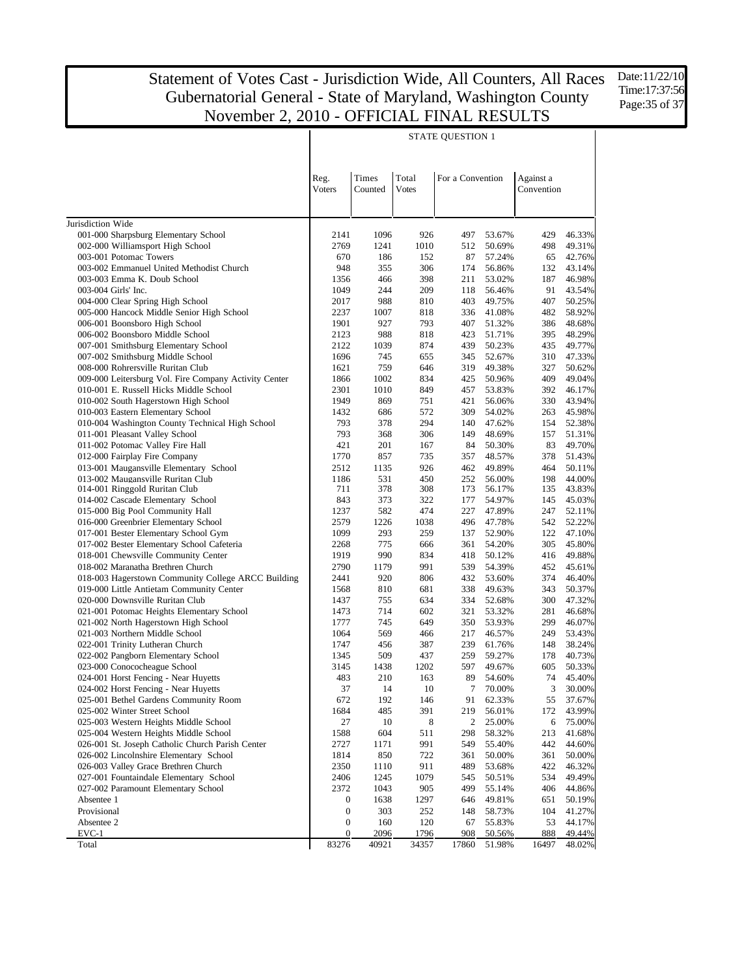Date:11/22/10 Time:17:37:56 Page: 35 of 37

|                                                                          | <b>STATE QUESTION 1</b> |                  |                       |                  |                  |                         |                  |  |
|--------------------------------------------------------------------------|-------------------------|------------------|-----------------------|------------------|------------------|-------------------------|------------------|--|
|                                                                          | Reg.<br>Voters          | Times<br>Counted | Total<br><b>Votes</b> | For a Convention |                  | Against a<br>Convention |                  |  |
|                                                                          |                         |                  |                       |                  |                  |                         |                  |  |
| Jurisdiction Wide                                                        |                         |                  |                       |                  |                  |                         |                  |  |
| 001-000 Sharpsburg Elementary School<br>002-000 Williamsport High School | 2141<br>2769            | 1096<br>1241     | 926<br>1010           | 497<br>512       | 53.67%<br>50.69% | 429<br>498              | 46.33%<br>49.31% |  |
| 003-001 Potomac Towers                                                   | 670                     | 186              | 152                   | 87               | 57.24%           | 65                      | 42.76%           |  |
| 003-002 Emmanuel United Methodist Church                                 | 948                     | 355              | 306                   | 174              | 56.86%           | 132                     | 43.14%           |  |
| 003-003 Emma K. Doub School                                              | 1356                    | 466              | 398                   | 211              | 53.02%           | 187                     | 46.98%           |  |
| 003-004 Girls' Inc.                                                      | 1049                    | 244              | 209                   | 118              | 56.46%           | 91                      | 43.54%           |  |
| 004-000 Clear Spring High School                                         | 2017                    | 988              | 810                   | 403              | 49.75%           | 407                     | 50.25%           |  |
| 005-000 Hancock Middle Senior High School                                | 2237                    | 1007             | 818                   | 336              | 41.08%           | 482                     | 58.92%           |  |
| 006-001 Boonsboro High School                                            | 1901                    | 927              | 793                   | 407              | 51.32%           | 386                     | 48.68%           |  |
| 006-002 Boonsboro Middle School                                          | 2123                    | 988              | 818                   | 423              | 51.71%           | 395                     | 48.29%           |  |
| 007-001 Smithsburg Elementary School                                     | 2122                    | 1039             | 874                   | 439              | 50.23%           | 435                     | 49.77%           |  |
| 007-002 Smithsburg Middle School                                         | 1696                    | 745              | 655                   | 345              | 52.67%           | 310                     | 47.33%           |  |
| 008-000 Rohrersville Ruritan Club                                        | 1621                    | 759              | 646                   | 319              | 49.38%           | 327                     | 50.62%           |  |
| 009-000 Leitersburg Vol. Fire Company Activity Center                    | 1866                    | 1002             | 834                   | 425              | 50.96%           | 409                     | 49.04%           |  |
| 010-001 E. Russell Hicks Middle School                                   | 2301                    | 1010             | 849                   | 457              | 53.83%           | 392                     | 46.17%           |  |
| 010-002 South Hagerstown High School                                     | 1949                    | 869              | 751                   | 421              | 56.06%           | 330                     | 43.94%           |  |
| 010-003 Eastern Elementary School                                        | 1432                    | 686              | 572                   | 309              | 54.02%           | 263                     | 45.98%           |  |
| 010-004 Washington County Technical High School                          | 793                     | 378              | 294                   | 140              | 47.62%           | 154                     | 52.38%           |  |
| 011-001 Pleasant Valley School                                           | 793                     | 368              | 306                   | 149              | 48.69%           | 157                     | 51.31%           |  |
| 011-002 Potomac Valley Fire Hall                                         | 421                     | 201              | 167                   | 84               | 50.30%           | 83                      | 49.70%           |  |
| 012-000 Fairplay Fire Company<br>013-001 Maugansville Elementary School  | 1770                    | 857              | 735                   | 357              | 48.57%           | 378<br>464              | 51.43%           |  |
| 013-002 Maugansville Ruritan Club                                        | 2512<br>1186            | 1135<br>531      | 926<br>450            | 462<br>252       | 49.89%<br>56.00% | 198                     | 50.11%<br>44.00% |  |
| 014-001 Ringgold Ruritan Club                                            | 711                     | 378              | 308                   | 173              | 56.17%           | 135                     | 43.83%           |  |
| 014-002 Cascade Elementary School                                        | 843                     | 373              | 322                   | 177              | 54.97%           | 145                     | 45.03%           |  |
| 015-000 Big Pool Community Hall                                          | 1237                    | 582              | 474                   | 227              | 47.89%           | 247                     | 52.11%           |  |
| 016-000 Greenbrier Elementary School                                     | 2579                    | 1226             | 1038                  | 496              | 47.78%           | 542                     | 52.22%           |  |
| 017-001 Bester Elementary School Gym                                     | 1099                    | 293              | 259                   | 137              | 52.90%           | 122                     | 47.10%           |  |
| 017-002 Bester Elementary School Cafeteria                               | 2268                    | 775              | 666                   | 361              | 54.20%           | 305                     | 45.80%           |  |
| 018-001 Chewsville Community Center                                      | 1919                    | 990              | 834                   | 418              | 50.12%           | 416                     | 49.88%           |  |
| 018-002 Maranatha Brethren Church                                        | 2790                    | 1179             | 991                   | 539              | 54.39%           | 452                     | 45.61%           |  |
| 018-003 Hagerstown Community College ARCC Building                       | 2441                    | 920              | 806                   | 432              | 53.60%           | 374                     | 46.40%           |  |
| 019-000 Little Antietam Community Center                                 | 1568                    | 810              | 681                   | 338              | 49.63%           | 343                     | 50.37%           |  |
| 020-000 Downsville Ruritan Club                                          | 1437                    | 755              | 634                   | 334              | 52.68%           | 300                     | 47.32%           |  |
| 021-001 Potomac Heights Elementary School                                | 1473                    | 714              | 602                   | 321              | 53.32%           | 281                     | 46.68%           |  |
| 021-002 North Hagerstown High School                                     | 1777                    | 745              | 649                   | 350              | 53.93%           | 299                     | 46.07%           |  |
| 021-003 Northern Middle School<br>022-001 Trinity Lutheran Church        | 1064<br>1747            | 569<br>456       | 466                   | 217<br>239       | 46.57%           | 249<br>148              | 53.43%<br>38.24% |  |
| 022-002 Pangborn Elementary School                                       | 1345                    | 509              | 387<br>437            | 259              | 61.76%<br>59.27% | 178                     | 40.73%           |  |
| 023-000 Conococheague School                                             | 3145                    | 1438             | 1202                  | 597              | 49.67%           | 605                     | 50.33%           |  |
| 024-001 Horst Fencing - Near Huyetts                                     | 483                     | 210              | 163                   | 89               | 54.60%           | 74                      | 45.40%           |  |
| 024-002 Horst Fencing - Near Huyetts                                     | 37                      | 14               | 10                    | 7                | 70.00%           | 3                       | 30.00%           |  |
| 025-001 Bethel Gardens Community Room                                    | 672                     | 192              | 146                   | 91               | 62.33%           | 55                      | 37.67%           |  |
| 025-002 Winter Street School                                             | 1684                    | 485              | 391                   | 219              | 56.01%           | 172                     | 43.99%           |  |
| 025-003 Western Heights Middle School                                    | 27                      | 10               | 8                     | 2                | 25.00%           | 6                       | 75.00%           |  |
| 025-004 Western Heights Middle School                                    | 1588                    | 604              | 511                   | 298              | 58.32%           | 213                     | 41.68%           |  |
| 026-001 St. Joseph Catholic Church Parish Center                         | 2727                    | 1171             | 991                   | 549              | 55.40%           | 442                     | 44.60%           |  |
| 026-002 Lincolnshire Elementary School                                   | 1814                    | 850              | 722                   | 361              | 50.00%           | 361                     | 50.00%           |  |
| 026-003 Valley Grace Brethren Church                                     | 2350                    | 1110             | 911                   | 489              | 53.68%           | 422                     | 46.32%           |  |
| 027-001 Fountaindale Elementary School                                   | 2406                    | 1245             | 1079                  | 545              | 50.51%           | 534                     | 49.49%           |  |
| 027-002 Paramount Elementary School                                      | 2372                    | 1043             | 905                   | 499              | 55.14%           | 406                     | 44.86%           |  |
| Absentee 1                                                               | 0                       | 1638             | 1297                  | 646              | 49.81%           | 651                     | 50.19%           |  |
| Provisional                                                              | $\boldsymbol{0}$        | 303              | 252                   | 148              | 58.73%           | 104                     | 41.27%           |  |
| Absentee 2                                                               | 0                       | 160              | 120                   | 67               | 55.83%           | 53                      | 44.17%           |  |
| $EVC-1$                                                                  | 0                       | 2096             | 1796                  | 908              | 50.56%           | 888                     | 49.44%           |  |
| Total                                                                    | 83276                   | 40921            | 34357                 | 17860            | 51.98%           | 16497                   | 48.02%           |  |

#### STATE QUESTION 1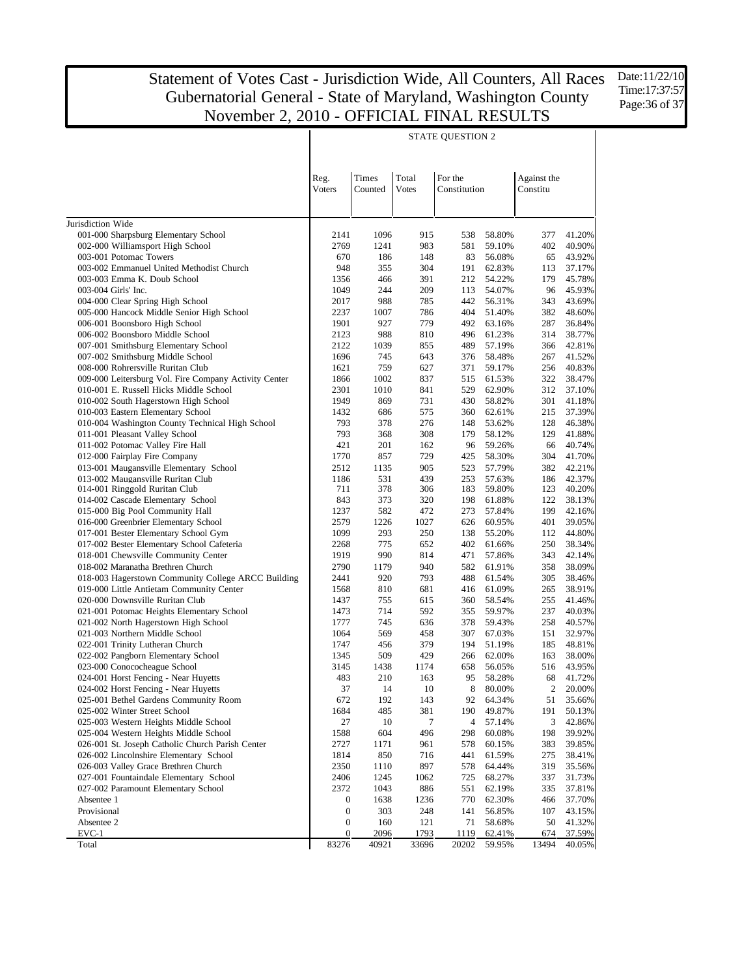Date:11/22/10 Time:17:37:57 Page:36 of 37

|                                                                          | <b>STATE QUESTION 2</b> |                  |                       |                         |                  |                         |                  |  |
|--------------------------------------------------------------------------|-------------------------|------------------|-----------------------|-------------------------|------------------|-------------------------|------------------|--|
|                                                                          | Reg.<br>Voters          | Times<br>Counted | Total<br><b>Votes</b> | For the<br>Constitution |                  | Against the<br>Constitu |                  |  |
|                                                                          |                         |                  |                       |                         |                  |                         |                  |  |
|                                                                          |                         |                  |                       |                         |                  |                         |                  |  |
| Jurisdiction Wide<br>001-000 Sharpsburg Elementary School                | 2141                    | 1096             | 915                   | 538                     | 58.80%           | 377                     | 41.20%           |  |
| 002-000 Williamsport High School                                         | 2769                    | 1241             | 983                   | 581                     | 59.10%           | 402                     | 40.90%           |  |
| 003-001 Potomac Towers                                                   | 670                     | 186              | 148                   | 83                      | 56.08%           | 65                      | 43.92%           |  |
| 003-002 Emmanuel United Methodist Church                                 | 948                     | 355              | 304                   | 191                     | 62.83%           | 113                     | 37.17%           |  |
| 003-003 Emma K. Doub School                                              | 1356                    | 466              | 391                   | 212                     | 54.22%           | 179                     | 45.78%           |  |
| 003-004 Girls' Inc.                                                      | 1049                    | 244              | 209                   | 113                     | 54.07%           | 96                      | 45.93%           |  |
| 004-000 Clear Spring High School                                         | 2017                    | 988              | 785                   | 442                     | 56.31%           | 343                     | 43.69%           |  |
| 005-000 Hancock Middle Senior High School                                | 2237                    | 1007             | 786                   | 404                     | 51.40%           | 382                     | 48.60%           |  |
| 006-001 Boonsboro High School                                            | 1901                    | 927              | 779                   | 492                     | 63.16%           | 287                     | 36.84%           |  |
| 006-002 Boonsboro Middle School                                          | 2123<br>2122            | 988              | 810                   | 496                     | 61.23%           | 314                     | 38.77%           |  |
| 007-001 Smithsburg Elementary School<br>007-002 Smithsburg Middle School | 1696                    | 1039<br>745      | 855<br>643            | 489<br>376              | 57.19%<br>58.48% | 366<br>267              | 42.81%<br>41.52% |  |
| 008-000 Rohrersville Ruritan Club                                        | 1621                    | 759              | 627                   | 371                     | 59.17%           | 256                     | 40.83%           |  |
| 009-000 Leitersburg Vol. Fire Company Activity Center                    | 1866                    | 1002             | 837                   | 515                     | 61.53%           | 322                     | 38.47%           |  |
| 010-001 E. Russell Hicks Middle School                                   | 2301                    | 1010             | 841                   | 529                     | 62.90%           | 312                     | 37.10%           |  |
| 010-002 South Hagerstown High School                                     | 1949                    | 869              | 731                   | 430                     | 58.82%           | 301                     | 41.18%           |  |
| 010-003 Eastern Elementary School                                        | 1432                    | 686              | 575                   | 360                     | 62.61%           | 215                     | 37.39%           |  |
| 010-004 Washington County Technical High School                          | 793                     | 378              | 276                   | 148                     | 53.62%           | 128                     | 46.38%           |  |
| 011-001 Pleasant Valley School                                           | 793                     | 368              | 308                   | 179                     | 58.12%           | 129                     | 41.88%           |  |
| 011-002 Potomac Valley Fire Hall                                         | 421                     | 201              | 162                   | 96                      | 59.26%           | 66                      | 40.74%           |  |
| 012-000 Fairplay Fire Company                                            | 1770                    | 857              | 729                   | 425                     | 58.30%           | 304                     | 41.70%           |  |
| 013-001 Maugansville Elementary School                                   | 2512                    | 1135             | 905                   | 523                     | 57.79%           | 382                     | 42.21%           |  |
| 013-002 Maugansville Ruritan Club                                        | 1186                    | 531              | 439                   | 253                     | 57.63%           | 186                     | 42.37%           |  |
| 014-001 Ringgold Ruritan Club                                            | 711                     | 378              | 306                   | 183                     | 59.80%           | 123                     | 40.20%           |  |
| 014-002 Cascade Elementary School                                        | 843<br>1237             | 373<br>582       | 320<br>472            | 198<br>273              | 61.88%<br>57.84% | 122<br>199              | 38.13%<br>42.16% |  |
| 015-000 Big Pool Community Hall<br>016-000 Greenbrier Elementary School  | 2579                    | 1226             | 1027                  | 626                     | 60.95%           | 401                     | 39.05%           |  |
| 017-001 Bester Elementary School Gym                                     | 1099                    | 293              | 250                   | 138                     | 55.20%           | 112                     | 44.80%           |  |
| 017-002 Bester Elementary School Cafeteria                               | 2268                    | 775              | 652                   | 402                     | 61.66%           | 250                     | 38.34%           |  |
| 018-001 Chewsville Community Center                                      | 1919                    | 990              | 814                   | 471                     | 57.86%           | 343                     | 42.14%           |  |
| 018-002 Maranatha Brethren Church                                        | 2790                    | 1179             | 940                   | 582                     | 61.91%           | 358                     | 38.09%           |  |
| 018-003 Hagerstown Community College ARCC Building                       | 2441                    | 920              | 793                   | 488                     | 61.54%           | 305                     | 38.46%           |  |
| 019-000 Little Antietam Community Center                                 | 1568                    | 810              | 681                   | 416                     | 61.09%           | 265                     | 38.91%           |  |
| 020-000 Downsville Ruritan Club                                          | 1437                    | 755              | 615                   | 360                     | 58.54%           | 255                     | 41.46%           |  |
| 021-001 Potomac Heights Elementary School                                | 1473                    | 714              | 592                   | 355                     | 59.97%           | 237                     | 40.03%           |  |
| 021-002 North Hagerstown High School                                     | 1777                    | 745              | 636                   | 378                     | 59.43%           | 258                     | 40.57%           |  |
| 021-003 Northern Middle School                                           | 1064                    | 569              | 458                   | 307                     | 67.03%           | 151                     | 32.97%           |  |
| 022-001 Trinity Lutheran Church                                          | 1747                    | 456              | 379                   | 194                     | 51.19%           | 185                     | 48.81%           |  |
| 022-002 Pangborn Elementary School<br>023-000 Conococheague School       | 1345<br>3145            | 509<br>1438      | 429<br>1174           | 266<br>658              | 62.00%<br>56.05% | 163<br>516              | 38.00%<br>43.95% |  |
| 024-001 Horst Fencing - Near Huyetts                                     | 483                     | 210              | 163                   | 95                      | 58.28%           | 68                      | 41.72%           |  |
| 024-002 Horst Fencing - Near Huyetts                                     | 37                      | 14               | 10                    | 8                       | 80.00%           | 2                       | 20.00%           |  |
| 025-001 Bethel Gardens Community Room                                    | 672                     | 192              | 143                   | 92                      | 64.34%           | 51                      | 35.66%           |  |
| 025-002 Winter Street School                                             | 1684                    | 485              | 381                   | 190                     | 49.87%           | 191                     | 50.13%           |  |
| 025-003 Western Heights Middle School                                    | 27                      | 10               | 7                     | 4                       | 57.14%           | 3                       | 42.86%           |  |
| 025-004 Western Heights Middle School                                    | 1588                    | 604              | 496                   | 298                     | 60.08%           | 198                     | 39.92%           |  |
| 026-001 St. Joseph Catholic Church Parish Center                         | 2727                    | 1171             | 961                   | 578                     | 60.15%           | 383                     | 39.85%           |  |
| 026-002 Lincolnshire Elementary School                                   | 1814                    | 850              | 716                   | 441                     | 61.59%           | 275                     | 38.41%           |  |
| 026-003 Valley Grace Brethren Church                                     | 2350                    | 1110             | 897                   | 578                     | 64.44%           | 319                     | 35.56%           |  |
| 027-001 Fountaindale Elementary School                                   | 2406                    | 1245             | 1062                  | 725                     | 68.27%           | 337                     | 31.73%           |  |
| 027-002 Paramount Elementary School                                      | 2372                    | 1043             | 886                   | 551                     | 62.19%           | 335                     | 37.81%           |  |
| Absentee 1                                                               | 0                       | 1638             | 1236                  | 770                     | 62.30%           | 466                     | 37.70%           |  |
| Provisional<br>Absentee 2                                                | $\boldsymbol{0}$        | 303              | 248                   | 141                     | 56.85%           | 107<br>50               | 43.15%           |  |
| $EVC-1$                                                                  | 0<br>0                  | 160<br>2096      | 121<br>1793           | 71<br>1119              | 58.68%<br>62.41% | 674                     | 41.32%<br>37.59% |  |
| Total                                                                    | 83276                   | 40921            | 33696                 | 20202                   | 59.95%           | 13494                   | 40.05%           |  |